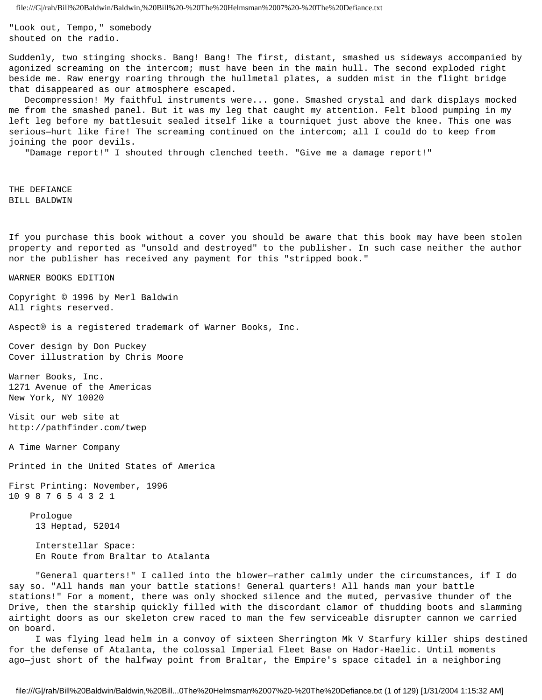"Look out, Tempo," somebody shouted on the radio.

Suddenly, two stinging shocks. Bang! Bang! The first, distant, smashed us sideways accompanied by agonized screaming on the intercom; must have been in the main hull. The second exploded right beside me. Raw energy roaring through the hullmetal plates, a sudden mist in the flight bridge that disappeared as our atmosphere escaped.

 Decompression! My faithful instruments were... gone. Smashed crystal and dark displays mocked me from the smashed panel. But it was my leg that caught my attention. Felt blood pumping in my left leg before my battlesuit sealed itself like a tourniquet just above the knee. This one was serious—hurt like fire! The screaming continued on the intercom; all I could do to keep from joining the poor devils.

"Damage report!" I shouted through clenched teeth. "Give me a damage report!"

THE DEFIANCE BILL BALDWIN

If you purchase this book without a cover you should be aware that this book may have been stolen property and reported as "unsold and destroyed" to the publisher. In such case neither the author nor the publisher has received any payment for this "stripped book."

WARNER BOOKS EDITION

Copyright © 1996 by Merl Baldwin All rights reserved.

Aspect® is a registered trademark of Warner Books, Inc.

Cover design by Don Puckey Cover illustration by Chris Moore

Warner Books, Inc. 1271 Avenue of the Americas New York, NY 10020

Visit our web site at http://pathfinder.com/twep

A Time Warner Company

Printed in the United States of America

First Printing: November, 1996 10 9 8 7 6 5 4 3 2 1

> Prologue 13 Heptad, 52014

 Interstellar Space: En Route from Braltar to Atalanta

 "General quarters!" I called into the blower—rather calmly under the circumstances, if I do say so. "All hands man your battle stations! General quarters! All hands man your battle stations!" For a moment, there was only shocked silence and the muted, pervasive thunder of the Drive, then the starship quickly filled with the discordant clamor of thudding boots and slamming airtight doors as our skeleton crew raced to man the few serviceable disrupter cannon we carried on board.

 I was flying lead helm in a convoy of sixteen Sherrington Mk V Starfury killer ships destined for the defense of Atalanta, the colossal Imperial Fleet Base on Hador-Haelic. Until moments ago—just short of the halfway point from Braltar, the Empire's space citadel in a neighboring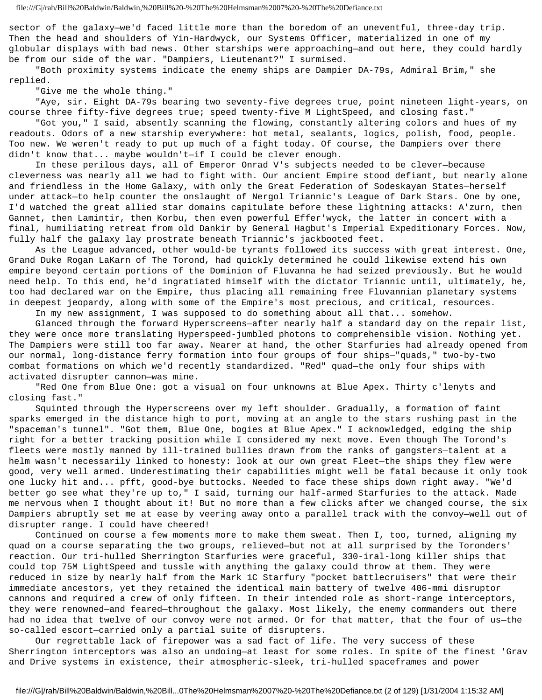sector of the galaxy—we'd faced little more than the boredom of an uneventful, three-day trip. Then the head and shoulders of Yin-Hardwyck, our Systems Officer, materialized in one of my globular displays with bad news. Other starships were approaching—and out here, they could hardly be from our side of the war. "Dampiers, Lieutenant?" I surmised.

 "Both proximity systems indicate the enemy ships are Dampier DA-79s, Admiral Brim," she replied.

"Give me the whole thing."

 "Aye, sir. Eight DA-79s bearing two seventy-five degrees true, point nineteen light-years, on course three fifty-five degrees true; speed twenty-five M LightSpeed, and closing fast."

 "Got you," I said, absently scanning the flowing, constantly altering colors and hues of my readouts. Odors of a new starship everywhere: hot metal, sealants, logics, polish, food, people. Too new. We weren't ready to put up much of a fight today. Of course, the Dampiers over there didn't know that... maybe wouldn't—if I could be clever enough.

 In these perilous days, all of Emperor Onrad V's subjects needed to be clever—because cleverness was nearly all we had to fight with. Our ancient Empire stood defiant, but nearly alone and friendless in the Home Galaxy, with only the Great Federation of Sodeskayan States—herself under attack—to help counter the onslaught of Nergol Triannic's League of Dark Stars. One by one, I'd watched the great allied star domains capitulate before these lightning attacks: A'zurn, then Gannet, then Lamintir, then Korbu, then even powerful Effer'wyck, the latter in concert with a final, humiliating retreat from old Dankir by General Hagbut's Imperial Expeditionary Forces. Now, fully half the galaxy lay prostrate beneath Triannic's jackbooted feet.

 As the League advanced, other would-be tyrants followed its success with great interest. One, Grand Duke Rogan LaKarn of The Torond, had quickly determined he could likewise extend his own empire beyond certain portions of the Dominion of Fluvanna he had seized previously. But he would need help. To this end, he'd ingratiated himself with the dictator Triannic until, ultimately, he, too had declared war on the Empire, thus placing all remaining free Fluvannian planetary systems in deepest jeopardy, along with some of the Empire's most precious, and critical, resources.

In my new assignment, I was supposed to do something about all that... somehow.

 Glanced through the forward Hyperscreens—after nearly half a standard day on the repair list, they were once more translating Hyperspeed-jumbled photons to comprehensible vision. Nothing yet. The Dampiers were still too far away. Nearer at hand, the other Starfuries had already opened from our normal, long-distance ferry formation into four groups of four ships—"quads," two-by-two combat formations on which we'd recently standardized. "Red" quad—the only four ships with activated disrupter cannon—was mine.

 "Red One from Blue One: got a visual on four unknowns at Blue Apex. Thirty c'lenyts and closing fast."

 Squinted through the Hyperscreens over my left shoulder. Gradually, a formation of faint sparks emerged in the distance high to port, moving at an angle to the stars rushing past in the "spaceman's tunnel". "Got them, Blue One, bogies at Blue Apex." I acknowledged, edging the ship right for a better tracking position while I considered my next move. Even though The Torond's fleets were mostly manned by ill-trained bullies drawn from the ranks of gangsters—talent at a helm wasn't necessarily linked to honesty: look at our own great Fleet—the ships they flew were good, very well armed. Underestimating their capabilities might well be fatal because it only took one lucky hit and... pfft, good-bye buttocks. Needed to face these ships down right away. "We'd better go see what they're up to," I said, turning our half-armed Starfuries to the attack. Made me nervous when I thought about it! But no more than a few clicks after we changed course, the six Dampiers abruptly set me at ease by veering away onto a parallel track with the convoy—well out of disrupter range. I could have cheered!

 Continued on course a few moments more to make them sweat. Then I, too, turned, aligning my quad on a course separating the two groups, relieved—but not at all surprised by the Toronders' reaction. Our tri-hulled Sherrington Starfuries were graceful, 330-iral-long killer ships that could top 75M LightSpeed and tussle with anything the galaxy could throw at them. They were reduced in size by nearly half from the Mark 1C Starfury "pocket battlecruisers" that were their immediate ancestors, yet they retained the identical main battery of twelve 406-mmi disruptor cannons and required a crew of only fifteen. In their intended role as short-range interceptors, they were renowned—and feared—throughout the galaxy. Most likely, the enemy commanders out there had no idea that twelve of our convoy were not armed. Or for that matter, that the four of us-the so-called escort—carried only a partial suite of disrupters.

 Our regrettable lack of firepower was a sad fact of life. The very success of these Sherrington interceptors was also an undoing—at least for some roles. In spite of the finest 'Grav and Drive systems in existence, their atmospheric-sleek, tri-hulled spaceframes and power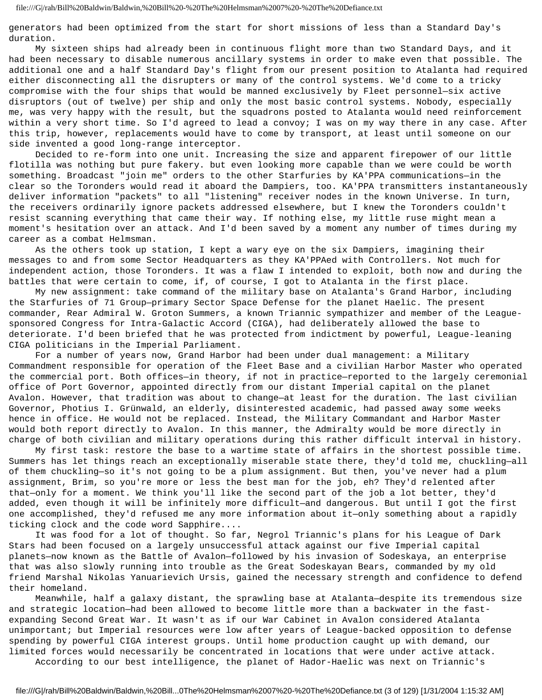generators had been optimized from the start for short missions of less than a Standard Day's duration.

 My sixteen ships had already been in continuous flight more than two Standard Days, and it had been necessary to disable numerous ancillary systems in order to make even that possible. The additional one and a half Standard Day's flight from our present position to Atalanta had required either disconnecting all the disrupters or many of the control systems. We'd come to a tricky compromise with the four ships that would be manned exclusively by Fleet personnel—six active disruptors (out of twelve) per ship and only the most basic control systems. Nobody, especially me, was very happy with the result, but the squadrons posted to Atalanta would need reinforcement within a very short time. So I'd agreed to lead a convoy; I was on my way there in any case. After this trip, however, replacements would have to come by transport, at least until someone on our side invented a good long-range interceptor.

 Decided to re-form into one unit. Increasing the size and apparent firepower of our little flotilla was nothing but pure fakery. but even looking more capable than we were could be worth something. Broadcast "join me" orders to the other Starfuries by KA'PPA communications—in the clear so the Toronders would read it aboard the Dampiers, too. KA'PPA transmitters instantaneously deliver information "packets" to all "listening" receiver nodes in the known Universe. In turn, the receivers ordinarily ignore packets addressed elsewhere, but I knew the Toronders couldn't resist scanning everything that came their way. If nothing else, my little ruse might mean a moment's hesitation over an attack. And I'd been saved by a moment any number of times during my career as a combat Helmsman.

 As the others took up station, I kept a wary eye on the six Dampiers, imagining their messages to and from some Sector Headquarters as they KA'PPAed with Controllers. Not much for independent action, those Toronders. It was a flaw I intended to exploit, both now and during the battles that were certain to come, if, of course, I got to Atalanta in the first place.

 My new assignment: take command of the military base on Atalanta's Grand Harbor, including the Starfuries of 71 Group—primary Sector Space Defense for the planet Haelic. The present commander, Rear Admiral W. Groton Summers, a known Triannic sympathizer and member of the Leaguesponsored Congress for Intra-Galactic Accord (CIGA), had deliberately allowed the base to deteriorate. I'd been briefed that he was protected from indictment by powerful, League-leaning CIGA politicians in the Imperial Parliament.

 For a number of years now, Grand Harbor had been under dual management: a Military Commandment responsible for operation of the Fleet Base and a civilian Harbor Master who operated the commercial port. Both offices—in theory, if not in practice—reported to the largely ceremonial office of Port Governor, appointed directly from our distant Imperial capital on the planet Avalon. However, that tradition was about to change—at least for the duration. The last civilian Governor, Photius I. Grünwald, an elderly, disinterested academic, had passed away some weeks hence in office. He would not be replaced. Instead, the Military Commandant and Harbor Master would both report directly to Avalon. In this manner, the Admiralty would be more directly in charge of both civilian and military operations during this rather difficult interval in history.

 My first task: restore the base to a wartime state of affairs in the shortest possible time. Summers has let things reach an exceptionally miserable state there, they'd told me, chuckling—all of them chuckling—so it's not going to be a plum assignment. But then, you've never had a plum assignment, Brim, so you're more or less the best man for the job, eh? They'd relented after that—only for a moment. We think you'll like the second part of the job a lot better, they'd added, even though it will be infinitely more difficult—and dangerous. But until I got the first one accomplished, they'd refused me any more information about it—only something about a rapidly ticking clock and the code word Sapphire....

 It was food for a lot of thought. So far, Negrol Triannic's plans for his League of Dark Stars had been focused on a largely unsuccessful attack against our five Imperial capital planets—now known as the Battle of Avalon—followed by his invasion of Sodeskaya, an enterprise that was also slowly running into trouble as the Great Sodeskayan Bears, commanded by my old friend Marshal Nikolas Yanuarievich Ursis, gained the necessary strength and confidence to defend their homeland.

 Meanwhile, half a galaxy distant, the sprawling base at Atalanta—despite its tremendous size and strategic location—had been allowed to become little more than a backwater in the fastexpanding Second Great War. It wasn't as if our War Cabinet in Avalon considered Atalanta unimportant; but Imperial resources were low after years of League-backed opposition to defense spending by powerful CIGA interest groups. Until home production caught up with demand, our limited forces would necessarily be concentrated in locations that were under active attack.

According to our best intelligence, the planet of Hador-Haelic was next on Triannic's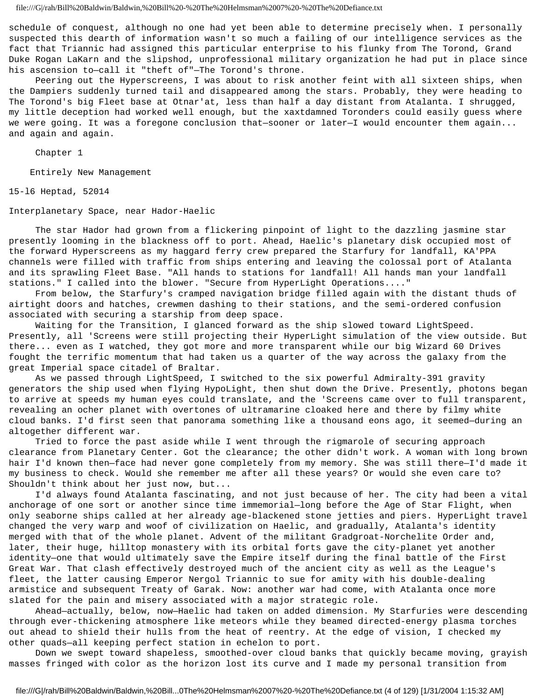schedule of conquest, although no one had yet been able to determine precisely when. I personally suspected this dearth of information wasn't so much a failing of our intelligence services as the fact that Triannic had assigned this particular enterprise to his flunky from The Torond, Grand Duke Rogan LaKarn and the slipshod, unprofessional military organization he had put in place since his ascension to—call it "theft of"—The Torond's throne.

 Peering out the Hyperscreens, I was about to risk another feint with all sixteen ships, when the Dampiers suddenly turned tail and disappeared among the stars. Probably, they were heading to The Torond's big Fleet base at Otnar'at, less than half a day distant from Atalanta. I shrugged, my little deception had worked well enough, but the xaxtdamned Toronders could easily guess where we were going. It was a foregone conclusion that—sooner or later—I would encounter them again... and again and again.

Chapter 1

Entirely New Management

15-l6 Heptad, 52014

Interplanetary Space, near Hador-Haelic

 The star Hador had grown from a flickering pinpoint of light to the dazzling jasmine star presently looming in the blackness off to port. Ahead, Haelic's planetary disk occupied most of the forward Hyperscreens as my haggard ferry crew prepared the Starfury for landfall, KA'PPA channels were filled with traffic from ships entering and leaving the colossal port of Atalanta and its sprawling Fleet Base. "All hands to stations for landfall! All hands man your landfall stations." I called into the blower. "Secure from HyperLight Operations...."

 From below, the Starfury's cramped navigation bridge filled again with the distant thuds of airtight doors and hatches, crewmen dashing to their stations, and the semi-ordered confusion associated with securing a starship from deep space.

 Waiting for the Transition, I glanced forward as the ship slowed toward LightSpeed. Presently, all 'Screens were still projecting their HyperLight simulation of the view outside. But there... even as I watched, they got more and more transparent while our big Wizard 60 Drives fought the terrific momentum that had taken us a quarter of the way across the galaxy from the great Imperial space citadel of Braltar.

 As we passed through LightSpeed, I switched to the six powerful Admiralty-391 gravity generators the ship used when flying HypoLight, then shut down the Drive. Presently, photons began to arrive at speeds my human eyes could translate, and the 'Screens came over to full transparent, revealing an ocher planet with overtones of ultramarine cloaked here and there by filmy white cloud banks. I'd first seen that panorama something like a thousand eons ago, it seemed—during an altogether different war.

 Tried to force the past aside while I went through the rigmarole of securing approach clearance from Planetary Center. Got the clearance; the other didn't work. A woman with long brown hair I'd known then—face had never gone completely from my memory. She was still there—I'd made it my business to check. Would she remember me after all these years? Or would she even care to? Shouldn't think about her just now, but...

 I'd always found Atalanta fascinating, and not just because of her. The city had been a vital anchorage of one sort or another since time immemorial—long before the Age of Star Flight, when only seaborne ships called at her already age-blackened stone jetties and piers. HyperLight travel changed the very warp and woof of civilization on Haelic, and gradually, Atalanta's identity merged with that of the whole planet. Advent of the militant Gradgroat-Norchelite Order and, later, their huge, hilltop monastery with its orbital forts gave the city-planet yet another identity—one that would ultimately save the Empire itself during the final battle of the First Great War. That clash effectively destroyed much of the ancient city as well as the League's fleet, the latter causing Emperor Nergol Triannic to sue for amity with his double-dealing armistice and subsequent Treaty of Garak. Now: another war had come, with Atalanta once more slated for the pain and misery associated with a major strategic role.

 Ahead—actually, below, now—Haelic had taken on added dimension. My Starfuries were descending through ever-thickening atmosphere like meteors while they beamed directed-energy plasma torches out ahead to shield their hulls from the heat of reentry. At the edge of vision, I checked my other quads—all keeping perfect station in echelon to port.

 Down we swept toward shapeless, smoothed-over cloud banks that quickly became moving, grayish masses fringed with color as the horizon lost its curve and I made my personal transition from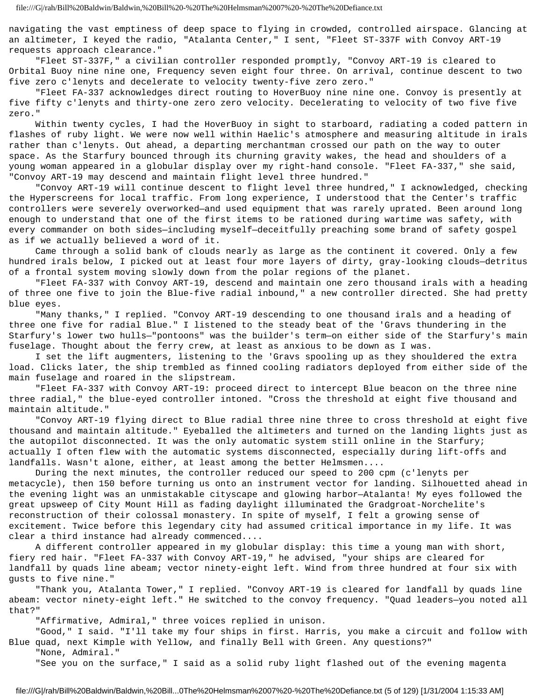navigating the vast emptiness of deep space to flying in crowded, controlled airspace. Glancing at an altimeter, I keyed the radio, "Atalanta Center," I sent, "Fleet ST-337F with Convoy ART-19 requests approach clearance."

 "Fleet ST-337F," a civilian controller responded promptly, "Convoy ART-19 is cleared to Orbital Buoy nine nine one, Frequency seven eight four three. On arrival, continue descent to two five zero c'lenyts and decelerate to velocity twenty-five zero zero."

 "Fleet FA-337 acknowledges direct routing to HoverBuoy nine nine one. Convoy is presently at five fifty c'lenyts and thirty-one zero zero velocity. Decelerating to velocity of two five five zero."

 Within twenty cycles, I had the HoverBuoy in sight to starboard, radiating a coded pattern in flashes of ruby light. We were now well within Haelic's atmosphere and measuring altitude in irals rather than c'lenyts. Out ahead, a departing merchantman crossed our path on the way to outer space. As the Starfury bounced through its churning gravity wakes, the head and shoulders of a young woman appeared in a globular display over my right-hand console. "Fleet FA-337," she said, "Convoy ART-19 may descend and maintain flight level three hundred."

 "Convoy ART-19 will continue descent to flight level three hundred," I acknowledged, checking the Hyperscreens for local traffic. From long experience, I understood that the Center's traffic controllers were severely overworked—and used equipment that was rarely uprated. Been around long enough to understand that one of the first items to be rationed during wartime was safety, with every commander on both sides—including myself—deceitfully preaching some brand of safety gospel as if we actually believed a word of it.

 Came through a solid bank of clouds nearly as large as the continent it covered. Only a few hundred irals below, I picked out at least four more layers of dirty, gray-looking clouds—detritus of a frontal system moving slowly down from the polar regions of the planet.

 "Fleet FA-337 with Convoy ART-19, descend and maintain one zero thousand irals with a heading of three one five to join the Blue-five radial inbound," a new controller directed. She had pretty blue eyes.

 "Many thanks," I replied. "Convoy ART-19 descending to one thousand irals and a heading of three one five for radial Blue." I listened to the steady beat of the 'Gravs thundering in the Starfury's lower two hulls—"pontoons" was the builder's term—on either side of the Starfury's main fuselage. Thought about the ferry crew, at least as anxious to be down as I was.

 I set the lift augmenters, listening to the 'Gravs spooling up as they shouldered the extra load. Clicks later, the ship trembled as finned cooling radiators deployed from either side of the main fuselage and roared in the slipstream.

 "Fleet FA-337 with Convoy ART-19: proceed direct to intercept Blue beacon on the three nine three radial," the blue-eyed controller intoned. "Cross the threshold at eight five thousand and maintain altitude."

 "Convoy ART-19 flying direct to Blue radial three nine three to cross threshold at eight five thousand and maintain altitude." Eyeballed the altimeters and turned on the landing lights just as the autopilot disconnected. It was the only automatic system still online in the Starfury; actually I often flew with the automatic systems disconnected, especially during lift-offs and landfalls. Wasn't alone, either, at least among the better Helmsmen....

 During the next minutes, the controller reduced our speed to 200 cpm (c'lenyts per metacycle), then 150 before turning us onto an instrument vector for landing. Silhouetted ahead in the evening light was an unmistakable cityscape and glowing harbor—Atalanta! My eyes followed the great upsweep of City Mount Hill as fading daylight illuminated the Gradgroat-Norchelite's reconstruction of their colossal monastery. In spite of myself, I felt a growing sense of excitement. Twice before this legendary city had assumed critical importance in my life. It was clear a third instance had already commenced....

 A different controller appeared in my globular display: this time a young man with short, fiery red hair. "Fleet FA-337 with Convoy ART-19," he advised, "your ships are cleared for landfall by quads line abeam; vector ninety-eight left. Wind from three hundred at four six with gusts to five nine."

 "Thank you, Atalanta Tower," I replied. "Convoy ART-19 is cleared for landfall by quads line abeam: vector ninety-eight left." He switched to the convoy frequency. "Quad leaders—you noted all that?"

"Affirmative, Admiral," three voices replied in unison.

 "Good," I said. "I'll take my four ships in first. Harris, you make a circuit and follow with Blue quad, next Kimple with Yellow, and finally Bell with Green. Any questions?"

"None, Admiral."

"See you on the surface," I said as a solid ruby light flashed out of the evening magenta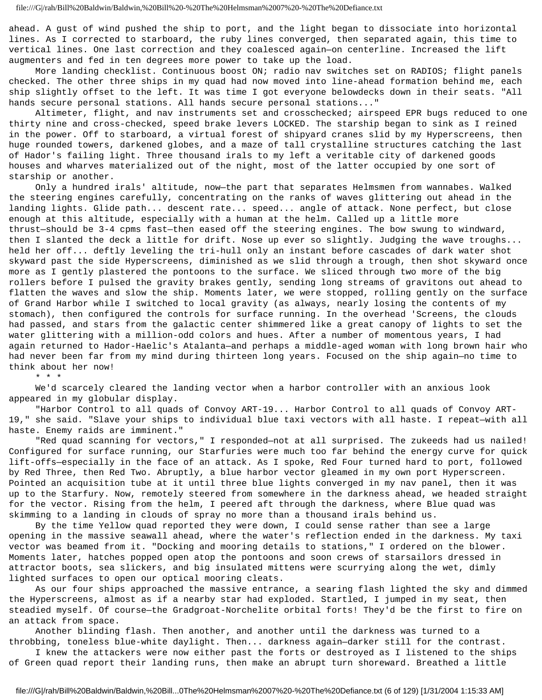ahead. A gust of wind pushed the ship to port, and the light began to dissociate into horizontal lines. As I corrected to starboard, the ruby lines converged, then separated again, this time to vertical lines. One last correction and they coalesced again—on centerline. Increased the lift augmenters and fed in ten degrees more power to take up the load.

 More landing checklist. Continuous boost ON; radio nav switches set on RADIOS; flight panels checked. The other three ships in my quad had now moved into line-ahead formation behind me, each ship slightly offset to the left. It was time I got everyone belowdecks down in their seats. "All hands secure personal stations. All hands secure personal stations..."

Altimeter, flight, and nav instruments set and crosschecked; airspeed EPR bugs reduced to one thirty nine and cross-checked, speed brake levers LOCKED. The starship began to sink as I reined in the power. Off to starboard, a virtual forest of shipyard cranes slid by my Hyperscreens, then huge rounded towers, darkened globes, and a maze of tall crystalline structures catching the last of Hador's failing light. Three thousand irals to my left a veritable city of darkened goods houses and wharves materialized out of the night, most of the latter occupied by one sort of starship or another.

 Only a hundred irals' altitude, now—the part that separates Helmsmen from wannabes. Walked the steering engines carefully, concentrating on the ranks of waves glittering out ahead in the landing lights. Glide path... descent rate... speed... angle of attack. None perfect, but close enough at this altitude, especially with a human at the helm. Called up a little more thrust—should be 3-4 cpms fast—then eased off the steering engines. The bow swung to windward, then I slanted the deck a little for drift. Nose up ever so slightly. Judging the wave troughs... held her off... deftly leveling the tri-hull only an instant before cascades of dark water shot skyward past the side Hyperscreens, diminished as we slid through a trough, then shot skyward once more as I gently plastered the pontoons to the surface. We sliced through two more of the big rollers before I pulsed the gravity brakes gently, sending long streams of gravitons out ahead to flatten the waves and slow the ship. Moments later, we were stopped, rolling gently on the surface of Grand Harbor while I switched to local gravity (as always, nearly losing the contents of my stomach), then configured the controls for surface running. In the overhead 'Screens, the clouds had passed, and stars from the galactic center shimmered like a great canopy of lights to set the water glittering with a million-odd colors and hues. After a number of momentous years, I had again returned to Hador-Haelic's Atalanta—and perhaps a middle-aged woman with long brown hair who had never been far from my mind during thirteen long years. Focused on the ship again—no time to think about her now!

\* \* \*

 We'd scarcely cleared the landing vector when a harbor controller with an anxious look appeared in my globular display.

 "Harbor Control to all quads of Convoy ART-19... Harbor Control to all quads of Convoy ART-19," she said. "Slave your ships to individual blue taxi vectors with all haste. I repeat—with all haste. Enemy raids are imminent."

 "Red quad scanning for vectors," I responded—not at all surprised. The zukeeds had us nailed! Configured for surface running, our Starfuries were much too far behind the energy curve for quick lift-offs—especially in the face of an attack. As I spoke, Red Four turned hard to port, followed by Red Three, then Red Two. Abruptly, a blue harbor vector gleamed in my own port Hyperscreen. Pointed an acquisition tube at it until three blue lights converged in my nav panel, then it was up to the Starfury. Now, remotely steered from somewhere in the darkness ahead, we headed straight for the vector. Rising from the helm, I peered aft through the darkness, where Blue quad was skimming to a landing in clouds of spray no more than a thousand irals behind us.

 By the time Yellow quad reported they were down, I could sense rather than see a large opening in the massive seawall ahead, where the water's reflection ended in the darkness. My taxi vector was beamed from it. "Docking and mooring details to stations," I ordered on the blower. Moments later, hatches popped open atop the pontoons and soon crews of starsailors dressed in attractor boots, sea slickers, and big insulated mittens were scurrying along the wet, dimly lighted surfaces to open our optical mooring cleats.

 As our four ships approached the massive entrance, a searing flash lighted the sky and dimmed the Hyperscreens, almost as if a nearby star had exploded. Startled, I jumped in my seat, then steadied myself. Of course—the Gradgroat-Norchelite orbital forts! They'd be the first to fire on an attack from space.

 Another blinding flash. Then another, and another until the darkness was turned to a throbbing, toneless blue-white daylight. Then... darkness again—darker still for the contrast.

 I knew the attackers were now either past the forts or destroyed as I listened to the ships of Green quad report their landing runs, then make an abrupt turn shoreward. Breathed a little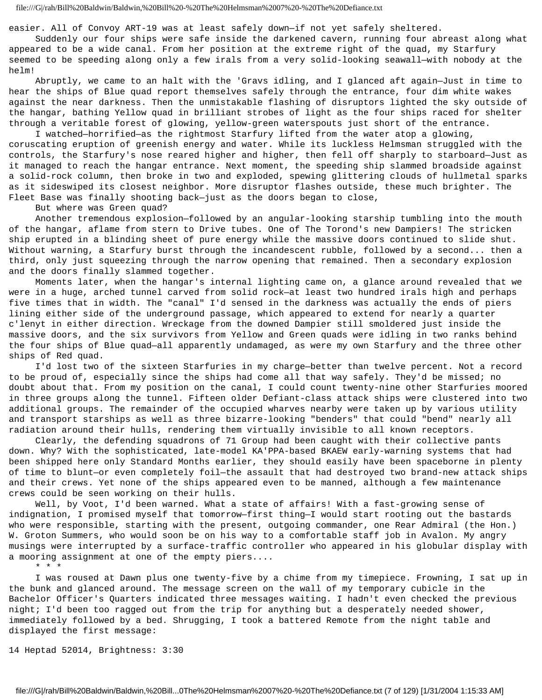easier. All of Convoy ART-19 was at least safely down—if not yet safely sheltered.

 Suddenly our four ships were safe inside the darkened cavern, running four abreast along what appeared to be a wide canal. From her position at the extreme right of the quad, my Starfury seemed to be speeding along only a few irals from a very solid-looking seawall—with nobody at the helm!

 Abruptly, we came to an halt with the 'Gravs idling, and I glanced aft again—Just in time to hear the ships of Blue quad report themselves safely through the entrance, four dim white wakes against the near darkness. Then the unmistakable flashing of disruptors lighted the sky outside of the hangar, bathing Yellow quad in brilliant strobes of light as the four ships raced for shelter through a veritable forest of glowing, yellow-green waterspouts just short of the entrance.

 I watched—horrified—as the rightmost Starfury lifted from the water atop a glowing, coruscating eruption of greenish energy and water. While its luckless Helmsman struggled with the controls, the Starfury's nose reared higher and higher, then fell off sharply to starboard—Just as it managed to reach the hangar entrance. Next moment, the speeding ship slammed broadside against a solid-rock column, then broke in two and exploded, spewing glittering clouds of hullmetal sparks as it sideswiped its closest neighbor. More disruptor flashes outside, these much brighter. The Fleet Base was finally shooting back—just as the doors began to close,

But where was Green quad?

 Another tremendous explosion—followed by an angular-looking starship tumbling into the mouth of the hangar, aflame from stern to Drive tubes. One of The Torond's new Dampiers! The stricken ship erupted in a blinding sheet of pure energy while the massive doors continued to slide shut. Without warning, a Starfury burst through the incandescent rubble, followed by a second... then a third, only just squeezing through the narrow opening that remained. Then a secondary explosion and the doors finally slammed together.

 Moments later, when the hangar's internal lighting came on, a glance around revealed that we were in a huge, arched tunnel carved from solid rock—at least two hundred irals high and perhaps five times that in width. The "canal" I'd sensed in the darkness was actually the ends of piers lining either side of the underground passage, which appeared to extend for nearly a quarter c'lenyt in either direction. Wreckage from the downed Dampier still smoldered just inside the massive doors, and the six survivors from Yellow and Green quads were idling in two ranks behind the four ships of Blue quad—all apparently undamaged, as were my own Starfury and the three other ships of Red quad.

 I'd lost two of the sixteen Starfuries in my charge—better than twelve percent. Not a record to be proud of, especially since the ships had come all that way safely. They'd be missed; no doubt about that. From my position on the canal, I could count twenty-nine other Starfuries moored in three groups along the tunnel. Fifteen older Defiant-class attack ships were clustered into two additional groups. The remainder of the occupied wharves nearby were taken up by various utility and transport starships as well as three bizarre-looking "benders" that could "bend" nearly all radiation around their hulls, rendering them virtually invisible to all known receptors.

 Clearly, the defending squadrons of 71 Group had been caught with their collective pants down. Why? With the sophisticated, late-model KA'PPA-based BKAEW early-warning systems that had been shipped here only Standard Months earlier, they should easily have been spaceborne in plenty of time to blunt—or even completely foil—the assault that had destroyed two brand-new attack ships and their crews. Yet none of the ships appeared even to be manned, although a few maintenance crews could be seen working on their hulls.

 Well, by Voot, I'd been warned. What a state of affairs! With a fast-growing sense of indignation, I promised myself that tomorrow—first thing—I would start rooting out the bastards who were responsible, starting with the present, outgoing commander, one Rear Admiral (the Hon.) W. Groton Summers, who would soon be on his way to a comfortable staff job in Avalon. My angry musings were interrupted by a surface-traffic controller who appeared in his globular display with a mooring assignment at one of the empty piers....

\* \* \*

 I was roused at Dawn plus one twenty-five by a chime from my timepiece. Frowning, I sat up in the bunk and glanced around. The message screen on the wall of my temporary cubicle in the Bachelor Officer's Quarters indicated three messages waiting. I hadn't even checked the previous night; I'd been too ragged out from the trip for anything but a desperately needed shower, immediately followed by a bed. Shrugging, I took a battered Remote from the night table and displayed the first message:

14 Heptad 52014, Brightness: 3:30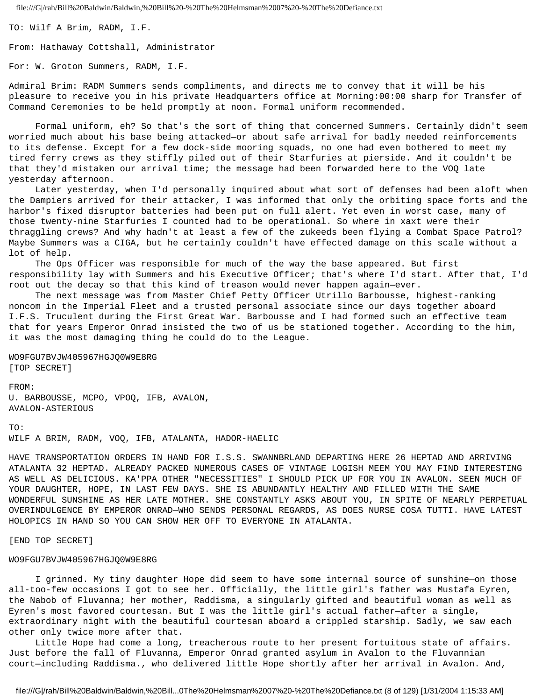TO: Wilf A Brim, RADM, I.F.

From: Hathaway Cottshall, Administrator

For: W. Groton Summers, RADM, I.F.

Admiral Brim: RADM Summers sends compliments, and directs me to convey that it will be his pleasure to receive you in his private Headquarters office at Morning:00:00 sharp for Transfer of Command Ceremonies to be held promptly at noon. Formal uniform recommended.

 Formal uniform, eh? So that's the sort of thing that concerned Summers. Certainly didn't seem worried much about his base being attacked—or about safe arrival for badly needed reinforcements to its defense. Except for a few dock-side mooring squads, no one had even bothered to meet my tired ferry crews as they stiffly piled out of their Starfuries at pierside. And it couldn't be that they'd mistaken our arrival time; the message had been forwarded here to the VOQ late yesterday afternoon.

 Later yesterday, when I'd personally inquired about what sort of defenses had been aloft when the Dampiers arrived for their attacker, I was informed that only the orbiting space forts and the harbor's fixed disruptor batteries had been put on full alert. Yet even in worst case, many of those twenty-nine Starfuries I counted had to be operational. So where in xaxt were their thraggling crews? And why hadn't at least a few of the zukeeds been flying a Combat Space Patrol? Maybe Summers was a CIGA, but he certainly couldn't have effected damage on this scale without a lot of help.

 The Ops Officer was responsible for much of the way the base appeared. But first responsibility lay with Summers and his Executive Officer; that's where I'd start. After that, I'd root out the decay so that this kind of treason would never happen again—ever.

 The next message was from Master Chief Petty Officer Utrillo Barbousse, highest-ranking noncom in the Imperial Fleet and a trusted personal associate since our days together aboard I.F.S. Truculent during the First Great War. Barbousse and I had formed such an effective team that for years Emperor Onrad insisted the two of us be stationed together. According to the him, it was the most damaging thing he could do to the League.

WO9FGU7BVJW405967HGJQ0W9E8RG [TOP SECRET]

FROM: U. BARBOUSSE, MCPO, VPOQ, IFB, AVALON, AVALON-ASTERIOUS

TO: WILF A BRIM, RADM, VOQ, IFB, ATALANTA, HADOR-HAELIC

HAVE TRANSPORTATION ORDERS IN HAND FOR I.S.S. SWANNBRLAND DEPARTING HERE 26 HEPTAD AND ARRIVING ATALANTA 32 HEPTAD. ALREADY PACKED NUMEROUS CASES OF VINTAGE LOGISH MEEM YOU MAY FIND INTERESTING AS WELL AS DELICIOUS. KA'PPA OTHER "NECESSITIES" I SHOULD PICK UP FOR YOU IN AVALON. SEEN MUCH OF YOUR DAUGHTER, HOPE, IN LAST FEW DAYS. SHE IS ABUNDANTLY HEALTHY AND FILLED WITH THE SAME WONDERFUL SUNSHINE AS HER LATE MOTHER. SHE CONSTANTLY ASKS ABOUT YOU, IN SPITE OF NEARLY PERPETUAL OVERINDULGENCE BY EMPEROR ONRAD—WHO SENDS PERSONAL REGARDS, AS DOES NURSE COSA TUTTI. HAVE LATEST HOLOPICS IN HAND SO YOU CAN SHOW HER OFF TO EVERYONE IN ATALANTA.

[END TOP SECRET]

## WO9FGU7BVJW405967HGJQ0W9E8RG

 I grinned. My tiny daughter Hope did seem to have some internal source of sunshine—on those all-too-few occasions I got to see her. Officially, the little girl's father was Mustafa Eyren, the Nabob of Fluvanna; her mother, Raddisma, a singularly gifted and beautiful woman as well as Eyren's most favored courtesan. But I was the little girl's actual father—after a single, extraordinary night with the beautiful courtesan aboard a crippled starship. Sadly, we saw each other only twice more after that.

 Little Hope had come a long, treacherous route to her present fortuitous state of affairs. Just before the fall of Fluvanna, Emperor Onrad granted asylum in Avalon to the Fluvannian court—including Raddisma., who delivered little Hope shortly after her arrival in Avalon. And,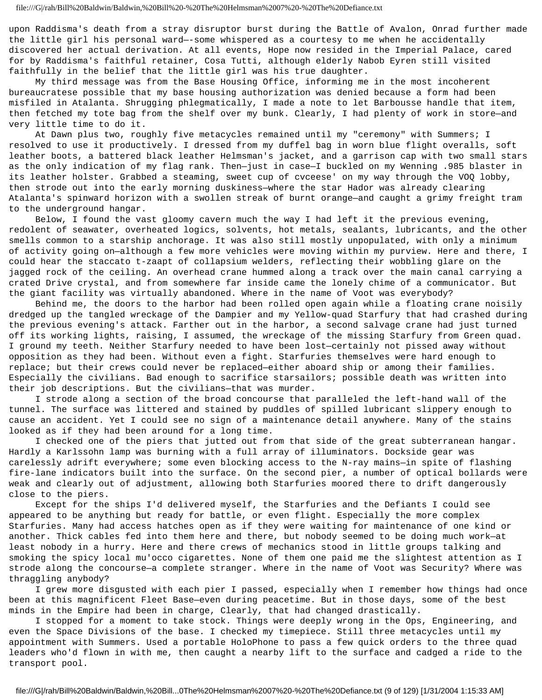upon Raddisma's death from a stray disruptor burst during the Battle of Avalon, Onrad further made the little girl his personal ward—-some whispered as a courtesy to me when he accidentally discovered her actual derivation. At all events, Hope now resided in the Imperial Palace, cared for by Raddisma's faithful retainer, Cosa Tutti, although elderly Nabob Eyren still visited faithfully in the belief that the little girl was his true daughter.

 My third message was from the Base Housing Office, informing me in the most incoherent bureaucratese possible that my base housing authorization was denied because a form had been misfiled in Atalanta. Shrugging phlegmatically, I made a note to let Barbousse handle that item, then fetched my tote bag from the shelf over my bunk. Clearly, I had plenty of work in store—and very little time to do it.

 At Dawn plus two, roughly five metacycles remained until my "ceremony" with Summers; I resolved to use it productively. I dressed from my duffel bag in worn blue flight overalls, soft leather boots, a battered black leather Helmsman's jacket, and a garrison cap with two small stars as the only indication of my flag rank. Then—just in case—I buckled on my Wenning .985 blaster in its leather holster. Grabbed a steaming, sweet cup of cvceese' on my way through the VOQ lobby, then strode out into the early morning duskiness—where the star Hador was already clearing Atalanta's spinward horizon with a swollen streak of burnt orange—and caught a grimy freight tram to the underground hangar.

 Below, I found the vast gloomy cavern much the way I had left it the previous evening, redolent of seawater, overheated logics, solvents, hot metals, sealants, lubricants, and the other smells common to a starship anchorage. It was also still mostly unpopulated, with only a minimum of activity going on—although a few more vehicles were moving within my purview. Here and there, I could hear the staccato t-zaapt of collapsium welders, reflecting their wobbling glare on the jagged rock of the ceiling. An overhead crane hummed along a track over the main canal carrying a crated Drive crystal, and from somewhere far inside came the lonely chime of a communicator. But the giant facility was virtually abandoned. Where in the name of Voot was everybody?

 Behind me, the doors to the harbor had been rolled open again while a floating crane noisily dredged up the tangled wreckage of the Dampier and my Yellow-quad Starfury that had crashed during the previous evening's attack. Farther out in the harbor, a second salvage crane had just turned off its working lights, raising, I assumed, the wreckage of the missing Starfury from Green quad. I ground my teeth. Neither Starfury needed to have been lost—certainly not pissed away without opposition as they had been. Without even a fight. Starfuries themselves were hard enough to replace; but their crews could never be replaced—either aboard ship or among their families. Especially the civilians. Bad enough to sacrifice starsailors; possible death was written into their job descriptions. But the civilians—that was murder.

 I strode along a section of the broad concourse that paralleled the left-hand wall of the tunnel. The surface was littered and stained by puddles of spilled lubricant slippery enough to cause an accident. Yet I could see no sign of a maintenance detail anywhere. Many of the stains looked as if they had been around for a long time.

 I checked one of the piers that jutted out from that side of the great subterranean hangar. Hardly a Karlssohn lamp was burning with a full array of illuminators. Dockside gear was carelessly adrift everywhere; some even blocking access to the N-ray mains—in spite of flashing fire-lane indicators built into the surface. On the second pier, a number of optical bollards were weak and clearly out of adjustment, allowing both Starfuries moored there to drift dangerously close to the piers.

 Except for the ships I'd delivered myself, the Starfuries and the Defiants I could see appeared to be anything but ready for battle, or even flight. Especially the more complex Starfuries. Many had access hatches open as if they were waiting for maintenance of one kind or another. Thick cables fed into them here and there, but nobody seemed to be doing much work—at least nobody in a hurry. Here and there crews of mechanics stood in little groups talking and smoking the spicy local mu'occo cigarettes. None of them one paid me the slightest attention as I strode along the concourse—a complete stranger. Where in the name of Voot was Security? Where was thraggling anybody?

 I grew more disgusted with each pier I passed, especially when I remember how things had once been at this magnificent Fleet Base—even during peacetime. But in those days, some of the best minds in the Empire had been in charge, Clearly, that had changed drastically.

 I stopped for a moment to take stock. Things were deeply wrong in the Ops, Engineering, and even the Space Divisions of the base. I checked my timepiece. Still three metacycles until my appointment with Summers. Used a portable HoloPhone to pass a few quick orders to the three quad leaders who'd flown in with me, then caught a nearby lift to the surface and cadged a ride to the transport pool.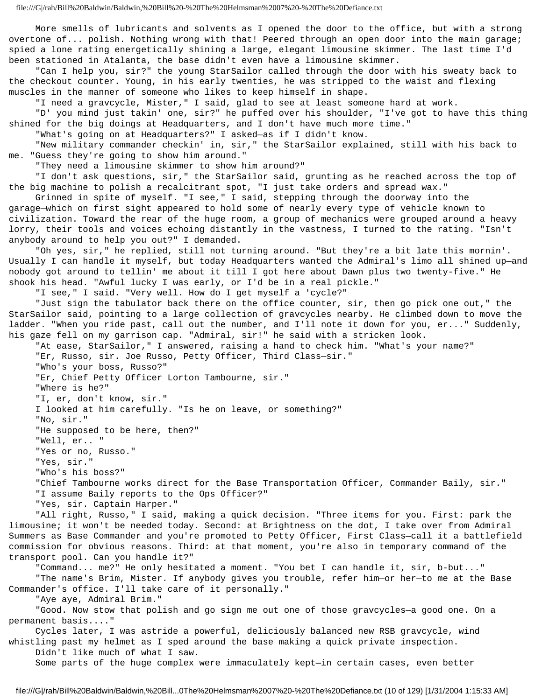More smells of lubricants and solvents as I opened the door to the office, but with a strong overtone of... polish. Nothing wrong with that! Peered through an open door into the main garage; spied a lone rating energetically shining a large, elegant limousine skimmer. The last time I'd been stationed in Atalanta, the base didn't even have a limousine skimmer.

 "Can I help you, sir?" the young StarSailor called through the door with his sweaty back to the checkout counter. Young, in his early twenties, he was stripped to the waist and flexing muscles in the manner of someone who likes to keep himself in shape.

"I need a gravcycle, Mister," I said, glad to see at least someone hard at work.

 "D' you mind just takin' one, sir?" he puffed over his shoulder, "I've got to have this thing shined for the big doings at Headquarters, and I don't have much more time."

"What's going on at Headquarters?" I asked—as if I didn't know.

 "New military commander checkin' in, sir," the StarSailor explained, still with his back to me. "Guess they're going to show him around."

"They need a limousine skimmer to show him around?"

 "I don't ask questions, sir," the StarSailor said, grunting as he reached across the top of the big machine to polish a recalcitrant spot, "I just take orders and spread wax."

 Grinned in spite of myself. "I see," I said, stepping through the doorway into the garage—which on first sight appeared to hold some of nearly every type of vehicle known to civilization. Toward the rear of the huge room, a group of mechanics were grouped around a heavy lorry, their tools and voices echoing distantly in the vastness, I turned to the rating. "Isn't anybody around to help you out?" I demanded.

 "Oh yes, sir," he replied, still not turning around. "But they're a bit late this mornin'. Usually I can handle it myself, but today Headquarters wanted the Admiral's limo all shined up—and nobody got around to tellin' me about it till I got here about Dawn plus two twenty-five." He shook his head. "Awful lucky I was early, or I'd be in a real pickle."

"I see," I said. "Very well. How do I get myself a 'cycle?"

 "Just sign the tabulator back there on the office counter, sir, then go pick one out," the StarSailor said, pointing to a large collection of gravcycles nearby. He climbed down to move the ladder. "When you ride past, call out the number, and I'll note it down for you, er..." Suddenly, his gaze fell on my garrison cap. "Admiral, sir!" he said with a stricken look.

"At ease, StarSailor," I answered, raising a hand to check him. "What's your name?"

"Er, Russo, sir. Joe Russo, Petty Officer, Third Class—sir."

"Who's your boss, Russo?"

"Er, Chief Petty Officer Lorton Tambourne, sir."

"Where is he?"

"I, er, don't know, sir."

I looked at him carefully. "Is he on leave, or something?"

"No, sir."

"He supposed to be here, then?"

"Well, er.. "

"Yes or no, Russo."

"Yes, sir."

"Who's his boss?"

 "Chief Tambourne works direct for the Base Transportation Officer, Commander Baily, sir." "I assume Baily reports to the Ops Officer?"

"Yes, sir. Captain Harper."

 "All right, Russo," I said, making a quick decision. "Three items for you. First: park the limousine; it won't be needed today. Second: at Brightness on the dot, I take over from Admiral Summers as Base Commander and you're promoted to Petty Officer, First Class—call it a battlefield commission for obvious reasons. Third: at that moment, you're also in temporary command of the transport pool. Can you handle it?"

 "Command... me?" He only hesitated a moment. "You bet I can handle it, sir, b-but..." "The name's Brim, Mister. If anybody gives you trouble, refer him—or her—to me at the Base Commander's office. I'll take care of it personally."

"Aye aye, Admiral Brim."

 "Good. Now stow that polish and go sign me out one of those gravcycles—a good one. On a permanent basis...."

 Cycles later, I was astride a powerful, deliciously balanced new RSB gravcycle, wind whistling past my helmet as I sped around the base making a quick private inspection. Didn't like much of what I saw.

Some parts of the huge complex were immaculately kept—in certain cases, even better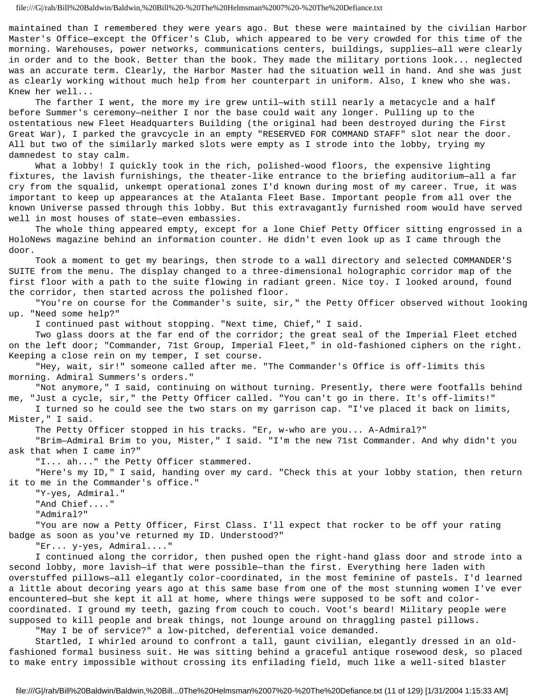maintained than I remembered they were years ago. But these were maintained by the civilian Harbor Master's Office—except the Officer's Club, which appeared to be very crowded for this time of the morning. Warehouses, power networks, communications centers, buildings, supplies—all were clearly in order and to the book. Better than the book. They made the military portions look... neglected was an accurate term. Clearly, the Harbor Master had the situation well in hand. And she was just as clearly working without much help from her counterpart in uniform. Also, I knew who she was. Knew her well...

The farther I went, the more my ire grew until-with still nearly a metacycle and a half before Summer's ceremony—neither I nor the base could wait any longer. Pulling up to the ostentatious new Fleet Headquarters Building (the original had been destroyed during the First Great War), I parked the gravcycle in an empty "RESERVED FOR COMMAND STAFF" slot near the door. All but two of the similarly marked slots were empty as I strode into the lobby, trying my damnedest to stay calm.

 What a lobby! I quickly took in the rich, polished-wood floors, the expensive lighting fixtures, the lavish furnishings, the theater-like entrance to the briefing auditorium—all a far cry from the squalid, unkempt operational zones I'd known during most of my career. True, it was important to keep up appearances at the Atalanta Fleet Base. Important people from all over the known Universe passed through this lobby. But this extravagantly furnished room would have served well in most houses of state—even embassies.

 The whole thing appeared empty, except for a lone Chief Petty Officer sitting engrossed in a HoloNews magazine behind an information counter. He didn't even look up as I came through the door.

 Took a moment to get my bearings, then strode to a wall directory and selected COMMANDER'S SUITE from the menu. The display changed to a three-dimensional holographic corridor map of the first floor with a path to the suite flowing in radiant green. Nice toy. I looked around, found the corridor, then started across the polished floor.

 "You're on course for the Commander's suite, sir," the Petty Officer observed without looking up. "Need some help?"

I continued past without stopping. "Next time, Chief," I said.

 Two glass doors at the far end of the corridor; the great seal of the Imperial Fleet etched on the left door; "Commander, 71st Group, Imperial Fleet," in old-fashioned ciphers on the right. Keeping a close rein on my temper, I set course.

 "Hey, wait, sir!" someone called after me. "The Commander's Office is off-limits this morning. Admiral Summers's orders."

 "Not anymore," I said, continuing on without turning. Presently, there were footfalls behind me, "Just a cycle, sir," the Petty Officer called. "You can't go in there. It's off-limits!"

 I turned so he could see the two stars on my garrison cap. "I've placed it back on limits, Mister," I said.

The Petty Officer stopped in his tracks. "Er, w-who are you... A-Admiral?"

 "Brim—Admiral Brim to you, Mister," I said. "I'm the new 71st Commander. And why didn't you ask that when I came in?"

"I... ah..." the Petty Officer stammered.

 "Here's my ID," I said, handing over my card. "Check this at your lobby station, then return it to me in the Commander's office."

"Y-yes, Admiral."

"And Chief...."

"Admiral?"

 "You are now a Petty Officer, First Class. I'll expect that rocker to be off your rating badge as soon as you've returned my ID. Understood?"

"Er... y-yes, Admiral...."

 I continued along the corridor, then pushed open the right-hand glass door and strode into a second lobby, more lavish—if that were possible—than the first. Everything here laden with overstuffed pillows—all elegantly color-coordinated, in the most feminine of pastels. I'd learned a little about decoring years ago at this same base from one of the most stunning women I've ever encountered—but she kept it all at home, where things were supposed to be soft and colorcoordinated. I ground my teeth, gazing from couch to couch. Voot's beard! Military people were supposed to kill people and break things, not lounge around on thraggling pastel pillows.

"May I be of service?" a low-pitched, deferential voice demanded.

 Startled, I whirled around to confront a tall, gaunt civilian, elegantly dressed in an oldfashioned formal business suit. He was sitting behind a graceful antique rosewood desk, so placed to make entry impossible without crossing its enfilading field, much like a well-sited blaster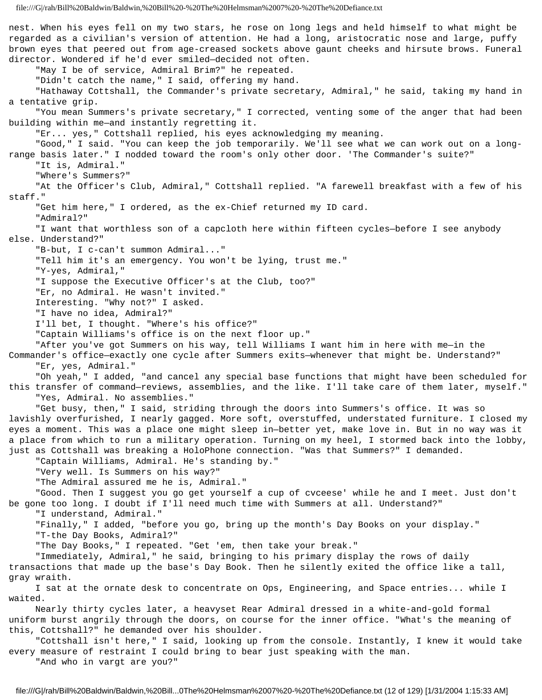nest. When his eyes fell on my two stars, he rose on long legs and held himself to what might be regarded as a civilian's version of attention. He had a long, aristocratic nose and large, puffy brown eyes that peered out from age-creased sockets above gaunt cheeks and hirsute brows. Funeral director. Wondered if he'd ever smiled—decided not often. "May I be of service, Admiral Brim?" he repeated. "Didn't catch the name," I said, offering my hand. "Hathaway Cottshall, the Commander's private secretary, Admiral," he said, taking my hand in a tentative grip. "You mean Summers's private secretary," I corrected, venting some of the anger that had been building within me—and instantly regretting it. "Er... yes," Cottshall replied, his eyes acknowledging my meaning. "Good," I said. "You can keep the job temporarily. We'll see what we can work out on a longrange basis later." I nodded toward the room's only other door. 'The Commander's suite?" "It is, Admiral." "Where's Summers?" "At the Officer's Club, Admiral," Cottshall replied. "A farewell breakfast with a few of his staff." "Get him here," I ordered, as the ex-Chief returned my ID card. "Admiral?" "I want that worthless son of a capcloth here within fifteen cycles—before I see anybody else. Understand?" "B-but, I c-can't summon Admiral..." "Tell him it's an emergency. You won't be lying, trust me." "Y-yes, Admiral," "I suppose the Executive Officer's at the Club, too?" "Er, no Admiral. He wasn't invited." Interesting. "Why not?" I asked. "I have no idea, Admiral?" I'll bet, I thought. "Where's his office?" "Captain Williams's office is on the next floor up." "After you've got Summers on his way, tell Williams I want him in here with me—in the Commander's office—exactly one cycle after Summers exits—whenever that might be. Understand?" "Er, yes, Admiral." "Oh yeah," I added, "and cancel any special base functions that might have been scheduled for this transfer of command—reviews, assemblies, and the like. I'll take care of them later, myself." "Yes, Admiral. No assemblies." "Get busy, then," I said, striding through the doors into Summers's office. It was so lavishly overfurished, I nearly gagged. More soft, overstuffed, understated furniture. I closed my eyes a moment. This was a place one might sleep in—better yet, make love in. But in no way was it a place from which to run a military operation. Turning on my heel, I stormed back into the lobby, just as Cottshall was breaking a HoloPhone connection. "Was that Summers?" I demanded. "Captain Williams, Admiral. He's standing by." "Very well. Is Summers on his way?" "The Admiral assured me he is, Admiral." "Good. Then I suggest you go get yourself a cup of cvceese' while he and I meet. Just don't be gone too long. I doubt if I'll need much time with Summers at all. Understand?" "I understand, Admiral." "Finally," I added, "before you go, bring up the month's Day Books on your display." "T-the Day Books, Admiral?" "The Day Books," I repeated. "Get 'em, then take your break." "Immediately, Admiral," he said, bringing to his primary display the rows of daily transactions that made up the base's Day Book. Then he silently exited the office like a tall, gray wraith. I sat at the ornate desk to concentrate on Ops, Engineering, and Space entries... while I waited. Nearly thirty cycles later, a heavyset Rear Admiral dressed in a white-and-gold formal uniform burst angrily through the doors, on course for the inner office. "What's the meaning of this, Cottshall?" he demanded over his shoulder. "Cottshall isn't here," I said, looking up from the console. Instantly, I knew it would take every measure of restraint I could bring to bear just speaking with the man.

"And who in vargt are you?"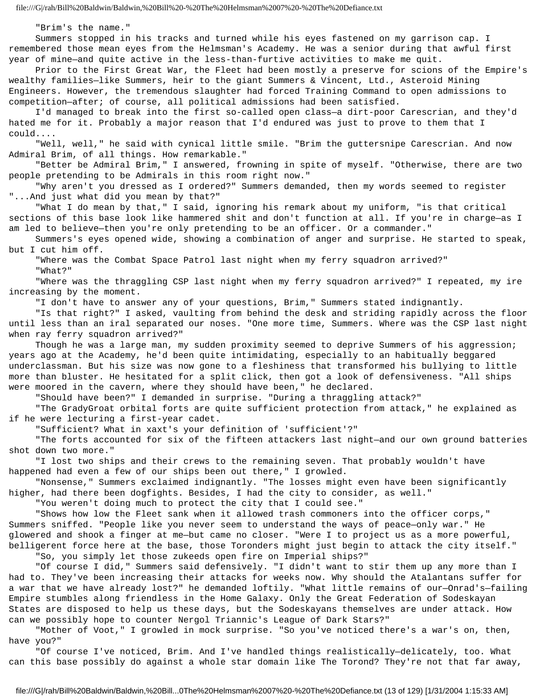"Brim's the name."

 Summers stopped in his tracks and turned while his eyes fastened on my garrison cap. I remembered those mean eyes from the Helmsman's Academy. He was a senior during that awful first year of mine—and quite active in the less-than-furtive activities to make me quit.

 Prior to the First Great War, the Fleet had been mostly a preserve for scions of the Empire's wealthy families—like Summers, heir to the giant Summers & Vincent, Ltd., Asteroid Mining Engineers. However, the tremendous slaughter had forced Training Command to open admissions to competition—after; of course, all political admissions had been satisfied.

 I'd managed to break into the first so-called open class—a dirt-poor Carescrian, and they'd hated me for it. Probably a major reason that I'd endured was just to prove to them that I could....

 "Well, well," he said with cynical little smile. "Brim the guttersnipe Carescrian. And now Admiral Brim, of all things. How remarkable."

 "Better be Admiral Brim," I answered, frowning in spite of myself. "Otherwise, there are two people pretending to be Admirals in this room right now."

 "Why aren't you dressed as I ordered?" Summers demanded, then my words seemed to register "...And just what did you mean by that?"

 "What I do mean by that," I said, ignoring his remark about my uniform, "is that critical sections of this base look like hammered shit and don't function at all. If you're in charge—as I am led to believe-then you're only pretending to be an officer. Or a commander."

 Summers's eyes opened wide, showing a combination of anger and surprise. He started to speak, but I cut him off.

"Where was the Combat Space Patrol last night when my ferry squadron arrived?"

"What?"

 "Where was the thraggling CSP last night when my ferry squadron arrived?" I repeated, my ire increasing by the moment.

"I don't have to answer any of your questions, Brim," Summers stated indignantly.

 "Is that right?" I asked, vaulting from behind the desk and striding rapidly across the floor until less than an iral separated our noses. "One more time, Summers. Where was the CSP last night when ray ferry squadron arrived?"

Though he was a large man, my sudden proximity seemed to deprive Summers of his aggression; years ago at the Academy, he'd been quite intimidating, especially to an habitually beggared underclassman. But his size was now gone to a fleshiness that transformed his bullying to little more than bluster. He hesitated for a split click, then got a look of defensiveness. "All ships were moored in the cavern, where they should have been," he declared.

"Should have been?" I demanded in surprise. "During a thraggling attack?"

 "The GradyGroat orbital forts are quite sufficient protection from attack," he explained as if he were lecturing a first-year cadet.

"Sufficient? What in xaxt's your definition of 'sufficient'?"

 "The forts accounted for six of the fifteen attackers last night—and our own ground batteries shot down two more."

 "I lost two ships and their crews to the remaining seven. That probably wouldn't have happened had even a few of our ships been out there," I growled.

 "Nonsense," Summers exclaimed indignantly. "The losses might even have been significantly higher, had there been dogfights. Besides, I had the city to consider, as well."

"You weren't doing much to protect the city that I could see."

 "Shows how low the Fleet sank when it allowed trash commoners into the officer corps," Summers sniffed. "People like you never seem to understand the ways of peace—only war." He glowered and shook a finger at me—but came no closer. "Were I to project us as a more powerful, belligerent force here at the base, those Toronders might just begin to attack the city itself."

"So, you simply let those zukeeds open fire on Imperial ships?"

 "Of course I did," Summers said defensively. "I didn't want to stir them up any more than I had to. They've been increasing their attacks for weeks now. Why should the Atalantans suffer for a war that we have already lost?" he demanded loftily. "What little remains of our—Onrad's—failing Empire stumbles along friendless in the Home Galaxy. Only the Great Federation of Sodeskayan States are disposed to help us these days, but the Sodeskayans themselves are under attack. How can we possibly hope to counter Nergol Triannic's League of Dark Stars?"

 "Mother of Voot," I growled in mock surprise. "So you've noticed there's a war's on, then, have you?"

 "Of course I've noticed, Brim. And I've handled things realistically—delicately, too. What can this base possibly do against a whole star domain like The Torond? They're not that far away,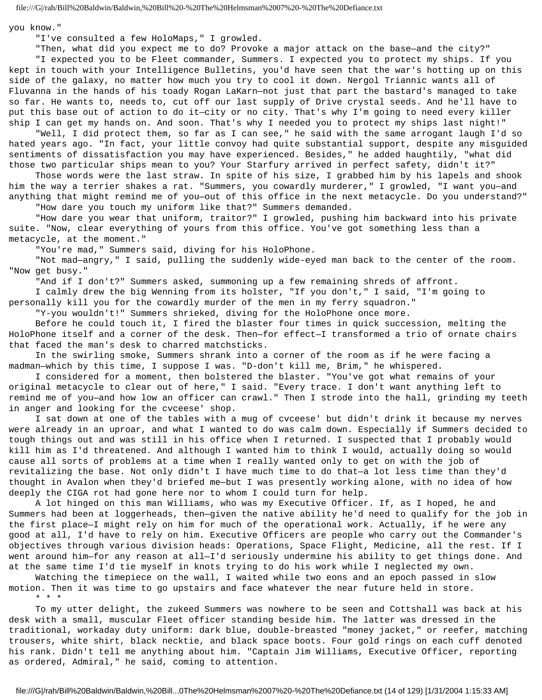you know."

"I've consulted a few HoloMaps," I growled.

 "Then, what did you expect me to do? Provoke a major attack on the base—and the city?" "I expected you to be Fleet commander, Summers. I expected you to protect my ships. If you kept in touch with your Intelligence Bulletins, you'd have seen that the war's hotting up on this side of the galaxy, no matter how much you try to cool it down. Nergol Triannic wants all of Fluvanna in the hands of his toady Rogan LaKarn—not just that part the bastard's managed to take so far. He wants to, needs to, cut off our last supply of Drive crystal seeds. And he'll have to put this base out of action to do it-city or no city. That's why I'm going to need every killer ship I can get my hands on. And soon. That's why I needed you to protect my ships last night!"

 "Well, I did protect them, so far as I can see," he said with the same arrogant laugh I'd so hated years ago. "In fact, your little convoy had quite substantial support, despite any misguided sentiments of dissatisfaction you may have experienced. Besides," he added haughtily, "what did those two particular ships mean to you? Your Starfury arrived in perfect safety, didn't it?"

 Those words were the last straw. In spite of his size, I grabbed him by his lapels and shook him the way a terrier shakes a rat. "Summers, you cowardly murderer," I growled, "I want you—and anything that might remind me of you—out of this office in the next metacycle. Do you understand?"

"How dare you touch my uniform like that?" Summers demanded.

 "How dare you wear that uniform, traitor?" I growled, pushing him backward into his private suite. "Now, clear everything of yours from this office. You've got something less than a metacycle, at the moment."

"You're mad," Summers said, diving for his HoloPhone.

 "Not mad—angry," I said, pulling the suddenly wide-eyed man back to the center of the room. "Now get busy."

"And if I don't?" Summers asked, summoning up a few remaining shreds of affront.

 I calmly drew the big Wenning from its holster, "If you don't," I said, "I'm going to personally kill you for the cowardly murder of the men in my ferry squadron."

"Y-you wouldn't!" Summers shrieked, diving for the HoloPhone once more.

 Before he could touch it, I fired the blaster four times in quick succession, melting the HoloPhone itself and a corner of the desk. Then—for effect—I transformed a trio of ornate chairs that faced the man's desk to charred matchsticks.

 In the swirling smoke, Summers shrank into a corner of the room as if he were facing a madman—which by this time, I suppose I was. "D-don't kill me, Brim," he whispered.

 I considered for a moment, then bolstered the blaster. "You've got what remains of your original metacycle to clear out of here," I said. "Every trace. I don't want anything left to remind me of you-and how low an officer can crawl." Then I strode into the hall, grinding my teeth in anger and looking for the cvceese' shop.

 I sat down at one of the tables with a mug of cvceese' but didn't drink it because my nerves were already in an uproar, and what I wanted to do was calm down. Especially if Summers decided to tough things out and was still in his office when I returned. I suspected that I probably would kill him as I'd threatened. And although I wanted him to think I would, actually doing so would cause all sorts of problems at a time when I really wanted only to get on with the job of revitalizing the base. Not only didn't I have much time to do that—a lot less time than they'd thought in Avalon when they'd briefed me—but I was presently working alone, with no idea of how deeply the CIGA rot had gone here nor to whom I could turn for help.

 A lot hinged on this man Williams, who was my Executive Officer. If, as I hoped, he and Summers had been at loggerheads, then—given the native ability he'd need to qualify for the job in the first place—I might rely on him for much of the operational work. Actually, if he were any good at all, I'd have to rely on him. Executive Officers are people who carry out the Commander's objectives through various division heads: Operations, Space Flight, Medicine, all the rest. If I went around him—for any reason at all—I'd seriously undermine his ability to get things done. And at the same time I'd tie myself in knots trying to do his work while I neglected my own.

 Watching the timepiece on the wall, I waited while two eons and an epoch passed in slow motion. Then it was time to go upstairs and face whatever the near future held in store. \* \* \*

 To my utter delight, the zukeed Summers was nowhere to be seen and Cottshall was back at his desk with a small, muscular Fleet officer standing beside him. The latter was dressed in the traditional, workaday duty uniform: dark blue, double-breasted "money jacket," or reefer, matching trousers, white shirt, black necktie, and black space boots. Four gold rings on each cuff denoted his rank. Didn't tell me anything about him. "Captain Jim Williams, Executive Officer, reporting as ordered, Admiral," he said, coming to attention.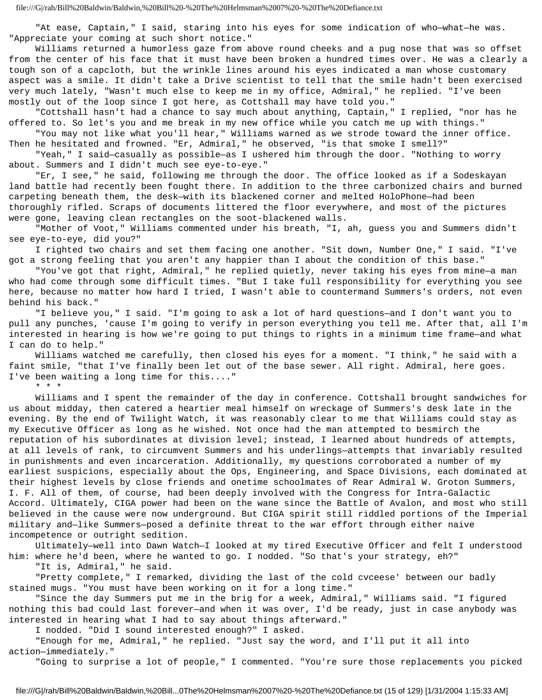"At ease, Captain," I said, staring into his eyes for some indication of who—what—he was. "Appreciate your coming at such short notice."

 Williams returned a humorless gaze from above round cheeks and a pug nose that was so offset from the center of his face that it must have been broken a hundred times over. He was a clearly a tough son of a capcloth, but the wrinkle lines around his eyes indicated a man whose customary aspect was a smile. It didn't take a Drive scientist to tell that the smile hadn't been exercised very much lately, "Wasn't much else to keep me in my office, Admiral," he replied. "I've been mostly out of the loop since I got here, as Cottshall may have told you."

 "Cottshall hasn't had a chance to say much about anything, Captain," I replied, "nor has he offered to. So let's you and me break in my new office while you catch me up with things."

 "You may not like what you'll hear," Williams warned as we strode toward the inner office. Then he hesitated and frowned. "Er, Admiral," he observed, "is that smoke I smell?"

 "Yeah," I said—casually as possible—as I ushered him through the door. "Nothing to worry about. Summers and I didn't much see eye-to-eye."

 "Er, I see," he said, following me through the door. The office looked as if a Sodeskayan land battle had recently been fought there. In addition to the three carbonized chairs and burned carpeting beneath them, the desk—with its blackened corner and melted HoloPhone—had been thoroughly rifled. Scraps of documents littered the floor everywhere, and most of the pictures were gone, leaving clean rectangles on the soot-blackened walls.

 "Mother of Voot," Williams commented under his breath, "I, ah, guess you and Summers didn't see eye-to-eye, did you?"

 I righted two chairs and set them facing one another. "Sit down, Number One," I said. "I've got a strong feeling that you aren't any happier than I about the condition of this base."

 "You've got that right, Admiral," he replied quietly, never taking his eyes from mine—a man who had come through some difficult times. "But I take full responsibility for everything you see here, because no matter how hard I tried, I wasn't able to countermand Summers's orders, not even behind his back."

 "I believe you," I said. "I'm going to ask a lot of hard questions—and I don't want you to pull any punches, 'cause I'm going to verify in person everything you tell me. After that, all I'm interested in hearing is how we're going to put things to rights in a minimum time frame—and what I can do to help."

 Williams watched me carefully, then closed his eyes for a moment. "I think," he said with a faint smile, "that I've finally been let out of the base sewer. All right. Admiral, here goes. I've been waiting a long time for this...."

\* \* \*

 Williams and I spent the remainder of the day in conference. Cottshall brought sandwiches for us about midday, then catered a heartier meal himself on wreckage of Summers's desk late in the evening. By the end of Twilight Watch, it was reasonably clear to me that Williams could stay as my Executive Officer as long as he wished. Not once had the man attempted to besmirch the reputation of his subordinates at division level; instead, I learned about hundreds of attempts, at all levels of rank, to circumvent Summers and his underlings—attempts that invariably resulted in punishments and even incarceration. Additionally, my questions corroborated a number of my earliest suspicions, especially about the Ops, Engineering, and Space Divisions, each dominated at their highest levels by close friends and onetime schoolmates of Rear Admiral W. Groton Summers, I. F. All of them, of course, had been deeply involved with the Congress for Intra-Galactic Accord. Ultimately, CIGA power had been on the wane since the Battle of Avalon, and most who still believed in the cause were now underground. But CIGA spirit still riddled portions of the Imperial military and—like Summers—posed a definite threat to the war effort through either naive incompetence or outright sedition.

 Ultimately—well into Dawn Watch—I looked at my tired Executive Officer and felt I understood him: where he'd been, where he wanted to go. I nodded. "So that's your strategy, eh?" "It is, Admiral," he said.

 "Pretty complete," I remarked, dividing the last of the cold cvceese' between our badly stained mugs. "You must have been working on it for a long time."

 "Since the day Summers put me in the brig for a week, Admiral," Williams said. "I figured nothing this bad could last forever—and when it was over, I'd be ready, just in case anybody was interested in hearing what I had to say about things afterward."

I nodded. "Did I sound interested enough?" I asked.

 "Enough for me, Admiral," he replied. "Just say the word, and I'll put it all into action—immediately."

"Going to surprise a lot of people," I commented. "You're sure those replacements you picked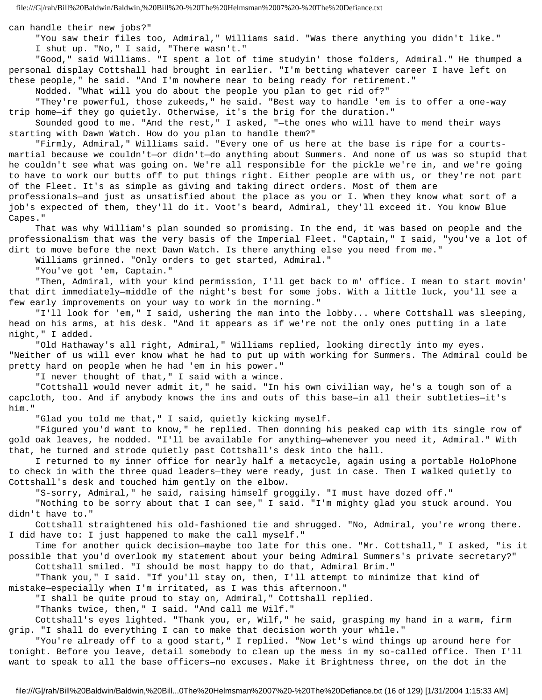can handle their new jobs?"

 "You saw their files too, Admiral," Williams said. "Was there anything you didn't like." I shut up. "No," I said, "There wasn't."

 "Good," said Williams. "I spent a lot of time studyin' those folders, Admiral." He thumped a personal display Cottshall had brought in earlier. "I'm betting whatever career I have left on these people," he said. "And I'm nowhere near to being ready for retirement."

Nodded. "What will you do about the people you plan to get rid of?"

 "They're powerful, those zukeeds," he said. "Best way to handle 'em is to offer a one-way trip home—if they go quietly. Otherwise, it's the brig for the duration."

 Sounded good to me. "And the rest," I asked, "—the ones who will have to mend their ways starting with Dawn Watch. How do you plan to handle them?"

 "Firmly, Admiral," Williams said. "Every one of us here at the base is ripe for a courtsmartial because we couldn't—or didn't—do anything about Summers. And none of us was so stupid that he couldn't see what was going on. We're all responsible for the pickle we're in, and we're going to have to work our butts off to put things right. Either people are with us, or they're not part of the Fleet. It's as simple as giving and taking direct orders. Most of them are professionals—and just as unsatisfied about the place as you or I. When they know what sort of a

job's expected of them, they'll do it. Voot's beard, Admiral, they'll exceed it. You know Blue Capes."

 That was why William's plan sounded so promising. In the end, it was based on people and the professionalism that was the very basis of the Imperial Fleet. "Captain," I said, "you've a lot of dirt to move before the next Dawn Watch. Is there anything else you need from me."

Williams grinned. "Only orders to get started, Admiral."

"You've got 'em, Captain."

 "Then, Admiral, with your kind permission, I'll get back to m' office. I mean to start movin' that dirt immediately—middle of the night's best for some jobs. With a little luck, you'll see a few early improvements on your way to work in the morning."

 "I'll look for 'em," I said, ushering the man into the lobby... where Cottshall was sleeping, head on his arms, at his desk. "And it appears as if we're not the only ones putting in a late night," I added.

 "Old Hathaway's all right, Admiral," Williams replied, looking directly into my eyes. "Neither of us will ever know what he had to put up with working for Summers. The Admiral could be pretty hard on people when he had 'em in his power."

"I never thought of that," I said with a wince.

 "Cottshall would never admit it," he said. "In his own civilian way, he's a tough son of a capcloth, too. And if anybody knows the ins and outs of this base—in all their subtleties—it's him."

"Glad you told me that," I said, quietly kicking myself.

 "Figured you'd want to know," he replied. Then donning his peaked cap with its single row of gold oak leaves, he nodded. "I'll be available for anything—whenever you need it, Admiral." With that, he turned and strode quietly past Cottshall's desk into the hall.

 I returned to my inner office for nearly half a metacycle, again using a portable HoloPhone to check in with the three quad leaders—they were ready, just in case. Then I walked quietly to Cottshall's desk and touched him gently on the elbow.

"S-sorry, Admiral," he said, raising himself groggily. "I must have dozed off."

 "Nothing to be sorry about that I can see," I said. "I'm mighty glad you stuck around. You didn't have to."

 Cottshall straightened his old-fashioned tie and shrugged. "No, Admiral, you're wrong there. I did have to: I just happened to make the call myself."

 Time for another quick decision—maybe too late for this one. "Mr. Cottshall," I asked, "is it possible that you'd overlook my statement about your being Admiral Summers's private secretary?" Cottshall smiled. "I should be most happy to do that, Admiral Brim."

 "Thank you," I said. "If you'll stay on, then, I'll attempt to minimize that kind of mistake—especially when I'm irritated, as I was this afternoon."

"I shall be quite proud to stay on, Admiral," Cottshall replied.

"Thanks twice, then," I said. "And call me Wilf."

 Cottshall's eyes lighted. "Thank you, er, Wilf," he said, grasping my hand in a warm, firm grip. "I shall do everything I can to make that decision worth your while."

 "You're already off to a good start," I replied. "Now let's wind things up around here for tonight. Before you leave, detail somebody to clean up the mess in my so-called office. Then I'll want to speak to all the base officers-no excuses. Make it Brightness three, on the dot in the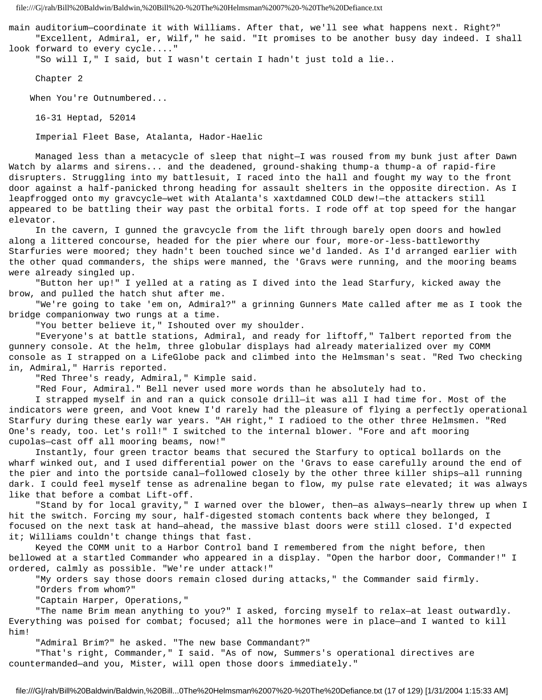main auditorium—coordinate it with Williams. After that, we'll see what happens next. Right?" "Excellent, Admiral, er, Wilf," he said. "It promises to be another busy day indeed. I shall look forward to every cycle...."

"So will I," I said, but I wasn't certain I hadn't just told a lie..

Chapter 2

When You're Outnumbered...

16-31 Heptad, 52014

Imperial Fleet Base, Atalanta, Hador-Haelic

 Managed less than a metacycle of sleep that night—I was roused from my bunk just after Dawn Watch by alarms and sirens... and the deadened, ground-shaking thump-a thump-a of rapid-fire disrupters. Struggling into my battlesuit, I raced into the hall and fought my way to the front door against a half-panicked throng heading for assault shelters in the opposite direction. As I leapfrogged onto my gravcycle—wet with Atalanta's xaxtdamned COLD dew!—the attackers still appeared to be battling their way past the orbital forts. I rode off at top speed for the hangar elevator.

 In the cavern, I gunned the gravcycle from the lift through barely open doors and howled along a littered concourse, headed for the pier where our four, more-or-less-battleworthy Starfuries were moored; they hadn't been touched since we'd landed. As I'd arranged earlier with the other quad commanders, the ships were manned, the 'Gravs were running, and the mooring beams were already singled up.

 "Button her up!" I yelled at a rating as I dived into the lead Starfury, kicked away the brow, and pulled the hatch shut after me.

 "We're going to take 'em on, Admiral?" a grinning Gunners Mate called after me as I took the bridge companionway two rungs at a time.

"You better believe it," Ishouted over my shoulder.

 "Everyone's at battle stations, Admiral, and ready for liftoff," Talbert reported from the gunnery console. At the helm, three globular displays had already materialized over my COMM console as I strapped on a LifeGlobe pack and climbed into the Helmsman's seat. "Red Two checking in, Admiral," Harris reported.

"Red Three's ready, Admiral," Kimple said.

"Red Four, Admiral." Bell never used more words than he absolutely had to.

 I strapped myself in and ran a quick console drill—it was all I had time for. Most of the indicators were green, and Voot knew I'd rarely had the pleasure of flying a perfectly operational Starfury during these early war years. "AH right," I radioed to the other three Helmsmen. "Red One's ready, too. Let's roll!" I switched to the internal blower. "Fore and aft mooring cupolas—cast off all mooring beams, now!"

 Instantly, four green tractor beams that secured the Starfury to optical bollards on the wharf winked out, and I used differential power on the 'Gravs to ease carefully around the end of the pier and into the portside canal—followed closely by the other three killer ships—all running dark. I could feel myself tense as adrenaline began to flow, my pulse rate elevated; it was always like that before a combat Lift-off.

 "Stand by for local gravity," I warned over the blower, then—as always—nearly threw up when I hit the switch. Forcing my sour, half-digested stomach contents back where they belonged, I focused on the next task at hand—ahead, the massive blast doors were still closed. I'd expected it; Williams couldn't change things that fast.

 Keyed the COMM unit to a Harbor Control band I remembered from the night before, then bellowed at a startled Commander who appeared in a display. "Open the harbor door, Commander!" I ordered, calmly as possible. "We're under attack!"

"My orders say those doors remain closed during attacks," the Commander said firmly.

"Orders from whom?"

"Captain Harper, Operations,"

 "The name Brim mean anything to you?" I asked, forcing myself to relax—at least outwardly. Everything was poised for combat; focused; all the hormones were in place—and I wanted to kill him!

"Admiral Brim?" he asked. "The new base Commandant?"

 "That's right, Commander," I said. "As of now, Summers's operational directives are countermanded—and you, Mister, will open those doors immediately."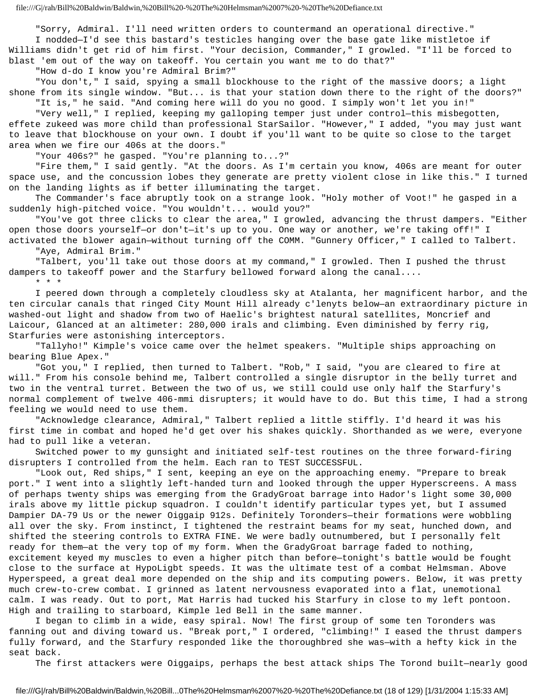"Sorry, Admiral. I'll need written orders to countermand an operational directive." I nodded—I'd see this bastard's testicles hanging over the base gate like mistletoe if Williams didn't get rid of him first. "Your decision, Commander," I growled. "I'll be forced to blast 'em out of the way on takeoff. You certain you want me to do that?"

"How d-do I know you're Admiral Brim?"

 "You don't," I said, spying a small blockhouse to the right of the massive doors; a light shone from its single window. "But... is that your station down there to the right of the doors?" "It is," he said. "And coming here will do you no good. I simply won't let you in!"

 "Very well," I replied, keeping my galloping temper just under control—this misbegotten, effete zukeed was more child than professional StarSailor. "However," I added, "you may just want to leave that blockhouse on your own. I doubt if you'll want to be quite so close to the target area when we fire our 406s at the doors."

"Your 406s?" he gasped. "You're planning to...?"

 "Fire them," I said gently. "At the doors. As I'm certain you know, 406s are meant for outer space use, and the concussion lobes they generate are pretty violent close in like this." I turned on the landing lights as if better illuminating the target.

 The Commander's face abruptly took on a strange look. "Holy mother of Voot!" he gasped in a suddenly high-pitched voice. "You wouldn't... would you?"

 "You've got three clicks to clear the area," I growled, advancing the thrust dampers. "Either open those doors yourself—or don't—it's up to you. One way or another, we're taking off!" I activated the blower again—without turning off the COMM. "Gunnery Officer," I called to Talbert.

"Aye, Admiral Brim."

 "Talbert, you'll take out those doors at my command," I growled. Then I pushed the thrust dampers to takeoff power and the Starfury bellowed forward along the canal....

\* \* \*

 I peered down through a completely cloudless sky at Atalanta, her magnificent harbor, and the ten circular canals that ringed City Mount Hill already c'lenyts below—an extraordinary picture in washed-out light and shadow from two of Haelic's brightest natural satellites, Moncrief and Laicour, Glanced at an altimeter: 280,000 irals and climbing. Even diminished by ferry rig, Starfuries were astonishing interceptors.

 "Tallyho!" Kimple's voice came over the helmet speakers. "Multiple ships approaching on bearing Blue Apex."

 "Got you," I replied, then turned to Talbert. "Rob," I said, "you are cleared to fire at will." From his console behind me, Talbert controlled a single disruptor in the belly turret and two in the ventral turret. Between the two of us, we still could use only half the Starfury's normal complement of twelve 406-mmi disrupters; it would have to do. But this time, I had a strong feeling we would need to use them.

 "Acknowledge clearance, Admiral," Talbert replied a little stiffly. I'd heard it was his first time in combat and hoped he'd get over his shakes quickly. Shorthanded as we were, everyone had to pull like a veteran.

 Switched power to my gunsight and initiated self-test routines on the three forward-firing disrupters I controlled from the helm. Each ran to TEST SUCCESSFUL.

 "Look out, Red ships," I sent, keeping an eye on the approaching enemy. "Prepare to break port." I went into a slightly left-handed turn and looked through the upper Hyperscreens. A mass of perhaps twenty ships was emerging from the GradyGroat barrage into Hador's light some 30,000 irals above my little pickup squadron. I couldn't identify particular types yet, but I assumed Dampier DA-79 Us or the newer Oiggaip 912s. Definitely Toronders—their formations were wobbling all over the sky. From instinct, I tightened the restraint beams for my seat, hunched down, and shifted the steering controls to EXTRA FINE. We were badly outnumbered, but I personally felt ready for them—at the very top of my form. When the GradyGroat barrage faded to nothing, excitement keyed my muscles to even a higher pitch than before—tonight's battle would be fought close to the surface at HypoLigbt speeds. It was the ultimate test of a combat Helmsman. Above Hyperspeed, a great deal more depended on the ship and its computing powers. Below, it was pretty much crew-to-crew combat. I grinned as latent nervousness evaporated into a flat, unemotional calm. I was ready. Out to port, Mat Harris had tucked his Starfury in close to my left pontoon. High and trailing to starboard, Kimple led Bell in the same manner.

 I began to climb in a wide, easy spiral. Now! The first group of some ten Toronders was fanning out and diving toward us. "Break port," I ordered, "climbing!" I eased the thrust dampers fully forward, and the Starfury responded like the thoroughbred she was—with a hefty kick in the seat back.

The first attackers were Oiggaips, perhaps the best attack ships The Torond built—nearly good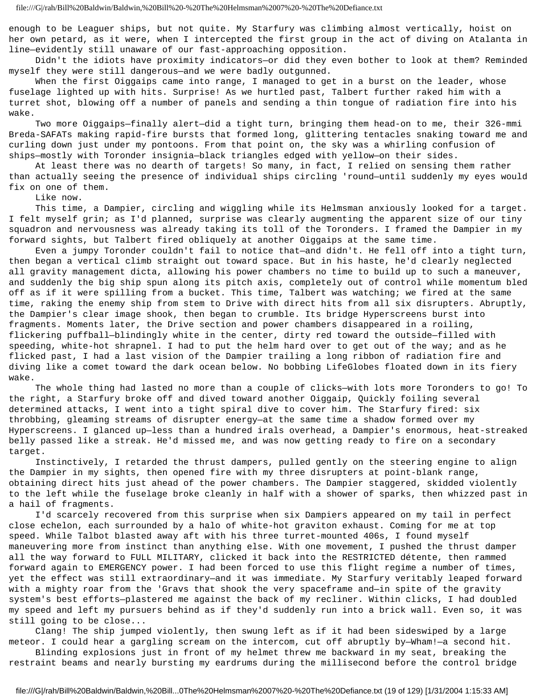enough to be Leaguer ships, but not quite. My Starfury was climbing almost vertically, hoist on her own petard, as it were, when I intercepted the first group in the act of diving on Atalanta in line—evidently still unaware of our fast-approaching opposition.

 Didn't the idiots have proximity indicators—or did they even bother to look at them? Reminded myself they were still dangerous—and we were badly outgunned.

 When the first Oiggaips came into range, I managed to get in a burst on the leader, whose fuselage lighted up with hits. Surprise! As we hurtled past, Talbert further raked him with a turret shot, blowing off a number of panels and sending a thin tongue of radiation fire into his wake.

Two more Oiggaips-finally alert-did a tight turn, bringing them head-on to me, their 326-mmi Breda-SAFATs making rapid-fire bursts that formed long, glittering tentacles snaking toward me and curling down just under my pontoons. From that point on, the sky was a whirling confusion of ships—mostly with Toronder insignia—black triangles edged with yellow—on their sides.

 At least there was no dearth of targets! So many, in fact, I relied on sensing them rather than actually seeing the presence of individual ships circling 'round—until suddenly my eyes would fix on one of them.

Like now.

 This time, a Dampier, circling and wiggling while its Helmsman anxiously looked for a target. I felt myself grin; as I'd planned, surprise was clearly augmenting the apparent size of our tiny squadron and nervousness was already taking its toll of the Toronders. I framed the Dampier in my forward sights, but Talbert fired obliquely at another Oiggaips at the same time.

 Even a jumpy Toronder couldn't fail to notice that—and didn't. He fell off into a tight turn, then began a vertical climb straight out toward space. But in his haste, he'd clearly neglected all gravity management dicta, allowing his power chambers no time to build up to such a maneuver, and suddenly the big ship spun along its pitch axis, completely out of control while momentum bled off as if it were spilling from a bucket. This time, Talbert was watching; we fired at the same time, raking the enemy ship from stem to Drive with direct hits from all six disrupters. Abruptly, the Dampier's clear image shook, then began to crumble. Its bridge Hyperscreens burst into fragments. Moments later, the Drive section and power chambers disappeared in a roiling, flickering puffball—blindingly white in the center, dirty red toward the outside—filled with speeding, white-hot shrapnel. I had to put the helm hard over to get out of the way; and as he flicked past, I had a last vision of the Dampier trailing a long ribbon of radiation fire and diving like a comet toward the dark ocean below. No bobbing LifeGlobes floated down in its fiery wake.

 The whole thing had lasted no more than a couple of clicks—with lots more Toronders to go! To the right, a Starfury broke off and dived toward another Oiggaip, Quickly foiling several determined attacks, I went into a tight spiral dive to cover him. The Starfury fired: six throbbing, gleaming streams of disrupter energy—at the same time a shadow formed over my Hyperscreens. I glanced up—less than a hundred irals overhead, a Dampier's enormous, heat-streaked belly passed like a streak. He'd missed me, and was now getting ready to fire on a secondary target.

 Instinctively, I retarded the thrust dampers, pulled gently on the steering engine to align the Dampier in my sights, then opened fire with my three disrupters at point-blank range, obtaining direct hits just ahead of the power chambers. The Dampier staggered, skidded violently to the left while the fuselage broke cleanly in half with a shower of sparks, then whizzed past in a hail of fragments.

 I'd scarcely recovered from this surprise when six Dampiers appeared on my tail in perfect close echelon, each surrounded by a halo of white-hot graviton exhaust. Coming for me at top speed. While Talbot blasted away aft with his three turret-mounted 406s, I found myself maneuvering more from instinct than anything else. With one movement, I pushed the thrust damper all the way forward to FULL MILITARY, clicked it back into the RESTRICTED détente, then rammed forward again to EMERGENCY power. I had been forced to use this flight regime a number of times, yet the effect was still extraordinary—and it was immediate. My Starfury veritably leaped forward with a mighty roar from the 'Gravs that shook the very spaceframe and-in spite of the gravity system's best efforts—plastered me against the back of my recliner. Within clicks, I had doubled my speed and left my pursuers behind as if they'd suddenly run into a brick wall. Even so, it was still going to be close...

 Clang! The ship jumped violently, then swung left as if it had been sideswiped by a large meteor. I could hear a gargling scream on the intercom, cut off abruptly by—Wham!—a second hit. Blinding explosions just in front of my helmet threw me backward in my seat, breaking the

restraint beams and nearly bursting my eardrums during the millisecond before the control bridge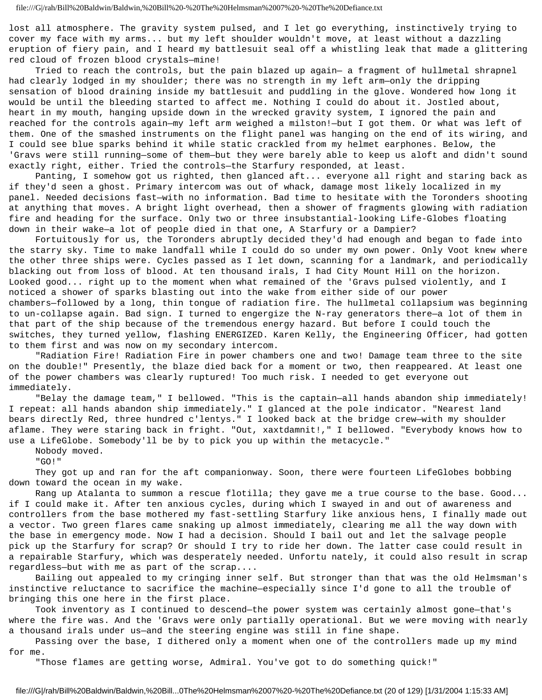lost all atmosphere. The gravity system pulsed, and I let go everything, instinctively trying to cover my face with my arms... but my left shoulder wouldn't move, at least without a dazzling eruption of fiery pain, and I heard my battlesuit seal off a whistling leak that made a glittering red cloud of frozen blood crystals—mine!

 Tried to reach the controls, but the pain blazed up again— a fragment of hullmetal shrapnel had clearly lodged in my shoulder; there was no strength in my left arm—only the dripping sensation of blood draining inside my battlesuit and puddling in the glove. Wondered how long it would be until the bleeding started to affect me. Nothing I could do about it. Jostled about, heart in my mouth, hanging upside down in the wrecked gravity system, I ignored the pain and reached for the controls again—my left arm weighed a milston!—but I got them. Or what was left of them. One of the smashed instruments on the flight panel was hanging on the end of its wiring, and I could see blue sparks behind it while static crackled from my helmet earphones. Below, the 'Gravs were still running—some of them—but they were barely able to keep us aloft and didn't sound exactly right, either. Tried the controls—the Starfury responded, at least.

 Panting, I somehow got us righted, then glanced aft... everyone all right and staring back as if they'd seen a ghost. Primary intercom was out of whack, damage most likely localized in my panel. Needed decisions fast—with no information. Bad time to hesitate with the Toronders shooting at anything that moves. A bright light overhead, then a shower of fragments glowing with radiation fire and heading for the surface. Only two or three insubstantial-looking Life-Globes floating down in their wake—a lot of people died in that one, A Starfury or a Dampier?

 Fortuitously for us, the Toronders abruptly decided they'd had enough and began to fade into the starry sky. Time to make landfall while I could do so under my own power. Only Voot knew where the other three ships were. Cycles passed as I let down, scanning for a landmark, and periodically blacking out from loss of blood. At ten thousand irals, I had City Mount Hill on the horizon. Looked good... right up to the moment when what remained of the 'Gravs pulsed violently, and I noticed a shower of sparks blasting out into the wake from either side of our power chambers—followed by a long, thin tongue of radiation fire. The hullmetal collapsium was beginning to un-collapse again. Bad sign. I turned to engergize the N-ray generators there—a lot of them in that part of the ship because of the tremendous energy hazard. But before I could touch the switches, they turned yellow, flashing ENERGIZED. Karen Kelly, the Engineering Officer, had gotten to them first and was now on my secondary intercom.

 "Radiation Fire! Radiation Fire in power chambers one and two! Damage team three to the site on the double!" Presently, the blaze died back for a moment or two, then reappeared. At least one of the power chambers was clearly ruptured! Too much risk. I needed to get everyone out immediately.

 "Belay the damage team," I bellowed. "This is the captain—all hands abandon ship immediately! I repeat: all hands abandon ship immediately." I glanced at the pole indicator. "Nearest land bears directly Red, three hundred c'lentys." I looked back at the bridge crew—with my shoulder aflame. They were staring back in fright. "Out, xaxtdamnit!," I bellowed. "Everybody knows how to use a LifeGlobe. Somebody'll be by to pick you up within the metacycle."

Nobody moved.

"GO!"

 They got up and ran for the aft companionway. Soon, there were fourteen LifeGlobes bobbing down toward the ocean in my wake.

Rang up Atalanta to summon a rescue flotilla; they gave me a true course to the base. Good... if I could make it. After ten anxious cycles, during which I swayed in and out of awareness and controllers from the base mothered my fast-settling Starfury like anxious hens, I finally made out a vector. Two green flares came snaking up almost immediately, clearing me all the way down with the base in emergency mode. Now I had a decision. Should I bail out and let the salvage people pick up the Starfury for scrap? Or should I try to ride her down. The latter case could result in a repairable Starfury, which was desperately needed. Unfortu nately, it could also result in scrap regardless—but with me as part of the scrap....

 Bailing out appealed to my cringing inner self. But stronger than that was the old Helmsman's instinctive reluctance to sacrifice the machine—especially since I'd gone to all the trouble of bringing this one here in the first place.

 Took inventory as I continued to descend—the power system was certainly almost gone—that's where the fire was. And the 'Gravs were only partially operational. But we were moving with nearly a thousand irals under us—and the steering engine was still in fine shape.

 Passing over the base, I dithered only a moment when one of the controllers made up my mind for me.

"Those flames are getting worse, Admiral. You've got to do something quick!"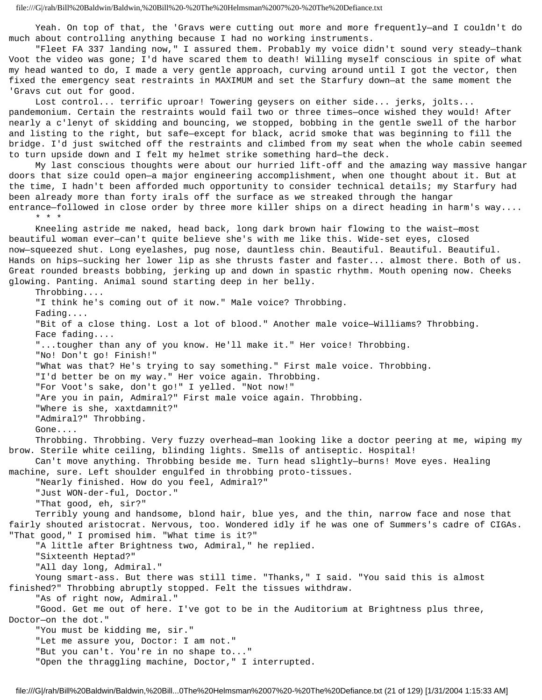Yeah. On top of that, the 'Gravs were cutting out more and more frequently-and I couldn't do much about controlling anything because I had no working instruments.

 "Fleet FA 337 landing now," I assured them. Probably my voice didn't sound very steady—thank Voot the video was gone; I'd have scared them to death! Willing myself conscious in spite of what my head wanted to do, I made a very gentle approach, curving around until I got the vector, then fixed the emergency seat restraints in MAXIMUM and set the Starfury down—at the same moment the 'Gravs cut out for good.

 Lost control... terrific uproar! Towering geysers on either side... jerks, jolts... pandemonium. Certain the restraints would fail two or three times—once wished they would! After nearly a c'lenyt of skidding and bouncing, we stopped, bobbing in the gentle swell of the harbor and listing to the right, but safe—except for black, acrid smoke that was beginning to fill the bridge. I'd just switched off the restraints and climbed from my seat when the whole cabin seemed to turn upside down and I felt my helmet strike something hard—the deck.

 My last conscious thoughts were about our hurried lift-off and the amazing way massive hangar doors that size could open—a major engineering accomplishment, when one thought about it. But at the time, I hadn't been afforded much opportunity to consider technical details; my Starfury had been already more than forty irals off the surface as we streaked through the hangar entrance—followed in close order by three more killer ships on a direct heading in harm's way.... \* \* \*

 Kneeling astride me naked, head back, long dark brown hair flowing to the waist—most beautiful woman ever—can't quite believe she's with me like this. Wide-set eyes, closed now—squeezed shut. Long eyelashes, pug nose, dauntless chin. Beautiful. Beautiful. Beautiful. Hands on hips—sucking her lower lip as she thrusts faster and faster... almost there. Both of us. Great rounded breasts bobbing, jerking up and down in spastic rhythm. Mouth opening now. Cheeks glowing. Panting. Animal sound starting deep in her belly.

 Throbbing.... "I think he's coming out of it now." Male voice? Throbbing. Fading.... "Bit of a close thing. Lost a lot of blood." Another male voice—Williams? Throbbing. Face fading.... "...tougher than any of you know. He'll make it." Her voice! Throbbing. "No! Don't go! Finish!" "What was that? He's trying to say something." First male voice. Throbbing. "I'd better be on my way." Her voice again. Throbbing. "For Voot's sake, don't go!" I yelled. "Not now!" "Are you in pain, Admiral?" First male voice again. Throbbing. "Where is she, xaxtdamnit?" "Admiral?" Throbbing. Gone.... Throbbing. Throbbing. Very fuzzy overhead—man looking like a doctor peering at me, wiping my brow. Sterile white ceiling, blinding lights. Smells of antiseptic. Hospital! Can't move anything. Throbbing beside me. Turn head slightly—burns! Move eyes. Healing machine, sure. Left shoulder engulfed in throbbing proto-tissues. "Nearly finished. How do you feel, Admiral?" "Just WON-der-ful, Doctor." "That good, eh, sir?" Terribly young and handsome, blond hair, blue yes, and the thin, narrow face and nose that fairly shouted aristocrat. Nervous, too. Wondered idly if he was one of Summers's cadre of CIGAs. "That good," I promised him. "What time is it?" "A little after Brightness two, Admiral," he replied. "Sixteenth Heptad?" "All day long, Admiral." Young smart-ass. But there was still time. "Thanks," I said. "You said this is almost finished?" Throbbing abruptly stopped. Felt the tissues withdraw. "As of right now, Admiral." "Good. Get me out of here. I've got to be in the Auditorium at Brightness plus three, Doctor—on the dot." "You must be kidding me, sir." "Let me assure you, Doctor: I am not." "But you can't. You're in no shape to..." "Open the thraggling machine, Doctor," I interrupted.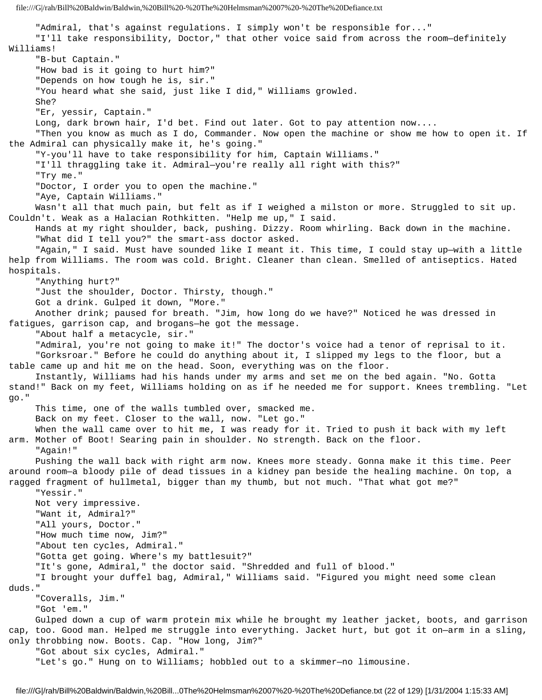"Admiral, that's against regulations. I simply won't be responsible for..." "I'll take responsibility, Doctor," that other voice said from across the room—definitely Williams! "B-but Captain." "How bad is it going to hurt him?" "Depends on how tough he is, sir." "You heard what she said, just like I did," Williams growled. She? "Er, yessir, Captain." Long, dark brown hair, I'd bet. Find out later. Got to pay attention now.... "Then you know as much as I do, Commander. Now open the machine or show me how to open it. If the Admiral can physically make it, he's going." "Y-you'll have to take responsibility for him, Captain Williams." "I'll thraggling take it. Admiral—you're really all right with this?" "Try me." "Doctor, I order you to open the machine." "Aye, Captain Williams." Wasn't all that much pain, but felt as if I weighed a milston or more. Struggled to sit up. Couldn't. Weak as a Halacian Rothkitten. "Help me up," I said. Hands at my right shoulder, back, pushing. Dizzy. Room whirling. Back down in the machine. "What did I tell you?" the smart-ass doctor asked. "Again," I said. Must have sounded like I meant it. This time, I could stay up—with a little help from Williams. The room was cold. Bright. Cleaner than clean. Smelled of antiseptics. Hated hospitals. "Anything hurt?" "Just the shoulder, Doctor. Thirsty, though." Got a drink. Gulped it down, "More." Another drink; paused for breath. "Jim, how long do we have?" Noticed he was dressed in fatigues, garrison cap, and brogans—he got the message. "About half a metacycle, sir." "Admiral, you're not going to make it!" The doctor's voice had a tenor of reprisal to it. "Gorksroar." Before he could do anything about it, I slipped my legs to the floor, but a table came up and hit me on the head. Soon, everything was on the floor. Instantly, Williams had his hands under my arms and set me on the bed again. "No. Gotta stand!" Back on my feet, Williams holding on as if he needed me for support. Knees trembling. "Let go." This time, one of the walls tumbled over, smacked me. Back on my feet. Closer to the wall, now. "Let go." When the wall came over to hit me, I was ready for it. Tried to push it back with my left arm. Mother of Boot! Searing pain in shoulder. No strength. Back on the floor. "Again!" Pushing the wall back with right arm now. Knees more steady. Gonna make it this time. Peer around room—a bloody pile of dead tissues in a kidney pan beside the healing machine. On top, a ragged fragment of hullmetal, bigger than my thumb, but not much. "That what got me?" "Yessir." Not very impressive. "Want it, Admiral?" "All yours, Doctor." "How much time now, Jim?" "About ten cycles, Admiral." "Gotta get going. Where's my battlesuit?" "It's gone, Admiral," the doctor said. "Shredded and full of blood." "I brought your duffel bag, Admiral," Williams said. "Figured you might need some clean duds." "Coveralls, Jim." "Got 'em." Gulped down a cup of warm protein mix while he brought my leather jacket, boots, and garrison cap, too. Good man. Helped me struggle into everything. Jacket hurt, but got it on—arm in a sling, only throbbing now. Boots. Cap. "How long, Jim?" "Got about six cycles, Admiral." "Let's go." Hung on to Williams; hobbled out to a skimmer—no limousine.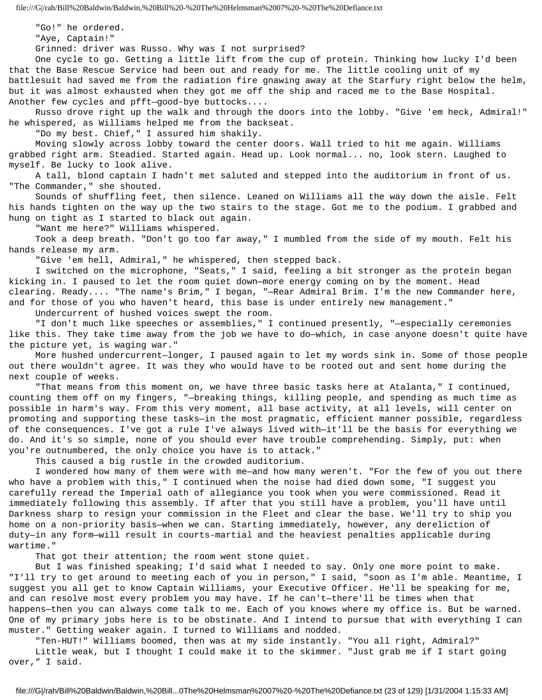"Go!" he ordered. "Aye, Captain!"

Grinned: driver was Russo. Why was I not surprised?

 One cycle to go. Getting a little lift from the cup of protein. Thinking how lucky I'd been that the Base Rescue Service had been out and ready for me. The little cooling unit of my battlesuit had saved me from the radiation fire gnawing away at the Starfury right below the helm, but it was almost exhausted when they got me off the ship and raced me to the Base Hospital. Another few cycles and pfft—good-bye buttocks....

 Russo drove right up the walk and through the doors into the lobby. "Give 'em heck, Admiral!" he whispered, as Williams helped me from the backseat.

"Do my best. Chief," I assured him shakily.

 Moving slowly across lobby toward the center doors. Wall tried to hit me again. Williams grabbed right arm. Steadied. Started again. Head up. Look normal... no, look stern. Laughed to myself. Be lucky to look alive.

 A tall, blond captain I hadn't met saluted and stepped into the auditorium in front of us. "The Commander," she shouted.

 Sounds of shuffling feet, then silence. Leaned on Williams all the way down the aisle. Felt his hands tighten on the way up the two stairs to the stage. Got me to the podium. I grabbed and hung on tight as I started to black out again.

"Want me here?" Williams whispered.

 Took a deep breath. "Don't go too far away," I mumbled from the side of my mouth. Felt his hands release my arm.

"Give 'em hell, Admiral," he whispered, then stepped back.

 I switched on the microphone, "Seats," I said, feeling a bit stronger as the protein began kicking in. I paused to let the room quiet down—more energy coming on by the moment. Head clearing. Ready.... "The name's Brim," I began, "—Rear Admiral Brim. I'm the new Commander here, and for those of you who haven't heard, this base is under entirely new management."

Undercurrent of hushed voices swept the room.

 "I don't much like speeches or assemblies," I continued presently, "—especially ceremonies like this. They take time away from the job we have to do—which, in case anyone doesn't quite have the picture yet, is waging war."

 More hushed undercurrent—longer, I paused again to let my words sink in. Some of those people out there wouldn't agree. It was they who would have to be rooted out and sent home during the next couple of weeks.

 "That means from this moment on, we have three basic tasks here at Atalanta," I continued, counting them off on my fingers, "—breaking things, killing people, and spending as much time as possible in harm's way. From this very moment, all base activity, at all levels, will center on promoting and supporting these tasks—in the most pragmatic, efficient manner possible, regardless of the consequences. I've got a rule I've always lived with—it'll be the basis for everything we do. And it's so simple, none of you should ever have trouble comprehending. Simply, put: when you're outnumbered, the only choice you have is to attack."

This caused a big rustle in the crowded auditorium.

 I wondered how many of them were with me—and how many weren't. "For the few of you out there who have a problem with this," I continued when the noise had died down some, "I suggest you carefully reread the Imperial oath of allegiance you took when you were commissioned. Read it immediately following this assembly. If after that you still have a problem, you'll have until Darkness sharp to resign your commission in the Fleet and clear the base. We'll try to ship you home on a non-priority basis—when we can. Starting immediately, however, any dereliction of duty—in any form—will result in courts-martial and the heaviest penalties applicable during wartime."

That got their attention; the room went stone quiet.

 But I was finished speaking; I'd said what I needed to say. Only one more point to make. "I'll try to get around to meeting each of you in person," I said, "soon as I'm able. Meantime, I suggest you all get to know Captain Williams, your Executive Officer. He'll be speaking for me, and can resolve most every problem you may have. If he can't—there'll be times when that happens—then you can always come talk to me. Each of you knows where my office is. But be warned. One of my primary jobs here is to be obstinate. And I intend to pursue that with everything I can muster." Getting weaker again. I turned to Williams and nodded.

 "Ten-HUT!" Williams boomed, then was at my side instantly. "You all right, Admiral?" Little weak, but I thought I could make it to the skimmer. "Just grab me if I start going over," I said.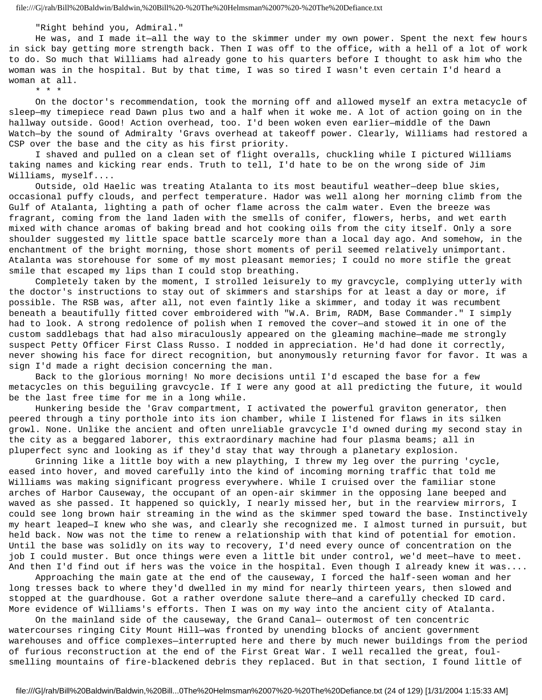"Right behind you, Admiral."

 He was, and I made it—all the way to the skimmer under my own power. Spent the next few hours in sick bay getting more strength back. Then I was off to the office, with a hell of a lot of work to do. So much that Williams had already gone to his quarters before I thought to ask him who the woman was in the hospital. But by that time, I was so tired I wasn't even certain I'd heard a woman at all.

\* \* \*

 On the doctor's recommendation, took the morning off and allowed myself an extra metacycle of sleep—my timepiece read Dawn plus two and a half when it woke me. A lot of action going on in the hallway outside. Good! Action overhead, too. I'd been woken even earlier—middle of the Dawn Watch—by the sound of Admiralty 'Gravs overhead at takeoff power. Clearly, Williams had restored a CSP over the base and the city as his first priority.

 I shaved and pulled on a clean set of flight overalls, chuckling while I pictured Williams taking names and kicking rear ends. Truth to tell, I'd hate to be on the wrong side of Jim Williams, myself....

 Outside, old Haelic was treating Atalanta to its most beautiful weather—deep blue skies, occasional puffy clouds, and perfect temperature. Hador was well along her morning climb from the Gulf of Atalanta, lighting a path of ocher flame across the calm water. Even the breeze was fragrant, coming from the land laden with the smells of conifer, flowers, herbs, and wet earth mixed with chance aromas of baking bread and hot cooking oils from the city itself. Only a sore shoulder suggested my little space battle scarcely more than a local day ago. And somehow, in the enchantment of the bright morning, those short moments of peril seemed relatively unimportant. Atalanta was storehouse for some of my most pleasant memories; I could no more stifle the great smile that escaped my lips than I could stop breathing.

 Completely taken by the moment, I strolled leisurely to my gravcycle, complying utterly with the doctor's instructions to stay out of skimmers and starships for at least a day or more, if possible. The RSB was, after all, not even faintly like a skimmer, and today it was recumbent beneath a beautifully fitted cover embroidered with "W.A. Brim, RADM, Base Commander." I simply had to look. A strong redolence of polish when I removed the cover—and stowed it in one of the custom saddlebags that had also miraculously appeared on the gleaming machine—made me strongly suspect Petty Officer First Class Russo. I nodded in appreciation. He'd had done it correctly, never showing his face for direct recognition, but anonymously returning favor for favor. It was a sign I'd made a right decision concerning the man.

 Back to the glorious morning! No more decisions until I'd escaped the base for a few metacycles on this beguiling gravcycle. If I were any good at all predicting the future, it would be the last free time for me in a long while.

 Hunkering beside the 'Grav compartment, I activated the powerful graviton generator, then peered through a tiny porthole into its ion chamber, while I listened for flaws in its silken growl. None. Unlike the ancient and often unreliable gravcycle I'd owned during my second stay in the city as a beggared laborer, this extraordinary machine had four plasma beams; all in pluperfect sync and looking as if they'd stay that way through a planetary explosion.

 Grinning like a little boy with a new plaything, I threw my leg over the purring 'cycle, eased into hover, and moved carefully into the kind of incoming morning traffic that told me Williams was making significant progress everywhere. While I cruised over the familiar stone arches of Harbor Causeway, the occupant of an open-air skimmer in the opposing lane beeped and waved as she passed. It happened so quickly, I nearly missed her, but in the rearview mirrors, I could see long brown hair streaming in the wind as the skimmer sped toward the base. Instinctively my heart leaped—I knew who she was, and clearly she recognized me. I almost turned in pursuit, but held back. Now was not the time to renew a relationship with that kind of potential for emotion. Until the base was solidly on its way to recovery, I'd need every ounce of concentration on the job I could muster. But once things were even a little bit under control, we'd meet—have to meet. And then I'd find out if hers was the voice in the hospital. Even though I already knew it was....

 Approaching the main gate at the end of the causeway, I forced the half-seen woman and her long tresses back to where they'd dwelled in my mind for nearly thirteen years, then slowed and stopped at the guardhouse. Got a rather overdone salute there—and a carefully checked ID card. More evidence of Williams's efforts. Then I was on my way into the ancient city of Atalanta.

 On the mainland side of the causeway, the Grand Canal— outermost of ten concentric watercourses ringing City Mount Hill—was fronted by unending blocks of ancient government warehouses and office complexes—interrupted here and there by much newer buildings from the period of furious reconstruction at the end of the First Great War. I well recalled the great, foulsmelling mountains of fire-blackened debris they replaced. But in that section, I found little of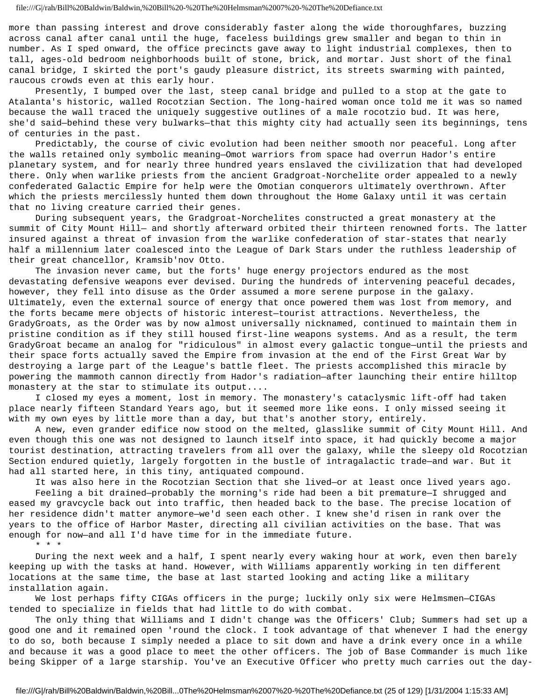more than passing interest and drove considerably faster along the wide thoroughfares, buzzing across canal after canal until the huge, faceless buildings grew smaller and began to thin in number. As I sped onward, the office precincts gave away to light industrial complexes, then to tall, ages-old bedroom neighborhoods built of stone, brick, and mortar. Just short of the final canal bridge, I skirted the port's gaudy pleasure district, its streets swarming with painted, raucous crowds even at this early hour.

 Presently, I bumped over the last, steep canal bridge and pulled to a stop at the gate to Atalanta's historic, walled Rocotzian Section. The long-haired woman once told me it was so named because the wall traced the uniquely suggestive outlines of a male rocotzio bud. It was here, she'd said—behind these very bulwarks—that this mighty city had actually seen its beginnings, tens of centuries in the past.

 Predictably, the course of civic evolution had been neither smooth nor peaceful. Long after the walls retained only symbolic meaning—Omot warriors from space had overrun Hador's entire planetary system, and for nearly three hundred years enslaved the civilization that had developed there. Only when warlike priests from the ancient Gradgroat-Norchelite order appealed to a newly confederated Galactic Empire for help were the Omotian conquerors ultimately overthrown. After which the priests mercilessly hunted them down throughout the Home Galaxy until it was certain that no living creature carried their genes.

 During subsequent years, the Gradgroat-Norchelites constructed a great monastery at the summit of City Mount Hill— and shortly afterward orbited their thirteen renowned forts. The latter insured against a threat of invasion from the warlike confederation of star-states that nearly half a millennium later coalesced into the League of Dark Stars under the ruthless leadership of their great chancellor, Kramsib'nov Otto.

 The invasion never came, but the forts' huge energy projectors endured as the most devastating defensive weapons ever devised. During the hundreds of intervening peaceful decades, however, they fell into disuse as the Order assumed a more serene purpose in the galaxy. Ultimately, even the external source of energy that once powered them was lost from memory, and the forts became mere objects of historic interest—tourist attractions. Nevertheless, the GradyGroats, as the Order was by now almost universally nicknamed, continued to maintain them in pristine condition as if they still housed first-line weapons systems. And as a result, the term GradyGroat became an analog for "ridiculous" in almost every galactic tongue—until the priests and their space forts actually saved the Empire from invasion at the end of the First Great War by destroying a large part of the League's battle fleet. The priests accomplished this miracle by powering the mammoth cannon directly from Hador's radiation—after launching their entire hilltop monastery at the star to stimulate its output....

 I closed my eyes a moment, lost in memory. The monastery's cataclysmic lift-off had taken place nearly fifteen Standard Years ago, but it seemed more like eons. I only missed seeing it with my own eyes by little more than a day, but that's another story, entirely.

 A new, even grander edifice now stood on the melted, glasslike summit of City Mount Hill. And even though this one was not designed to launch itself into space, it had quickly become a major tourist destination, attracting travelers from all over the galaxy, while the sleepy old Rocotzian Section endured quietly, largely forgotten in the bustle of intragalactic trade—and war. But it had all started here, in this tiny, antiquated compound.

 It was also here in the Rocotzian Section that she lived—or at least once lived years ago. Feeling a bit drained—probably the morning's ride had been a bit premature—I shrugged and eased my gravcycle back out into traffic, then headed back to the base. The precise location of her residence didn't matter anymore—we'd seen each other. I knew she'd risen in rank over the years to the office of Harbor Master, directing all civilian activities on the base. That was enough for now—and all I'd have time for in the immediate future.

\* \* \*

 During the next week and a half, I spent nearly every waking hour at work, even then barely keeping up with the tasks at hand. However, with Williams apparently working in ten different locations at the same time, the base at last started looking and acting like a military installation again.

 We lost perhaps fifty CIGAs officers in the purge; luckily only six were Helmsmen—CIGAs tended to specialize in fields that had little to do with combat.

 The only thing that Williams and I didn't change was the Officers' Club; Summers had set up a good one and it remained open 'round the clock. I took advantage of that whenever I had the energy to do so, both because I simply needed a place to sit down and have a drink every once in a while and because it was a good place to meet the other officers. The job of Base Commander is much like being Skipper of a large starship. You've an Executive Officer who pretty much carries out the day-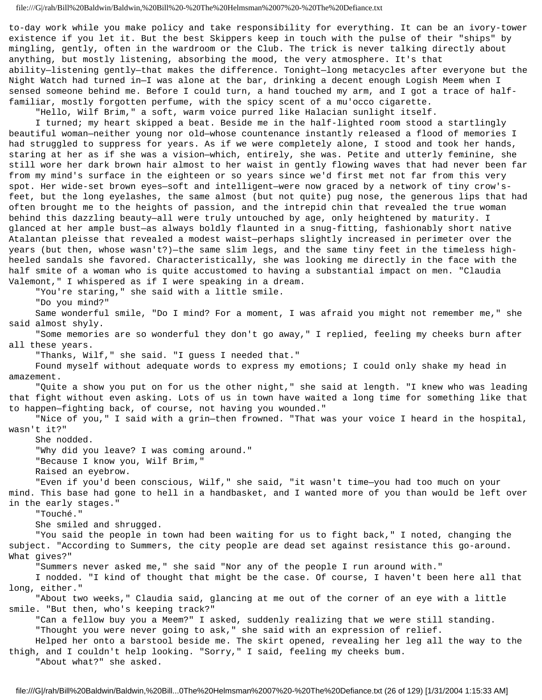to-day work while you make policy and take responsibility for everything. It can be an ivory-tower existence if you let it. But the best Skippers keep in touch with the pulse of their "ships" by mingling, gently, often in the wardroom or the Club. The trick is never talking directly about anything, but mostly listening, absorbing the mood, the very atmosphere. It's that ability—listening gently—that makes the difference. Tonight—long metacycles after everyone but the Night Watch had turned in—I was alone at the bar, drinking a decent enough Logish Meem when I sensed someone behind me. Before I could turn, a hand touched my arm, and I got a trace of halffamiliar, mostly forgotten perfume, with the spicy scent of a mu'occo cigarette.

 "Hello, Wilf Brim," a soft, warm voice purred like Halacian sunlight itself. I turned; my heart skipped a beat. Beside me in the half-lighted room stood a startlingly beautiful woman—neither young nor old—whose countenance instantly released a flood of memories I had struggled to suppress for years. As if we were completely alone, I stood and took her hands, staring at her as if she was a vision—which, entirely, she was. Petite and utterly feminine, she still wore her dark brown hair almost to her waist in gently flowing waves that had never been far from my mind's surface in the eighteen or so years since we'd first met not far from this very spot. Her wide-set brown eyes—soft and intelligent—were now graced by a network of tiny crow'sfeet, but the long eyelashes, the same almost (but not quite) pug nose, the generous lips that had often brought me to the heights of passion, and the intrepid chin that revealed the true woman behind this dazzling beauty—all were truly untouched by age, only heightened by maturity. I glanced at her ample bust—as always boldly flaunted in a snug-fitting, fashionably short native Atalantan pleisse that revealed a modest waist—perhaps slightly increased in perimeter over the years (but then, whose wasn't?)—the same slim legs, and the same tiny feet in the timeless highheeled sandals she favored. Characteristically, she was looking me directly in the face with the half smite of a woman who is quite accustomed to having a substantial impact on men. "Claudia Valemont," I whispered as if I were speaking in a dream.

"You're staring," she said with a little smile.

"Do you mind?"

 Same wonderful smile, "Do I mind? For a moment, I was afraid you might not remember me," she said almost shyly.

 "Some memories are so wonderful they don't go away," I replied, feeling my cheeks burn after all these years.

"Thanks, Wilf," she said. "I guess I needed that."

 Found myself without adequate words to express my emotions; I could only shake my head in amazement.

 "Quite a show you put on for us the other night," she said at length. "I knew who was leading that fight without even asking. Lots of us in town have waited a long time for something like that to happen—fighting back, of course, not having you wounded."

 "Nice of you," I said with a grin—then frowned. "That was your voice I heard in the hospital, wasn't it?"

She nodded.

 "Why did you leave? I was coming around." "Because I know you, Wilf Brim,"

Raised an eyebrow.

 "Even if you'd been conscious, Wilf," she said, "it wasn't time—you had too much on your mind. This base had gone to hell in a handbasket, and I wanted more of you than would be left over in the early stages."

"Touché."

She smiled and shrugged.

 "You said the people in town had been waiting for us to fight back," I noted, changing the subject. "According to Summers, the city people are dead set against resistance this go-around. What gives?"

"Summers never asked me," she said "Nor any of the people I run around with."

 I nodded. "I kind of thought that might be the case. Of course, I haven't been here all that long, either."

 "About two weeks," Claudia said, glancing at me out of the corner of an eye with a little smile. "But then, who's keeping track?"

 "Can a fellow buy you a Meem?" I asked, suddenly realizing that we were still standing. "Thought you were never going to ask," she said with an expression of relief.

 Helped her onto a barstool beside me. The skirt opened, revealing her leg all the way to the thigh, and I couldn't help looking. "Sorry," I said, feeling my cheeks bum.

"About what?" she asked.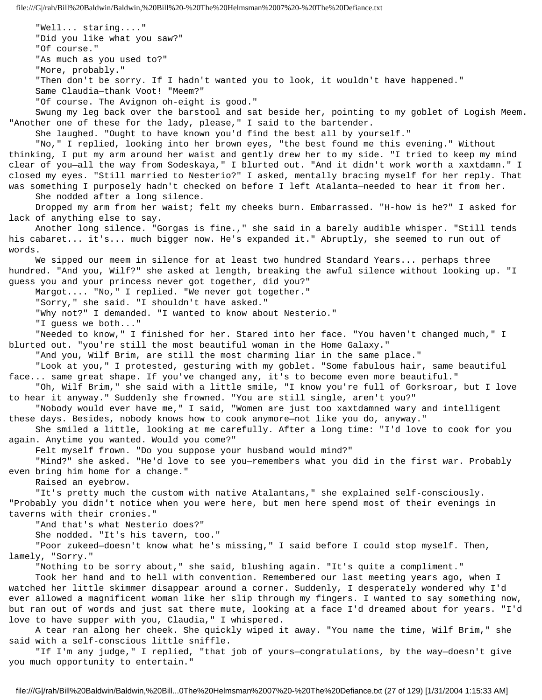"Well... staring...." "Did you like what you saw?" "Of course." "As much as you used to?" "More, probably." "Then don't be sorry. If I hadn't wanted you to look, it wouldn't have happened." Same Claudia—thank Voot! "Meem?" "Of course. The Avignon oh-eight is good." Swung my leg back over the barstool and sat beside her, pointing to my goblet of Logish Meem. "Another one of these for the lady, please," I said to the bartender. She laughed. "Ought to have known you'd find the best all by yourself." "No," I replied, looking into her brown eyes, "the best found me this evening." Without thinking, I put my arm around her waist and gently drew her to my side. "I tried to keep my mind clear of you—all the way from Sodeskaya," I blurted out. "And it didn't work worth a xaxtdamn." I closed my eyes. "Still married to Nesterio?" I asked, mentally bracing myself for her reply. That was something I purposely hadn't checked on before I left Atalanta—needed to hear it from her. She nodded after a long silence. Dropped my arm from her waist; felt my cheeks burn. Embarrassed. "H-how is he?" I asked for lack of anything else to say. Another long silence. "Gorgas is fine.," she said in a barely audible whisper. "Still tends his cabaret... it's... much bigger now. He's expanded it." Abruptly, she seemed to run out of words. We sipped our meem in silence for at least two hundred Standard Years... perhaps three hundred. "And you, Wilf?" she asked at length, breaking the awful silence without looking up. "I guess you and your princess never got together, did you?" Margot.... "No," I replied. "We never got together." "Sorry," she said. "I shouldn't have asked." "Why not?" I demanded. "I wanted to know about Nesterio." "I guess we both..." "Needed to know," I finished for her. Stared into her face. "You haven't changed much," I blurted out. "you're still the most beautiful woman in the Home Galaxy." "And you, Wilf Brim, are still the most charming liar in the same place." "Look at you," I protested, gesturing with my goblet. "Some fabulous hair, same beautiful face... same great shape. If you've changed any, it's to become even more beautiful." "Oh, Wilf Brim," she said with a little smile, "I know you're full of Gorksroar, but I love to hear it anyway." Suddenly she frowned. "You are still single, aren't you?" "Nobody would ever have me," I said, "Women are just too xaxtdamned wary and intelligent these days. Besides, nobody knows how to cook anymore—not like you do, anyway." She smiled a little, looking at me carefully. After a long time: "I'd love to cook for you again. Anytime you wanted. Would you come?" Felt myself frown. "Do you suppose your husband would mind?" "Mind?" she asked. "He'd love to see you-remembers what you did in the first war. Probably even bring him home for a change." Raised an eyebrow. "It's pretty much the custom with native Atalantans," she explained self-consciously. "Probably you didn't notice when you were here, but men here spend most of their evenings in taverns with their cronies." "And that's what Nesterio does?" She nodded. "It's his tavern, too." "Poor zukeed—doesn't know what he's missing," I said before I could stop myself. Then, lamely, "Sorry." "Nothing to be sorry about," she said, blushing again. "It's quite a compliment." Took her hand and to hell with convention. Remembered our last meeting years ago, when I watched her little skimmer disappear around a corner. Suddenly, I desperately wondered why I'd ever allowed a magnificent woman like her slip through my fingers. I wanted to say something now, but ran out of words and just sat there mute, looking at a face I'd dreamed about for years. "I'd love to have supper with you, Claudia," I whispered. A tear ran along her cheek. She quickly wiped it away. "You name the time, Wilf Brim," she said with a self-conscious little sniffle.

 "If I'm any judge," I replied, "that job of yours—congratulations, by the way—doesn't give you much opportunity to entertain."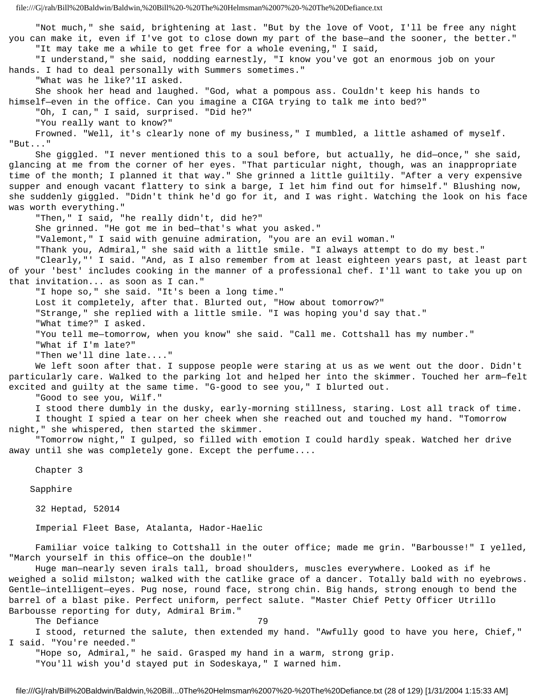"Not much," she said, brightening at last. "But by the love of Voot, I'll be free any night you can make it, even if I've got to close down my part of the base—and the sooner, the better." "It may take me a while to get free for a whole evening," I said, "I understand," she said, nodding earnestly, "I know you've got an enormous job on your hands. I had to deal personally with Summers sometimes." "What was he like?'1I asked. She shook her head and laughed. "God, what a pompous ass. Couldn't keep his hands to himself—even in the office. Can you imagine a CIGA trying to talk me into bed?" "Oh, I can," I said, surprised. "Did he?" "You really want to know?" Frowned. "Well, it's clearly none of my business," I mumbled, a little ashamed of myself. "But..." She giggled. "I never mentioned this to a soul before, but actually, he did—once," she said, glancing at me from the corner of her eyes. "That particular night, though, was an inappropriate time of the month; I planned it that way." She grinned a little guiltily. "After a very expensive supper and enough vacant flattery to sink a barge, I let him find out for himself." Blushing now, she suddenly giggled. "Didn't think he'd go for it, and I was right. Watching the look on his face was worth everything." "Then," I said, "he really didn't, did he?" She grinned. "He got me in bed—that's what you asked." "Valemont," I said with genuine admiration, "you are an evil woman." "Thank you, Admiral," she said with a little smile. "I always attempt to do my best." "Clearly,"' I said. "And, as I also remember from at least eighteen years past, at least part of your 'best' includes cooking in the manner of a professional chef. I'll want to take you up on that invitation... as soon as I can." "I hope so," she said. "It's been a long time." Lost it completely, after that. Blurted out, "How about tomorrow?" "Strange," she replied with a little smile. "I was hoping you'd say that." "What time?" I asked. "You tell me—tomorrow, when you know" she said. "Call me. Cottshall has my number." "What if I'm late?" "Then we'll dine late...." We left soon after that. I suppose people were staring at us as we went out the door. Didn't particularly care. Walked to the parking lot and helped her into the skimmer. Touched her arm—felt excited and guilty at the same time. "G-good to see you," I blurted out. "Good to see you, Wilf." I stood there dumbly in the dusky, early-morning stillness, staring. Lost all track of time. I thought I spied a tear on her cheek when she reached out and touched my hand. "Tomorrow night," she whispered, then started the skimmer. "Tomorrow night," I gulped, so filled with emotion I could hardly speak. Watched her drive away until she was completely gone. Except the perfume.... Chapter 3 Sapphire 32 Heptad, 52014 Imperial Fleet Base, Atalanta, Hador-Haelic Familiar voice talking to Cottshall in the outer office; made me grin. "Barbousse!" I yelled,

 Huge man—nearly seven irals tall, broad shoulders, muscles everywhere. Looked as if he weighed a solid milston; walked with the catlike grace of a dancer. Totally bald with no eyebrows. Gentle—intelligent—eyes. Pug nose, round face, strong chin. Big hands, strong enough to bend the barrel of a blast pike. Perfect uniform, perfect salute. "Master Chief Petty Officer Utrillo Barbousse reporting for duty, Admiral Brim."

The Defiance 79

"March yourself in this office—on the double!"

 I stood, returned the salute, then extended my hand. "Awfully good to have you here, Chief," I said. "You're needed."

"Hope so, Admiral," he said. Grasped my hand in a warm, strong grip.

"You'll wish you'd stayed put in Sodeskaya," I warned him.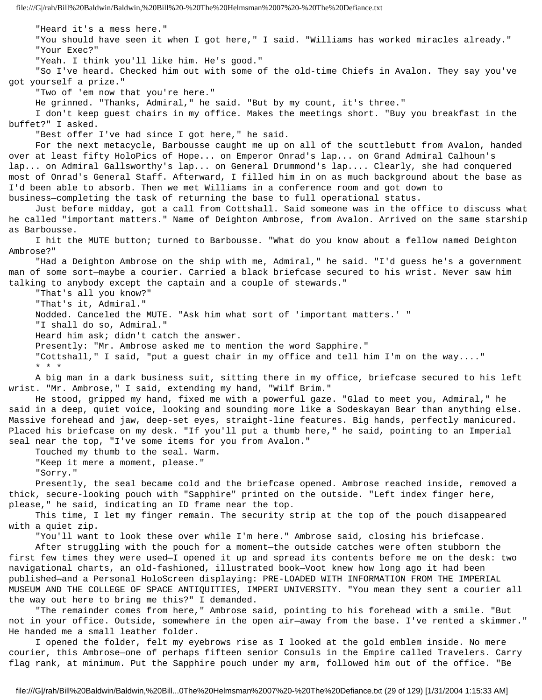"Heard it's a mess here." "You should have seen it when I got here," I said. "Williams has worked miracles already." "Your Exec?"

"Yeah. I think you'll like him. He's good."

 "So I've heard. Checked him out with some of the old-time Chiefs in Avalon. They say you've got yourself a prize."

"Two of 'em now that you're here."

He grinned. "Thanks, Admiral," he said. "But by my count, it's three."

 I don't keep guest chairs in my office. Makes the meetings short. "Buy you breakfast in the buffet?" I asked.

"Best offer I've had since I got here," he said.

 For the next metacycle, Barbousse caught me up on all of the scuttlebutt from Avalon, handed over at least fifty HoloPics of Hope... on Emperor Onrad's lap... on Grand Admiral Calhoun's lap... on Admiral Gallsworthy's lap... on General Drummond's lap.... Clearly, she had conquered most of Onrad's General Staff. Afterward, I filled him in on as much background about the base as I'd been able to absorb. Then we met Williams in a conference room and got down to business—completing the task of returning the base to full operational status.

 Just before midday, got a call from Cottshall. Said someone was in the office to discuss what he called "important matters." Name of Deighton Ambrose, from Avalon. Arrived on the same starship as Barbousse.

 I hit the MUTE button; turned to Barbousse. "What do you know about a fellow named Deighton Ambrose?"

 "Had a Deighton Ambrose on the ship with me, Admiral," he said. "I'd guess he's a government man of some sort—maybe a courier. Carried a black briefcase secured to his wrist. Never saw him talking to anybody except the captain and a couple of stewards."

 "That's all you know?" "That's it, Admiral." Nodded. Canceled the MUTE. "Ask him what sort of 'important matters.' " "I shall do so, Admiral." Heard him ask; didn't catch the answer. Presently: "Mr. Ambrose asked me to mention the word Sapphire." "Cottshall," I said, "put a guest chair in my office and tell him I'm on the way...." \* \* \*

 A big man in a dark business suit, sitting there in my office, briefcase secured to his left wrist. "Mr. Ambrose," I said, extending my hand, "Wilf Brim."

 He stood, gripped my hand, fixed me with a powerful gaze. "Glad to meet you, Admiral," he said in a deep, quiet voice, looking and sounding more like a Sodeskayan Bear than anything else. Massive forehead and jaw, deep-set eyes, straight-line features. Big hands, perfectly manicured. Placed his briefcase on my desk. "If you'll put a thumb here," he said, pointing to an Imperial seal near the top, "I've some items for you from Avalon."

 Touched my thumb to the seal. Warm. "Keep it mere a moment, please."

"Sorry."

 Presently, the seal became cold and the briefcase opened. Ambrose reached inside, removed a thick, secure-looking pouch with "Sapphire" printed on the outside. "Left index finger here, please," he said, indicating an ID frame near the top.

 This time, I let my finger remain. The security strip at the top of the pouch disappeared with a quiet zip.

"You'll want to look these over while I'm here." Ambrose said, closing his briefcase.

 After struggling with the pouch for a moment—the outside catches were often stubborn the first few times they were used—I opened it up and spread its contents before me on the desk: two navigational charts, an old-fashioned, illustrated book—Voot knew how long ago it had been published—and a Personal HoloScreen displaying: PRE-LOADED WITH INFORMATION FROM THE IMPERIAL MUSEUM AND THE COLLEGE OF SPACE ANTIQUITIES, IMPERI UNIVERSITY. "You mean they sent a courier all the way out here to bring me this?" I demanded.

 "The remainder comes from here," Ambrose said, pointing to his forehead with a smile. "But not in your office. Outside, somewhere in the open air—away from the base. I've rented a skimmer." He handed me a small leather folder.

 I opened the folder, felt my eyebrows rise as I looked at the gold emblem inside. No mere courier, this Ambrose—one of perhaps fifteen senior Consuls in the Empire called Travelers. Carry flag rank, at minimum. Put the Sapphire pouch under my arm, followed him out of the office. "Be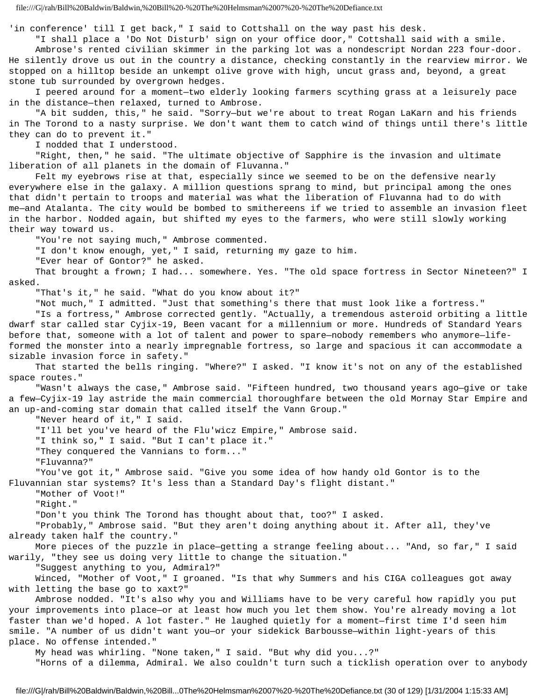'in conference' till I get back," I said to Cottshall on the way past his desk.

 "I shall place a 'Do Not Disturb' sign on your office door," Cottshall said with a smile. Ambrose's rented civilian skimmer in the parking lot was a nondescript Nordan 223 four-door. He silently drove us out in the country a distance, checking constantly in the rearview mirror. We stopped on a hilltop beside an unkempt olive grove with high, uncut grass and, beyond, a great stone tub surrounded by overgrown hedges.

 I peered around for a moment—two elderly looking farmers scything grass at a leisurely pace in the distance—then relaxed, turned to Ambrose.

 "A bit sudden, this," he said. "Sorry—but we're about to treat Rogan LaKarn and his friends in The Torond to a nasty surprise. We don't want them to catch wind of things until there's little they can do to prevent it."

I nodded that I understood.

 "Right, then," he said. "The ultimate objective of Sapphire is the invasion and ultimate liberation of all planets in the domain of Fluvanna."

Felt my eyebrows rise at that, especially since we seemed to be on the defensive nearly everywhere else in the galaxy. A million questions sprang to mind, but principal among the ones that didn't pertain to troops and material was what the liberation of Fluvanna had to do with me—and Atalanta. The city would be bombed to smithereens if we tried to assemble an invasion fleet in the harbor. Nodded again, but shifted my eyes to the farmers, who were still slowly working their way toward us.

"You're not saying much," Ambrose commented.

"I don't know enough, yet," I said, returning my gaze to him.

"Ever hear of Gontor?" he asked.

That brought a frown; I had... somewhere. Yes. "The old space fortress in Sector Nineteen?" I asked.

"That's it," he said. "What do you know about it?"

"Not much," I admitted. "Just that something's there that must look like a fortress."

 "Is a fortress," Ambrose corrected gently. "Actually, a tremendous asteroid orbiting a little dwarf star called star Cyjix-19, Been vacant for a millennium or more. Hundreds of Standard Years before that, someone with a lot of talent and power to spare—nobody remembers who anymore—lifeformed the monster into a nearly impregnable fortress, so large and spacious it can accommodate a sizable invasion force in safety."

 That started the bells ringing. "Where?" I asked. "I know it's not on any of the established space routes."

 "Wasn't always the case," Ambrose said. "Fifteen hundred, two thousand years ago—give or take a few—Cyjix-19 lay astride the main commercial thoroughfare between the old Mornay Star Empire and an up-and-coming star domain that called itself the Vann Group."

"Never heard of it," I said.

"I'll bet you've heard of the Flu'wicz Empire," Ambrose said.

"I think so," I said. "But I can't place it."

"They conquered the Vannians to form..."

"Fluvanna?"

 "You've got it," Ambrose said. "Give you some idea of how handy old Gontor is to the Fluvannian star systems? It's less than a Standard Day's flight distant."

"Mother of Voot!"

"Right."

"Don't you think The Torond has thought about that, too?" I asked.

 "Probably," Ambrose said. "But they aren't doing anything about it. After all, they've already taken half the country."

More pieces of the puzzle in place-getting a strange feeling about... "And, so far," I said warily, "they see us doing very little to change the situation."

"Suggest anything to you, Admiral?"

 Winced, "Mother of Voot," I groaned. "Is that why Summers and his CIGA colleagues got away with letting the base go to xaxt?"

 Ambrose nodded. "It's also why you and Williams have to be very careful how rapidly you put your improvements into place—or at least how much you let them show. You're already moving a lot faster than we'd hoped. A lot faster." He laughed quietly for a moment—first time I'd seen him smile. "A number of us didn't want you—or your sidekick Barbousse—within light-years of this place. No offense intended."

My head was whirling. "None taken," I said. "But why did you...?"

"Horns of a dilemma, Admiral. We also couldn't turn such a ticklish operation over to anybody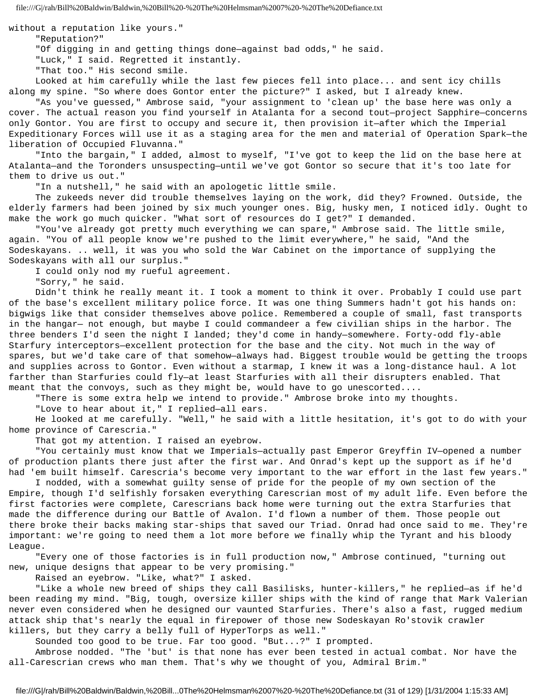without a reputation like yours."

"Reputation?"

"Of digging in and getting things done—against bad odds," he said.

"Luck," I said. Regretted it instantly.

"That too." His second smile.

 Looked at him carefully while the last few pieces fell into place... and sent icy chills along my spine. "So where does Gontor enter the picture?" I asked, but I already knew.

 "As you've guessed," Ambrose said, "your assignment to 'clean up' the base here was only a cover. The actual reason you find yourself in Atalanta for a second tout—project Sapphire—concerns only Gontor. You are first to occupy and secure it, then provision it—after which the Imperial Expeditionary Forces will use it as a staging area for the men and material of Operation Spark—the liberation of Occupied Fluvanna."

 "Into the bargain," I added, almost to myself, "I've got to keep the lid on the base here at Atalanta—and the Toronders unsuspecting—until we've got Gontor so secure that it's too late for them to drive us out."

"In a nutshell," he said with an apologetic little smile.

 The zukeeds never did trouble themselves laying on the work, did they? Frowned. Outside, the elderly farmers had been joined by six much younger ones. Big, husky men, I noticed idly. Ought to make the work go much quicker. "What sort of resources do I get?" I demanded.

 "You've already got pretty much everything we can spare," Ambrose said. The little smile, again. "You of all people know we're pushed to the limit everywhere," he said, "And the Sodeskayans. .. well, it was you who sold the War Cabinet on the importance of supplying the Sodeskayans with all our surplus."

I could only nod my rueful agreement.

"Sorry," he said.

 Didn't think he really meant it. I took a moment to think it over. Probably I could use part of the base's excellent military police force. It was one thing Summers hadn't got his hands on: bigwigs like that consider themselves above police. Remembered a couple of small, fast transports in the hangar— not enough, but maybe I could commandeer a few civilian ships in the harbor. The three benders I'd seen the night I landed; they'd come in handy-somewhere. Forty-odd fly-able Starfury interceptors—excellent protection for the base and the city. Not much in the way of spares, but we'd take care of that somehow—always had. Biggest trouble would be getting the troops and supplies across to Gontor. Even without a starmap, I knew it was a long-distance haul. A lot farther than Starfuries could fly—at least Starfuries with all their disrupters enabled. That meant that the convoys, such as they might be, would have to go unescorted....

"There is some extra help we intend to provide." Ambrose broke into my thoughts.

"Love to hear about it," I replied—all ears.

 He looked at me carefully. "Well," he said with a little hesitation, it's got to do with your home province of Carescria."

That got my attention. I raised an eyebrow.

 "You certainly must know that we Imperials—actually past Emperor Greyffin IV—opened a number of production plants there just after the first war. And Onrad's kept up the support as if he'd had 'em built himself. Carescria's become very important to the war effort in the last few years."

 I nodded, with a somewhat guilty sense of pride for the people of my own section of the Empire, though I'd selfishly forsaken everything Carescrian most of my adult life. Even before the first factories were complete, Carescrians back home were turning out the extra Starfuries that made the difference during our Battle of Avalon. I'd flown a number of them. Those people out there broke their backs making star-ships that saved our Triad. Onrad had once said to me. They're important: we're going to need them a lot more before we finally whip the Tyrant and his bloody League.

 "Every one of those factories is in full production now," Ambrose continued, "turning out new, unique designs that appear to be very promising."

Raised an eyebrow. "Like, what?" I asked.

 "Like a whole new breed of ships they call Basilisks, hunter-killers," he replied—as if he'd been reading my mind. "Big, tough, oversize killer ships with the kind of range that Mark Valerian never even considered when he designed our vaunted Starfuries. There's also a fast, rugged medium attack ship that's nearly the equal in firepower of those new Sodeskayan Ro'stovik crawler killers, but they carry a belly full of HyperTorps as well."

Sounded too good to be true. Far too good. "But...?" I prompted.

 Ambrose nodded. "The 'but' is that none has ever been tested in actual combat. Nor have the all-Carescrian crews who man them. That's why we thought of you, Admiral Brim."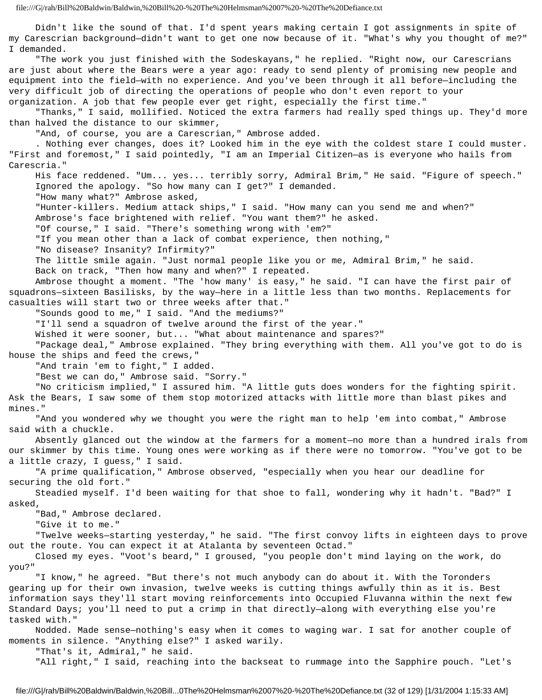Didn't like the sound of that. I'd spent years making certain I got assignments in spite of my Carescrian background—didn't want to get one now because of it. "What's why you thought of me?" I demanded.

 "The work you just finished with the Sodeskayans," he replied. "Right now, our Carescrians are just about where the Bears were a year ago: ready to send plenty of promising new people and equipment into the field—with no experience. And you've been through it all before—including the very difficult job of directing the operations of people who don't even report to your organization. A job that few people ever get right, especially the first time."

 "Thanks," I said, mollified. Noticed the extra farmers had really sped things up. They'd more than halved the distance to our skimmer,

"And, of course, you are a Carescrian," Ambrose added.

 . Nothing ever changes, does it? Looked him in the eye with the coldest stare I could muster. "First and foremost," I said pointedly, "I am an Imperial Citizen—as is everyone who hails from Carescria."

 His face reddened. "Um... yes... terribly sorry, Admiral Brim," He said. "Figure of speech." Ignored the apology. "So how many can I get?" I demanded.

"How many what?" Ambrose asked,

"Hunter-killers. Medium attack ships," I said. "How many can you send me and when?"

Ambrose's face brightened with relief. "You want them?" he asked.

"Of course," I said. "There's something wrong with 'em?"

"If you mean other than a lack of combat experience, then nothing,"

"No disease? Insanity? Infirmity?"

The little smile again. "Just normal people like you or me, Admiral Brim," he said.

Back on track, "Then how many and when?" I repeated.

 Ambrose thought a moment. "The 'how many' is easy," he said. "I can have the first pair of squadrons—sixteen Basilisks, by the way—here in a little less than two months. Replacements for casualties will start two or three weeks after that."

"Sounds good to me," I said. "And the mediums?"

"I'll send a squadron of twelve around the first of the year."

Wished it were sooner, but... "What about maintenance and spares?"

 "Package deal," Ambrose explained. "They bring everything with them. All you've got to do is house the ships and feed the crews,"

"And train 'em to fight," I added.

"Best we can do," Ambrose said. "Sorry."

 "No criticism implied," I assured him. "A little guts does wonders for the fighting spirit. Ask the Bears, I saw some of them stop motorized attacks with little more than blast pikes and mines."

 "And you wondered why we thought you were the right man to help 'em into combat," Ambrose said with a chuckle.

 Absently glanced out the window at the farmers for a moment—no more than a hundred irals from our skimmer by this time. Young ones were working as if there were no tomorrow. "You've got to be a little crazy, I guess," I said.

 "A prime qualification," Ambrose observed, "especially when you hear our deadline for securing the old fort."

 Steadied myself. I'd been waiting for that shoe to fall, wondering why it hadn't. "Bad?" I asked,

"Bad," Ambrose declared.

"Give it to me."

 "Twelve weeks—starting yesterday," he said. "The first convoy lifts in eighteen days to prove out the route. You can expect it at Atalanta by seventeen Octad."

 Closed my eyes. "Voot's beard," I groused, "you people don't mind laying on the work, do you?"

 "I know," he agreed. "But there's not much anybody can do about it. With the Toronders gearing up for their own invasion, twelve weeks is cutting things awfully thin as it is. Best information says they'll start moving reinforcements into Occupied Fluvanna within the next few Standard Days; you'll need to put a crimp in that directly—along with everything else you're tasked with."

 Nodded. Made sense—nothing's easy when it comes to waging war. I sat for another couple of moments in silence. "Anything else?" I asked warily.

"That's it, Admiral," he said.

"All right," I said, reaching into the backseat to rummage into the Sapphire pouch. "Let's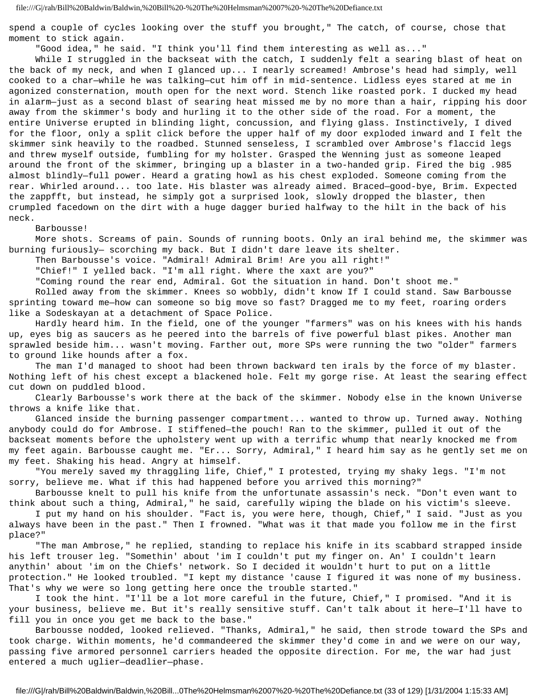spend a couple of cycles looking over the stuff you brought," The catch, of course, chose that moment to stick again.

"Good idea," he said. "I think you'll find them interesting as well as..."

While I struggled in the backseat with the catch, I suddenly felt a searing blast of heat on the back of my neck, and when I glanced up... I nearly screamed! Ambrose's head had simply, well cooked to a char—while he was talking—cut him off in mid-sentence. Lidless eyes stared at me in agonized consternation, mouth open for the next word. Stench like roasted pork. I ducked my head in alarm—just as a second blast of searing heat missed me by no more than a hair, ripping his door away from the skimmer's body and hurling it to the other side of the road. For a moment, the entire Universe erupted in blinding light, concussion, and flying glass. Instinctively, I dived for the floor, only a split click before the upper half of my door exploded inward and I felt the skimmer sink heavily to the roadbed. Stunned senseless, I scrambled over Ambrose's flaccid legs and threw myself outside, fumbling for my holster. Grasped the Wenning just as someone leaped around the front of the skimmer, bringing up a blaster in a two-handed grip. Fired the big .985 almost blindly—full power. Heard a grating howl as his chest exploded. Someone coming from the rear. Whirled around... too late. His blaster was already aimed. Braced—good-bye, Brim. Expected the zappfft, but instead, he simply got a surprised look, slowly dropped the blaster, then crumpled facedown on the dirt with a huge dagger buried halfway to the hilt in the back of his neck.

Barbousse!

 More shots. Screams of pain. Sounds of running boots. Only an iral behind me, the skimmer was burning furiously— scorching my back. But I didn't dare leave its shelter.

Then Barbousse's voice. "Admiral! Admiral Brim! Are you all right!"

"Chief!" I yelled back. "I'm all right. Where the xaxt are you?"

"Coming round the rear end, Admiral. Got the situation in hand. Don't shoot me."

 Rolled away from the skimmer. Knees so wobbly, didn't know If I could stand. Saw Barbousse sprinting toward me—how can someone so big move so fast? Dragged me to my feet, roaring orders like a Sodeskayan at a detachment of Space Police.

 Hardly heard him. In the field, one of the younger "farmers" was on his knees with his hands up, eyes big as saucers as he peered into the barrels of five powerful blast pikes. Another man sprawled beside him... wasn't moving. Farther out, more SPs were running the two "older" farmers to ground like hounds after a fox.

 The man I'd managed to shoot had been thrown backward ten irals by the force of my blaster. Nothing left of his chest except a blackened hole. Felt my gorge rise. At least the searing effect cut down on puddled blood.

 Clearly Barbousse's work there at the back of the skimmer. Nobody else in the known Universe throws a knife like that.

 Glanced inside the burning passenger compartment... wanted to throw up. Turned away. Nothing anybody could do for Ambrose. I stiffened—the pouch! Ran to the skimmer, pulled it out of the backseat moments before the upholstery went up with a terrific whump that nearly knocked me from my feet again. Barbousse caught me. "Er... Sorry, Admiral," I heard him say as he gently set me on my feet. Shaking his head. Angry at himself.

 "You merely saved my thraggling life, Chief," I protested, trying my shaky legs. "I'm not sorry, believe me. What if this had happened before you arrived this morning?"

 Barbousse knelt to pull his knife from the unfortunate assassin's neck. "Don't even want to think about such a thing, Admiral," he said, carefully wiping the blade on his victim's sleeve.

 I put my hand on his shoulder. "Fact is, you were here, though, Chief," I said. "Just as you always have been in the past." Then I frowned. "What was it that made you follow me in the first place?"

 "The man Ambrose," he replied, standing to replace his knife in its scabbard strapped inside his left trouser leg. "Somethin' about 'im I couldn't put my finger on. An' I couldn't learn anythin' about 'im on the Chiefs' network. So I decided it wouldn't hurt to put on a little protection." He looked troubled. "I kept my distance 'cause I figured it was none of my business. That's why we were so long getting here once the trouble started."

 I took the hint. "I'll be a lot more careful in the future, Chief," I promised. "And it is your business, believe me. But it's really sensitive stuff. Can't talk about it here—I'll have to fill you in once you get me back to the base."

 Barbousse nodded, looked relieved. "Thanks, Admiral," he said, then strode toward the SPs and took charge. Within moments, he'd commandeered the skimmer they'd come in and we were on our way, passing five armored personnel carriers headed the opposite direction. For me, the war had just entered a much uglier—deadlier—phase.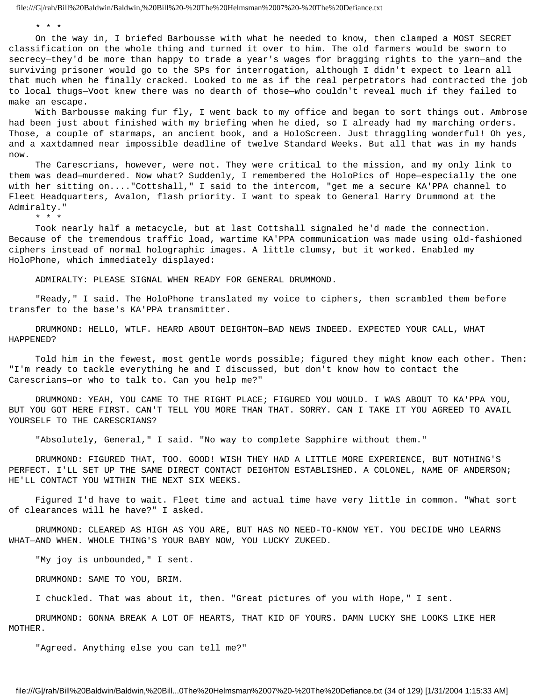\* \* \*

 On the way in, I briefed Barbousse with what he needed to know, then clamped a MOST SECRET classification on the whole thing and turned it over to him. The old farmers would be sworn to secrecy—they'd be more than happy to trade a year's wages for bragging rights to the yarn—and the surviving prisoner would go to the SPs for interrogation, although I didn't expect to learn all that much when he finally cracked. Looked to me as if the real perpetrators had contracted the job to local thugs—Voot knew there was no dearth of those—who couldn't reveal much if they failed to make an escape.

 With Barbousse making fur fly, I went back to my office and began to sort things out. Ambrose had been just about finished with my briefing when he died, so I already had my marching orders. Those, a couple of starmaps, an ancient book, and a HoloScreen. Just thraggling wonderful! Oh yes, and a xaxtdamned near impossible deadline of twelve Standard Weeks. But all that was in my hands now.

 The Carescrians, however, were not. They were critical to the mission, and my only link to them was dead—murdered. Now what? Suddenly, I remembered the HoloPics of Hope—especially the one with her sitting on...."Cottshall," I said to the intercom, "get me a secure KA'PPA channel to Fleet Headquarters, Avalon, flash priority. I want to speak to General Harry Drummond at the Admiralty."

\* \* \*

 Took nearly half a metacycle, but at last Cottshall signaled he'd made the connection. Because of the tremendous traffic load, wartime KA'PPA communication was made using old-fashioned ciphers instead of normal holographic images. A little clumsy, but it worked. Enabled my HoloPhone, which immediately displayed:

ADMIRALTY: PLEASE SIGNAL WHEN READY FOR GENERAL DRUMMOND.

 "Ready," I said. The HoloPhone translated my voice to ciphers, then scrambled them before transfer to the base's KA'PPA transmitter.

 DRUMMOND: HELLO, WTLF. HEARD ABOUT DEIGHTON—BAD NEWS INDEED. EXPECTED YOUR CALL, WHAT HAPPENED?

 Told him in the fewest, most gentle words possible; figured they might know each other. Then: "I'm ready to tackle everything he and I discussed, but don't know how to contact the Carescrians—or who to talk to. Can you help me?"

 DRUMMOND: YEAH, YOU CAME TO THE RIGHT PLACE; FIGURED YOU WOULD. I WAS ABOUT TO KA'PPA YOU, BUT YOU GOT HERE FIRST. CAN'T TELL YOU MORE THAN THAT. SORRY. CAN I TAKE IT YOU AGREED TO AVAIL YOURSELF TO THE CARESCRIANS?

"Absolutely, General," I said. "No way to complete Sapphire without them."

 DRUMMOND: FIGURED THAT, TOO. GOOD! WISH THEY HAD A LITTLE MORE EXPERIENCE, BUT NOTHING'S PERFECT. I'LL SET UP THE SAME DIRECT CONTACT DEIGHTON ESTABLISHED. A COLONEL, NAME OF ANDERSON; HE'LL CONTACT YOU WITHIN THE NEXT SIX WEEKS.

 Figured I'd have to wait. Fleet time and actual time have very little in common. "What sort of clearances will he have?" I asked.

 DRUMMOND: CLEARED AS HIGH AS YOU ARE, BUT HAS NO NEED-TO-KNOW YET. YOU DECIDE WHO LEARNS WHAT—AND WHEN. WHOLE THING'S YOUR BABY NOW, YOU LUCKY ZUKEED.

"My joy is unbounded," I sent.

DRUMMOND: SAME TO YOU, BRIM.

I chuckled. That was about it, then. "Great pictures of you with Hope," I sent.

 DRUMMOND: GONNA BREAK A LOT OF HEARTS, THAT KID OF YOURS. DAMN LUCKY SHE LOOKS LIKE HER MOTHER.

"Agreed. Anything else you can tell me?"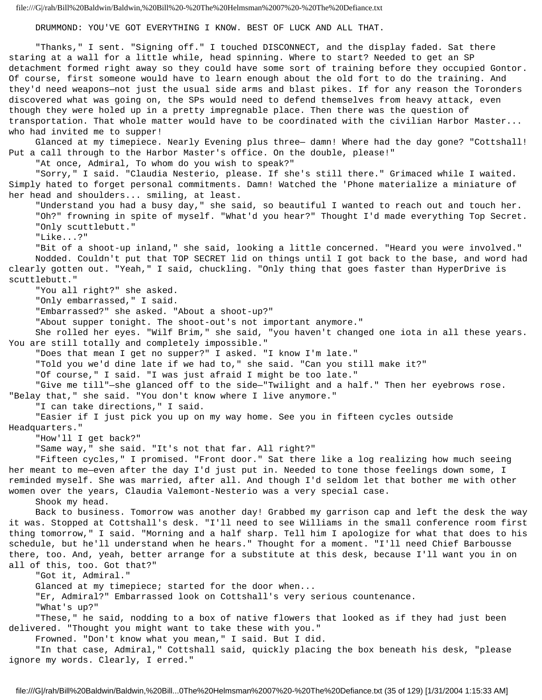DRUMMOND: YOU'VE GOT EVERYTHING I KNOW. BEST OF LUCK AND ALL THAT.

 "Thanks," I sent. "Signing off." I touched DISCONNECT, and the display faded. Sat there staring at a wall for a little while, head spinning. Where to start? Needed to get an SP detachment formed right away so they could have some sort of training before they occupied Gontor. Of course, first someone would have to learn enough about the old fort to do the training. And they'd need weapons—not just the usual side arms and blast pikes. If for any reason the Toronders discovered what was going on, the SPs would need to defend themselves from heavy attack, even though they were holed up in a pretty impregnable place. Then there was the question of transportation. That whole matter would have to be coordinated with the civilian Harbor Master... who had invited me to supper!

 Glanced at my timepiece. Nearly Evening plus three— damn! Where had the day gone? "Cottshall! Put a call through to the Harbor Master's office. On the double, please!"

"At once, Admiral, To whom do you wish to speak?"

 "Sorry," I said. "Claudia Nesterio, please. If she's still there." Grimaced while I waited. Simply hated to forget personal commitments. Damn! Watched the 'Phone materialize a miniature of her head and shoulders... smiling, at least.

 "Understand you had a busy day," she said, so beautiful I wanted to reach out and touch her. "Oh?" frowning in spite of myself. "What'd you hear?" Thought I'd made everything Top Secret. "Only scuttlebutt."

"Like...?"

 "Bit of a shoot-up inland," she said, looking a little concerned. "Heard you were involved." Nodded. Couldn't put that TOP SECRET lid on things until I got back to the base, and word had clearly gotten out. "Yeah," I said, chuckling. "Only thing that goes faster than HyperDrive is scuttlebutt."

"You all right?" she asked.

"Only embarrassed," I said.

"Embarrassed?" she asked. "About a shoot-up?"

"About supper tonight. The shoot-out's not important anymore."

 She rolled her eyes. "Wilf Brim," she said, "you haven't changed one iota in all these years. You are still totally and completely impossible."

"Does that mean I get no supper?" I asked. "I know I'm late."

"Told you we'd dine late if we had to," she said. "Can you still make it?"

"Of course," I said. "I was just afraid I might be too late."

 "Give me till"—she glanced off to the side—"Twilight and a half." Then her eyebrows rose. "Belay that," she said. "You don't know where I live anymore."

"I can take directions," I said.

 "Easier if I just pick you up on my way home. See you in fifteen cycles outside Headquarters."

"How'll I get back?"

"Same way," she said. "It's not that far. All right?"

 "Fifteen cycles," I promised. "Front door." Sat there like a log realizing how much seeing her meant to me—even after the day I'd just put in. Needed to tone those feelings down some, I reminded myself. She was married, after all. And though I'd seldom let that bother me with other women over the years, Claudia Valemont-Nesterio was a very special case.

Shook my head.

 Back to business. Tomorrow was another day! Grabbed my garrison cap and left the desk the way it was. Stopped at Cottshall's desk. "I'll need to see Williams in the small conference room first thing tomorrow," I said. "Morning and a half sharp. Tell him I apologize for what that does to his schedule, but he'll understand when he hears." Thought for a moment. "I'll need Chief Barbousse there, too. And, yeah, better arrange for a substitute at this desk, because I'll want you in on all of this, too. Got that?"

 "Got it, Admiral." Glanced at my timepiece; started for the door when...

"Er, Admiral?" Embarrassed look on Cottshall's very serious countenance.

"What's up?"

 "These," he said, nodding to a box of native flowers that looked as if they had just been delivered. "Thought you might want to take these with you."

Frowned. "Don't know what you mean," I said. But I did.

 "In that case, Admiral," Cottshall said, quickly placing the box beneath his desk, "please ignore my words. Clearly, I erred."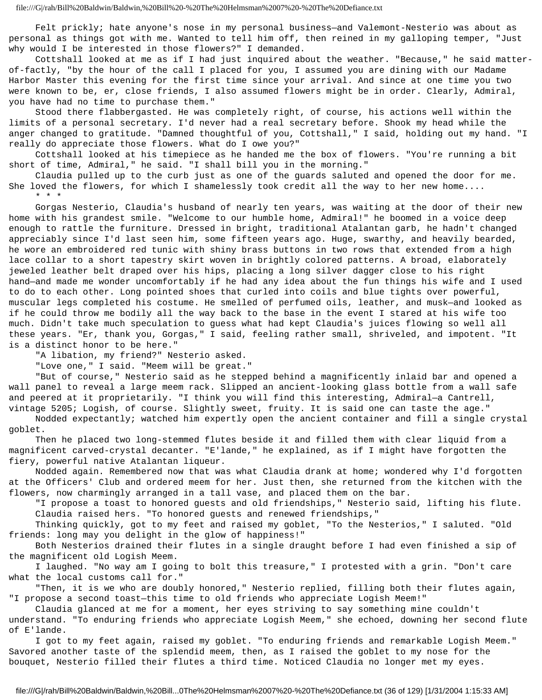Felt prickly; hate anyone's nose in my personal business-and Valemont-Nesterio was about as personal as things got with me. Wanted to tell him off, then reined in my galloping temper, "Just why would I be interested in those flowers?" I demanded.

 Cottshall looked at me as if I had just inquired about the weather. "Because," he said matterof-factly, "by the hour of the call I placed for you, I assumed you are dining with our Madame Harbor Master this evening for the first time since your arrival. And since at one time you two were known to be, er, close friends, I also assumed flowers might be in order. Clearly, Admiral, you have had no time to purchase them."

 Stood there flabbergasted. He was completely right, of course, his actions well within the limits of a personal secretary. I'd never had a real secretary before. Shook my head while the anger changed to gratitude. "Damned thoughtful of you, Cottshall," I said, holding out my hand. "I really do appreciate those flowers. What do I owe you?"

 Cottshall looked at his timepiece as he handed me the box of flowers. "You're running a bit short of time, Admiral," he said. "I shall bill you in the morning."

 Claudia pulled up to the curb just as one of the guards saluted and opened the door for me. She loved the flowers, for which I shamelessly took credit all the way to her new home.... \* \* \*

 Gorgas Nesterio, Claudia's husband of nearly ten years, was waiting at the door of their new home with his grandest smile. "Welcome to our humble home, Admiral!" he boomed in a voice deep enough to rattle the furniture. Dressed in bright, traditional Atalantan garb, he hadn't changed appreciably since I'd last seen him, some fifteen years ago. Huge, swarthy, and heavily bearded, he wore an embroidered red tunic with shiny brass buttons in two rows that extended from a high lace collar to a short tapestry skirt woven in brightly colored patterns. A broad, elaborately jeweled leather belt draped over his hips, placing a long silver dagger close to his right hand—and made me wonder uncomfortably if he had any idea about the fun things his wife and I used to do to each other. Long pointed shoes that curled into coils and blue tights over powerful, muscular legs completed his costume. He smelled of perfumed oils, leather, and musk—and looked as if he could throw me bodily all the way back to the base in the event I stared at his wife too much. Didn't take much speculation to guess what had kept Claudia's juices flowing so well all these years. "Er, thank you, Gorgas," I said, feeling rather small, shriveled, and impotent. "It is a distinct honor to be here."

"A libation, my friend?" Nesterio asked.

"Love one," I said. "Meem will be great."

 "But of course," Nesterio said as he stepped behind a magnificently inlaid bar and opened a wall panel to reveal a large meem rack. Slipped an ancient-looking glass bottle from a wall safe and peered at it proprietarily. "I think you will find this interesting, Admiral—a Cantrell, vintage 5205; Logish, of course. Slightly sweet, fruity. It is said one can taste the age."

 Nodded expectantly; watched him expertly open the ancient container and fill a single crystal goblet.

 Then he placed two long-stemmed flutes beside it and filled them with clear liquid from a magnificent carved-crystal decanter. "E'lande," he explained, as if I might have forgotten the fiery, powerful native Atalantan liqueur.

 Nodded again. Remembered now that was what Claudia drank at home; wondered why I'd forgotten at the Officers' Club and ordered meem for her. Just then, she returned from the kitchen with the flowers, now charmingly arranged in a tall vase, and placed them on the bar.

 "I propose a toast to honored guests and old friendships," Nesterio said, lifting his flute. Claudia raised hers. "To honored guests and renewed friendships,"

 Thinking quickly, got to my feet and raised my goblet, "To the Nesterios," I saluted. "Old friends: long may you delight in the glow of happiness!"

 Both Nesterios drained their flutes in a single draught before I had even finished a sip of the magnificent old Logish Meem.

 I laughed. "No way am I going to bolt this treasure," I protested with a grin. "Don't care what the local customs call for."

 "Then, it is we who are doubly honored," Nesterio replied, filling both their flutes again, "I propose a second toast—this time to old friends who appreciate Logish Meem!"

 Claudia glanced at me for a moment, her eyes striving to say something mine couldn't understand. "To enduring friends who appreciate Logish Meem," she echoed, downing her second flute of E'lande.

 I got to my feet again, raised my goblet. "To enduring friends and remarkable Logish Meem." Savored another taste of the splendid meem, then, as I raised the goblet to my nose for the bouquet, Nesterio filled their flutes a third time. Noticed Claudia no longer met my eyes.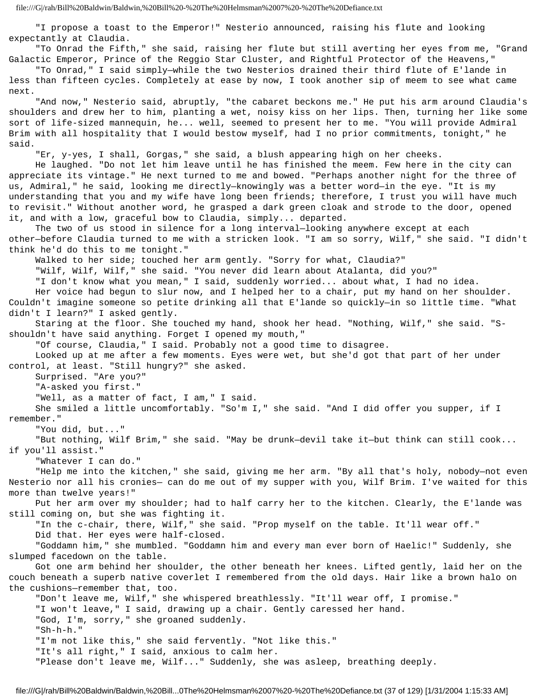"I propose a toast to the Emperor!" Nesterio announced, raising his flute and looking expectantly at Claudia.

 "To Onrad the Fifth," she said, raising her flute but still averting her eyes from me, "Grand Galactic Emperor, Prince of the Reggio Star Cluster, and Rightful Protector of the Heavens,"

 "To Onrad," I said simply—while the two Nesterios drained their third flute of E'lande in less than fifteen cycles. Completely at ease by now, I took another sip of meem to see what came next.

 "And now," Nesterio said, abruptly, "the cabaret beckons me." He put his arm around Claudia's shoulders and drew her to him, planting a wet, noisy kiss on her lips. Then, turning her like some sort of life-sized mannequin, he... well, seemed to present her to me. "You will provide Admiral Brim with all hospitality that I would bestow myself, had I no prior commitments, tonight," he said.

"Er, y-yes, I shall, Gorgas," she said, a blush appearing high on her cheeks.

 He laughed. "Do not let him leave until he has finished the meem. Few here in the city can appreciate its vintage." He next turned to me and bowed. "Perhaps another night for the three of us, Admiral," he said, looking me directly—knowingly was a better word—in the eye. "It is my understanding that you and my wife have long been friends; therefore, I trust you will have much to revisit." Without another word, he grasped a dark green cloak and strode to the door, opened it, and with a low, graceful bow to Claudia, simply... departed.

 The two of us stood in silence for a long interval—looking anywhere except at each other—before Claudia turned to me with a stricken look. "I am so sorry, Wilf," she said. "I didn't think he'd do this to me tonight."

Walked to her side; touched her arm gently. "Sorry for what, Claudia?"

"Wilf, Wilf, Wilf," she said. "You never did learn about Atalanta, did you?"

"I don't know what you mean," I said, suddenly worried... about what, I had no idea.

 Her voice had begun to slur now, and I helped her to a chair, put my hand on her shoulder. Couldn't imagine someone so petite drinking all that E'lande so quickly—in so little time. "What didn't I learn?" I asked gently.

 Staring at the floor. She touched my hand, shook her head. "Nothing, Wilf," she said. "Sshouldn't have said anything. Forget I opened my mouth,"

"Of course, Claudia," I said. Probably not a good time to disagree.

 Looked up at me after a few moments. Eyes were wet, but she'd got that part of her under control, at least. "Still hungry?" she asked.

Surprised. "Are you?"

"A-asked you first."

"Well, as a matter of fact, I am," I said.

 She smiled a little uncomfortably. "So'm I," she said. "And I did offer you supper, if I remember."

"You did, but..."

 "But nothing, Wilf Brim," she said. "May be drunk—devil take it—but think can still cook... if you'll assist."

"Whatever I can do."

 "Help me into the kitchen," she said, giving me her arm. "By all that's holy, nobody—not even Nesterio nor all his cronies— can do me out of my supper with you, Wilf Brim. I've waited for this more than twelve years!"

 Put her arm over my shoulder; had to half carry her to the kitchen. Clearly, the E'lande was still coming on, but she was fighting it.

"In the c-chair, there, Wilf," she said. "Prop myself on the table. It'll wear off."

Did that. Her eyes were half-closed.

 "Goddamn him," she mumbled. "Goddamn him and every man ever born of Haelic!" Suddenly, she slumped facedown on the table.

 Got one arm behind her shoulder, the other beneath her knees. Lifted gently, laid her on the couch beneath a superb native coverlet I remembered from the old days. Hair like a brown halo on the cushions—remember that, too.

 "Don't leave me, Wilf," she whispered breathlessly. "It'll wear off, I promise." "I won't leave," I said, drawing up a chair. Gently caressed her hand. "God, I'm, sorry," she groaned suddenly. "Sh-h-h." "I'm not like this," she said fervently. "Not like this." "It's all right," I said, anxious to calm her. "Please don't leave me, Wilf..." Suddenly, she was asleep, breathing deeply.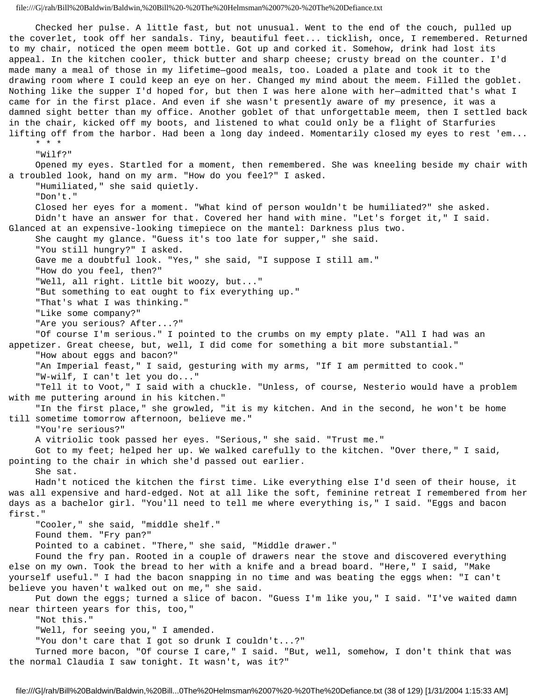Checked her pulse. A little fast, but not unusual. Went to the end of the couch, pulled up the coverlet, took off her sandals. Tiny, beautiful feet... ticklish, once, I remembered. Returned to my chair, noticed the open meem bottle. Got up and corked it. Somehow, drink had lost its appeal. In the kitchen cooler, thick butter and sharp cheese; crusty bread on the counter. I'd made many a meal of those in my lifetime—good meals, too. Loaded a plate and took it to the drawing room where I could keep an eye on her. Changed my mind about the meem. Filled the goblet. Nothing like the supper I'd hoped for, but then I was here alone with her—admitted that's what I came for in the first place. And even if she wasn't presently aware of my presence, it was a damned sight better than my office. Another goblet of that unforgettable meem, then I settled back in the chair, kicked off my boots, and listened to what could only be a flight of Starfuries lifting off from the harbor. Had been a long day indeed. Momentarily closed my eyes to rest 'em... \* \* \* "Wilf?" Opened my eyes. Startled for a moment, then remembered. She was kneeling beside my chair with a troubled look, hand on my arm. "How do you feel?" I asked. "Humiliated," she said quietly. "Don't." Closed her eyes for a moment. "What kind of person wouldn't be humiliated?" she asked. Didn't have an answer for that. Covered her hand with mine. "Let's forget it," I said. Glanced at an expensive-looking timepiece on the mantel: Darkness plus two. She caught my glance. "Guess it's too late for supper," she said. "You still hungry?" I asked. Gave me a doubtful look. "Yes," she said, "I suppose I still am." "How do you feel, then?" "Well, all right. Little bit woozy, but..." "But something to eat ought to fix everything up." "That's what I was thinking." "Like some company?" "Are you serious? After...?" "Of course I'm serious." I pointed to the crumbs on my empty plate. "All I had was an appetizer. Great cheese, but, well, I did come for something a bit more substantial." "How about eggs and bacon?" "An Imperial feast," I said, gesturing with my arms, "If I am permitted to cook." "W-wilf, I can't let you do..." "Tell it to Voot," I said with a chuckle. "Unless, of course, Nesterio would have a problem with me puttering around in his kitchen." "In the first place," she growled, "it is my kitchen. And in the second, he won't be home till sometime tomorrow afternoon, believe me." "You're serious?" A vitriolic took passed her eyes. "Serious," she said. "Trust me." Got to my feet; helped her up. We walked carefully to the kitchen. "Over there," I said, pointing to the chair in which she'd passed out earlier. She sat. Hadn't noticed the kitchen the first time. Like everything else I'd seen of their house, it was all expensive and hard-edged. Not at all like the soft, feminine retreat I remembered from her days as a bachelor girl. "You'll need to tell me where everything is," I said. "Eggs and bacon first." "Cooler," she said, "middle shelf." Found them. "Fry pan?" Pointed to a cabinet. "There," she said, "Middle drawer." Found the fry pan. Rooted in a couple of drawers near the stove and discovered everything else on my own. Took the bread to her with a knife and a bread board. "Here," I said, "Make yourself useful." I had the bacon snapping in no time and was beating the eggs when: "I can't believe you haven't walked out on me," she said. Put down the eggs; turned a slice of bacon. "Guess I'm like you," I said. "I've waited damn near thirteen years for this, too," "Not this." "Well, for seeing you," I amended. "You don't care that I got so drunk I couldn't...?" Turned more bacon, "Of course I care," I said. "But, well, somehow, I don't think that was the normal Claudia I saw tonight. It wasn't, was it?"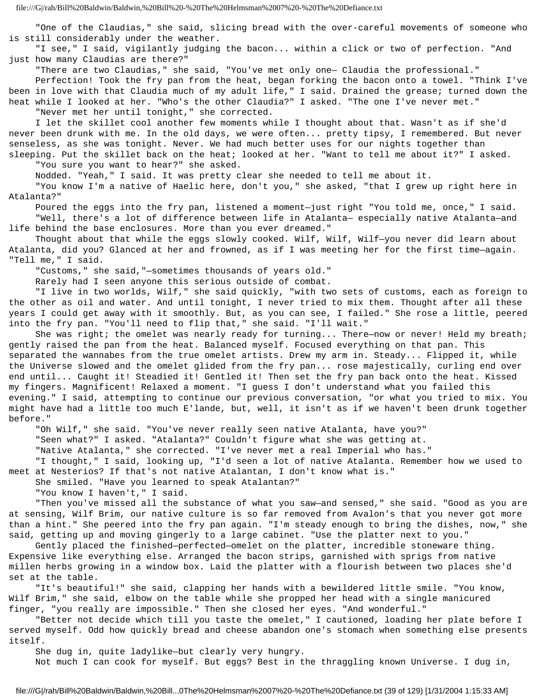"One of the Claudias," she said, slicing bread with the over-careful movements of someone who is still considerably under the weather.

 "I see," I said, vigilantly judging the bacon... within a click or two of perfection. "And just how many Claudias are there?"

"There are two Claudias," she said, "You've met only one— Claudia the professional."

 Perfection! Took the fry pan from the heat, began forking the bacon onto a towel. "Think I've been in love with that Claudia much of my adult life," I said. Drained the grease; turned down the heat while I looked at her. "Who's the other Claudia?" I asked. "The one I've never met."

"Never met her until tonight," she corrected.

 I let the skillet cool another few moments while I thought about that. Wasn't as if she'd never been drunk with me. In the old days, we were often... pretty tipsy, I remembered. But never senseless, as she was tonight. Never. We had much better uses for our nights together than sleeping. Put the skillet back on the heat; looked at her. "Want to tell me about it?" I asked.

"You sure you want to hear?" she asked.

Nodded. "Yeah," I said. It was pretty clear she needed to tell me about it.

 "You know I'm a native of Haelic here, don't you," she asked, "that I grew up right here in Atalanta?"

 Poured the eggs into the fry pan, listened a moment—just right "You told me, once," I said. "Well, there's a lot of difference between life in Atalanta— especially native Atalanta—and life behind the base enclosures. More than you ever dreamed."

 Thought about that while the eggs slowly cooked. Wilf, Wilf, Wilf—you never did learn about Atalanta, did you? Glanced at her and frowned, as if I was meeting her for the first time—again. "Tell me," I said.

"Customs," she said,"—sometimes thousands of years old."

Rarely had I seen anyone this serious outside of combat.

 "I live in two worlds, Wilf," she said quickly, "with two sets of customs, each as foreign to the other as oil and water. And until tonight, I never tried to mix them. Thought after all these years I could get away with it smoothly. But, as you can see, I failed." She rose a little, peered into the fry pan. "You'll need to flip that," she said. "I'll wait."

She was right; the omelet was nearly ready for turning... There-now or never! Held my breath; gently raised the pan from the heat. Balanced myself. Focused everything on that pan. This separated the wannabes from the true omelet artists. Drew my arm in. Steady... Flipped it, while the Universe slowed and the omelet glided from the fry pan... rose majestically, curling end over end until... Caught it! Steadied it! Gentled it! Then set the fry pan back onto the heat. Kissed my fingers. Magnificent! Relaxed a moment. "I guess I don't understand what you failed this evening." I said, attempting to continue our previous conversation, "or what you tried to mix. You might have had a little too much E'lande, but, well, it isn't as if we haven't been drunk together before."

"Oh Wilf," she said. "You've never really seen native Atalanta, have you?"

"Seen what?" I asked. "Atalanta?" Couldn't figure what she was getting at.

"Native Atalanta," she corrected. "I've never met a real Imperial who has."

 "I thought," I said, looking up, "I'd seen a lot of native Atalanta. Remember how we used to meet at Nesterios? If that's not native Atalantan, I don't know what is."

She smiled. "Have you learned to speak Atalantan?"

"You know I haven't," I said.

 "Then you've missed all the substance of what you saw—and sensed," she said. "Good as you are at sensing, Wilf Brim, our native culture is so far removed from Avalon's that you never got more than a hint." She peered into the fry pan again. "I'm steady enough to bring the dishes, now," she said, getting up and moving gingerly to a large cabinet. "Use the platter next to you."

 Gently placed the finished—perfected—omelet on the platter, incredible stoneware thing. Expensive like everything else. Arranged the bacon strips, garnished with sprigs from native millen herbs growing in a window box. Laid the platter with a flourish between two places she'd set at the table.

 "It's beautiful!" she said, clapping her hands with a bewildered little smile. "You know, Wilf Brim," she said, elbow on the table while she propped her head with a single manicured finger, "you really are impossible." Then she closed her eyes. "And wonderful."

 "Better not decide which till you taste the omelet," I cautioned, loading her plate before I served myself. Odd how quickly bread and cheese abandon one's stomach when something else presents itself.

She dug in, quite ladylike—but clearly very hungry.

Not much I can cook for myself. But eggs? Best in the thraggling known Universe. I dug in,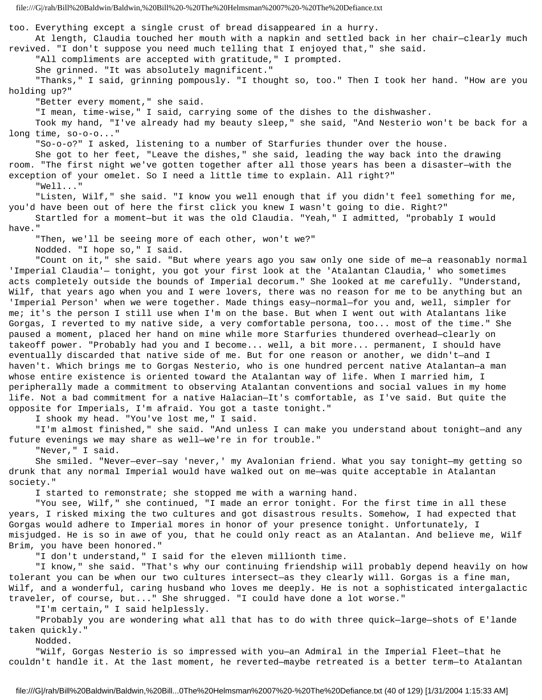too. Everything except a single crust of bread disappeared in a hurry. At length, Claudia touched her mouth with a napkin and settled back in her chair—clearly much revived. "I don't suppose you need much telling that I enjoyed that," she said. "All compliments are accepted with gratitude," I prompted. She grinned. "It was absolutely magnificent." "Thanks," I said, grinning pompously. "I thought so, too." Then I took her hand. "How are you holding up?" "Better every moment," she said. "I mean, time-wise," I said, carrying some of the dishes to the dishwasher. Took my hand, "I've already had my beauty sleep," she said, "And Nesterio won't be back for a long time, so-o-o..." "So-o-o?" I asked, listening to a number of Starfuries thunder over the house. She got to her feet, "Leave the dishes," she said, leading the way back into the drawing room. "The first night we've gotten together after all those years has been a disaster—with the exception of your omelet. So I need a little time to explain. All right?" "Well..." "Listen, Wilf," she said. "I know you well enough that if you didn't feel something for me, you'd have been out of here the first click you knew I wasn't going to die. Right?" Startled for a moment—but it was the old Claudia. "Yeah," I admitted, "probably I would have." "Then, we'll be seeing more of each other, won't we?" Nodded. "I hope so," I said. "Count on it," she said. "But where years ago you saw only one side of me—a reasonably normal 'Imperial Claudia'— tonight, you got your first look at the 'Atalantan Claudia,' who sometimes acts completely outside the bounds of Imperial decorum." She looked at me carefully. "Understand, Wilf, that years ago when you and I were lovers, there was no reason for me to be anything but an 'Imperial Person' when we were together. Made things easy—normal—for you and, well, simpler for me; it's the person I still use when I'm on the base. But when I went out with Atalantans like Gorgas, I reverted to my native side, a very comfortable persona, too... most of the time." She paused a moment, placed her hand on mine while more Starfuries thundered overhead—clearly on takeoff power. "Probably had you and I become... well, a bit more... permanent, I should have eventually discarded that native side of me. But for one reason or another, we didn't—and I haven't. Which brings me to Gorgas Nesterio, who is one hundred percent native Atalantan—a man whose entire existence is oriented toward the Atalantan way of life. When I married him, I peripherally made a commitment to observing Atalantan conventions and social values in my home life. Not a bad commitment for a native Halacian—It's comfortable, as I've said. But quite the opposite for Imperials, I'm afraid. You got a taste tonight." I shook my head. "You've lost me," I said. "I'm almost finished," she said. "And unless I can make you understand about tonight—and any future evenings we may share as well—we're in for trouble." "Never," I said. She smiled. "Never—ever—say 'never,' my Avalonian friend. What you say tonight—my getting so drunk that any normal Imperial would have walked out on me—was quite acceptable in Atalantan society." I started to remonstrate; she stopped me with a warning hand.

 "You see, Wilf," she continued, "I made an error tonight. For the first time in all these years, I risked mixing the two cultures and got disastrous results. Somehow, I had expected that Gorgas would adhere to Imperial mores in honor of your presence tonight. Unfortunately, I

misjudged. He is so in awe of you, that he could only react as an Atalantan. And believe me, Wilf Brim, you have been honored."

"I don't understand," I said for the eleven millionth time.

 "I know," she said. "That's why our continuing friendship will probably depend heavily on how tolerant you can be when our two cultures intersect—as they clearly will. Gorgas is a fine man, Wilf, and a wonderful, caring husband who loves me deeply. He is not a sophisticated intergalactic traveler, of course, but..." She shrugged. "I could have done a lot worse."

"I'm certain," I said helplessly.

 "Probably you are wondering what all that has to do with three quick—large—shots of E'lande taken quickly."

Nodded.

 "Wilf, Gorgas Nesterio is so impressed with you—an Admiral in the Imperial Fleet—that he couldn't handle it. At the last moment, he reverted—maybe retreated is a better term—to Atalantan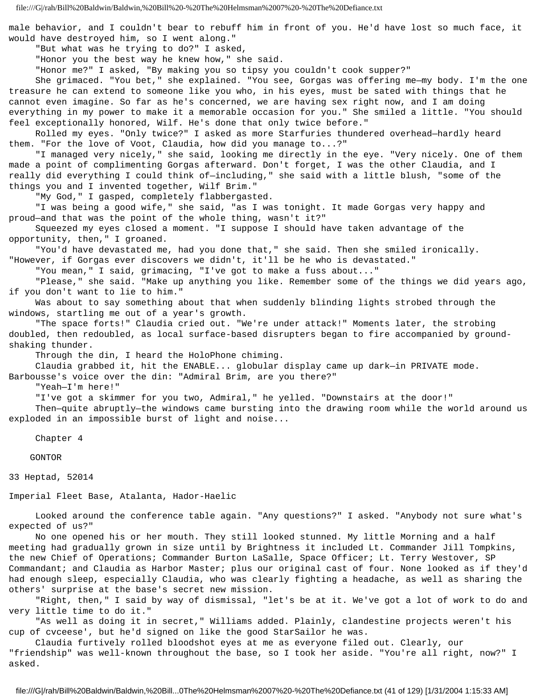male behavior, and I couldn't bear to rebuff him in front of you. He'd have lost so much face, it would have destroyed him, so I went along."

"But what was he trying to do?" I asked,

"Honor you the best way he knew how," she said.

"Honor me?" I asked, "By making you so tipsy you couldn't cook supper?"

 She grimaced. "You bet," she explained. "You see, Gorgas was offering me—my body. I'm the one treasure he can extend to someone like you who, in his eyes, must be sated with things that he cannot even imagine. So far as he's concerned, we are having sex right now, and I am doing everything in my power to make it a memorable occasion for you." She smiled a little. "You should feel exceptionally honored, Wilf. He's done that only twice before."

 Rolled my eyes. "Only twice?" I asked as more Starfuries thundered overhead—hardly heard them. "For the love of Voot, Claudia, how did you manage to...?"

 "I managed very nicely," she said, looking me directly in the eye. "Very nicely. One of them made a point of complimenting Gorgas afterward. Don't forget, I was the other Claudia, and I really did everything I could think of—including," she said with a little blush, "some of the things you and I invented together, Wilf Brim."

"My God," I gasped, completely flabbergasted.

 "I was being a good wife," she said, "as I was tonight. It made Gorgas very happy and proud—and that was the point of the whole thing, wasn't it?"

 Squeezed my eyes closed a moment. "I suppose I should have taken advantage of the opportunity, then," I groaned.

 "You'd have devastated me, had you done that," she said. Then she smiled ironically. "However, if Gorgas ever discovers we didn't, it'll be he who is devastated."

"You mean," I said, grimacing, "I've got to make a fuss about..."

 "Please," she said. "Make up anything you like. Remember some of the things we did years ago, if you don't want to lie to him."

 Was about to say something about that when suddenly blinding lights strobed through the windows, startling me out of a year's growth.

 "The space forts!" Claudia cried out. "We're under attack!" Moments later, the strobing doubled, then redoubled, as local surface-based disrupters began to fire accompanied by groundshaking thunder.

Through the din, I heard the HoloPhone chiming.

Claudia grabbed it, hit the ENABLE... globular display came up dark—in PRIVATE mode.

Barbousse's voice over the din: "Admiral Brim, are you there?"

"Yeah—I'm here!"

"I've got a skimmer for you two, Admiral," he yelled. "Downstairs at the door!"

Then-quite abruptly-the windows came bursting into the drawing room while the world around us exploded in an impossible burst of light and noise...

Chapter 4

GONTOR

33 Heptad, 52014

Imperial Fleet Base, Atalanta, Hador-Haelic

 Looked around the conference table again. "Any questions?" I asked. "Anybody not sure what's expected of us?"

 No one opened his or her mouth. They still looked stunned. My little Morning and a half meeting had gradually grown in size until by Brightness it included Lt. Commander Jill Tompkins, the new Chief of Operations; Commander Burton LaSalle, Space Officer; Lt. Terry Westover, SP Commandant; and Claudia as Harbor Master; plus our original cast of four. None looked as if they'd had enough sleep, especially Claudia, who was clearly fighting a headache, as well as sharing the others' surprise at the base's secret new mission.

 "Right, then," I said by way of dismissal, "let's be at it. We've got a lot of work to do and very little time to do it."

 "As well as doing it in secret," Williams added. Plainly, clandestine projects weren't his cup of cvceese', but he'd signed on like the good StarSailor he was.

 Claudia furtively rolled bloodshot eyes at me as everyone filed out. Clearly, our "friendship" was well-known throughout the base, so I took her aside. "You're all right, now?" I asked.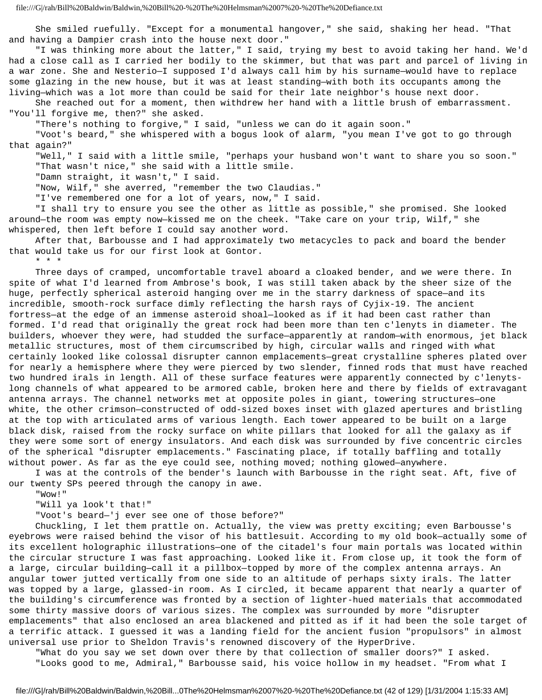She smiled ruefully. "Except for a monumental hangover," she said, shaking her head. "That and having a Dampier crash into the house next door."

 "I was thinking more about the latter," I said, trying my best to avoid taking her hand. We'd had a close call as I carried her bodily to the skimmer, but that was part and parcel of living in a war zone. She and Nesterio—I supposed I'd always call him by his surname—would have to replace some glazing in the new house, but it was at least standing—with both its occupants among the living—which was a lot more than could be said for their late neighbor's house next door.

 She reached out for a moment, then withdrew her hand with a little brush of embarrassment. "You'll forgive me, then?" she asked.

"There's nothing to forgive," I said, "unless we can do it again soon."

 "Voot's beard," she whispered with a bogus look of alarm, "you mean I've got to go through that again?"

 "Well," I said with a little smile, "perhaps your husband won't want to share you so soon." "That wasn't nice," she said with a little smile.

"Damn straight, it wasn't," I said.

"Now, Wilf," she averred, "remember the two Claudias."

"I've remembered one for a lot of years, now," I said.

 "I shall try to ensure you see the other as little as possible," she promised. She looked around—the room was empty now—kissed me on the cheek. "Take care on your trip, Wilf," she whispered, then left before I could say another word.

 After that, Barbousse and I had approximately two metacycles to pack and board the bender that would take us for our first look at Gontor.

\* \* \*

 Three days of cramped, uncomfortable travel aboard a cloaked bender, and we were there. In spite of what I'd learned from Ambrose's book, I was still taken aback by the sheer size of the huge, perfectly spherical asteroid hanging over me in the starry darkness of space—and its incredible, smooth-rock surface dimly reflecting the harsh rays of Cyjix-19. The ancient fortress—at the edge of an immense asteroid shoal—looked as if it had been cast rather than formed. I'd read that originally the great rock had been more than ten c'lenyts in diameter. The builders, whoever they were, had studded the surface—apparently at random—with enormous, jet black metallic structures, most of them circumscribed by high, circular walls and ringed with what certainly looked like colossal disrupter cannon emplacements—great crystalline spheres plated over for nearly a hemisphere where they were pierced by two slender, finned rods that must have reached two hundred irals in length. All of these surface features were apparently connected by c'lenytslong channels of what appeared to be armored cable, broken here and there by fields of extravagant antenna arrays. The channel networks met at opposite poles in giant, towering structures—one white, the other crimson—constructed of odd-sized boxes inset with glazed apertures and bristling at the top with articulated arms of various length. Each tower appeared to be built on a large black disk, raised from the rocky surface on white pillars that looked for all the galaxy as if they were some sort of energy insulators. And each disk was surrounded by five concentric circles of the spherical "disrupter emplacements." Fascinating place, if totally baffling and totally without power. As far as the eye could see, nothing moved; nothing glowed-anywhere.

 I was at the controls of the bender's launch with Barbousse in the right seat. Aft, five of our twenty SPs peered through the canopy in awe.

"Wow!"

"Will ya look't that!"

"Voot's beard—'j ever see one of those before?"

 Chuckling, I let them prattle on. Actually, the view was pretty exciting; even Barbousse's eyebrows were raised behind the visor of his battlesuit. According to my old book—actually some of its excellent holographic illustrations—one of the citadel's four main portals was located within the circular structure I was fast approaching. Looked like it. From close up, it took the form of a large, circular building—call it a pillbox—topped by more of the complex antenna arrays. An angular tower jutted vertically from one side to an altitude of perhaps sixty irals. The latter was topped by a large, glassed-in room. As I circled, it became apparent that nearly a quarter of the building's circumference was fronted by a section of lighter-hued materials that accommodated some thirty massive doors of various sizes. The complex was surrounded by more "disrupter emplacements" that also enclosed an area blackened and pitted as if it had been the sole target of a terrific attack. I guessed it was a landing field for the ancient fusion "propulsors" in almost universal use prior to Sheldon Travis's renowned discovery of the HyperDrive.

 "What do you say we set down over there by that collection of smaller doors?" I asked. "Looks good to me, Admiral," Barbousse said, his voice hollow in my headset. "From what I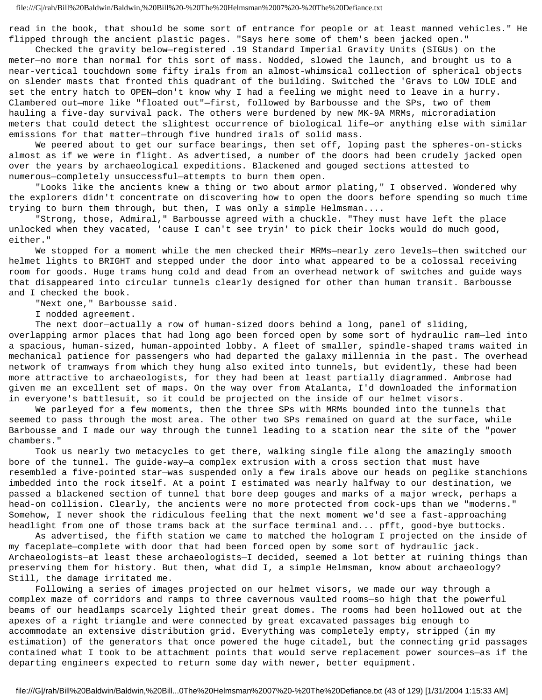read in the book, that should be some sort of entrance for people or at least manned vehicles." He flipped through the ancient plastic pages. "Says here some of them's been jacked open."

 Checked the gravity below—registered .19 Standard Imperial Gravity Units (SIGUs) on the meter—no more than normal for this sort of mass. Nodded, slowed the launch, and brought us to a near-vertical touchdown some fifty irals from an almost-whimsical collection of spherical objects on slender masts that fronted this quadrant of the building. Switched the 'Gravs to LOW IDLE and set the entry hatch to OPEN—don't know why I had a feeling we might need to leave in a hurry. Clambered out—more like "floated out"—first, followed by Barbousse and the SPs, two of them hauling a five-day survival pack. The others were burdened by new MK-9A MRMs, microradiation meters that could detect the slightest occurrence of biological life—or anything else with similar emissions for that matter—through five hundred irals of solid mass.

We peered about to get our surface bearings, then set off, loping past the spheres-on-sticks almost as if we were in flight. As advertised, a number of the doors had been crudely jacked open over the years by archaeological expeditions. Blackened and gouged sections attested to numerous—completely unsuccessful—attempts to burn them open.

 "Looks like the ancients knew a thing or two about armor plating," I observed. Wondered why the explorers didn't concentrate on discovering how to open the doors before spending so much time trying to burn them through, but then, I was only a simple Helmsman....

 "Strong, those, Admiral," Barbousse agreed with a chuckle. "They must have left the place unlocked when they vacated, 'cause I can't see tryin' to pick their locks would do much good, either."

We stopped for a moment while the men checked their MRMs-nearly zero levels-then switched our helmet lights to BRIGHT and stepped under the door into what appeared to be a colossal receiving room for goods. Huge trams hung cold and dead from an overhead network of switches and guide ways that disappeared into circular tunnels clearly designed for other than human transit. Barbousse and I checked the book.

"Next one," Barbousse said.

I nodded agreement.

 The next door—actually a row of human-sized doors behind a long, panel of sliding, overlapping armor places that had long ago been forced open by some sort of hydraulic ram—led into a spacious, human-sized, human-appointed lobby. A fleet of smaller, spindle-shaped trams waited in mechanical patience for passengers who had departed the galaxy millennia in the past. The overhead network of tramways from which they hung also exited into tunnels, but evidently, these had been more attractive to archaeologists, for they had been at least partially diagrammed. Ambrose had given me an excellent set of maps. On the way over from Atalanta, I'd downloaded the information in everyone's battlesuit, so it could be projected on the inside of our helmet visors.

 We parleyed for a few moments, then the three SPs with MRMs bounded into the tunnels that seemed to pass through the most area. The other two SPs remained on guard at the surface, while Barbousse and I made our way through the tunnel leading to a station near the site of the "power chambers."

 Took us nearly two metacycles to get there, walking single file along the amazingly smooth bore of the tunnel. The guide-way-a complex extrusion with a cross section that must have resembled a five-pointed star—was suspended only a few irals above our heads on peglike stanchions imbedded into the rock itself. At a point I estimated was nearly halfway to our destination, we passed a blackened section of tunnel that bore deep gouges and marks of a major wreck, perhaps a head-on collision. Clearly, the ancients were no more protected from cock-ups than we "moderns." Somehow, I never shook the ridiculous feeling that the next moment we'd see a fast-approaching headlight from one of those trams back at the surface terminal and... pfft, good-bye buttocks.

 As advertised, the fifth station we came to matched the hologram I projected on the inside of my faceplate—complete with door that had been forced open by some sort of hydraulic jack. Archaeologists—at least these archaeologists—I decided, seemed a lot better at ruining things than preserving them for history. But then, what did I, a simple Helmsman, know about archaeology? Still, the damage irritated me.

 Following a series of images projected on our helmet visors, we made our way through a complex maze of corridors and ramps to three cavernous vaulted rooms—so high that the powerful beams of our headlamps scarcely lighted their great domes. The rooms had been hollowed out at the apexes of a right triangle and were connected by great excavated passages big enough to accommodate an extensive distribution grid. Everything was completely empty, stripped (in my estimation) of the generators that once powered the huge citadel, but the connecting grid passages contained what I took to be attachment points that would serve replacement power sources—as if the departing engineers expected to return some day with newer, better equipment.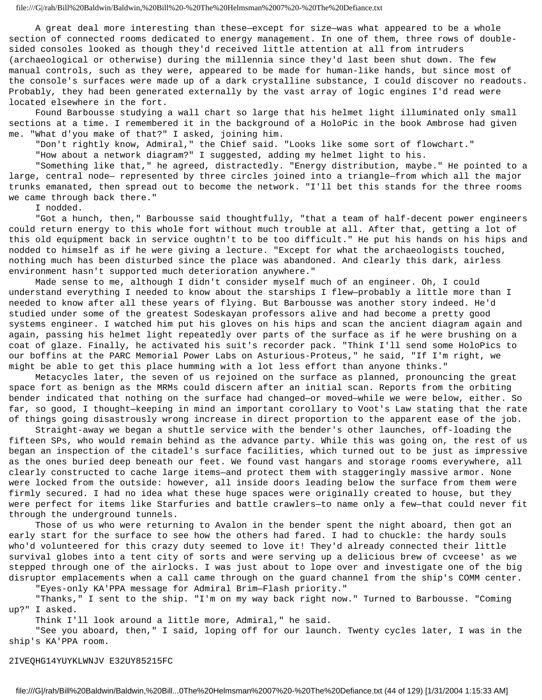A great deal more interesting than these—except for size—was what appeared to be a whole section of connected rooms dedicated to energy management. In one of them, three rows of doublesided consoles looked as though they'd received little attention at all from intruders (archaeological or otherwise) during the millennia since they'd last been shut down. The few manual controls, such as they were, appeared to be made for human-like hands, but since most of the console's surfaces were made up of a dark crystalline substance, I could discover no readouts. Probably, they had been generated externally by the vast array of logic engines I'd read were located elsewhere in the fort.

 Found Barbousse studying a wall chart so large that his helmet light illuminated only small sections at a time. I remembered it in the background of a HoloPic in the book Ambrose had given me. "What d'you make of that?" I asked, joining him.

"Don't rightly know, Admiral," the Chief said. "Looks like some sort of flowchart."

"How about a network diagram?" I suggested, adding my helmet light to his.

 "Something like that," he agreed, distractedly. "Energy distribution, maybe." He pointed to a large, central node— represented by three circles joined into a triangle—from which all the major trunks emanated, then spread out to become the network. "I'll bet this stands for the three rooms we came through back there."

I nodded.

 "Got a hunch, then," Barbousse said thoughtfully, "that a team of half-decent power engineers could return energy to this whole fort without much trouble at all. After that, getting a lot of this old equipment back in service oughtn't to be too difficult." He put his hands on his hips and nodded to himself as if he were giving a lecture. "Except for what the archaeologists touched, nothing much has been disturbed since the place was abandoned. And clearly this dark, airless environment hasn't supported much deterioration anywhere."

 Made sense to me, although I didn't consider myself much of an engineer. Oh, I could understand everything I needed to know about the starships I flew—probably a little more than I needed to know after all these years of flying. But Barbousse was another story indeed. He'd studied under some of the greatest Sodeskayan professors alive and had become a pretty good systems engineer. I watched him put his gloves on his hips and scan the ancient diagram again and again, passing his helmet light repeatedly over parts of the surface as if he were brushing on a coat of glaze. Finally, he activated his suit's recorder pack. "Think I'll send some HoloPics to our boffins at the PARC Memorial Power Labs on Asturious-Proteus," he said, "If I'm right, we might be able to get this place humming with a lot less effort than anyone thinks."

 Metacycles later, the seven of us rejoined on the surface as planned, pronouncing the great space fort as benign as the MRMs could discern after an initial scan. Reports from the orbiting bender indicated that nothing on the surface had changed—or moved—while we were below, either. So far, so good, I thought—keeping in mind an important corollary to Voot's Law stating that the rate of things going disastrously wrong increase in direct proportion to the apparent ease of the job.

 Straight-away we began a shuttle service with the bender's other launches, off-loading the fifteen SPs, who would remain behind as the advance party. While this was going on, the rest of us began an inspection of the citadel's surface facilities, which turned out to be just as impressive as the ones buried deep beneath our feet. We found vast hangars and storage rooms everywhere, all clearly constructed to cache large items—and protect them with staggeringly massive armor. None were locked from the outside: however, all inside doors leading below the surface from them were firmly secured. I had no idea what these huge spaces were originally created to house, but they were perfect for items like Starfuries and battle crawlers—to name only a few—that could never fit through the underground tunnels.

 Those of us who were returning to Avalon in the bender spent the night aboard, then got an early start for the surface to see how the others had fared. I had to chuckle: the hardy souls who'd volunteered for this crazy duty seemed to love it! They'd already connected their little survival globes into a tent city of sorts and were serving up a delicious brew of cvceese' as we stepped through one of the airlocks. I was just about to lope over and investigate one of the big disruptor emplacements when a call came through on the guard channel from the ship's COMM center.

"Eyes-only KA'PPA message for Admiral Brim—Flash priority."

 "Thanks," I sent to the ship. "I'm on my way back right now." Turned to Barbousse. "Coming up?" I asked.

Think I'll look around a little more, Admiral," he said.

 "See you aboard, then," I said, loping off for our launch. Twenty cycles later, I was in the ship's KA'PPA room.

## 2IVEQHG14YUYKLWNJV E32UY85215FC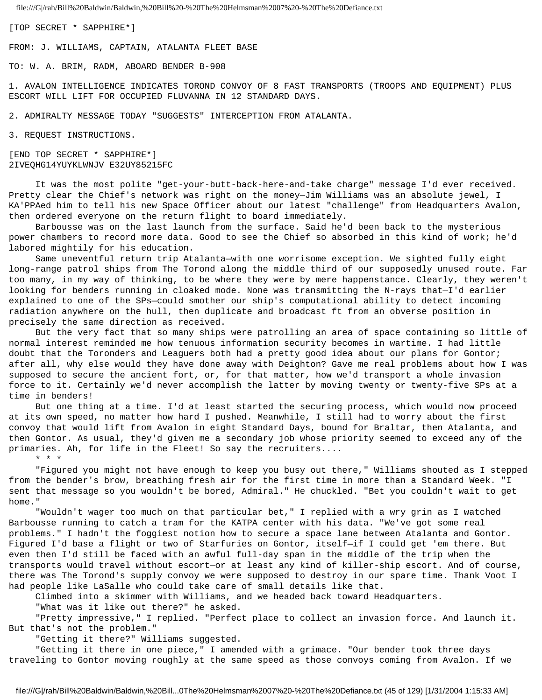[TOP SECRET \* SAPPHIRE\*]

FROM: J. WILLIAMS, CAPTAIN, ATALANTA FLEET BASE

TO: W. A. BRIM, RADM, ABOARD BENDER B-908

1. AVALON INTELLIGENCE INDICATES TOROND CONVOY OF 8 FAST TRANSPORTS (TROOPS AND EQUIPMENT) PLUS ESCORT WILL LIFT FOR OCCUPIED FLUVANNA IN 12 STANDARD DAYS.

2. ADMIRALTY MESSAGE TODAY "SUGGESTS" INTERCEPTION FROM ATALANTA.

3. REQUEST INSTRUCTIONS.

[END TOP SECRET \* SAPPHIRE\*] 2IVEQHG14YUYKLWNJV E32UY85215FC

 It was the most polite "get-your-butt-back-here-and-take charge" message I'd ever received. Pretty clear the Chief's network was right on the money—Jim Williams was an absolute jewel, I KA'PPAed him to tell his new Space Officer about our latest "challenge" from Headquarters Avalon, then ordered everyone on the return flight to board immediately.

 Barbousse was on the last launch from the surface. Said he'd been back to the mysterious power chambers to record more data. Good to see the Chief so absorbed in this kind of work; he'd labored mightily for his education.

 Same uneventful return trip Atalanta—with one worrisome exception. We sighted fully eight long-range patrol ships from The Torond along the middle third of our supposedly unused route. Far too many, in my way of thinking, to be where they were by mere happenstance. Clearly, they weren't looking for benders running in cloaked mode. None was transmitting the N-rays that—I'd earlier explained to one of the SPs—could smother our ship's computational ability to detect incoming radiation anywhere on the hull, then duplicate and broadcast ft from an obverse position in precisely the same direction as received.

 But the very fact that so many ships were patrolling an area of space containing so little of normal interest reminded me how tenuous information security becomes in wartime. I had little doubt that the Toronders and Leaguers both had a pretty good idea about our plans for Gontor; after all, why else would they have done away with Deighton? Gave me real problems about how I was supposed to secure the ancient fort, or, for that matter, how we'd transport a whole invasion force to it. Certainly we'd never accomplish the latter by moving twenty or twenty-five SPs at a time in benders!

 But one thing at a time. I'd at least started the securing process, which would now proceed at its own speed, no matter how hard I pushed. Meanwhile, I still had to worry about the first convoy that would lift from Avalon in eight Standard Days, bound for Braltar, then Atalanta, and then Gontor. As usual, they'd given me a secondary job whose priority seemed to exceed any of the primaries. Ah, for life in the Fleet! So say the recruiters....

\* \* \*

 "Figured you might not have enough to keep you busy out there," Williams shouted as I stepped from the bender's brow, breathing fresh air for the first time in more than a Standard Week. "I sent that message so you wouldn't be bored, Admiral." He chuckled. "Bet you couldn't wait to get home."

 "Wouldn't wager too much on that particular bet," I replied with a wry grin as I watched Barbousse running to catch a tram for the KATPA center with his data. "We've got some real problems." I hadn't the foggiest notion how to secure a space lane between Atalanta and Gontor. Figured I'd base a flight or two of Starfuries on Gontor, itself—if I could get 'em there. But even then I'd still be faced with an awful full-day span in the middle of the trip when the transports would travel without escort—or at least any kind of killer-ship escort. And of course, there was The Torond's supply convoy we were supposed to destroy in our spare time. Thank Voot I had people like LaSalle who could take care of small details like that.

Climbed into a skimmer with Williams, and we headed back toward Headquarters.

"What was it like out there?" he asked.

 "Pretty impressive," I replied. "Perfect place to collect an invasion force. And launch it. But that's not the problem."

"Getting it there?" Williams suggested.

 "Getting it there in one piece," I amended with a grimace. "Our bender took three days traveling to Gontor moving roughly at the same speed as those convoys coming from Avalon. If we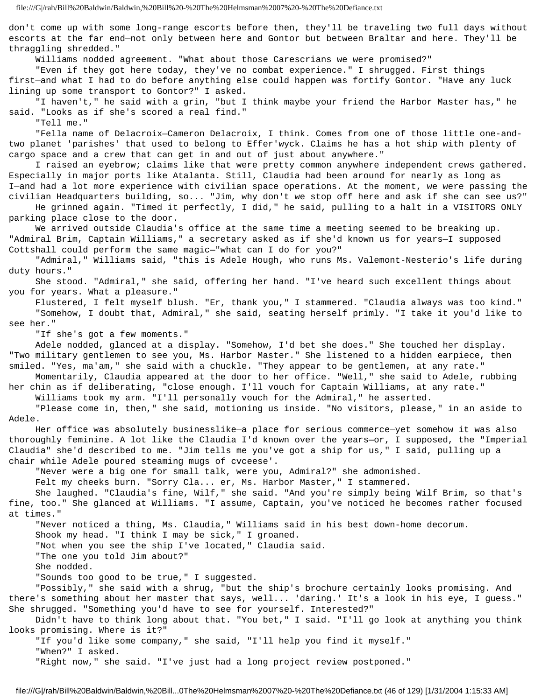don't come up with some long-range escorts before then, they'll be traveling two full days without escorts at the far end—not only between here and Gontor but between Braltar and here. They'll be thraggling shredded."

Williams nodded agreement. "What about those Carescrians we were promised?"

 "Even if they got here today, they've no combat experience." I shrugged. First things first—and what I had to do before anything else could happen was fortify Gontor. "Have any luck lining up some transport to Gontor?" I asked.

 "I haven't," he said with a grin, "but I think maybe your friend the Harbor Master has," he said. "Looks as if she's scored a real find."

"Tell me."

 "Fella name of Delacroix—Cameron Delacroix, I think. Comes from one of those little one-andtwo planet 'parishes' that used to belong to Effer'wyck. Claims he has a hot ship with plenty of cargo space and a crew that can get in and out of just about anywhere."

 I raised an eyebrow; claims like that were pretty common anywhere independent crews gathered. Especially in major ports like Atalanta. Still, Claudia had been around for nearly as long as I—and had a lot more experience with civilian space operations. At the moment, we were passing the civilian Headquarters building, so... "Jim, why don't we stop off here and ask if she can see us?"

 He grinned again. "Timed it perfectly, I did," he said, pulling to a halt in a VISITORS ONLY parking place close to the door.

 We arrived outside Claudia's office at the same time a meeting seemed to be breaking up. "Admiral Brim, Captain Williams," a secretary asked as if she'd known us for years—I supposed Cottshall could perform the same magic—"what can I do for you?"

 "Admiral," Williams said, "this is Adele Hough, who runs Ms. Valemont-Nesterio's life during duty hours."

 She stood. "Admiral," she said, offering her hand. "I've heard such excellent things about you for years. What a pleasure."

 Flustered, I felt myself blush. "Er, thank you," I stammered. "Claudia always was too kind." "Somehow, I doubt that, Admiral," she said, seating herself primly. "I take it you'd like to see her."

"If she's got a few moments."

 Adele nodded, glanced at a display. "Somehow, I'd bet she does." She touched her display. "Two military gentlemen to see you, Ms. Harbor Master." She listened to a hidden earpiece, then smiled. "Yes, ma'am," she said with a chuckle. "They appear to be gentlemen, at any rate." Momentarily, Claudia appeared at the door to her office. "Well," she said to Adele, rubbing

her chin as if deliberating, "close enough. I'll vouch for Captain Williams, at any rate."

Williams took my arm. "I'll personally vouch for the Admiral," he asserted.

 "Please come in, then," she said, motioning us inside. "No visitors, please," in an aside to Adele.

 Her office was absolutely businesslike—a place for serious commerce—yet somehow it was also thoroughly feminine. A lot like the Claudia I'd known over the years—or, I supposed, the "Imperial Claudia" she'd described to me. "Jim tells me you've got a ship for us," I said, pulling up a chair while Adele poured steaming mugs of cvceese'.

"Never were a big one for small talk, were you, Admiral?" she admonished.

Felt my cheeks burn. "Sorry Cla... er, Ms. Harbor Master," I stammered.

 She laughed. "Claudia's fine, Wilf," she said. "And you're simply being Wilf Brim, so that's fine, too." She glanced at Williams. "I assume, Captain, you've noticed he becomes rather focused at times."

"Never noticed a thing, Ms. Claudia," Williams said in his best down-home decorum.

Shook my head. "I think I may be sick," I groaned.

"Not when you see the ship I've located," Claudia said.

"The one you told Jim about?"

She nodded.

"Sounds too good to be true," I suggested.

 "Possibly," she said with a shrug, "but the ship's brochure certainly looks promising. And there's something about her master that says, well... 'daring.' It's a look in his eye, I guess." She shrugged. "Something you'd have to see for yourself. Interested?"

 Didn't have to think long about that. "You bet," I said. "I'll go look at anything you think looks promising. Where is it?"

"If you'd like some company," she said, "I'll help you find it myself."

"When?" I asked.

"Right now," she said. "I've just had a long project review postponed."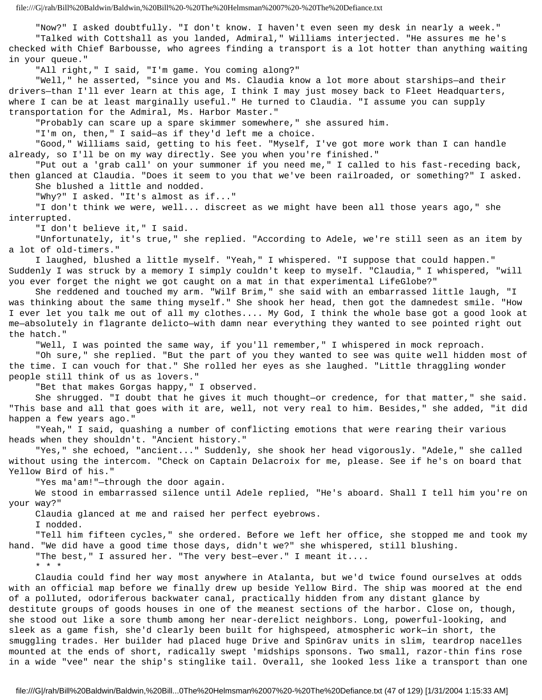"Now?" I asked doubtfully. "I don't know. I haven't even seen my desk in nearly a week." "Talked with Cottshall as you landed, Admiral," Williams interjected. "He assures me he's checked with Chief Barbousse, who agrees finding a transport is a lot hotter than anything waiting in your queue."

"All right," I said, "I'm game. You coming along?"

 "Well," he asserted, "since you and Ms. Claudia know a lot more about starships—and their drivers—than I'll ever learn at this age, I think I may just mosey back to Fleet Headquarters, where I can be at least marginally useful." He turned to Claudia. "I assume you can supply transportation for the Admiral, Ms. Harbor Master."

"Probably can scare up a spare skimmer somewhere," she assured him.

"I'm on, then," I said—as if they'd left me a choice.

 "Good," Williams said, getting to his feet. "Myself, I've got more work than I can handle already, so I'll be on my way directly. See you when you're finished."

 "Put out a 'grab call' on your summoner if you need me," I called to his fast-receding back, then glanced at Claudia. "Does it seem to you that we've been railroaded, or something?" I asked. She blushed a little and nodded.

"Why?" I asked. "It's almost as if..."

 "I don't think we were, well... discreet as we might have been all those years ago," she interrupted.

"I don't believe it," I said.

 "Unfortunately, it's true," she replied. "According to Adele, we're still seen as an item by a lot of old-timers."

 I laughed, blushed a little myself. "Yeah," I whispered. "I suppose that could happen." Suddenly I was struck by a memory I simply couldn't keep to myself. "Claudia," I whispered, "will you ever forget the night we got caught on a mat in that experimental LifeGlobe?"

 She reddened and touched my arm. "Wilf Brim," she said with an embarrassed little laugh, "I was thinking about the same thing myself." She shook her head, then got the damnedest smile. "How I ever let you talk me out of all my clothes.... My God, I think the whole base got a good look at me—absolutely in flagrante delicto—with damn near everything they wanted to see pointed right out the hatch."

"Well, I was pointed the same way, if you'll remember," I whispered in mock reproach.

 "Oh sure," she replied. "But the part of you they wanted to see was quite well hidden most of the time. I can vouch for that." She rolled her eyes as she laughed. "Little thraggling wonder people still think of us as lovers."

"Bet that makes Gorgas happy," I observed.

 She shrugged. "I doubt that he gives it much thought—or credence, for that matter," she said. "This base and all that goes with it are, well, not very real to him. Besides," she added, "it did happen a few years ago."

 "Yeah," I said, quashing a number of conflicting emotions that were rearing their various heads when they shouldn't. "Ancient history."

 "Yes," she echoed, "ancient..." Suddenly, she shook her head vigorously. "Adele," she called without using the intercom. "Check on Captain Delacroix for me, please. See if he's on board that Yellow Bird of his."

"Yes ma'am!"—through the door again.

 We stood in embarrassed silence until Adele replied, "He's aboard. Shall I tell him you're on your way?"

Claudia glanced at me and raised her perfect eyebrows.

I nodded.

 "Tell him fifteen cycles," she ordered. Before we left her office, she stopped me and took my hand. "We did have a good time those days, didn't we?" she whispered, still blushing.

"The best," I assured her. "The very best—ever." I meant it....

\* \* \*

 Claudia could find her way most anywhere in Atalanta, but we'd twice found ourselves at odds with an official map before we finally drew up beside Yellow Bird. The ship was moored at the end of a polluted, odoriferous backwater canal, practically hidden from any distant glance by destitute groups of goods houses in one of the meanest sections of the harbor. Close on, though, she stood out like a sore thumb among her near-derelict neighbors. Long, powerful-looking, and sleek as a game fish, she'd clearly been built for highspeed, atmospheric work—in short, the smuggling trades. Her builder had placed huge Drive and SpinGrav units in slim, teardrop nacelles mounted at the ends of short, radically swept 'midships sponsons. Two small, razor-thin fins rose in a wide "vee" near the ship's stinglike tail. Overall, she looked less like a transport than one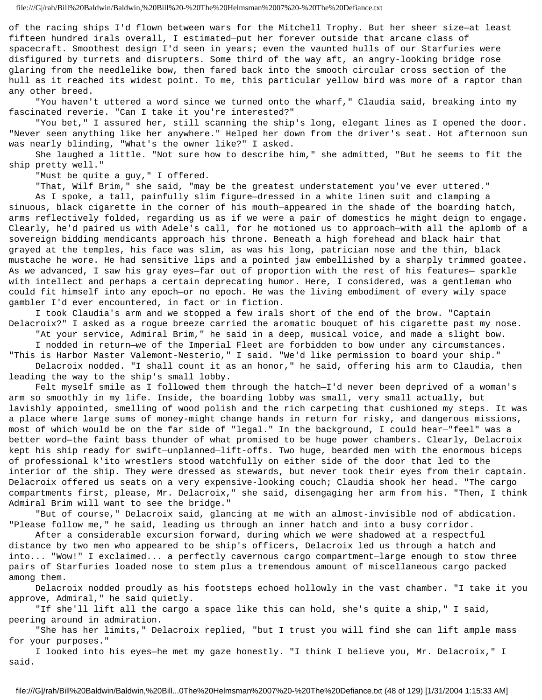of the racing ships I'd flown between wars for the Mitchell Trophy. But her sheer size—at least fifteen hundred irals overall, I estimated—put her forever outside that arcane class of spacecraft. Smoothest design I'd seen in years; even the vaunted hulls of our Starfuries were disfigured by turrets and disrupters. Some third of the way aft, an angry-looking bridge rose glaring from the needlelike bow, then fared back into the smooth circular cross section of the hull as it reached its widest point. To me, this particular yellow bird was more of a raptor than any other breed.

 "You haven't uttered a word since we turned onto the wharf," Claudia said, breaking into my fascinated reverie. "Can I take it you're interested?"

 "You bet," I assured her, still scanning the ship's long, elegant lines as I opened the door. "Never seen anything like her anywhere." Helped her down from the driver's seat. Hot afternoon sun was nearly blinding, "What's the owner like?" I asked.

 She laughed a little. "Not sure how to describe him," she admitted, "But he seems to fit the ship pretty well."

"Must be quite a guy," I offered.

"That, Wilf Brim," she said, "may be the greatest understatement you've ever uttered."

 As I spoke, a tall, painfully slim figure—dressed in a white linen suit and clamping a sinuous, black cigarette in the corner of his mouth—appeared in the shade of the boarding hatch, arms reflectively folded, regarding us as if we were a pair of domestics he might deign to engage. Clearly, he'd paired us with Adele's call, for he motioned us to approach—with all the aplomb of a sovereign bidding mendicants approach his throne. Beneath a high forehead and black hair that grayed at the temples, his face was slim, as was his long, patrician nose and the thin, black mustache he wore. He had sensitive lips and a pointed jaw embellished by a sharply trimmed goatee. As we advanced, I saw his gray eyes—far out of proportion with the rest of his features— sparkle with intellect and perhaps a certain deprecating humor. Here, I considered, was a gentleman who could fit himself into any epoch—or no epoch. He was the living embodiment of every wily space gambler I'd ever encountered, in fact or in fiction.

 I took Claudia's arm and we stopped a few irals short of the end of the brow. "Captain Delacroix?" I asked as a rogue breeze carried the aromatic bouquet of his cigarette past my nose.

 "At your service, Admiral Brim," he said in a deep, musical voice, and made a slight bow. I nodded in return—we of the Imperial Fleet are forbidden to bow under any circumstances.

"This is Harbor Master Valemont-Nesterio," I said. "We'd like permission to board your ship."

 Delacroix nodded. "I shall count it as an honor," he said, offering his arm to Claudia, then leading the way to the ship's small lobby.

 Felt myself smile as I followed them through the hatch—I'd never been deprived of a woman's arm so smoothly in my life. Inside, the boarding lobby was small, very small actually, but lavishly appointed, smelling of wood polish and the rich carpeting that cushioned my steps. It was a place where large sums of money-might change hands in return for risky, and dangerous missions, most of which would be on the far side of "legal." In the background, I could hear—"feel" was a better word—the faint bass thunder of what promised to be huge power chambers. Clearly, Delacroix kept his ship ready for swift—unplanned—lift-offs. Two huge, bearded men with the enormous biceps of professional k'ito wrestlers stood watchfully on either side of the door that led to the interior of the ship. They were dressed as stewards, but never took their eyes from their captain. Delacroix offered us seats on a very expensive-looking couch; Claudia shook her head. "The cargo compartments first, please, Mr. Delacroix," she said, disengaging her arm from his. "Then, I think Admiral Brim will want to see the bridge."

 "But of course," Delacroix said, glancing at me with an almost-invisible nod of abdication. "Please follow me," he said, leading us through an inner hatch and into a busy corridor.

 After a considerable excursion forward, during which we were shadowed at a respectful distance by two men who appeared to be ship's officers, Delacroix led us through a hatch and into... "Wow!" I exclaimed... a perfectly cavernous cargo compartment—large enough to stow three pairs of Starfuries loaded nose to stem plus a tremendous amount of miscellaneous cargo packed among them.

 Delacroix nodded proudly as his footsteps echoed hollowly in the vast chamber. "I take it you approve, Admiral," he said quietly.

 "If she'll lift all the cargo a space like this can hold, she's quite a ship," I said, peering around in admiration.

 "She has her limits," Delacroix replied, "but I trust you will find she can lift ample mass for your purposes."

 I looked into his eyes—he met my gaze honestly. "I think I believe you, Mr. Delacroix," I said.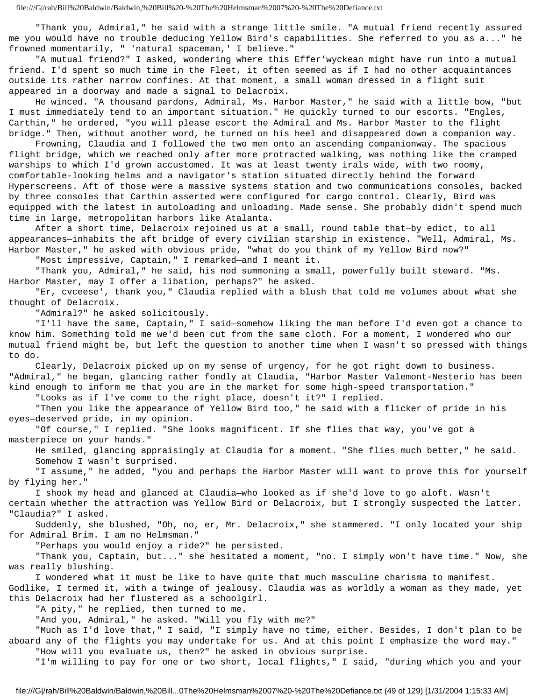"Thank you, Admiral," he said with a strange little smile. "A mutual friend recently assured me you would have no trouble deducing Yellow Bird's capabilities. She referred to you as a..." he frowned momentarily, " 'natural spaceman,' I believe."

 "A mutual friend?" I asked, wondering where this Effer'wyckean might have run into a mutual friend. I'd spent so much time in the Fleet, it often seemed as if I had no other acquaintances outside its rather narrow confines. At that moment, a small woman dressed in a flight suit appeared in a doorway and made a signal to Delacroix.

 He winced. "A thousand pardons, Admiral, Ms. Harbor Master," he said with a little bow, "but I must immediately tend to an important situation." He quickly turned to our escorts. "Engles, Carthin," he ordered, "you will please escort the Admiral and Ms. Harbor Master to the flight bridge." Then, without another word, he turned on his heel and disappeared down a companion way.

 Frowning, Claudia and I followed the two men onto an ascending companionway. The spacious flight bridge, which we reached only after more protracted walking, was nothing like the cramped warships to which I'd grown accustomed. It was at least twenty irals wide, with two roomy, comfortable-looking helms and a navigator's station situated directly behind the forward Hyperscreens. Aft of those were a massive systems station and two communications consoles, backed by three consoles that Carthin asserted were configured for cargo control. Clearly, Bird was equipped with the latest in autoloading and unloading. Made sense. She probably didn't spend much time in large, metropolitan harbors like Atalanta.

 After a short time, Delacroix rejoined us at a small, round table that—by edict, to all appearances—inhabits the aft bridge of every civilian starship in existence. "Well, Admiral, Ms. Harbor Master," he asked with obvious pride, "what do you think of my Yellow Bird now?"

"Most impressive, Captain," I remarked—and I meant it.

 "Thank you, Admiral," he said, his nod summoning a small, powerfully built steward. "Ms. Harbor Master, may I offer a libation, perhaps?" he asked.

 "Er, cvceese', thank you," Claudia replied with a blush that told me volumes about what she thought of Delacroix.

"Admiral?" he asked solicitously.

 "I'll have the same, Captain," I said—somehow liking the man before I'd even got a chance to know him. Something told me we'd been cut from the same cloth. For a moment, I wondered who our mutual friend might be, but left the question to another time when I wasn't so pressed with things to do.

 Clearly, Delacroix picked up on my sense of urgency, for he got right down to business. "Admiral," he began, glancing rather fondly at Claudia, "Harbor Master Valemont-Nesterio has been kind enough to inform me that you are in the market for some high-speed transportation."

"Looks as if I've come to the right place, doesn't it?" I replied.

 "Then you like the appearance of Yellow Bird too," he said with a flicker of pride in his eyes—deserved pride, in my opinion.

 "Of course," I replied. "She looks magnificent. If she flies that way, you've got a masterpiece on your hands."

 He smiled, glancing appraisingly at Claudia for a moment. "She flies much better," he said. Somehow I wasn't surprised.

 "I assume," he added, "you and perhaps the Harbor Master will want to prove this for yourself by flying her."

 I shook my head and glanced at Claudia—who looked as if she'd love to go aloft. Wasn't certain whether the attraction was Yellow Bird or Delacroix, but I strongly suspected the latter. "Claudia?" I asked.

 Suddenly, she blushed, "Oh, no, er, Mr. Delacroix," she stammered. "I only located your ship for Admiral Brim. I am no Helmsman."

"Perhaps you would enjoy a ride?" he persisted.

 "Thank you, Captain, but..." she hesitated a moment, "no. I simply won't have time." Now, she was really blushing.

I wondered what it must be like to have quite that much masculine charisma to manifest.

Godlike, I termed it, with a twinge of jealousy. Claudia was as worldly a woman as they made, yet this Delacroix had her flustered as a schoolgirl.

"A pity," he replied, then turned to me.

"And you, Admiral," he asked. "Will you fly with me?"

 "Much as I'd love that," I said, "I simply have no time, either. Besides, I don't plan to be aboard any of the flights you may undertake for us. And at this point I emphasize the word may." "How will you evaluate us, then?" he asked in obvious surprise.

"I'm willing to pay for one or two short, local flights," I said, "during which you and your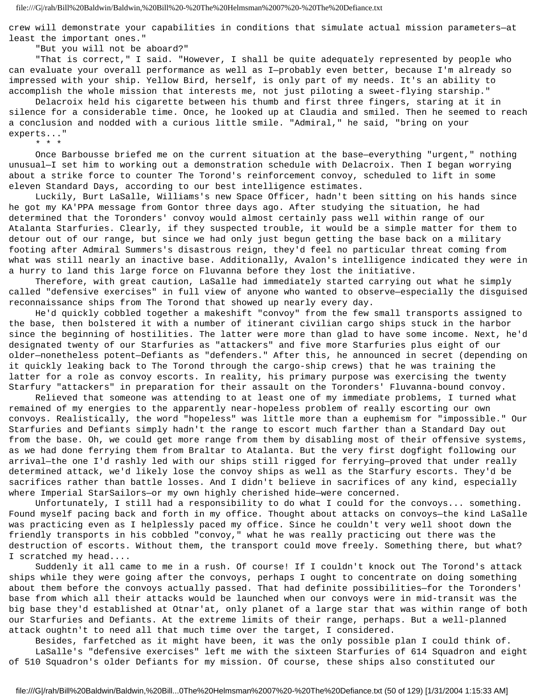crew will demonstrate your capabilities in conditions that simulate actual mission parameters—at least the important ones."

"But you will not be aboard?"

 "That is correct," I said. "However, I shall be quite adequately represented by people who can evaluate your overall performance as well as I—probably even better, because I'm already so impressed with your ship. Yellow Bird, herself, is only part of my needs. It's an ability to accomplish the whole mission that interests me, not just piloting a sweet-flying starship."

 Delacroix held his cigarette between his thumb and first three fingers, staring at it in silence for a considerable time. Once, he looked up at Claudia and smiled. Then he seemed to reach a conclusion and nodded with a curious little smile. "Admiral," he said, "bring on your experts..."

\* \* \*

 Once Barbousse briefed me on the current situation at the base—everything "urgent," nothing unusual—I set him to working out a demonstration schedule with Delacroix. Then I began worrying about a strike force to counter The Torond's reinforcement convoy, scheduled to lift in some eleven Standard Days, according to our best intelligence estimates.

 Luckily, Burt LaSalle, Williams's new Space Officer, hadn't been sitting on his hands since he got my KA'PPA message from Gontor three days ago. After studying the situation, he had determined that the Toronders' convoy would almost certainly pass well within range of our Atalanta Starfuries. Clearly, if they suspected trouble, it would be a simple matter for them to detour out of our range, but since we had only just begun getting the base back on a military footing after Admiral Summers's disastrous reign, they'd feel no particular threat coming from what was still nearly an inactive base. Additionally, Avalon's intelligence indicated they were in a hurry to land this large force on Fluvanna before they lost the initiative.

 Therefore, with great caution, LaSalle had immediately started carrying out what he simply called "defensive exercises" in full view of anyone who wanted to observe—especially the disguised reconnaissance ships from The Torond that showed up nearly every day.

 He'd quickly cobbled together a makeshift "convoy" from the few small transports assigned to the base, then bolstered it with a number of itinerant civilian cargo ships stuck in the harbor since the beginning of hostilities. The latter were more than glad to have some income. Next, he'd designated twenty of our Starfuries as "attackers" and five more Starfuries plus eight of our older—nonetheless potent—Defiants as "defenders." After this, he announced in secret (depending on it quickly leaking back to The Torond through the cargo-ship crews) that he was training the latter for a role as convoy escorts. In reality, his primary purpose was exercising the twenty Starfury "attackers" in preparation for their assault on the Toronders' Fluvanna-bound convoy.

 Relieved that someone was attending to at least one of my immediate problems, I turned what remained of my energies to the apparently near-hopeless problem of really escorting our own convoys. Realistically, the word "hopeless" was little more than a euphemism for "impossible." Our Starfuries and Defiants simply hadn't the range to escort much farther than a Standard Day out from the base. Oh, we could get more range from them by disabling most of their offensive systems, as we had done ferrying them from Braltar to Atalanta. But the very first dogfight following our arrival—the one I'd rashly led with our ships still rigged for ferrying—proved that under really determined attack, we'd likely lose the convoy ships as well as the Starfury escorts. They'd be sacrifices rather than battle losses. And I didn't believe in sacrifices of any kind, especially where Imperial StarSailors—or my own highly cherished hide—were concerned.

 Unfortunately, I still had a responsibility to do what I could for the convoys... something. Found myself pacing back and forth in my office. Thought about attacks on convoys—the kind LaSalle was practicing even as I helplessly paced my office. Since he couldn't very well shoot down the friendly transports in his cobbled "convoy," what he was really practicing out there was the destruction of escorts. Without them, the transport could move freely. Something there, but what? I scratched my head....

 Suddenly it all came to me in a rush. Of course! If I couldn't knock out The Torond's attack ships while they were going after the convoys, perhaps I ought to concentrate on doing something about them before the convoys actually passed. That had definite possibilities—for the Toronders' base from which all their attacks would be launched when our convoys were in mid-transit was the big base they'd established at Otnar'at, only planet of a large star that was within range of both our Starfuries and Defiants. At the extreme limits of their range, perhaps. But a well-planned attack oughtn't to need all that much time over the target, I considered.

 Besides, farfetched as it might have been, it was the only possible plan I could think of. LaSalle's "defensive exercises" left me with the sixteen Starfuries of 614 Squadron and eight of 510 Squadron's older Defiants for my mission. Of course, these ships also constituted our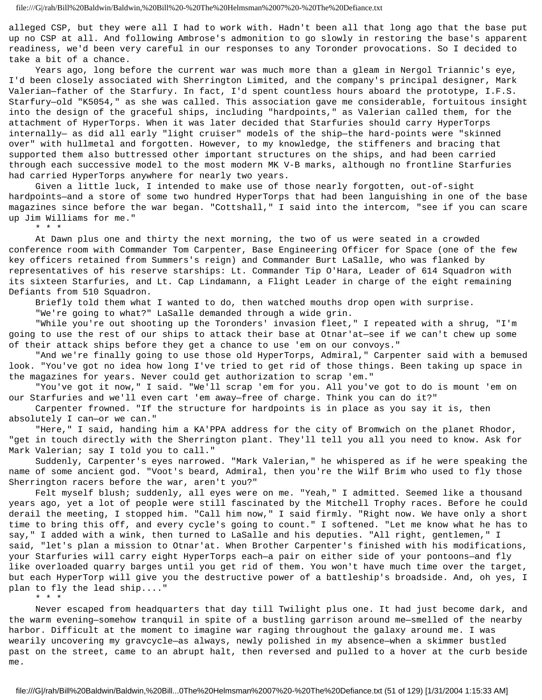alleged CSP, but they were all I had to work with. Hadn't been all that long ago that the base put up no CSP at all. And following Ambrose's admonition to go slowly in restoring the base's apparent readiness, we'd been very careful in our responses to any Toronder provocations. So I decided to take a bit of a chance.

 Years ago, long before the current war was much more than a gleam in Nergol Triannic's eye, I'd been closely associated with Sherrington Limited, and the company's principal designer, Mark Valerian—father of the Starfury. In fact, I'd spent countless hours aboard the prototype, I.F.S. Starfury—old "K5054," as she was called. This association gave me considerable, fortuitous insight into the design of the graceful ships, including "hardpoints," as Valerian called them, for the attachment of HyperTorps. When it was later decided that Starfuries should carry HyperTorps internally— as did all early "light cruiser" models of the ship—the hard-points were "skinned over" with hullmetal and forgotten. However, to my knowledge, the stiffeners and bracing that supported them also buttressed other important structures on the ships, and had been carried through each successive model to the most modern MK V-B marks, although no frontline Starfuries had carried HyperTorps anywhere for nearly two years.

 Given a little luck, I intended to make use of those nearly forgotten, out-of-sight hardpoints—and a store of some two hundred HyperTorps that had been languishing in one of the base magazines since before the war began. "Cottshall," I said into the intercom, "see if you can scare up Jim Williams for me."

\* \* \*

 At Dawn plus one and thirty the next morning, the two of us were seated in a crowded conference room with Commander Tom Carpenter, Base Engineering Officer for Space (one of the few key officers retained from Summers's reign) and Commander Burt LaSalle, who was flanked by representatives of his reserve starships: Lt. Commander Tip O'Hara, Leader of 614 Squadron with its sixteen Starfuries, and Lt. Cap Lindamann, a Flight Leader in charge of the eight remaining Defiants from 510 Squadron.

Briefly told them what I wanted to do, then watched mouths drop open with surprise.

"We're going to what?" LaSalle demanded through a wide grin.

 "While you're out shooting up the Toronders' invasion fleet," I repeated with a shrug, "I'm going to use the rest of our ships to attack their base at Otnar'at—see if we can't chew up some of their attack ships before they get a chance to use 'em on our convoys."

"And we're finally going to use those old HyperTorps, Admiral," Carpenter said with a bemused look. "You've got no idea how long I've tried to get rid of those things. Been taking up space in the magazines for years. Never could get authorization to scrap 'em."

 "You've got it now," I said. "We'll scrap 'em for you. All you've got to do is mount 'em on our Starfuries and we'll even cart 'em away—free of charge. Think you can do it?"

 Carpenter frowned. "If the structure for hardpoints is in place as you say it is, then absolutely I can—or we can."

 "Here," I said, handing him a KA'PPA address for the city of Bromwich on the planet Rhodor, "get in touch directly with the Sherrington plant. They'll tell you all you need to know. Ask for Mark Valerian; say I told you to call."

 Suddenly, Carpenter's eyes narrowed. "Mark Valerian," he whispered as if he were speaking the name of some ancient god. "Voot's beard, Admiral, then you're the Wilf Brim who used to fly those Sherrington racers before the war, aren't you?"

Felt myself blush; suddenly, all eyes were on me. "Yeah," I admitted. Seemed like a thousand years ago, yet a lot of people were still fascinated by the Mitchell Trophy races. Before he could derail the meeting, I stopped him. "Call him now," I said firmly. "Right now. We have only a short time to bring this off, and every cycle's going to count." I softened. "Let me know what he has to say," I added with a wink, then turned to LaSalle and his deputies. "All right, gentlemen," I said, "let's plan a mission to Otnar'at. When Brother Carpenter's finished with his modifications, your Starfuries will carry eight HyperTorps each—a pair on either side of your pontoons—and fly like overloaded quarry barges until you get rid of them. You won't have much time over the target, but each HyperTorp will give you the destructive power of a battleship's broadside. And, oh yes, I plan to fly the lead ship...."

\* \* \*

 Never escaped from headquarters that day till Twilight plus one. It had just become dark, and the warm evening—somehow tranquil in spite of a bustling garrison around me—smelled of the nearby harbor. Difficult at the moment to imagine war raging throughout the galaxy around me. I was wearily uncovering my gravcycle—as always, newly polished in my absence—when a skimmer bustled past on the street, came to an abrupt halt, then reversed and pulled to a hover at the curb beside me.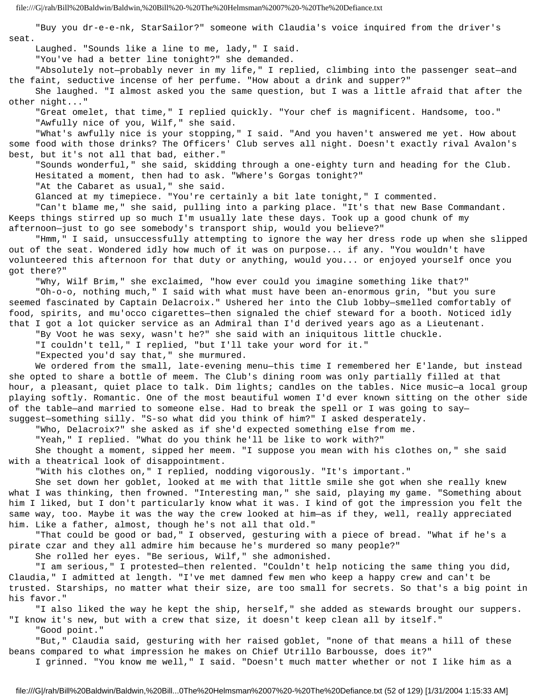"Buy you dr-e-e-nk, StarSailor?" someone with Claudia's voice inquired from the driver's seat.

Laughed. "Sounds like a line to me, lady," I said.

"You've had a better line tonight?" she demanded.

 "Absolutely not—probably never in my life," I replied, climbing into the passenger seat—and the faint, seductive incense of her perfume. "How about a drink and supper?"

 She laughed. "I almost asked you the same question, but I was a little afraid that after the other night..."

 "Great omelet, that time," I replied quickly. "Your chef is magnificent. Handsome, too." "Awfully nice of you, Wilf," she said.

 "What's awfully nice is your stopping," I said. "And you haven't answered me yet. How about some food with those drinks? The Officers' Club serves all night. Doesn't exactly rival Avalon's best, but it's not all that bad, either."

 "Sounds wonderful," she said, skidding through a one-eighty turn and heading for the Club. Hesitated a moment, then had to ask. "Where's Gorgas tonight?"

"At the Cabaret as usual," she said.

Glanced at my timepiece. "You're certainly a bit late tonight," I commented.

 "Can't blame me," she said, pulling into a parking place. "It's that new Base Commandant. Keeps things stirred up so much I'm usually late these days. Took up a good chunk of my afternoon—just to go see somebody's transport ship, would you believe?"

 "Hmm," I said, unsuccessfully attempting to ignore the way her dress rode up when she slipped out of the seat. Wondered idly how much of it was on purpose... if any. "You wouldn't have volunteered this afternoon for that duty or anything, would you... or enjoyed yourself once you got there?"

"Why, Wilf Brim," she exclaimed, "how ever could you imagine something like that?"

 "Oh-o-o, nothing much," I said with what must have been an-enormous grin, "but you sure seemed fascinated by Captain Delacroix." Ushered her into the Club lobby—smelled comfortably of food, spirits, and mu'occo cigarettes—then signaled the chief steward for a booth. Noticed idly that I got a lot quicker service as an Admiral than I'd derived years ago as a Lieutenant.

"By Voot he was sexy, wasn't he?" she said with an iniquitous little chuckle.

"I couldn't tell," I replied, "but I'll take your word for it."

"Expected you'd say that," she murmured.

We ordered from the small, late-evening menu-this time I remembered her E'lande, but instead she opted to share a bottle of meem. The Club's dining room was only partially filled at that hour, a pleasant, quiet place to talk. Dim lights; candles on the tables. Nice music—a local group playing softly. Romantic. One of the most beautiful women I'd ever known sitting on the other side of the table-and married to someone else. Had to break the spell or I was going to saysuggest—something silly. "S-so what did you think of him?" I asked desperately.

"Who, Delacroix?" she asked as if she'd expected something else from me.

"Yeah," I replied. "What do you think he'll be like to work with?"

 She thought a moment, sipped her meem. "I suppose you mean with his clothes on," she said with a theatrical look of disappointment.

"With his clothes on," I replied, nodding vigorously. "It's important."

 She set down her goblet, looked at me with that little smile she got when she really knew what I was thinking, then frowned. "Interesting man," she said, playing my game. "Something about him I liked, but I don't particularly know what it was. I kind of got the impression you felt the same way, too. Maybe it was the way the crew looked at him—as if they, well, really appreciated him. Like a father, almost, though he's not all that old."

 "That could be good or bad," I observed, gesturing with a piece of bread. "What if he's a pirate czar and they all admire him because he's murdered so many people?"

She rolled her eyes. "Be serious, Wilf," she admonished.

 "I am serious," I protested—then relented. "Couldn't help noticing the same thing you did, Claudia," I admitted at length. "I've met damned few men who keep a happy crew and can't be trusted. Starships, no matter what their size, are too small for secrets. So that's a big point in his favor."

 "I also liked the way he kept the ship, herself," she added as stewards brought our suppers. "I know it's new, but with a crew that size, it doesn't keep clean all by itself." "Good point."

 "But," Claudia said, gesturing with her raised goblet, "none of that means a hill of these beans compared to what impression he makes on Chief Utrillo Barbousse, does it?"

I grinned. "You know me well," I said. "Doesn't much matter whether or not I like him as a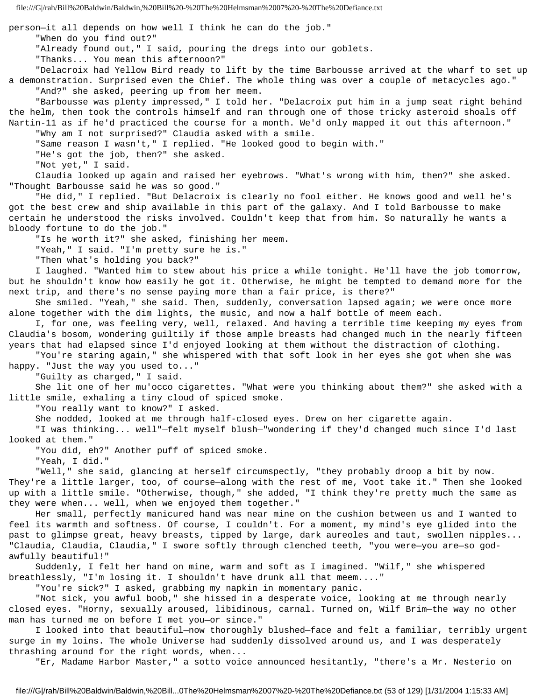person—it all depends on how well I think he can do the job."

"When do you find out?"

"Already found out," I said, pouring the dregs into our goblets.

"Thanks... You mean this afternoon?"

 "Delacroix had Yellow Bird ready to lift by the time Barbousse arrived at the wharf to set up a demonstration. Surprised even the Chief. The whole thing was over a couple of metacycles ago."

"And?" she asked, peering up from her meem.

 "Barbousse was plenty impressed," I told her. "Delacroix put him in a jump seat right behind the helm, then took the controls himself and ran through one of those tricky asteroid shoals off Nartin-11 as if he'd practiced the course for a month. We'd only mapped it out this afternoon."

"Why am I not surprised?" Claudia asked with a smile.

"Same reason I wasn't," I replied. "He looked good to begin with."

"He's got the job, then?" she asked.

"Not yet," I said.

 Claudia looked up again and raised her eyebrows. "What's wrong with him, then?" she asked. "Thought Barbousse said he was so good."

 "He did," I replied. "But Delacroix is clearly no fool either. He knows good and well he's got the best crew and ship available in this part of the galaxy. And I told Barbousse to make certain he understood the risks involved. Couldn't keep that from him. So naturally he wants a bloody fortune to do the job."

"Is he worth it?" she asked, finishing her meem.

"Yeah," I said. "I'm pretty sure he is."

"Then what's holding you back?"

 I laughed. "Wanted him to stew about his price a while tonight. He'll have the job tomorrow, but he shouldn't know how easily he got it. Otherwise, he might be tempted to demand more for the next trip, and there's no sense paying more than a fair price, is there?"

 She smiled. "Yeah," she said. Then, suddenly, conversation lapsed again; we were once more alone together with the dim lights, the music, and now a half bottle of meem each.

 I, for one, was feeling very, well, relaxed. And having a terrible time keeping my eyes from Claudia's bosom, wondering guiltily if those ample breasts had changed much in the nearly fifteen years that had elapsed since I'd enjoyed looking at them without the distraction of clothing.

 "You're staring again," she whispered with that soft look in her eyes she got when she was happy. "Just the way you used to..."

"Guilty as charged," I said.

 She lit one of her mu'occo cigarettes. "What were you thinking about them?" she asked with a little smile, exhaling a tiny cloud of spiced smoke.

"You really want to know?" I asked.

She nodded, looked at me through half-closed eyes. Drew on her cigarette again.

 "I was thinking... well"—felt myself blush—"wondering if they'd changed much since I'd last looked at them."

"You did, eh?" Another puff of spiced smoke.

"Yeah, I did."

 "Well," she said, glancing at herself circumspectly, "they probably droop a bit by now. They're a little larger, too, of course-along with the rest of me, Voot take it." Then she looked up with a little smile. "Otherwise, though," she added, "I think they're pretty much the same as they were when... well, when we enjoyed them together."

 Her small, perfectly manicured hand was near mine on the cushion between us and I wanted to feel its warmth and softness. Of course, I couldn't. For a moment, my mind's eye glided into the past to glimpse great, heavy breasts, tipped by large, dark aureoles and taut, swollen nipples... "Claudia, Claudia, Claudia," I swore softly through clenched teeth, "you were—you are—so godawfully beautiful!"

 Suddenly, I felt her hand on mine, warm and soft as I imagined. "Wilf," she whispered breathlessly, "I'm losing it. I shouldn't have drunk all that meem...."

"You're sick?" I asked, grabbing my napkin in momentary panic.

 "Not sick, you awful boob," she hissed in a desperate voice, looking at me through nearly closed eyes. "Horny, sexually aroused, libidinous, carnal. Turned on, Wilf Brim—the way no other man has turned me on before I met you—or since."

 I looked into that beautiful—now thoroughly blushed—face and felt a familiar, terribly urgent surge in my loins. The whole Universe had suddenly dissolved around us, and I was desperately thrashing around for the right words, when...

"Er, Madame Harbor Master," a sotto voice announced hesitantly, "there's a Mr. Nesterio on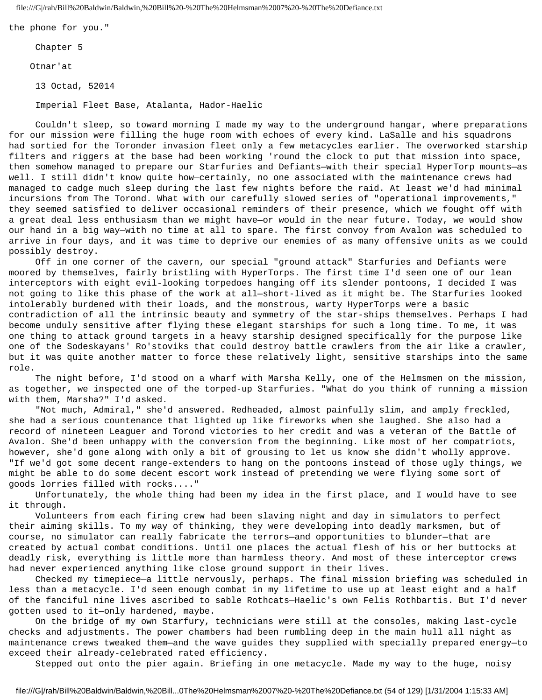the phone for you."

Chapter 5

Otnar'at

13 Octad, 52014

Imperial Fleet Base, Atalanta, Hador-Haelic

 Couldn't sleep, so toward morning I made my way to the underground hangar, where preparations for our mission were filling the huge room with echoes of every kind. LaSalle and his squadrons had sortied for the Toronder invasion fleet only a few metacycles earlier. The overworked starship filters and riggers at the base had been working 'round the clock to put that mission into space, then somehow managed to prepare our Starfuries and Defiants—with their special HyperTorp mounts—as well. I still didn't know quite how—certainly, no one associated with the maintenance crews had managed to cadge much sleep during the last few nights before the raid. At least we'd had minimal incursions from The Torond. What with our carefully slowed series of "operational improvements," they seemed satisfied to deliver occasional reminders of their presence, which we fought off with a great deal less enthusiasm than we might have—or would in the near future. Today, we would show our hand in a big way—with no time at all to spare. The first convoy from Avalon was scheduled to arrive in four days, and it was time to deprive our enemies of as many offensive units as we could possibly destroy.

 Off in one corner of the cavern, our special "ground attack" Starfuries and Defiants were moored by themselves, fairly bristling with HyperTorps. The first time I'd seen one of our lean interceptors with eight evil-looking torpedoes hanging off its slender pontoons, I decided I was not going to like this phase of the work at all—short-lived as it might be. The Starfuries looked intolerably burdened with their loads, and the monstrous, warty HyperTorps were a basic contradiction of all the intrinsic beauty and symmetry of the star-ships themselves. Perhaps I had become unduly sensitive after flying these elegant starships for such a long time. To me, it was one thing to attack ground targets in a heavy starship designed specifically for the purpose like one of the Sodeskayans' Ro'stoviks that could destroy battle crawlers from the air like a crawler, but it was quite another matter to force these relatively light, sensitive starships into the same role.

 The night before, I'd stood on a wharf with Marsha Kelly, one of the Helmsmen on the mission, as together, we inspected one of the torped-up Starfuries. "What do you think of running a mission with them, Marsha?" I'd asked.

 "Not much, Admiral," she'd answered. Redheaded, almost painfully slim, and amply freckled, she had a serious countenance that lighted up like fireworks when she laughed. She also had a record of nineteen Leaguer and Torond victories to her credit and was a veteran of the Battle of Avalon. She'd been unhappy with the conversion from the beginning. Like most of her compatriots, however, she'd gone along with only a bit of grousing to let us know she didn't wholly approve. "If we'd got some decent range-extenders to hang on the pontoons instead of those ugly things, we might be able to do some decent escort work instead of pretending we were flying some sort of goods lorries filled with rocks...."

 Unfortunately, the whole thing had been my idea in the first place, and I would have to see it through.

 Volunteers from each firing crew had been slaving night and day in simulators to perfect their aiming skills. To my way of thinking, they were developing into deadly marksmen, but of course, no simulator can really fabricate the terrors—and opportunities to blunder—that are created by actual combat conditions. Until one places the actual flesh of his or her buttocks at deadly risk, everything is little more than harmless theory. And most of these interceptor crews had never experienced anything like close ground support in their lives.

 Checked my timepiece—a little nervously, perhaps. The final mission briefing was scheduled in less than a metacycle. I'd seen enough combat in my lifetime to use up at least eight and a half of the fanciful nine lives ascribed to sable Rothcats—Haelic's own Felis Rothbartis. But I'd never gotten used to it—only hardened, maybe.

 On the bridge of my own Starfury, technicians were still at the consoles, making last-cycle checks and adjustments. The power chambers had been rumbling deep in the main hull all night as maintenance crews tweaked them—and the wave guides they supplied with specially prepared energy—to exceed their already-celebrated rated efficiency.

Stepped out onto the pier again. Briefing in one metacycle. Made my way to the huge, noisy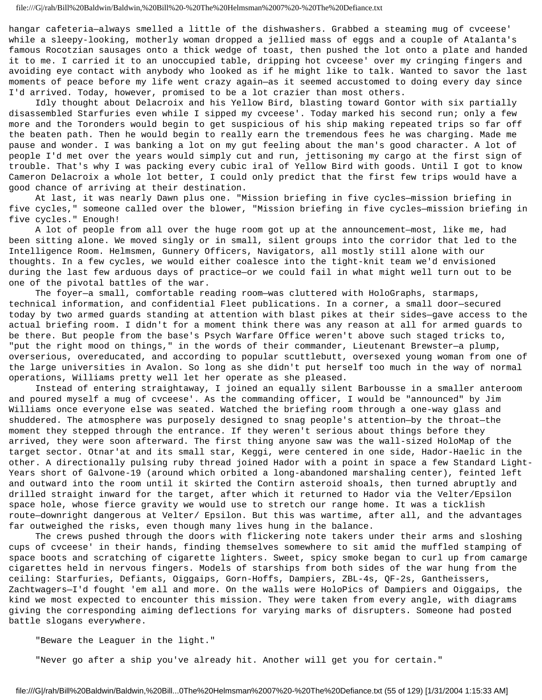hangar cafeteria—always smelled a little of the dishwashers. Grabbed a steaming mug of cvceese' while a sleepy-looking, motherly woman dropped a jellied mass of eggs and a couple of Atalanta's famous Rocotzian sausages onto a thick wedge of toast, then pushed the lot onto a plate and handed it to me. I carried it to an unoccupied table, dripping hot cvceese' over my cringing fingers and avoiding eye contact with anybody who looked as if he might like to talk. Wanted to savor the last moments of peace before my life went crazy again—as it seemed accustomed to doing every day since I'd arrived. Today, however, promised to be a lot crazier than most others.

 Idly thought about Delacroix and his Yellow Bird, blasting toward Gontor with six partially disassembled Starfuries even while I sipped my cvceese'. Today marked his second run; only a few more and the Toronders would begin to get suspicious of his ship making repeated trips so far off the beaten path. Then he would begin to really earn the tremendous fees he was charging. Made me pause and wonder. I was banking a lot on my gut feeling about the man's good character. A lot of people I'd met over the years would simply cut and run, jettisoning my cargo at the first sign of trouble. That's why I was packing every cubic iral of Yellow Bird with goods. Until I got to know Cameron Delacroix a whole lot better, I could only predict that the first few trips would have a good chance of arriving at their destination.

 At last, it was nearly Dawn plus one. "Mission briefing in five cycles—mission briefing in five cycles," someone called over the blower, "Mission briefing in five cycles—mission briefing in five cycles." Enough!

 A lot of people from all over the huge room got up at the announcement—most, like me, had been sitting alone. We moved singly or in small, silent groups into the corridor that led to the Intelligence Room. Helmsmen, Gunnery Officers, Navigators, all mostly still alone with our thoughts. In a few cycles, we would either coalesce into the tight-knit team we'd envisioned during the last few arduous days of practice—or we could fail in what might well turn out to be one of the pivotal battles of the war.

 The foyer—a small, comfortable reading room—was cluttered with HoloGraphs, starmaps, technical information, and confidential Fleet publications. In a corner, a small door—secured today by two armed guards standing at attention with blast pikes at their sides—gave access to the actual briefing room. I didn't for a moment think there was any reason at all for armed guards to be there. But people from the base's Psych Warfare Office weren't above such staged tricks to, "put the right mood on things," in the words of their commander, Lieutenant Brewster—a plump, overserious, overeducated, and according to popular scuttlebutt, oversexed young woman from one of the large universities in Avalon. So long as she didn't put herself too much in the way of normal operations, Williams pretty well let her operate as she pleased.

 Instead of entering straightaway, I joined an equally silent Barbousse in a smaller anteroom and poured myself a mug of cvceese'. As the commanding officer, I would be "announced" by Jim Williams once everyone else was seated. Watched the briefing room through a one-way glass and shuddered. The atmosphere was purposely designed to snag people's attention—by the throat—the moment they stepped through the entrance. If they weren't serious about things before they arrived, they were soon afterward. The first thing anyone saw was the wall-sized HoloMap of the target sector. Otnar'at and its small star, Keggi, were centered in one side, Hador-Haelic in the other. A directionally pulsing ruby thread joined Hador with a point in space a few Standard Light-Years short of Galvone-19 (around which orbited a long-abandoned marshaling center), feinted left and outward into the room until it skirted the Contirn asteroid shoals, then turned abruptly and drilled straight inward for the target, after which it returned to Hador via the Velter/Epsilon space hole, whose fierce gravity we would use to stretch our range home. It was a ticklish route—downright dangerous at Velter/ Epsilon. But this was wartime, after all, and the advantages far outweighed the risks, even though many lives hung in the balance.

 The crews pushed through the doors with flickering note takers under their arms and sloshing cups of cvceese' in their hands, finding themselves somewhere to sit amid the muffled stamping of space boots and scratching of cigarette lighters. Sweet, spicy smoke began to curl up from camarge cigarettes held in nervous fingers. Models of starships from both sides of the war hung from the ceiling: Starfuries, Defiants, Oiggaips, Gorn-Hoffs, Dampiers, ZBL-4s, QF-2s, Gantheissers, Zachtwagers—I'd fought 'em all and more. On the walls were HoloPics of Dampiers and Oiggaips, the kind we most expected to encounter this mission. They were taken from every angle, with diagrams giving the corresponding aiming deflections for varying marks of disrupters. Someone had posted battle slogans everywhere.

"Beware the Leaguer in the light."

"Never go after a ship you've already hit. Another will get you for certain."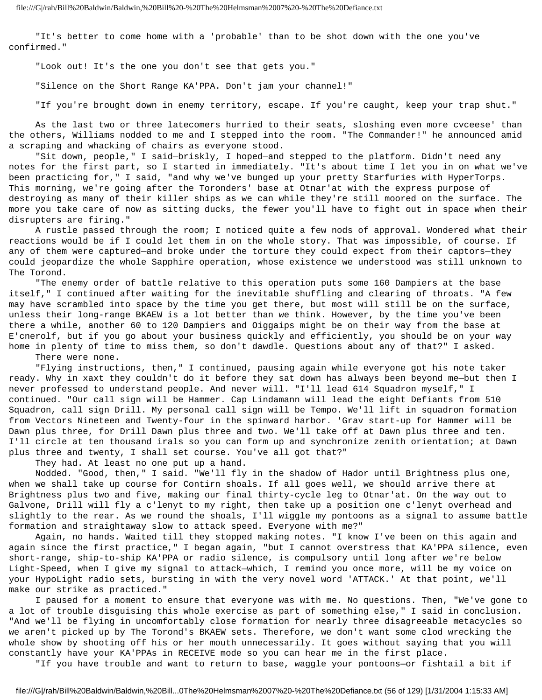"It's better to come home with a 'probable' than to be shot down with the one you've confirmed."

"Look out! It's the one you don't see that gets you."

"Silence on the Short Range KA'PPA. Don't jam your channel!"

"If you're brought down in enemy territory, escape. If you're caught, keep your trap shut."

 As the last two or three latecomers hurried to their seats, sloshing even more cvceese' than the others, Williams nodded to me and I stepped into the room. "The Commander!" he announced amid a scraping and whacking of chairs as everyone stood.

 "Sit down, people," I said—briskly, I hoped—and stepped to the platform. Didn't need any notes for the first part, so I started in immediately. "It's about time I let you in on what we've been practicing for," I said, "and why we've bunged up your pretty Starfuries with HyperTorps. This morning, we're going after the Toronders' base at Otnar'at with the express purpose of destroying as many of their killer ships as we can while they're still moored on the surface. The more you take care of now as sitting ducks, the fewer you'll have to fight out in space when their disrupters are firing."

 A rustle passed through the room; I noticed quite a few nods of approval. Wondered what their reactions would be if I could let them in on the whole story. That was impossible, of course. If any of them were captured-and broke under the torture they could expect from their captors-they could jeopardize the whole Sapphire operation, whose existence we understood was still unknown to The Torond.

 "The enemy order of battle relative to this operation puts some 160 Dampiers at the base itself," I continued after waiting for the inevitable shuffling and clearing of throats. "A few may have scrambled into space by the time you get there, but most will still be on the surface, unless their long-range BKAEW is a lot better than we think. However, by the time you've been there a while, another 60 to 120 Dampiers and Oiggaips might be on their way from the base at E'cnerolf, but if you go about your business quickly and efficiently, you should be on your way home in plenty of time to miss them, so don't dawdle. Questions about any of that?" I asked.

There were none.

 "Flying instructions, then," I continued, pausing again while everyone got his note taker ready. Why in xaxt they couldn't do it before they sat down has always been beyond me—but then I never professed to understand people. And never will. "I'll lead 614 Squadron myself," I continued. "Our call sign will be Hammer. Cap Lindamann will lead the eight Defiants from 510 Squadron, call sign Drill. My personal call sign will be Tempo. We'll lift in squadron formation from Vectors Nineteen and Twenty-four in the spinward harbor. 'Grav start-up for Hammer will be Dawn plus three, for Drill Dawn plus three and two. We'll take off at Dawn plus three and ten. I'll circle at ten thousand irals so you can form up and synchronize zenith orientation; at Dawn plus three and twenty, I shall set course. You've all got that?"

They had. At least no one put up a hand.

 Nodded. "Good, then," I said. "We'll fly in the shadow of Hador until Brightness plus one, when we shall take up course for Contirn shoals. If all goes well, we should arrive there at Brightness plus two and five, making our final thirty-cycle leg to Otnar'at. On the way out to Galvone, Drill will fly a c'lenyt to my right, then take up a position one c'lenyt overhead and slightly to the rear. As we round the shoals, I'll wiggle my pontoons as a signal to assume battle formation and straightaway slow to attack speed. Everyone with me?"

 Again, no hands. Waited till they stopped making notes. "I know I've been on this again and again since the first practice," I began again, "but I cannot overstress that KA'PPA silence, even short-range, ship-to-ship KA'PPA or radio silence, is compulsory until long after we're below Light-Speed, when I give my signal to attack—which, I remind you once more, will be my voice on your HypoLight radio sets, bursting in with the very novel word 'ATTACK.' At that point, we'll make our strike as practiced."

 I paused for a moment to ensure that everyone was with me. No questions. Then, "We've gone to a lot of trouble disguising this whole exercise as part of something else," I said in conclusion. "And we'll be flying in uncomfortably close formation for nearly three disagreeable metacycles so we aren't picked up by The Torond's BKAEW sets. Therefore, we don't want some clod wrecking the whole show by shooting off his or her mouth unnecessarily. It goes without saying that you will constantly have your KA'PPAs in RECEIVE mode so you can hear me in the first place.

"If you have trouble and want to return to base, waggle your pontoons—or fishtail a bit if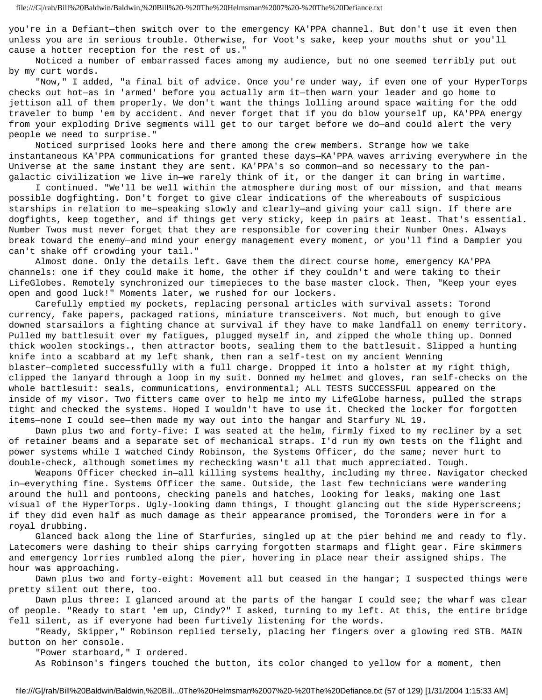you're in a Defiant—then switch over to the emergency KA'PPA channel. But don't use it even then unless you are in serious trouble. Otherwise, for Voot's sake, keep your mouths shut or you'll cause a hotter reception for the rest of us."

 Noticed a number of embarrassed faces among my audience, but no one seemed terribly put out by my curt words.

 "Now," I added, "a final bit of advice. Once you're under way, if even one of your HyperTorps checks out hot—as in 'armed' before you actually arm it—then warn your leader and go home to jettison all of them properly. We don't want the things lolling around space waiting for the odd traveler to bump 'em by accident. And never forget that if you do blow yourself up, KA'PPA energy from your exploding Drive segments will get to our target before we do—and could alert the very people we need to surprise."

 Noticed surprised looks here and there among the crew members. Strange how we take instantaneous KA'PPA communications for granted these days—KA'PPA waves arriving everywhere in the Universe at the same instant they are sent. KA'PPA's so common—and so necessary to the pangalactic civilization we live in—we rarely think of it, or the danger it can bring in wartime.

 I continued. "We'll be well within the atmosphere during most of our mission, and that means possible dogfighting. Don't forget to give clear indications of the whereabouts of suspicious starships in relation to me—speaking slowly and clearly—and giving your call sign. If there are dogfights, keep together, and if things get very sticky, keep in pairs at least. That's essential. Number Twos must never forget that they are responsible for covering their Number Ones. Always break toward the enemy—and mind your energy management every moment, or you'll find a Dampier you can't shake off crowding your tail."

 Almost done. Only the details left. Gave them the direct course home, emergency KA'PPA channels: one if they could make it home, the other if they couldn't and were taking to their LifeGlobes. Remotely synchronized our timepieces to the base master clock. Then, "Keep your eyes open and good luck!" Moments later, we rushed for our lockers.

 Carefully emptied my pockets, replacing personal articles with survival assets: Torond currency, fake papers, packaged rations, miniature transceivers. Not much, but enough to give downed starsailors a fighting chance at survival if they have to make landfall on enemy territory. Pulled my battlesuit over my fatigues, plugged myself in, and zipped the whole thing up. Donned thick woolen stockings., then attractor boots, sealing them to the battlesuit. Slipped a hunting knife into a scabbard at my left shank, then ran a self-test on my ancient Wenning blaster—completed successfully with a full charge. Dropped it into a holster at my right thigh, clipped the lanyard through a loop in my suit. Donned my helmet and gloves, ran self-checks on the whole battlesuit: seals, communications, environmental; ALL TESTS SUCCESSFUL appeared on the inside of my visor. Two fitters came over to help me into my LifeGlobe harness, pulled the straps tight and checked the systems. Hoped I wouldn't have to use it. Checked the locker for forgotten items—none I could see—then made my way out into the hangar and Starfury NL 19.

 Dawn plus two and forty-five: I was seated at the helm, firmly fixed to my recliner by a set of retainer beams and a separate set of mechanical straps. I'd run my own tests on the flight and power systems while I watched Cindy Robinson, the Systems Officer, do the same; never hurt to double-check, although sometimes my rechecking wasn't all that much appreciated. Tough.

 Weapons Officer checked in—all killing systems healthy, including my three. Navigator checked in—everything fine. Systems Officer the same. Outside, the last few technicians were wandering around the hull and pontoons, checking panels and hatches, looking for leaks, making one last visual of the HyperTorps. Ugly-looking damn things, I thought glancing out the side Hyperscreens; if they did even half as much damage as their appearance promised, the Toronders were in for a royal drubbing.

 Glanced back along the line of Starfuries, singled up at the pier behind me and ready to fly. Latecomers were dashing to their ships carrying forgotten starmaps and flight gear. Fire skimmers and emergency lorries rumbled along the pier, hovering in place near their assigned ships. The hour was approaching.

 Dawn plus two and forty-eight: Movement all but ceased in the hangar; I suspected things were pretty silent out there, too.

 Dawn plus three: I glanced around at the parts of the hangar I could see; the wharf was clear of people. "Ready to start 'em up, Cindy?" I asked, turning to my left. At this, the entire bridge fell silent, as if everyone had been furtively listening for the words.

 "Ready, Skipper," Robinson replied tersely, placing her fingers over a glowing red STB. MAIN button on her console.

"Power starboard," I ordered.

As Robinson's fingers touched the button, its color changed to yellow for a moment, then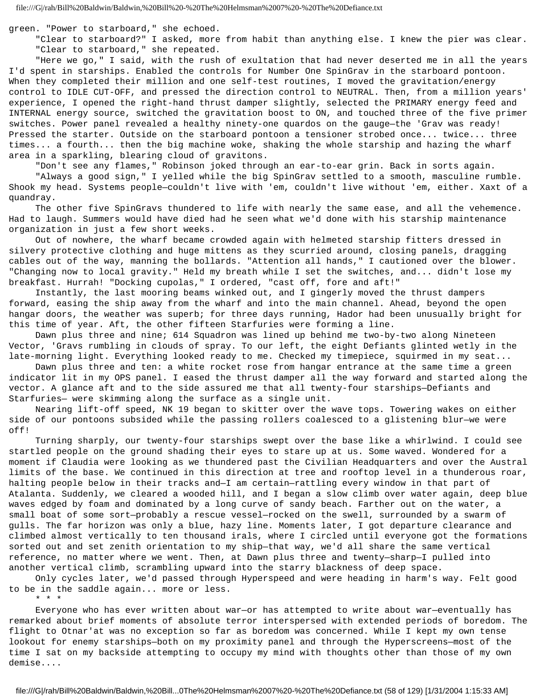green. "Power to starboard," she echoed.

 "Clear to starboard?" I asked, more from habit than anything else. I knew the pier was clear. "Clear to starboard," she repeated.

 "Here we go," I said, with the rush of exultation that had never deserted me in all the years I'd spent in starships. Enabled the controls for Number One SpinGrav in the starboard pontoon. When they completed their million and one self-test routines, I moved the gravitation/energy control to IDLE CUT-OFF, and pressed the direction control to NEUTRAL. Then, from a million years' experience, I opened the right-hand thrust damper slightly, selected the PRIMARY energy feed and INTERNAL energy source, switched the gravitation boost to ON, and touched three of the five primer switches. Power panel revealed a healthy ninety-one quardos on the gauge—the 'Grav was ready! Pressed the starter. Outside on the starboard pontoon a tensioner strobed once... twice... three times... a fourth... then the big machine woke, shaking the whole starship and hazing the wharf area in a sparkling, blearing cloud of gravitons.

"Don't see any flames," Robinson joked through an ear-to-ear grin. Back in sorts again.

 "Always a good sign," I yelled while the big SpinGrav settled to a smooth, masculine rumble. Shook my head. Systems people—couldn't live with 'em, couldn't live without 'em, either. Xaxt of a quandray.

 The other five SpinGravs thundered to life with nearly the same ease, and all the vehemence. Had to laugh. Summers would have died had he seen what we'd done with his starship maintenance organization in just a few short weeks.

 Out of nowhere, the wharf became crowded again with helmeted starship fitters dressed in silvery protective clothing and huge mittens as they scurried around, closing panels, dragging cables out of the way, manning the bollards. "Attention all hands," I cautioned over the blower. "Changing now to local gravity." Held my breath while I set the switches, and... didn't lose my breakfast. Hurrah! "Docking cupolas," I ordered, "cast off, fore and aft!"

 Instantly, the last mooring beams winked out, and I gingerly moved the thrust dampers forward, easing the ship away from the wharf and into the main channel. Ahead, beyond the open hangar doors, the weather was superb; for three days running, Hador had been unusually bright for this time of year. Aft, the other fifteen Starfuries were forming a line.

 Dawn plus three and nine; 614 Squadron was lined up behind me two-by-two along Nineteen Vector, 'Gravs rumbling in clouds of spray. To our left, the eight Defiants glinted wetly in the late-morning light. Everything looked ready to me. Checked my timepiece, squirmed in my seat...

 Dawn plus three and ten: a white rocket rose from hangar entrance at the same time a green indicator lit in my OPS panel. I eased the thrust damper all the way forward and started along the vector. A glance aft and to the side assured me that all twenty-four starships—Defiants and Starfuries— were skimming along the surface as a single unit.

 Nearing lift-off speed, NK 19 began to skitter over the wave tops. Towering wakes on either side of our pontoons subsided while the passing rollers coalesced to a glistening blur—we were off!

 Turning sharply, our twenty-four starships swept over the base like a whirlwind. I could see startled people on the ground shading their eyes to stare up at us. Some waved. Wondered for a moment if Claudia were looking as we thundered past the Civilian Headquarters and over the Austral limits of the base. We continued in this direction at tree and rooftop level in a thunderous roar, halting people below in their tracks and—I am certain—rattling every window in that part of Atalanta. Suddenly, we cleared a wooded hill, and I began a slow climb over water again, deep blue waves edged by foam and dominated by a long curve of sandy beach. Farther out on the water, a small boat of some sort—probably a rescue vessel—rocked on the swell, surrounded by a swarm of gulls. The far horizon was only a blue, hazy line. Moments later, I got departure clearance and climbed almost vertically to ten thousand irals, where I circled until everyone got the formations sorted out and set zenith orientation to my ship—that way, we'd all share the same vertical reference, no matter where we went. Then, at Dawn plus three and twenty—sharp—I pulled into another vertical climb, scrambling upward into the starry blackness of deep space.

 Only cycles later, we'd passed through Hyperspeed and were heading in harm's way. Felt good to be in the saddle again... more or less.

\* \* \*

 Everyone who has ever written about war—or has attempted to write about war—eventually has remarked about brief moments of absolute terror interspersed with extended periods of boredom. The flight to Otnar'at was no exception so far as boredom was concerned. While I kept my own tense lookout for enemy starships—both on my proximity panel and through the Hyperscreens—most of the time I sat on my backside attempting to occupy my mind with thoughts other than those of my own demise....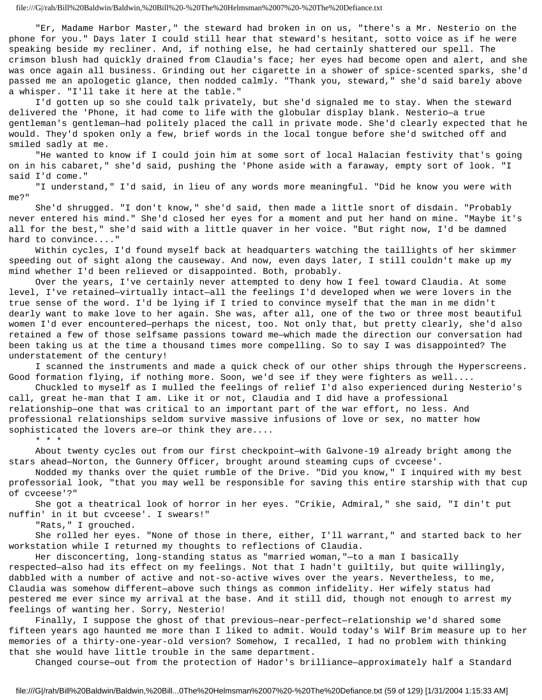"Er, Madame Harbor Master," the steward had broken in on us, "there's a Mr. Nesterio on the phone for you." Days later I could still hear that steward's hesitant, sotto voice as if he were speaking beside my recliner. And, if nothing else, he had certainly shattered our spell. The crimson blush had quickly drained from Claudia's face; her eyes had become open and alert, and she was once again all business. Grinding out her cigarette in a shower of spice-scented sparks, she'd passed me an apologetic glance, then nodded calmly. "Thank you, steward," she'd said barely above a whisper. "I'll take it here at the table."

 I'd gotten up so she could talk privately, but she'd signaled me to stay. When the steward delivered the 'Phone, it had come to life with the globular display blank. Nesterio—a true gentleman's gentleman—had politely placed the call in private mode. She'd clearly expected that he would. They'd spoken only a few, brief words in the local tongue before she'd switched off and smiled sadly at me.

 "He wanted to know if I could join him at some sort of local Halacian festivity that's going on in his cabaret," she'd said, pushing the 'Phone aside with a faraway, empty sort of look. "I said I'd come."

 "I understand," I'd said, in lieu of any words more meaningful. "Did he know you were with me?"

 She'd shrugged. "I don't know," she'd said, then made a little snort of disdain. "Probably never entered his mind." She'd closed her eyes for a moment and put her hand on mine. "Maybe it's all for the best," she'd said with a little quaver in her voice. "But right now, I'd be damned hard to convince...."

 Within cycles, I'd found myself back at headquarters watching the taillights of her skimmer speeding out of sight along the causeway. And now, even days later, I still couldn't make up my mind whether I'd been relieved or disappointed. Both, probably.

 Over the years, I've certainly never attempted to deny how I feel toward Claudia. At some level, I've retained—virtually intact—all the feelings I'd developed when we were lovers in the true sense of the word. I'd be lying if I tried to convince myself that the man in me didn't dearly want to make love to her again. She was, after all, one of the two or three most beautiful women I'd ever encountered-perhaps the nicest, too. Not only that, but pretty clearly, she'd also retained a few of those selfsame passions toward me—which made the direction our conversation had been taking us at the time a thousand times more compelling. So to say I was disappointed? The understatement of the century!

 I scanned the instruments and made a quick check of our other ships through the Hyperscreens. Good formation flying, if nothing more. Soon, we'd see if they were fighters as well....

 Chuckled to myself as I mulled the feelings of relief I'd also experienced during Nesterio's call, great he-man that I am. Like it or not, Claudia and I did have a professional relationship—one that was critical to an important part of the war effort, no less. And professional relationships seldom survive massive infusions of love or sex, no matter how sophisticated the lovers are-or think they are....

\* \* \*

 About twenty cycles out from our first checkpoint—with Galvone-19 already bright among the stars ahead—Norton, the Gunnery Officer, brought around steaming cups of cvceese'.

 Nodded my thanks over the quiet rumble of the Drive. "Did you know," I inquired with my best professorial look, "that you may well be responsible for saving this entire starship with that cup of cvceese'?"

 She got a theatrical look of horror in her eyes. "Crikie, Admiral," she said, "I din't put nuffin' in it but cvceese'. I swears!"

"Rats," I grouched.

 She rolled her eyes. "None of those in there, either, I'll warrant," and started back to her workstation while I returned my thoughts to reflections of Claudia.

 Her disconcerting, long-standing status as "married woman,"—to a man I basically respected—also had its effect on my feelings. Not that I hadn't guiltily, but quite willingly, dabbled with a number of active and not-so-active wives over the years. Nevertheless, to me, Claudia was somehow different—above such things as common infidelity. Her wifely status had pestered me ever since my arrival at the base. And it still did, though not enough to arrest my feelings of wanting her. Sorry, Nesterio!

 Finally, I suppose the ghost of that previous—near-perfect—relationship we'd shared some fifteen years ago haunted me more than I liked to admit. Would today's Wilf Brim measure up to her memories of a thirty-one-year-old version? Somehow, I recalled, I had no problem with thinking that she would have little trouble in the same department.

Changed course—out from the protection of Hador's brilliance—approximately half a Standard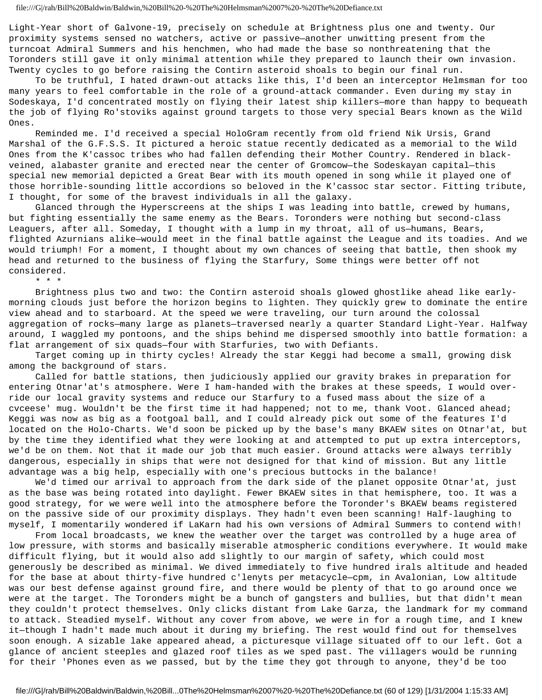Light-Year short of Galvone-19, precisely on schedule at Brightness plus one and twenty. Our proximity systems sensed no watchers, active or passive—another unwitting present from the turncoat Admiral Summers and his henchmen, who had made the base so nonthreatening that the Toronders still gave it only minimal attention while they prepared to launch their own invasion. Twenty cycles to go before raising the Contirn asteroid shoals to begin our final run.

 To be truthful, I hated drawn-out attacks like this, I'd been an interceptor Helmsman for too many years to feel comfortable in the role of a ground-attack commander. Even during my stay in Sodeskaya, I'd concentrated mostly on flying their latest ship killers—more than happy to bequeath the job of flying Ro'stoviks against ground targets to those very special Bears known as the Wild Ones.

 Reminded me. I'd received a special HoloGram recently from old friend Nik Ursis, Grand Marshal of the G.F.S.S. It pictured a heroic statue recently dedicated as a memorial to the Wild Ones from the K'cassoc tribes who had fallen defending their Mother Country. Rendered in blackveined, alabaster granite and erected near the center of Gromcow—the Sodeskayan capital—this special new memorial depicted a Great Bear with its mouth opened in song while it played one of those horrible-sounding little accordions so beloved in the K'cassoc star sector. Fitting tribute, I thought, for some of the bravest individuals in all the galaxy.

 Glanced through the Hyperscreens at the ships I was leading into battle, crewed by humans, but fighting essentially the same enemy as the Bears. Toronders were nothing but second-class Leaguers, after all. Someday, I thought with a lump in my throat, all of us—humans, Bears, flighted Azurnians alike—would meet in the final battle against the League and its toadies. And we would triumph! For a moment, I thought about my own chances of seeing that battle, then shook my head and returned to the business of flying the Starfury, Some things were better off not considered.

\* \* \*

 Brightness plus two and two: the Contirn asteroid shoals glowed ghostlike ahead like earlymorning clouds just before the horizon begins to lighten. They quickly grew to dominate the entire view ahead and to starboard. At the speed we were traveling, our turn around the colossal aggregation of rocks—many large as planets—traversed nearly a quarter Standard Light-Year. Halfway around, I waggled my pontoons, and the ships behind me dispersed smoothly into battle formation: a flat arrangement of six quads—four with Starfuries, two with Defiants.

 Target coming up in thirty cycles! Already the star Keggi had become a small, growing disk among the background of stars.

 Called for battle stations, then judiciously applied our gravity brakes in preparation for entering Otnar'at's atmosphere. Were I ham-handed with the brakes at these speeds, I would override our local gravity systems and reduce our Starfury to a fused mass about the size of a cvceese' mug. Wouldn't be the first time it had happened; not to me, thank Voot. Glanced ahead; Keggi was now as big as a footgoal ball, and I could already pick out some of the features I'd located on the Holo-Charts. We'd soon be picked up by the base's many BKAEW sites on Otnar'at, but by the time they identified what they were looking at and attempted to put up extra interceptors, we'd be on them. Not that it made our job that much easier. Ground attacks were always terribly dangerous, especially in ships that were not designed for that kind of mission. But any little advantage was a big help, especially with one's precious buttocks in the balance!

We'd timed our arrival to approach from the dark side of the planet opposite Otnar'at, just as the base was being rotated into daylight. Fewer BKAEW sites in that hemisphere, too. It was a good strategy, for we were well into the atmosphere before the Toronder's BKAEW beams registered on the passive side of our proximity displays. They hadn't even been scanning! Half-laughing to myself, I momentarily wondered if LaKarn had his own versions of Admiral Summers to contend with!

 From local broadcasts, we knew the weather over the target was controlled by a huge area of low pressure, with storms and basically miserable atmospheric conditions everywhere. It would make difficult flying, but it would also add slightly to our margin of safety, which could most generously be described as minimal. We dived immediately to five hundred irals altitude and headed for the base at about thirty-five hundred c'lenyts per metacycle—cpm, in Avalonian, Low altitude was our best defense against ground fire, and there would be plenty of that to go around once we were at the target. The Toronders might be a bunch of gangsters and bullies, but that didn't mean they couldn't protect themselves. Only clicks distant from Lake Garza, the landmark for my command to attack. Steadied myself. Without any cover from above, we were in for a rough time, and I knew it—though I hadn't made much about it during my briefing. The rest would find out for themselves soon enough. A sizable lake appeared ahead, a picturesque village situated off to our left. Got a glance of ancient steeples and glazed roof tiles as we sped past. The villagers would be running for their 'Phones even as we passed, but by the time they got through to anyone, they'd be too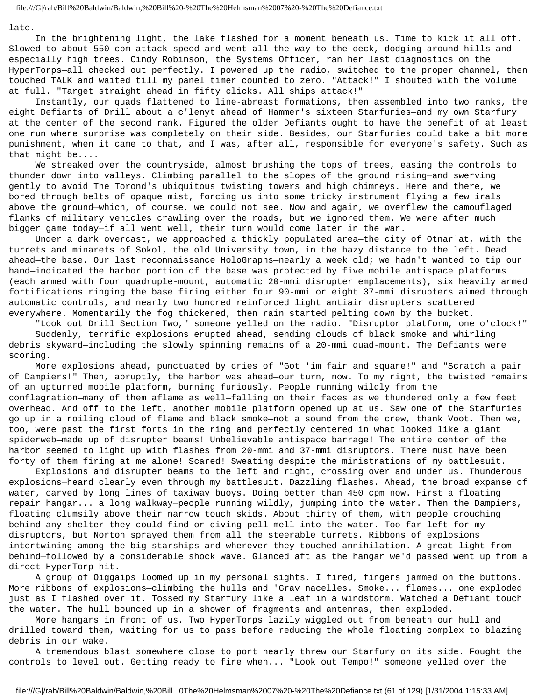## late.

 In the brightening light, the lake flashed for a moment beneath us. Time to kick it all off. Slowed to about 550 cpm—attack speed—and went all the way to the deck, dodging around hills and especially high trees. Cindy Robinson, the Systems Officer, ran her last diagnostics on the HyperTorps—all checked out perfectly. I powered up the radio, switched to the proper channel, then touched TALK and waited till my panel timer counted to zero. "Attack!" I shouted with the volume at full. "Target straight ahead in fifty clicks. All ships attack!"

 Instantly, our quads flattened to line-abreast formations, then assembled into two ranks, the eight Defiants of Drill about a c'lenyt ahead of Hammer's sixteen Starfuries—and my own Starfury at the center of the second rank. Figured the older Defiants ought to have the benefit of at least one run where surprise was completely on their side. Besides, our Starfuries could take a bit more punishment, when it came to that, and I was, after all, responsible for everyone's safety. Such as that might be....

 We streaked over the countryside, almost brushing the tops of trees, easing the controls to thunder down into valleys. Climbing parallel to the slopes of the ground rising—and swerving gently to avoid The Torond's ubiquitous twisting towers and high chimneys. Here and there, we bored through belts of opaque mist, forcing us into some tricky instrument flying a few irals above the ground—which, of course, we could not see. Now and again, we overflew the camouflaged flanks of military vehicles crawling over the roads, but we ignored them. We were after much bigger game today—if all went well, their turn would come later in the war.

 Under a dark overcast, we approached a thickly populated area—the city of Otnar'at, with the turrets and minarets of Sokol, the old University town, in the hazy distance to the left. Dead ahead—the base. Our last reconnaissance HoloGraphs—nearly a week old; we hadn't wanted to tip our hand—indicated the harbor portion of the base was protected by five mobile antispace platforms (each armed with four quadruple-mount, automatic 20-mmi disrupter emplacements), six heavily armed fortifications ringing the base firing either four 90-mmi or eight 37-mmi disrupters aimed through automatic controls, and nearly two hundred reinforced light antiair disrupters scattered everywhere. Momentarily the fog thickened, then rain started pelting down by the bucket.

"Look out Drill Section Two," someone yelled on the radio. "Disruptor platform, one o'clock!"

 Suddenly, terrific explosions erupted ahead, sending clouds of black smoke and whirling debris skyward—including the slowly spinning remains of a 20-mmi quad-mount. The Defiants were scoring.

 More explosions ahead, punctuated by cries of "Got 'im fair and square!" and "Scratch a pair of Dampiers!" Then, abruptly, the harbor was ahead—our turn, now. To my right, the twisted remains of an upturned mobile platform, burning furiously. People running wildly from the conflagration—many of them aflame as well—falling on their faces as we thundered only a few feet overhead. And off to the left, another mobile platform opened up at us. Saw one of the Starfuries go up in a roiling cloud of flame and black smoke—not a sound from the crew, thank Voot. Then we, too, were past the first forts in the ring and perfectly centered in what looked like a giant spiderweb—made up of disrupter beams! Unbelievable antispace barrage! The entire center of the harbor seemed to light up with flashes from 20-mmi and 37-mmi disruptors. There must have been forty of them firing at me alone! Scared! Sweating despite the ministrations of my battlesuit.

 Explosions and disrupter beams to the left and right, crossing over and under us. Thunderous explosions—heard clearly even through my battlesuit. Dazzling flashes. Ahead, the broad expanse of water, carved by long lines of taxiway buoys. Doing better than 450 cpm now. First a floating repair hangar... a long walkway—people running wildly, jumping into the water. Then the Dampiers, floating clumsily above their narrow touch skids. About thirty of them, with people crouching behind any shelter they could find or diving pell-mell into the water. Too far left for my disruptors, but Norton sprayed them from all the steerable turrets. Ribbons of explosions intertwining among the big starships—and wherever they touched—annihilation. A great light from behind—followed by a considerable shock wave. Glanced aft as the hangar we'd passed went up from a direct HyperTorp hit.

 A group of Oiggaips loomed up in my personal sights. I fired, fingers jammed on the buttons. More ribbons of explosions—climbing the hulls and 'Grav nacelles. Smoke... flames... one exploded just as I flashed over it. Tossed my Starfury like a leaf in a windstorm. Watched a Defiant touch the water. The hull bounced up in a shower of fragments and antennas, then exploded.

 More hangars in front of us. Two HyperTorps lazily wiggled out from beneath our hull and drilled toward them, waiting for us to pass before reducing the whole floating complex to blazing debris in our wake.

 A tremendous blast somewhere close to port nearly threw our Starfury on its side. Fought the controls to level out. Getting ready to fire when... "Look out Tempo!" someone yelled over the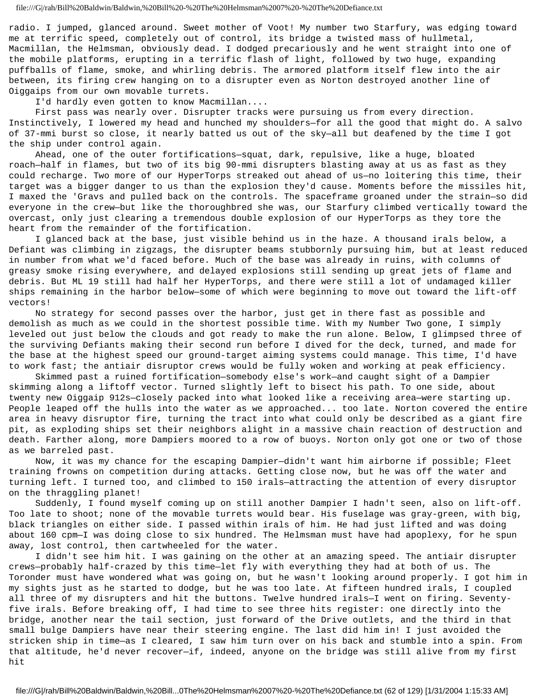radio. I jumped, glanced around. Sweet mother of Voot! My number two Starfury, was edging toward me at terrific speed, completely out of control, its bridge a twisted mass of hullmetal, Macmillan, the Helmsman, obviously dead. I dodged precariously and he went straight into one of the mobile platforms, erupting in a terrific flash of light, followed by two huge, expanding puffballs of flame, smoke, and whirling debris. The armored platform itself flew into the air between, its firing crew hanging on to a disrupter even as Norton destroyed another line of Oiggaips from our own movable turrets.

I'd hardly even gotten to know Macmillan....

 First pass was nearly over. Disrupter tracks were pursuing us from every direction. Instinctively, I lowered my head and hunched my shoulders—for all the good that might do. A salvo of 37-mmi burst so close, it nearly batted us out of the sky—all but deafened by the time I got the ship under control again.

 Ahead, one of the outer fortifications—squat, dark, repulsive, like a huge, bloated roach—half in flames, but two of its big 90-mmi disrupters blasting away at us as fast as they could recharge. Two more of our HyperTorps streaked out ahead of us—no loitering this time, their target was a bigger danger to us than the explosion they'd cause. Moments before the missiles hit, I maxed the 'Gravs and pulled back on the controls. The spaceframe groaned under the strain—so did everyone in the crew—but like the thoroughbred she was, our Starfury climbed vertically toward the overcast, only just clearing a tremendous double explosion of our HyperTorps as they tore the heart from the remainder of the fortification.

 I glanced back at the base, just visible behind us in the haze. A thousand irals below, a Defiant was climbing in zigzags, the disrupter beams stubbornly pursuing him, but at least reduced in number from what we'd faced before. Much of the base was already in ruins, with columns of greasy smoke rising everywhere, and delayed explosions still sending up great jets of flame and debris. But ML 19 still had half her HyperTorps, and there were still a lot of undamaged killer ships remaining in the harbor below—some of which were beginning to move out toward the lift-off vectors!

 No strategy for second passes over the harbor, just get in there fast as possible and demolish as much as we could in the shortest possible time. With my Number Two gone, I simply leveled out just below the clouds and got ready to make the run alone. Below, I glimpsed three of the surviving Defiants making their second run before I dived for the deck, turned, and made for the base at the highest speed our ground-target aiming systems could manage. This time, I'd have to work fast; the antiair disruptor crews would be fully woken and working at peak efficiency.

 Skimmed past a ruined fortification—somebody else's work—and caught sight of a Dampier skimming along a liftoff vector. Turned slightly left to bisect his path. To one side, about twenty new Oiggaip 912s—closely packed into what looked like a receiving area—were starting up. People leaped off the hulls into the water as we approached... too late. Norton covered the entire area in heavy disruptor fire, turning the tract into what could only be described as a giant fire pit, as exploding ships set their neighbors alight in a massive chain reaction of destruction and death. Farther along, more Dampiers moored to a row of buoys. Norton only got one or two of those as we barreled past.

 Now, it was my chance for the escaping Dampier—didn't want him airborne if possible; Fleet training frowns on competition during attacks. Getting close now, but he was off the water and turning left. I turned too, and climbed to 150 irals—attracting the attention of every disruptor on the thraggling planet!

 Suddenly, I found myself coming up on still another Dampier I hadn't seen, also on lift-off. Too late to shoot; none of the movable turrets would bear. His fuselage was gray-green, with big, black triangles on either side. I passed within irals of him. He had just lifted and was doing about 160 cpm—I was doing close to six hundred. The Helmsman must have had apoplexy, for he spun away, lost control, then cartwheeled for the water.

 I didn't see him hit. I was gaining on the other at an amazing speed. The antiair disrupter crews—probably half-crazed by this time—let fly with everything they had at both of us. The Toronder must have wondered what was going on, but he wasn't looking around properly. I got him in my sights just as he started to dodge, but he was too late. At fifteen hundred irals, I coupled all three of my disrupters and hit the buttons. Twelve hundred irals—I went on firing. Seventyfive irals. Before breaking off, I had time to see three hits register: one directly into the bridge, another near the tail section, just forward of the Drive outlets, and the third in that small bulge Dampiers have near their steering engine. The last did him in! I just avoided the stricken ship in time—as I cleared, I saw him turn over on his back and stumble into a spin. From that altitude, he'd never recover-if, indeed, anyone on the bridge was still alive from my first hit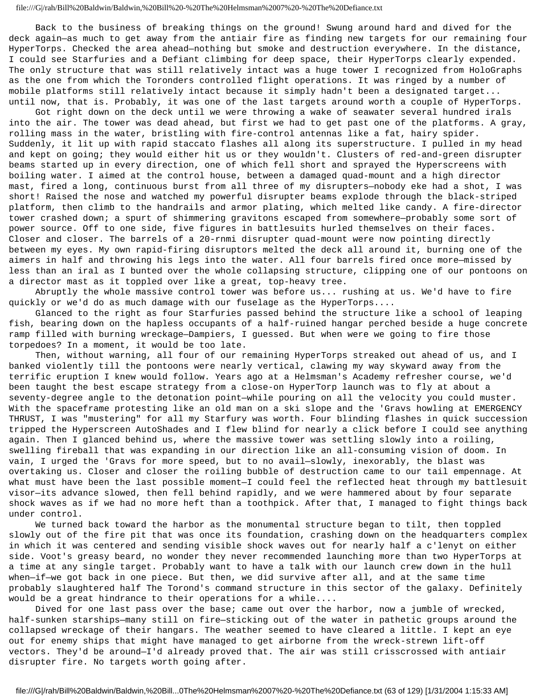Back to the business of breaking things on the ground! Swung around hard and dived for the deck again—as much to get away from the antiair fire as finding new targets for our remaining four HyperTorps. Checked the area ahead—nothing but smoke and destruction everywhere. In the distance, I could see Starfuries and a Defiant climbing for deep space, their HyperTorps clearly expended. The only structure that was still relatively intact was a huge tower I recognized from HoloGraphs as the one from which the Toronders controlled flight operations. It was ringed by a number of mobile platforms still relatively intact because it simply hadn't been a designated target... until now, that is. Probably, it was one of the last targets around worth a couple of HyperTorps.

 Got right down on the deck until we were throwing a wake of seawater several hundred irals into the air. The tower was dead ahead, but first we had to get past one of the platforms. A gray, rolling mass in the water, bristling with fire-control antennas like a fat, hairy spider. Suddenly, it lit up with rapid staccato flashes all along its superstructure. I pulled in my head and kept on going; they would either hit us or they wouldn't. Clusters of red-and-green disrupter beams started up in every direction, one of which fell short and sprayed the Hyperscreens with boiling water. I aimed at the control house, between a damaged quad-mount and a high director mast, fired a long, continuous burst from all three of my disrupters—nobody eke had a shot, I was short! Raised the nose and watched my powerful disrupter beams explode through the black-striped platform, then climb to the handrails and armor plating, which melted like candy. A fire-director tower crashed down; a spurt of shimmering gravitons escaped from somewhere—probably some sort of power source. Off to one side, five figures in battlesuits hurled themselves on their faces. Closer and closer. The barrels of a 20-rnmi disrupter quad-mount were now pointing directly between my eyes. My own rapid-firing disruptors melted the deck all around it, burning one of the aimers in half and throwing his legs into the water. All four barrels fired once more—missed by less than an iral as I bunted over the whole collapsing structure, clipping one of our pontoons on a director mast as it toppled over like a great, top-heavy tree.

 Abruptly the whole massive control tower was before us... rushing at us. We'd have to fire quickly or we'd do as much damage with our fuselage as the HyperTorps....

 Glanced to the right as four Starfuries passed behind the structure like a school of leaping fish, bearing down on the hapless occupants of a half-ruined hangar perched beside a huge concrete ramp filled with burning wreckage—Dampiers, I guessed. But when were we going to fire those torpedoes? In a moment, it would be too late.

 Then, without warning, all four of our remaining HyperTorps streaked out ahead of us, and I banked violently till the pontoons were nearly vertical, clawing my way skyward away from the terrific eruption I knew would follow. Years ago at a Helmsman's Academy refresher course, we'd been taught the best escape strategy from a close-on HyperTorp launch was to fly at about a seventy-degree angle to the detonation point—while pouring on all the velocity you could muster. With the spaceframe protesting like an old man on a ski slope and the 'Gravs howling at EMERGENCY THRUST, I was "mustering" for all my Starfury was worth. Four blinding flashes in quick succession tripped the Hyperscreen AutoShades and I flew blind for nearly a click before I could see anything again. Then I glanced behind us, where the massive tower was settling slowly into a roiling, swelling fireball that was expanding in our direction like an all-consuming vision of doom. In vain, I urged the 'Gravs for more speed, but to no avail—slowly, inexorably, the blast was overtaking us. Closer and closer the roiling bubble of destruction came to our tail empennage. At what must have been the last possible moment—I could feel the reflected heat through my battlesuit visor—its advance slowed, then fell behind rapidly, and we were hammered about by four separate shock waves as if we had no more heft than a toothpick. After that, I managed to fight things back under control.

 We turned back toward the harbor as the monumental structure began to tilt, then toppled slowly out of the fire pit that was once its foundation, crashing down on the headquarters complex in which it was centered and sending visible shock waves out for nearly half a c'lenyt on either side. Voot's greasy beard, no wonder they never recommended launching more than two HyperTorps at a time at any single target. Probably want to have a talk with our launch crew down in the hull when—if—we got back in one piece. But then, we did survive after all, and at the same time probably slaughtered half The Torond's command structure in this sector of the galaxy. Definitely would be a great hindrance to their operations for a while....

 Dived for one last pass over the base; came out over the harbor, now a jumble of wrecked, half-sunken starships—many still on fire—sticking out of the water in pathetic groups around the collapsed wreckage of their hangars. The weather seemed to have cleared a little. I kept an eye out for enemy ships that might have managed to get airborne from the wreck-strewn lift-off vectors. They'd be around—I'd already proved that. The air was still crisscrossed with antiair disrupter fire. No targets worth going after.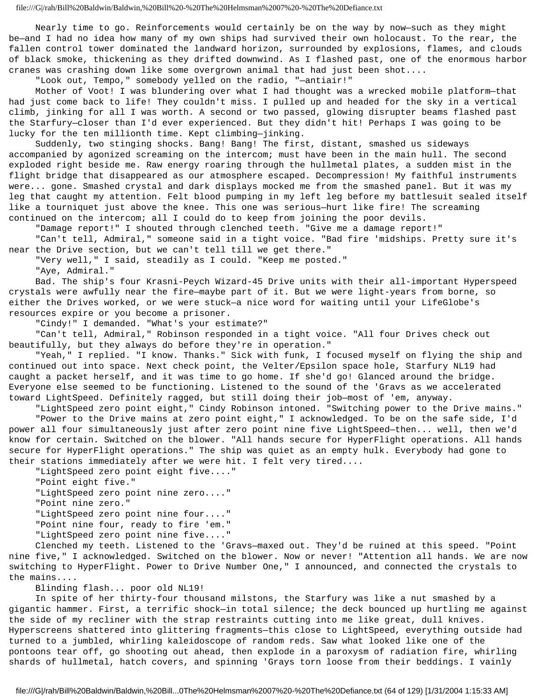Nearly time to go. Reinforcements would certainly be on the way by now—such as they might be—and I had no idea how many of my own ships had survived their own holocaust. To the rear, the fallen control tower dominated the landward horizon, surrounded by explosions, flames, and clouds of black smoke, thickening as they drifted downwind. As I flashed past, one of the enormous harbor cranes was crashing down like some overgrown animal that had just been shot....

"Look out, Tempo," somebody yelled on the radio, "—antiair!"

 Mother of Voot! I was blundering over what I had thought was a wrecked mobile platform—that had just come back to life! They couldn't miss. I pulled up and headed for the sky in a vertical climb, jinking for all I was worth. A second or two passed, glowing disrupter beams flashed past the Starfury—closer than I'd ever experienced. But they didn't hit! Perhaps I was going to be lucky for the ten millionth time. Kept climbing—jinking.

 Suddenly, two stinging shocks. Bang! Bang! The first, distant, smashed us sideways accompanied by agonized screaming on the intercom; must have been in the main hull. The second exploded right beside me. Raw energy roaring through the hullmetal plates, a sudden mist in the flight bridge that disappeared as our atmosphere escaped. Decompression! My faithful instruments were... gone. Smashed crystal and dark displays mocked me from the smashed panel. But it was my leg that caught my attention. Felt blood pumping in my left leg before my battlesuit sealed itself like a tourniquet just above the knee. This one was serious—hurt like fire! The screaming continued on the intercom; all I could do to keep from joining the poor devils.

"Damage report!" I shouted through clenched teeth. "Give me a damage report!"

 "Can't tell, Admiral," someone said in a tight voice. "Bad fire 'midships. Pretty sure it's near the Drive section, but we can't tell till we get there."

"Very well," I said, steadily as I could. "Keep me posted."

"Aye, Admiral."

 Bad. The ship's four Krasni-Peych Wizard-45 Drive units with their all-important Hyperspeed crystals were awfully near the fire—maybe part of it. But we were light-years from borne, so either the Drives worked, or we were stuck—a nice word for waiting until your LifeGlobe's resources expire or you become a prisoner.

"Cindy!" I demanded. "What's your estimate?"

 "Can't tell, Admiral," Robinson responded in a tight voice. "All four Drives check out beautifully, but they always do before they're in operation."

 "Yeah," I replied. "I know. Thanks." Sick with funk, I focused myself on flying the ship and continued out into space. Next check point, the Velter/Epsilon space hole, Starfury NL19 had caught a packet herself, and it was time to go home. If she'd go! Glanced around the bridge. Everyone else seemed to be functioning. Listened to the sound of the 'Gravs as we accelerated toward LightSpeed. Definitely ragged, but still doing their job—most of 'em, anyway.

"LightSpeed zero point eight," Cindy Robinson intoned. "Switching power to the Drive mains."

 "Power to the Drive mains at zero point eight," I acknowledged. To be on the safe side, I'd power all four simultaneously just after zero point nine five LightSpeed—then... well, then we'd know for certain. Switched on the blower. "All hands secure for HyperFlight operations. All hands secure for HyperFlight operations." The ship was quiet as an empty hulk. Everybody had gone to their stations immediately after we were hit. I felt very tired....

"LightSpeed zero point eight five...."

"Point eight five."

"LightSpeed zero point nine zero...."

"Point nine zero."

"LightSpeed zero point nine four...."

"Point nine four, ready to fire 'em."

"LightSpeed zero point nine five...."

 Clenched my teeth. Listened to the 'Gravs—maxed out. They'd be ruined at this speed. "Point nine five," I acknowledged. Switched on the blower. Now or never! "Attention all hands. We are now switching to HyperFlight. Power to Drive Number One," I announced, and connected the crystals to the mains....

Blinding flash... poor old NL19!

 In spite of her thirty-four thousand milstons, the Starfury was like a nut smashed by a gigantic hammer. First, a terrific shock—in total silence; the deck bounced up hurtling me against the side of my recliner with the strap restraints cutting into me like great, dull knives. Hyperscreens shattered into glittering fragments—this close to LightSpeed, everything outside had turned to a jumbled, whirling kaleidoscope of random reds. Saw what looked like one of the pontoons tear off, go shooting out ahead, then explode in a paroxysm of radiation fire, whirling shards of hullmetal, hatch covers, and spinning 'Grays torn loose from their beddings. I vainly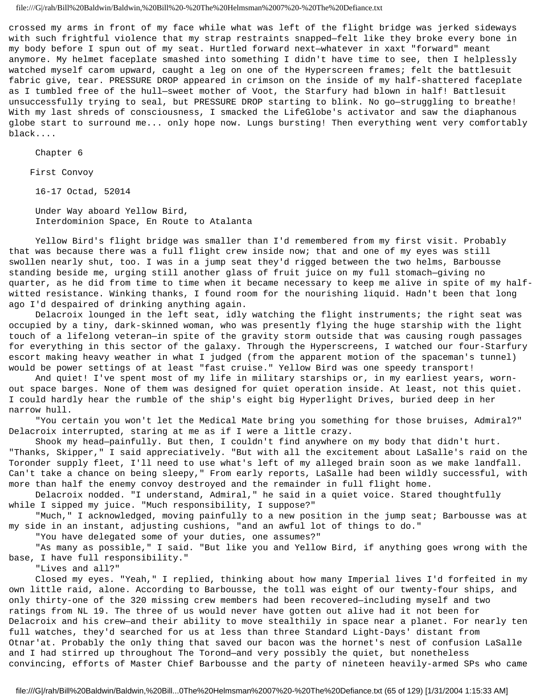crossed my arms in front of my face while what was left of the flight bridge was jerked sideways with such frightful violence that my strap restraints snapped—felt like they broke every bone in my body before I spun out of my seat. Hurtled forward next—whatever in xaxt "forward" meant anymore. My helmet faceplate smashed into something I didn't have time to see, then I helplessly watched myself carom upward, caught a leg on one of the Hyperscreen frames; felt the battlesuit fabric give, tear. PRESSURE DROP appeared in crimson on the inside of my half-shattered faceplate as I tumbled free of the hull—sweet mother of Voot, the Starfury had blown in half! Battlesuit unsuccessfully trying to seal, but PRESSURE DROP starting to blink. No go—struggling to breathe! With my last shreds of consciousness, I smacked the LifeGlobe's activator and saw the diaphanous globe start to surround me... only hope now. Lungs bursting! Then everything went very comfortably black....

Chapter 6

First Convoy

16-17 Octad, 52014

 Under Way aboard Yellow Bird, Interdominion Space, En Route to Atalanta

 Yellow Bird's flight bridge was smaller than I'd remembered from my first visit. Probably that was because there was a full flight crew inside now; that and one of my eyes was still swollen nearly shut, too. I was in a jump seat they'd rigged between the two helms, Barbousse standing beside me, urging still another glass of fruit juice on my full stomach—giving no quarter, as he did from time to time when it became necessary to keep me alive in spite of my halfwitted resistance. Winking thanks, I found room for the nourishing liquid. Hadn't been that long ago I'd despaired of drinking anything again.

 Delacroix lounged in the left seat, idly watching the flight instruments; the right seat was occupied by a tiny, dark-skinned woman, who was presently flying the huge starship with the light touch of a lifelong veteran—in spite of the gravity storm outside that was causing rough passages for everything in this sector of the galaxy. Through the Hyperscreens, I watched our four-Starfury escort making heavy weather in what I judged (from the apparent motion of the spaceman's tunnel) would be power settings of at least "fast cruise." Yellow Bird was one speedy transport!

 And quiet! I've spent most of my life in military starships or, in my earliest years, wornout space barges. None of them was designed for quiet operation inside. At least, not this quiet. I could hardly hear the rumble of the ship's eight big Hyperlight Drives, buried deep in her narrow hull.

 "You certain you won't let the Medical Mate bring you something for those bruises, Admiral?" Delacroix interrupted, staring at me as if I were a little crazy.

 Shook my head—painfully. But then, I couldn't find anywhere on my body that didn't hurt. "Thanks, Skipper," I said appreciatively. "But with all the excitement about LaSalle's raid on the Toronder supply fleet, I'll need to use what's left of my alleged brain soon as we make landfall. Can't take a chance on being sleepy," From early reports, LaSalle had been wildly successful, with more than half the enemy convoy destroyed and the remainder in full flight home.

 Delacroix nodded. "I understand, Admiral," he said in a quiet voice. Stared thoughtfully while I sipped my juice. "Much responsibility, I suppose?"

 "Much," I acknowledged, moving painfully to a new position in the jump seat; Barbousse was at my side in an instant, adjusting cushions, "and an awful lot of things to do."

"You have delegated some of your duties, one assumes?"

 "As many as possible," I said. "But like you and Yellow Bird, if anything goes wrong with the base, I have full responsibility."

"Lives and all?"

 Closed my eyes. "Yeah," I replied, thinking about how many Imperial lives I'd forfeited in my own little raid, alone. According to Barbousse, the toll was eight of our twenty-four ships, and only thirty-one of the 320 missing crew members had been recovered—including myself and two ratings from NL 19. The three of us would never have gotten out alive had it not been for Delacroix and his crew—and their ability to move stealthily in space near a planet. For nearly ten full watches, they'd searched for us at less than three Standard Light-Days' distant from Otnar'at. Probably the only thing that saved our bacon was the hornet's nest of confusion LaSalle and I had stirred up throughout The Torond—and very possibly the quiet, but nonetheless convincing, efforts of Master Chief Barbousse and the party of nineteen heavily-armed SPs who came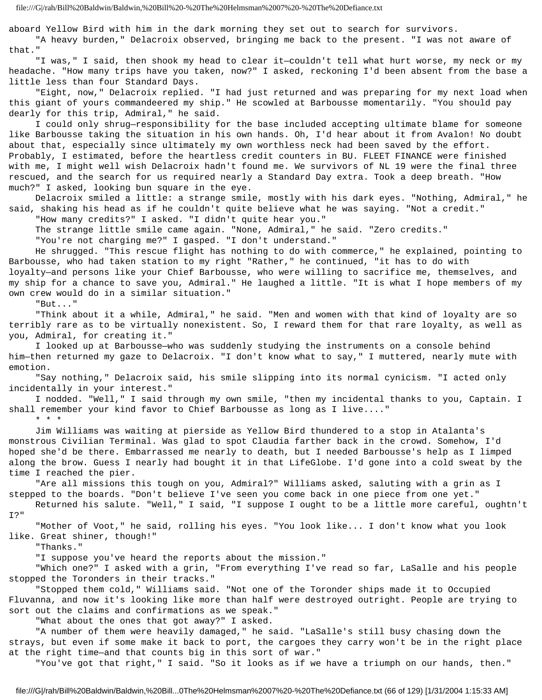aboard Yellow Bird with him in the dark morning they set out to search for survivors.

 "A heavy burden," Delacroix observed, bringing me back to the present. "I was not aware of that."

 "I was," I said, then shook my head to clear it—couldn't tell what hurt worse, my neck or my headache. "How many trips have you taken, now?" I asked, reckoning I'd been absent from the base a little less than four Standard Days.

 "Eight, now," Delacroix replied. "I had just returned and was preparing for my next load when this giant of yours commandeered my ship." He scowled at Barbousse momentarily. "You should pay dearly for this trip, Admiral," he said.

 I could only shrug—responsibility for the base included accepting ultimate blame for someone like Barbousse taking the situation in his own hands. Oh, I'd hear about it from Avalon! No doubt about that, especially since ultimately my own worthless neck had been saved by the effort. Probably, I estimated, before the heartless credit counters in BU. FLEET FINANCE were finished with me, I might well wish Delacroix hadn't found me. We survivors of NL 19 were the final three rescued, and the search for us required nearly a Standard Day extra. Took a deep breath. "How much?" I asked, looking bun square in the eye.

 Delacroix smiled a little: a strange smile, mostly with his dark eyes. "Nothing, Admiral," he said, shaking his head as if he couldn't quite believe what he was saying. "Not a credit."

"How many credits?" I asked. "I didn't quite hear you."

The strange little smile came again. "None, Admiral," he said. "Zero credits."

"You're not charging me?" I gasped. "I don't understand."

 He shrugged. "This rescue flight has nothing to do with commerce," he explained, pointing to Barbousse, who had taken station to my right "Rather," he continued, "it has to do with loyalty—and persons like your Chief Barbousse, who were willing to sacrifice me, themselves, and my ship for a chance to save you, Admiral." He laughed a little. "It is what I hope members of my own crew would do in a similar situation."

"But..."

 "Think about it a while, Admiral," he said. "Men and women with that kind of loyalty are so terribly rare as to be virtually nonexistent. So, I reward them for that rare loyalty, as well as you, Admiral, for creating it."

 I looked up at Barbousse—who was suddenly studying the instruments on a console behind him—then returned my gaze to Delacroix. "I don't know what to say," I muttered, nearly mute with emotion.

 "Say nothing," Delacroix said, his smile slipping into its normal cynicism. "I acted only incidentally in your interest."

 I nodded. "Well," I said through my own smile, "then my incidental thanks to you, Captain. I shall remember your kind favor to Chief Barbousse as long as I live...."

\* \* \*

 Jim Williams was waiting at pierside as Yellow Bird thundered to a stop in Atalanta's monstrous Civilian Terminal. Was glad to spot Claudia farther back in the crowd. Somehow, I'd hoped she'd be there. Embarrassed me nearly to death, but I needed Barbousse's help as I limped along the brow. Guess I nearly had bought it in that LifeGlobe. I'd gone into a cold sweat by the time I reached the pier.

 "Are all missions this tough on you, Admiral?" Williams asked, saluting with a grin as I stepped to the boards. "Don't believe I've seen you come back in one piece from one yet."

 Returned his salute. "Well," I said, "I suppose I ought to be a little more careful, oughtn't I?"

 "Mother of Voot," he said, rolling his eyes. "You look like... I don't know what you look like. Great shiner, though!"

"Thanks."

"I suppose you've heard the reports about the mission."

 "Which one?" I asked with a grin, "From everything I've read so far, LaSalle and his people stopped the Toronders in their tracks."

 "Stopped them cold," Williams said. "Not one of the Toronder ships made it to Occupied Fluvanna, and now it's looking like more than half were destroyed outright. People are trying to sort out the claims and confirmations as we speak."

"What about the ones that got away?" I asked.

 "A number of them were heavily damaged," he said. "LaSalle's still busy chasing down the strays, but even if some make it back to port, the cargoes they carry won't be in the right place at the right time—and that counts big in this sort of war."

"You've got that right," I said. "So it looks as if we have a triumph on our hands, then."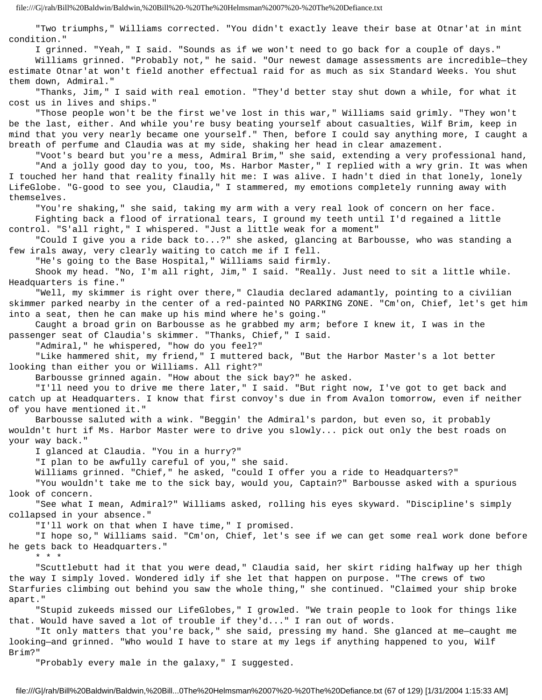"Two triumphs," Williams corrected. "You didn't exactly leave their base at Otnar'at in mint condition."

I grinned. "Yeah," I said. "Sounds as if we won't need to go back for a couple of days."

Williams grinned. "Probably not," he said. "Our newest damage assessments are incredible-they estimate Otnar'at won't field another effectual raid for as much as six Standard Weeks. You shut them down, Admiral."

 "Thanks, Jim," I said with real emotion. "They'd better stay shut down a while, for what it cost us in lives and ships."

 "Those people won't be the first we've lost in this war," Williams said grimly. "They won't be the last, either. And while you're busy beating yourself about casualties, Wilf Brim, keep in mind that you very nearly became one yourself." Then, before I could say anything more, I caught a breath of perfume and Claudia was at my side, shaking her head in clear amazement.

 "Voot's beard but you're a mess, Admiral Brim," she said, extending a very professional hand, "And a jolly good day to you, too, Ms. Harbor Master," I replied with a wry grin. It was when I touched her hand that reality finally hit me: I was alive. I hadn't died in that lonely, lonely LifeGlobe. "G-good to see you, Claudia," I stammered, my emotions completely running away with themselves.

 "You're shaking," she said, taking my arm with a very real look of concern on her face. Fighting back a flood of irrational tears, I ground my teeth until I'd regained a little control. "S'all right," I whispered. "Just a little weak for a moment"

 "Could I give you a ride back to...?" she asked, glancing at Barbousse, who was standing a few irals away, very clearly waiting to catch me if I fell.

"He's going to the Base Hospital," Williams said firmly.

 Shook my head. "No, I'm all right, Jim," I said. "Really. Just need to sit a little while. Headquarters is fine."

 "Well, my skimmer is right over there," Claudia declared adamantly, pointing to a civilian skimmer parked nearby in the center of a red-painted NO PARKING ZONE. "Cm'on, Chief, let's get him into a seat, then he can make up his mind where he's going."

 Caught a broad grin on Barbousse as he grabbed my arm; before I knew it, I was in the passenger seat of Claudia's skimmer. "Thanks, Chief," I said.

"Admiral," he whispered, "how do you feel?"

 "Like hammered shit, my friend," I muttered back, "But the Harbor Master's a lot better looking than either you or Williams. All right?"

Barbousse grinned again. "How about the sick bay?" he asked.

 "I'll need you to drive me there later," I said. "But right now, I've got to get back and catch up at Headquarters. I know that first convoy's due in from Avalon tomorrow, even if neither of you have mentioned it."

 Barbousse saluted with a wink. "Beggin' the Admiral's pardon, but even so, it probably wouldn't hurt if Ms. Harbor Master were to drive you slowly... pick out only the best roads on your way back."

I glanced at Claudia. "You in a hurry?"

"I plan to be awfully careful of you," she said.

Williams grinned. "Chief," he asked, "could I offer you a ride to Headquarters?"

 "You wouldn't take me to the sick bay, would you, Captain?" Barbousse asked with a spurious look of concern.

 "See what I mean, Admiral?" Williams asked, rolling his eyes skyward. "Discipline's simply collapsed in your absence."

"I'll work on that when I have time," I promised.

 "I hope so," Williams said. "Cm'on, Chief, let's see if we can get some real work done before he gets back to Headquarters."

\* \* \*

 "Scuttlebutt had it that you were dead," Claudia said, her skirt riding halfway up her thigh the way I simply loved. Wondered idly if she let that happen on purpose. "The crews of two Starfuries climbing out behind you saw the whole thing," she continued. "Claimed your ship broke apart."

 "Stupid zukeeds missed our LifeGlobes," I growled. "We train people to look for things like that. Would have saved a lot of trouble if they'd..." I ran out of words.

 "It only matters that you're back," she said, pressing my hand. She glanced at me—caught me looking—and grinned. "Who would I have to stare at my legs if anything happened to you, Wilf Brim?"

"Probably every male in the galaxy," I suggested.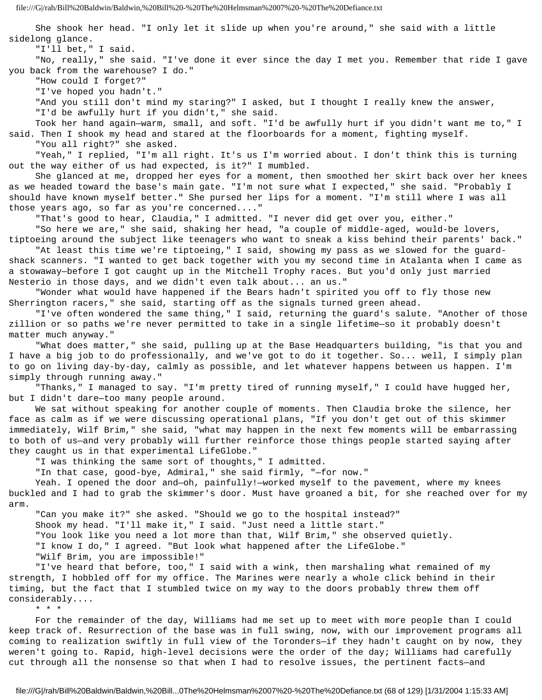She shook her head. "I only let it slide up when you're around," she said with a little sidelong glance.

"I'll bet," I said.

 "No, really," she said. "I've done it ever since the day I met you. Remember that ride I gave you back from the warehouse? I do."

"How could I forget?"

"I've hoped you hadn't."

"And you still don't mind my staring?" I asked, but I thought I really knew the answer,

"I'd be awfully hurt if you didn't," she said.

 Took her hand again—warm, small, and soft. "I'd be awfully hurt if you didn't want me to," I said. Then I shook my head and stared at the floorboards for a moment, fighting myself.

"You all right?" she asked.

 "Yeah," I replied, "I'm all right. It's us I'm worried about. I don't think this is turning out the way either of us had expected, is it?" I mumbled.

 She glanced at me, dropped her eyes for a moment, then smoothed her skirt back over her knees as we headed toward the base's main gate. "I'm not sure what I expected," she said. "Probably I should have known myself better." She pursed her lips for a moment. "I'm still where I was all those years ago, so far as you're concerned...."

"That's good to hear, Claudia," I admitted. "I never did get over you, either."

 "So here we are," she said, shaking her head, "a couple of middle-aged, would-be lovers, tiptoeing around the subject like teenagers who want to sneak a kiss behind their parents' back."

 "At least this time we're tiptoeing," I said, showing my pass as we slowed for the guardshack scanners. "I wanted to get back together with you my second time in Atalanta when I came as a stowaway—before I got caught up in the Mitchell Trophy races. But you'd only just married Nesterio in those days, and we didn't even talk about... an us."

 "Wonder what would have happened if the Bears hadn't spirited you off to fly those new Sherrington racers," she said, starting off as the signals turned green ahead.

 "I've often wondered the same thing," I said, returning the guard's salute. "Another of those zillion or so paths we're never permitted to take in a single lifetime—so it probably doesn't matter much anyway."

 "What does matter," she said, pulling up at the Base Headquarters building, "is that you and I have a big job to do professionally, and we've got to do it together. So... well, I simply plan to go on living day-by-day, calmly as possible, and let whatever happens between us happen. I'm simply through running away."

 "Thanks," I managed to say. "I'm pretty tired of running myself," I could have hugged her, but I didn't dare—too many people around.

 We sat without speaking for another couple of moments. Then Claudia broke the silence, her face as calm as if we were discussing operational plans, "If you don't get out of this skimmer immediately, Wilf Brim," she said, "what may happen in the next few moments will be embarrassing to both of us—and very probably will further reinforce those things people started saying after they caught us in that experimental LifeGlobe."

"I was thinking the same sort of thoughts," I admitted.

"In that case, good-bye, Admiral," she said firmly, "—for now."

Yeah. I opened the door and-oh, painfully!-worked myself to the pavement, where my knees buckled and I had to grab the skimmer's door. Must have groaned a bit, for she reached over for my arm.

"Can you make it?" she asked. "Should we go to the hospital instead?"

Shook my head. "I'll make it," I said. "Just need a little start."

"You look like you need a lot more than that, Wilf Brim," she observed quietly.

"I know I do," I agreed. "But look what happened after the LifeGlobe."

"Wilf Brim, you are impossible!"

 "I've heard that before, too," I said with a wink, then marshaling what remained of my strength, I hobbled off for my office. The Marines were nearly a whole click behind in their timing, but the fact that I stumbled twice on my way to the doors probably threw them off considerably....

\* \* \*

 For the remainder of the day, Williams had me set up to meet with more people than I could keep track of. Resurrection of the base was in full swing, now, with our improvement programs all coming to realization swiftly in full view of the Toronders—if they hadn't caught on by now, they weren't going to. Rapid, high-level decisions were the order of the day; Williams had carefully cut through all the nonsense so that when I had to resolve issues, the pertinent facts—and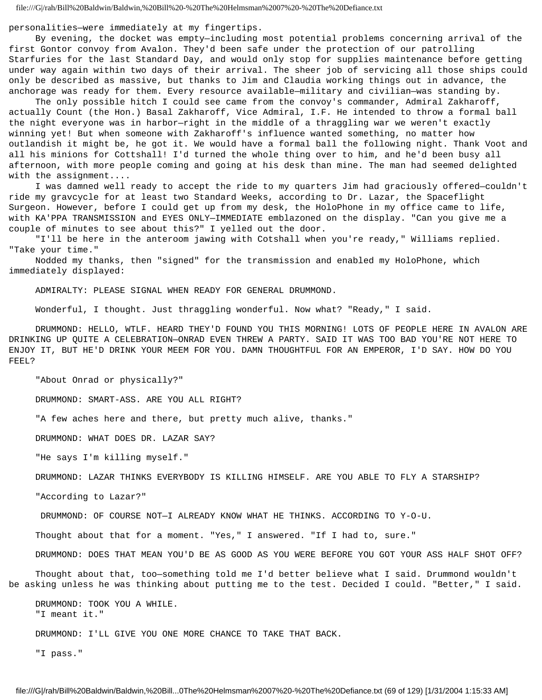personalities—were immediately at my fingertips.

 By evening, the docket was empty—including most potential problems concerning arrival of the first Gontor convoy from Avalon. They'd been safe under the protection of our patrolling Starfuries for the last Standard Day, and would only stop for supplies maintenance before getting under way again within two days of their arrival. The sheer job of servicing all those ships could only be described as massive, but thanks to Jim and Claudia working things out in advance, the anchorage was ready for them. Every resource available—military and civilian—was standing by.

 The only possible hitch I could see came from the convoy's commander, Admiral Zakharoff, actually Count (the Hon.) Basal Zakharoff, Vice Admiral, I.F. He intended to throw a formal ball the night everyone was in harbor—right in the middle of a thraggling war we weren't exactly winning yet! But when someone with Zakharoff's influence wanted something, no matter how outlandish it might be, he got it. We would have a formal ball the following night. Thank Voot and all his minions for Cottshall! I'd turned the whole thing over to him, and he'd been busy all afternoon, with more people coming and going at his desk than mine. The man had seemed delighted with the assignment....

 I was damned well ready to accept the ride to my quarters Jim had graciously offered—couldn't ride my gravcycle for at least two Standard Weeks, according to Dr. Lazar, the Spaceflight Surgeon. However, before I could get up from my desk, the HoloPhone in my office came to life, with KA'PPA TRANSMISSION and EYES ONLY—IMMEDIATE emblazoned on the display. "Can you give me a couple of minutes to see about this?" I yelled out the door.

 "I'll be here in the anteroom jawing with Cotshall when you're ready," Williams replied. "Take your time."

 Nodded my thanks, then "signed" for the transmission and enabled my HoloPhone, which immediately displayed:

ADMIRALTY: PLEASE SIGNAL WHEN READY FOR GENERAL DRUMMOND.

Wonderful, I thought. Just thraggling wonderful. Now what? "Ready," I said.

 DRUMMOND: HELLO, WTLF. HEARD THEY'D FOUND YOU THIS MORNING! LOTS OF PEOPLE HERE IN AVALON ARE DRINKING UP QUITE A CELEBRATION—ONRAD EVEN THREW A PARTY. SAID IT WAS TOO BAD YOU'RE NOT HERE TO ENJOY IT, BUT HE'D DRINK YOUR MEEM FOR YOU. DAMN THOUGHTFUL FOR AN EMPEROR, I'D SAY. HOW DO YOU FEEL?

"About Onrad or physically?"

DRUMMOND: SMART-ASS. ARE YOU ALL RIGHT?

"A few aches here and there, but pretty much alive, thanks."

DRUMMOND: WHAT DOES DR. LAZAR SAY?

"He says I'm killing myself."

DRUMMOND: LAZAR THINKS EVERYBODY IS KILLING HIMSELF. ARE YOU ABLE TO FLY A STARSHIP?

"According to Lazar?"

DRUMMOND: OF COURSE NOT—I ALREADY KNOW WHAT HE THINKS. ACCORDING TO Y-O-U.

Thought about that for a moment. "Yes," I answered. "If I had to, sure."

DRUMMOND: DOES THAT MEAN YOU'D BE AS GOOD AS YOU WERE BEFORE YOU GOT YOUR ASS HALF SHOT OFF?

 Thought about that, too—something told me I'd better believe what I said. Drummond wouldn't be asking unless he was thinking about putting me to the test. Decided I could. "Better," I said.

 DRUMMOND: TOOK YOU A WHILE. "I meant it."

DRUMMOND: I'LL GIVE YOU ONE MORE CHANCE TO TAKE THAT BACK.

"I pass."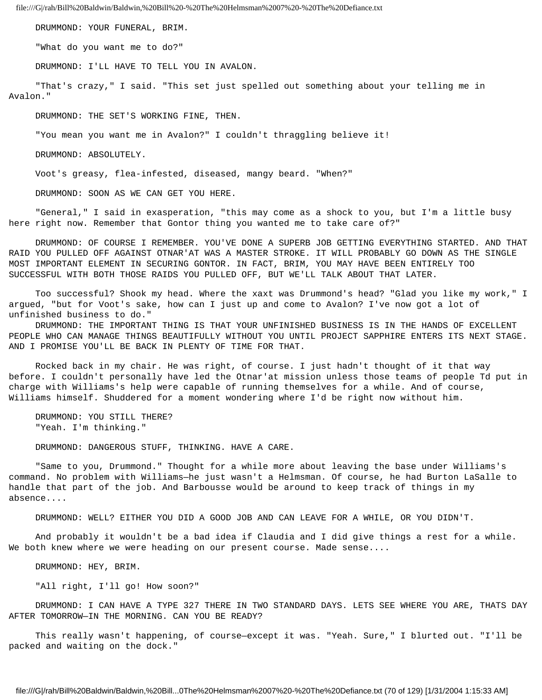DRUMMOND: YOUR FUNERAL, BRIM.

"What do you want me to do?"

DRUMMOND: I'LL HAVE TO TELL YOU IN AVALON.

 "That's crazy," I said. "This set just spelled out something about your telling me in Avalon."

DRUMMOND: THE SET'S WORKING FINE, THEN.

"You mean you want me in Avalon?" I couldn't thraggling believe it!

DRUMMOND: ABSOLUTELY.

Voot's greasy, flea-infested, diseased, mangy beard. "When?"

DRUMMOND: SOON AS WE CAN GET YOU HERE.

 "General," I said in exasperation, "this may come as a shock to you, but I'm a little busy here right now. Remember that Gontor thing you wanted me to take care of?"

 DRUMMOND: OF COURSE I REMEMBER. YOU'VE DONE A SUPERB JOB GETTING EVERYTHING STARTED. AND THAT RAID YOU PULLED OFF AGAINST OTNAR'AT WAS A MASTER STROKE. IT WILL PROBABLY GO DOWN AS THE SINGLE MOST IMPORTANT ELEMENT IN SECURING GONTOR. IN FACT, BRIM, YOU MAY HAVE BEEN ENTIRELY TOO SUCCESSFUL WITH BOTH THOSE RAIDS YOU PULLED OFF, BUT WE'LL TALK ABOUT THAT LATER.

 Too successful? Shook my head. Where the xaxt was Drummond's head? "Glad you like my work," I argued, "but for Voot's sake, how can I just up and come to Avalon? I've now got a lot of unfinished business to do."

 DRUMMOND: THE IMPORTANT THING IS THAT YOUR UNFINISHED BUSINESS IS IN THE HANDS OF EXCELLENT PEOPLE WHO CAN MANAGE THINGS BEAUTIFULLY WITHOUT YOU UNTIL PROJECT SAPPHIRE ENTERS ITS NEXT STAGE. AND I PROMISE YOU'LL BE BACK IN PLENTY OF TIME FOR THAT.

 Rocked back in my chair. He was right, of course. I just hadn't thought of it that way before. I couldn't personally have led the Otnar'at mission unless those teams of people Td put in charge with Williams's help were capable of running themselves for a while. And of course, Williams himself. Shuddered for a moment wondering where I'd be right now without him.

 DRUMMOND: YOU STILL THERE? "Yeah. I'm thinking."

DRUMMOND: DANGEROUS STUFF, THINKING. HAVE A CARE.

 "Same to you, Drummond." Thought for a while more about leaving the base under Williams's command. No problem with Williams—he just wasn't a Helmsman. Of course, he had Burton LaSalle to handle that part of the job. And Barbousse would be around to keep track of things in my absence....

DRUMMOND: WELL? EITHER YOU DID A GOOD JOB AND CAN LEAVE FOR A WHILE, OR YOU DIDN'T.

 And probably it wouldn't be a bad idea if Claudia and I did give things a rest for a while. We both knew where we were heading on our present course. Made sense....

DRUMMOND: HEY, BRIM.

"All right, I'll go! How soon?"

 DRUMMOND: I CAN HAVE A TYPE 327 THERE IN TWO STANDARD DAYS. LETS SEE WHERE YOU ARE, THATS DAY AFTER TOMORROW—IN THE MORNING. CAN YOU BE READY?

This really wasn't happening, of course-except it was. "Yeah. Sure," I blurted out. "I'll be packed and waiting on the dock."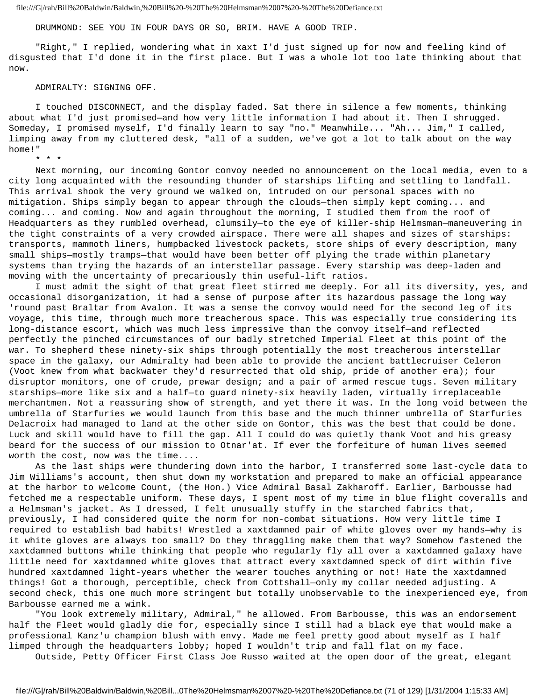DRUMMOND: SEE YOU IN FOUR DAYS OR SO, BRIM. HAVE A GOOD TRIP.

 "Right," I replied, wondering what in xaxt I'd just signed up for now and feeling kind of disgusted that I'd done it in the first place. But I was a whole lot too late thinking about that now.

ADMIRALTY: SIGNING OFF.

 I touched DISCONNECT, and the display faded. Sat there in silence a few moments, thinking about what I'd just promised—and how very little information I had about it. Then I shrugged. Someday, I promised myself, I'd finally learn to say "no." Meanwhile... "Ah... Jim," I called, limping away from my cluttered desk, "all of a sudden, we've got a lot to talk about on the way home!"

\* \* \*

 Next morning, our incoming Gontor convoy needed no announcement on the local media, even to a city long acquainted with the resounding thunder of starships lifting and settling to landfall. This arrival shook the very ground we walked on, intruded on our personal spaces with no mitigation. Ships simply began to appear through the clouds—then simply kept coming... and coming... and coming. Now and again throughout the morning, I studied them from the roof of Headquarters as they rumbled overhead, clumsily—to the eye of killer-ship Helmsman—maneuvering in the tight constraints of a very crowded airspace. There were all shapes and sizes of starships: transports, mammoth liners, humpbacked livestock packets, store ships of every description, many small ships—mostly tramps—that would have been better off plying the trade within planetary systems than trying the hazards of an interstellar passage. Every starship was deep-laden and moving with the uncertainty of precariously thin useful-lift ratios.

 I must admit the sight of that great fleet stirred me deeply. For all its diversity, yes, and occasional disorganization, it had a sense of purpose after its hazardous passage the long way 'round past Braltar from Avalon. It was a sense the convoy would need for the second leg of its voyage, this time, through much more treacherous space. This was especially true considering its long-distance escort, which was much less impressive than the convoy itself—and reflected perfectly the pinched circumstances of our badly stretched Imperial Fleet at this point of the war. To shepherd these ninety-six ships through potentially the most treacherous interstellar space in the galaxy, our Admiralty had been able to provide the ancient battlecruiser Celeron (Voot knew from what backwater they'd resurrected that old ship, pride of another era); four disruptor monitors, one of crude, prewar design; and a pair of armed rescue tugs. Seven military starships—more like six and a half—to guard ninety-six heavily laden, virtually irreplaceable merchantmen. Not a reassuring show of strength, and yet there it was. In the long void between the umbrella of Starfuries we would launch from this base and the much thinner umbrella of Starfuries Delacroix had managed to land at the other side on Gontor, this was the best that could be done. Luck and skill would have to fill the gap. All I could do was quietly thank Voot and his greasy beard for the success of our mission to Otnar'at. If ever the forfeiture of human lives seemed worth the cost, now was the time....

 As the last ships were thundering down into the harbor, I transferred some last-cycle data to Jim Williams's account, then shut down my workstation and prepared to make an official appearance at the harbor to welcome Count, (the Hon.) Vice Admiral Basal Zakharoff. Earlier, Barbousse had fetched me a respectable uniform. These days, I spent most of my time in blue flight coveralls and a Helmsman's jacket. As I dressed, I felt unusually stuffy in the starched fabrics that, previously, I had considered quite the norm for non-combat situations. How very little time I required to establish bad habits! Wrestled a xaxtdamned pair of white gloves over my hands—why is it white gloves are always too small? Do they thraggling make them that way? Somehow fastened the xaxtdamned buttons while thinking that people who regularly fly all over a xaxtdamned galaxy have little need for xaxtdamned white gloves that attract every xaxtdamned speck of dirt within five hundred xaxtdamned light-years whether the wearer touches anything or not! Hate the xaxtdamned things! Got a thorough, perceptible, check from Cottshall—only my collar needed adjusting. A second check, this one much more stringent but totally unobservable to the inexperienced eye, from Barbousse earned me a wink.

 "You look extremely military, Admiral," he allowed. From Barbousse, this was an endorsement half the Fleet would gladly die for, especially since I still had a black eye that would make a professional Kanz'u champion blush with envy. Made me feel pretty good about myself as I half limped through the headquarters lobby; hoped I wouldn't trip and fall flat on my face.

Outside, Petty Officer First Class Joe Russo waited at the open door of the great, elegant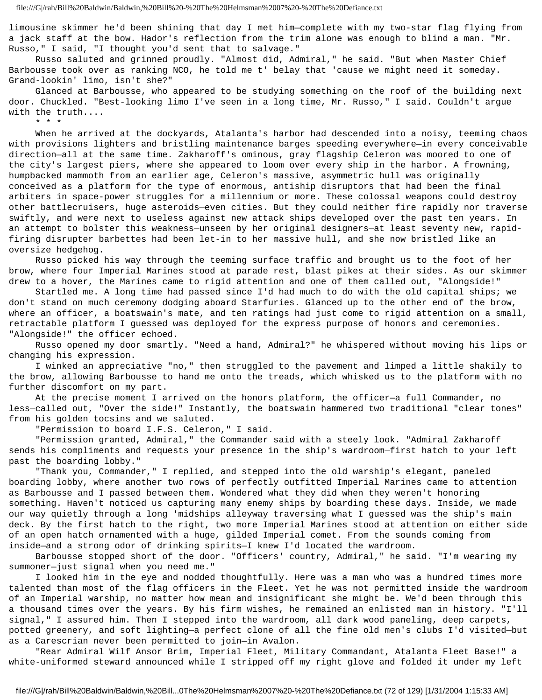limousine skimmer he'd been shining that day I met him—complete with my two-star flag flying from a jack staff at the bow. Hador's reflection from the trim alone was enough to blind a man. "Mr. Russo," I said, "I thought you'd sent that to salvage."

 Russo saluted and grinned proudly. "Almost did, Admiral," he said. "But when Master Chief Barbousse took over as ranking NCO, he told me t' belay that 'cause we might need it someday. Grand-lookin' limo, isn't she?"

 Glanced at Barbousse, who appeared to be studying something on the roof of the building next door. Chuckled. "Best-looking limo I've seen in a long time, Mr. Russo," I said. Couldn't argue with the truth....

\* \* \*

 When he arrived at the dockyards, Atalanta's harbor had descended into a noisy, teeming chaos with provisions lighters and bristling maintenance barges speeding everywhere—in every conceivable direction—all at the same time. Zakharoff's ominous, gray flagship Celeron was moored to one of the city's largest piers, where she appeared to loom over every ship in the harbor. A frowning, humpbacked mammoth from an earlier age, Celeron's massive, asymmetric hull was originally conceived as a platform for the type of enormous, antiship disruptors that had been the final arbiters in space-power struggles for a millennium or more. These colossal weapons could destroy other battlecruisers, huge asteroids—even cities. But they could neither fire rapidly nor traverse swiftly, and were next to useless against new attack ships developed over the past ten years. In an attempt to bolster this weakness—unseen by her original designers—at least seventy new, rapidfiring disrupter barbettes had been let-in to her massive hull, and she now bristled like an oversize hedgehog.

 Russo picked his way through the teeming surface traffic and brought us to the foot of her brow, where four Imperial Marines stood at parade rest, blast pikes at their sides. As our skimmer drew to a hover, the Marines came to rigid attention and one of them called out, "Alongside!"

 Startled me. A long time had passed since I'd had much to do with the old capital ships; we don't stand on much ceremony dodging aboard Starfuries. Glanced up to the other end of the brow, where an officer, a boatswain's mate, and ten ratings had just come to rigid attention on a small, retractable platform I guessed was deployed for the express purpose of honors and ceremonies. "Alongside!" the officer echoed.

 Russo opened my door smartly. "Need a hand, Admiral?" he whispered without moving his lips or changing his expression.

 I winked an appreciative "no," then struggled to the pavement and limped a little shakily to the brow, allowing Barbousse to hand me onto the treads, which whisked us to the platform with no further discomfort on my part.

At the precise moment I arrived on the honors platform, the officer-a full Commander, no less—called out, "Over the side!" Instantly, the boatswain hammered two traditional "clear tones" from his golden tocsins and we saluted.

"Permission to board I.F.S. Celeron," I said.

 "Permission granted, Admiral," the Commander said with a steely look. "Admiral Zakharoff sends his compliments and requests your presence in the ship's wardroom—first hatch to your left past the boarding lobby."

 "Thank you, Commander," I replied, and stepped into the old warship's elegant, paneled boarding lobby, where another two rows of perfectly outfitted Imperial Marines came to attention as Barbousse and I passed between them. Wondered what they did when they weren't honoring something. Haven't noticed us capturing many enemy ships by boarding these days. Inside, we made our way quietly through a long 'midships alleyway traversing what I guessed was the ship's main deck. By the first hatch to the right, two more Imperial Marines stood at attention on either side of an open hatch ornamented with a huge, gilded Imperial comet. From the sounds coming from inside—and a strong odor of drinking spirits—I knew I'd located the wardroom.

 Barbousse stopped short of the door. "Officers' country, Admiral," he said. "I'm wearing my summoner—just signal when you need me."

 I looked him in the eye and nodded thoughtfully. Here was a man who was a hundred times more talented than most of the flag officers in the Fleet. Yet he was not permitted inside the wardroom of an Imperial warship, no matter how mean and insignificant she might be. We'd been through this a thousand times over the years. By his firm wishes, he remained an enlisted man in history. "I'll signal," I assured him. Then I stepped into the wardroom, all dark wood paneling, deep carpets, potted greenery, and soft lighting—a perfect clone of all the fine old men's clubs I'd visited—but as a Carescrian never been permitted to join—in Avalon.

 "Rear Admiral Wilf Ansor Brim, Imperial Fleet, Military Commandant, Atalanta Fleet Base!" a white-uniformed steward announced while I stripped off my right glove and folded it under my left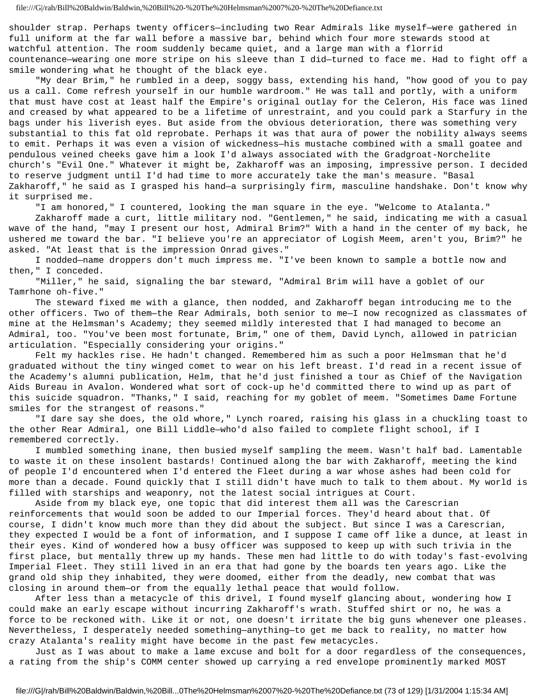shoulder strap. Perhaps twenty officers—including two Rear Admirals like myself—were gathered in full uniform at the far wall before a massive bar, behind which four more stewards stood at watchful attention. The room suddenly became quiet, and a large man with a florrid countenance—wearing one more stripe on his sleeve than I did—turned to face me. Had to fight off a smile wondering what he thought of the black eye.

 "My dear Brim," he rumbled in a deep, soggy bass, extending his hand, "how good of you to pay us a call. Come refresh yourself in our humble wardroom." He was tall and portly, with a uniform that must have cost at least half the Empire's original outlay for the Celeron, His face was lined and creased by what appeared to be a lifetime of unrestraint, and you could park a Starfury in the bags under his liverish eyes. But aside from the obvious deterioration, there was something very substantial to this fat old reprobate. Perhaps it was that aura of power the nobility always seems to emit. Perhaps it was even a vision of wickedness—his mustache combined with a small goatee and pendulous veined cheeks gave him a look I'd always associated with the Gradgroat-Norchelite church's "Evil One." Whatever it might be, Zakharoff was an imposing, impressive person. I decided to reserve judgment until I'd had time to more accurately take the man's measure. "Basal Zakharoff," he said as I grasped his hand—a surprisingly firm, masculine handshake. Don't know why it surprised me.

"I am honored," I countered, looking the man square in the eye. "Welcome to Atalanta."

 Zakharoff made a curt, little military nod. "Gentlemen," he said, indicating me with a casual wave of the hand, "may I present our host, Admiral Brim?" With a hand in the center of my back, he ushered me toward the bar. "I believe you're an appreciator of Logish Meem, aren't you, Brim?" he asked. "At least that is the impression Onrad gives."

 I nodded—name droppers don't much impress me. "I've been known to sample a bottle now and then," I conceded.

 "Miller," he said, signaling the bar steward, "Admiral Brim will have a goblet of our Tamrhone oh-five."

 The steward fixed me with a glance, then nodded, and Zakharoff began introducing me to the other officers. Two of them—the Rear Admirals, both senior to me—I now recognized as classmates of mine at the Helmsman's Academy; they seemed mildly interested that I had managed to become an Admiral, too. "You've been most fortunate, Brim," one of them, David Lynch, allowed in patrician articulation. "Especially considering your origins."

 Felt my hackles rise. He hadn't changed. Remembered him as such a poor Helmsman that he'd graduated without the tiny winged comet to wear on his left breast. I'd read in a recent issue of the Academy's alumni publication, Helm, that he'd just finished a tour as Chief of the Navigation Aids Bureau in Avalon. Wondered what sort of cock-up he'd committed there to wind up as part of this suicide squadron. "Thanks," I said, reaching for my goblet of meem. "Sometimes Dame Fortune smiles for the strangest of reasons."

 "I dare say she does, the old whore," Lynch roared, raising his glass in a chuckling toast to the other Rear Admiral, one Bill Liddle—who'd also failed to complete flight school, if I remembered correctly.

 I mumbled something inane, then busied myself sampling the meem. Wasn't half bad. Lamentable to waste it on these insolent bastards! Continued along the bar with Zakharoff, meeting the kind of people I'd encountered when I'd entered the Fleet during a war whose ashes had been cold for more than a decade. Found quickly that I still didn't have much to talk to them about. My world is filled with starships and weaponry, not the latest social intrigues at Court.

 Aside from my black eye, one topic that did interest them all was the Carescrian reinforcements that would soon be added to our Imperial forces. They'd heard about that. Of course, I didn't know much more than they did about the subject. But since I was a Carescrian, they expected I would be a font of information, and I suppose I came off like a dunce, at least in their eyes. Kind of wondered how a busy officer was supposed to keep up with such trivia in the first place, but mentally threw up my hands. These men had little to do with today's fast-evolving Imperial Fleet. They still lived in an era that had gone by the boards ten years ago. Like the grand old ship they inhabited, they were doomed, either from the deadly, new combat that was closing in around them—or from the equally lethal peace that would follow.

 After less than a metacycle of this drivel, I found myself glancing about, wondering how I could make an early escape without incurring Zakharoff's wrath. Stuffed shirt or no, he was a force to be reckoned with. Like it or not, one doesn't irritate the big guns whenever one pleases. Nevertheless, I desperately needed something—anything—to get me back to reality, no matter how crazy Atalanta's reality might have become in the past few metacycles.

 Just as I was about to make a lame excuse and bolt for a door regardless of the consequences, a rating from the ship's COMM center showed up carrying a red envelope prominently marked MOST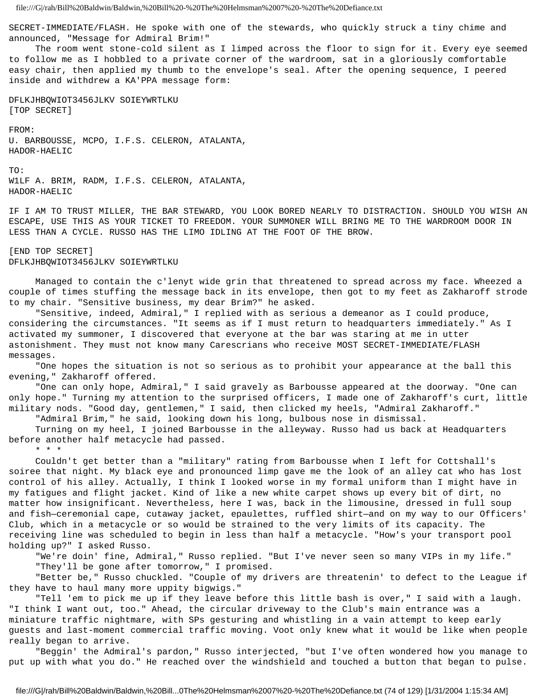SECRET-IMMEDIATE/FLASH. He spoke with one of the stewards, who quickly struck a tiny chime and announced, "Message for Admiral Brim!"

 The room went stone-cold silent as I limped across the floor to sign for it. Every eye seemed to follow me as I hobbled to a private corner of the wardroom, sat in a gloriously comfortable easy chair, then applied my thumb to the envelope's seal. After the opening sequence, I peered inside and withdrew a KA'PPA message form:

DFLKJHBQWIOT3456JLKV SOIEYWRTLKU [TOP SECRET]

FROM: U. BARBOUSSE, MCPO, I.F.S. CELERON, ATALANTA, HADOR-HAELIC

W1LF A. BRIM, RADM, I.F.S. CELERON, ATALANTA, HADOR-HAELIC

IF I AM TO TRUST MILLER, THE BAR STEWARD, YOU LOOK BORED NEARLY TO DISTRACTION. SHOULD YOU WISH AN ESCAPE, USE THIS AS YOUR TICKET TO FREEDOM. YOUR SUMMONER WILL BRING ME TO THE WARDROOM DOOR IN LESS THAN A CYCLE. RUSSO HAS THE LIMO IDLING AT THE FOOT OF THE BROW.

[END TOP SECRET] DFLKJHBQWIOT3456JLKV SOIEYWRTLKU

 Managed to contain the c'lenyt wide grin that threatened to spread across my face. Wheezed a couple of times stuffing the message back in its envelope, then got to my feet as Zakharoff strode to my chair. "Sensitive business, my dear Brim?" he asked.

 "Sensitive, indeed, Admiral," I replied with as serious a demeanor as I could produce, considering the circumstances. "It seems as if I must return to headquarters immediately." As I activated my summoner, I discovered that everyone at the bar was staring at me in utter astonishment. They must not know many Carescrians who receive MOST SECRET-IMMEDIATE/FLASH messages.

 "One hopes the situation is not so serious as to prohibit your appearance at the ball this evening," Zakharoff offered.

 "One can only hope, Admiral," I said gravely as Barbousse appeared at the doorway. "One can only hope." Turning my attention to the surprised officers, I made one of Zakharoff's curt, little military nods. "Good day, gentlemen," I said, then clicked my heels, "Admiral Zakharoff."

"Admiral Brim," he said, looking down his long, bulbous nose in dismissal.

 Turning on my heel, I joined Barbousse in the alleyway. Russo had us back at Headquarters before another half metacycle had passed.

\* \* \*

TO:

 Couldn't get better than a "military" rating from Barbousse when I left for Cottshall's soiree that night. My black eye and pronounced limp gave me the look of an alley cat who has lost control of his alley. Actually, I think I looked worse in my formal uniform than I might have in my fatigues and flight jacket. Kind of like a new white carpet shows up every bit of dirt, no matter how insignificant. Nevertheless, here I was, back in the limousine, dressed in full soup and fish—ceremonial cape, cutaway jacket, epaulettes, ruffled shirt—and on my way to our Officers' Club, which in a metacycle or so would be strained to the very limits of its capacity. The receiving line was scheduled to begin in less than half a metacycle. "How's your transport pool holding up?" I asked Russo.

 "We're doin' fine, Admiral," Russo replied. "But I've never seen so many VIPs in my life." "They'll be gone after tomorrow," I promised.

 "Better be," Russo chuckled. "Couple of my drivers are threatenin' to defect to the League if they have to haul many more uppity bigwigs."

 "Tell 'em to pick me up if they leave before this little bash is over," I said with a laugh. "I think I want out, too." Ahead, the circular driveway to the Club's main entrance was a miniature traffic nightmare, with SPs gesturing and whistling in a vain attempt to keep early guests and last-moment commercial traffic moving. Voot only knew what it would be like when people really began to arrive.

 "Beggin' the Admiral's pardon," Russo interjected, "but I've often wondered how you manage to put up with what you do." He reached over the windshield and touched a button that began to pulse.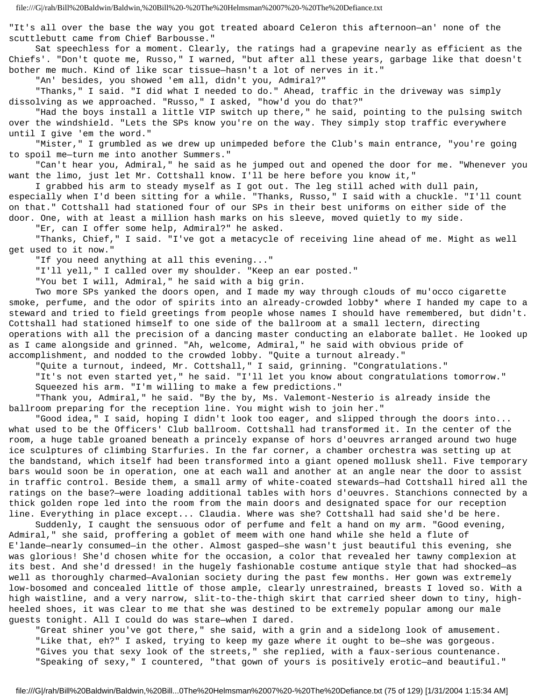"It's all over the base the way you got treated aboard Celeron this afternoon—an' none of the scuttlebutt came from Chief Barbousse."

 Sat speechless for a moment. Clearly, the ratings had a grapevine nearly as efficient as the Chiefs'. "Don't quote me, Russo," I warned, "but after all these years, garbage like that doesn't bother me much. Kind of like scar tissue—hasn't a lot of nerves in it."

"An' besides, you showed 'em all, didn't you, Admiral?"

 "Thanks," I said. "I did what I needed to do." Ahead, traffic in the driveway was simply dissolving as we approached. "Russo," I asked, "how'd you do that?"

 "Had the boys install a little VIP switch up there," he said, pointing to the pulsing switch over the windshield. "Lets the SPs know you're on the way. They simply stop traffic everywhere until I give 'em the word."

 "Mister," I grumbled as we drew up unimpeded before the Club's main entrance, "you're going to spoil me—turn me into another Summers."

 "Can't hear you, Admiral," he said as he jumped out and opened the door for me. "Whenever you want the limo, just let Mr. Cottshall know. I'll be here before you know it,"

 I grabbed his arm to steady myself as I got out. The leg still ached with dull pain, especially when I'd been sitting for a while. "Thanks, Russo," I said with a chuckle. "I'll count on that." Cottshall had stationed four of our SPs in their best uniforms on either side of the door. One, with at least a million hash marks on his sleeve, moved quietly to my side.

"Er, can I offer some help, Admiral?" he asked.

 "Thanks, Chief," I said. "I've got a metacycle of receiving line ahead of me. Might as well get used to it now."

"If you need anything at all this evening..."

"I'll yell," I called over my shoulder. "Keep an ear posted."

"You bet I will, Admiral," he said with a big grin.

 Two more SPs yanked the doors open, and I made my way through clouds of mu'occo cigarette smoke, perfume, and the odor of spirits into an already-crowded lobby\* where I handed my cape to a steward and tried to field greetings from people whose names I should have remembered, but didn't. Cottshall had stationed himself to one side of the ballroom at a small lectern, directing operations with all the precision of a dancing master conducting an elaborate ballet. He looked up as I came alongside and grinned. "Ah, welcome, Admiral," he said with obvious pride of accomplishment, and nodded to the crowded lobby. "Quite a turnout already."

"Quite a turnout, indeed, Mr. Cottshall," I said, grinning. "Congratulations."

 "It's not even started yet," he said. "I'll let you know about congratulations tomorrow." Squeezed his arm. "I'm willing to make a few predictions."

 "Thank you, Admiral," he said. "By the by, Ms. Valemont-Nesterio is already inside the ballroom preparing for the reception line. You might wish to join her."

 "Good idea," I said, hoping I didn't look too eager, and slipped through the doors into... what used to be the Officers' Club ballroom. Cottshall had transformed it. In the center of the room, a huge table groaned beneath a princely expanse of hors d'oeuvres arranged around two huge ice sculptures of climbing Starfuries. In the far corner, a chamber orchestra was setting up at the bandstand, which itself had been transformed into a giant opened mollusk shell. Five temporary bars would soon be in operation, one at each wall and another at an angle near the door to assist in traffic control. Beside them, a small army of white-coated stewards—had Cottshall hired all the ratings on the base?—were loading additional tables with hors d'oeuvres. Stanchions connected by a thick golden rope led into the room from the main doors and designated space for our reception line. Everything in place except... Claudia. Where was she? Cottshall had said she'd be here.

 Suddenly, I caught the sensuous odor of perfume and felt a hand on my arm. "Good evening, Admiral," she said, proffering a goblet of meem with one hand while she held a flute of E'lande—nearly consumed—in the other. Almost gasped—she wasn't just beautiful this evening, she was glorious! She'd chosen white for the occasion, a color that revealed her tawny complexion at its best. And she'd dressed! in the hugely fashionable costume antique style that had shocked—as well as thoroughly charmed—Avalonian society during the past few months. Her gown was extremely low-bosomed and concealed little of those ample, clearly unrestrained, breasts I loved so. With a high waistline, and a very narrow, slit-to-the-thigh skirt that carried sheer down to tiny, highheeled shoes, it was clear to me that she was destined to be extremely popular among our male guests tonight. All I could do was stare—when I dared.

 "Great shiner you've got there," she said, with a grin and a sidelong look of amusement. "Like that, eh?" I asked, trying to keep my gaze where it ought to be—she was gorgeous. "Gives you that sexy look of the streets," she replied, with a faux-serious countenance. "Speaking of sexy," I countered, "that gown of yours is positively erotic—and beautiful."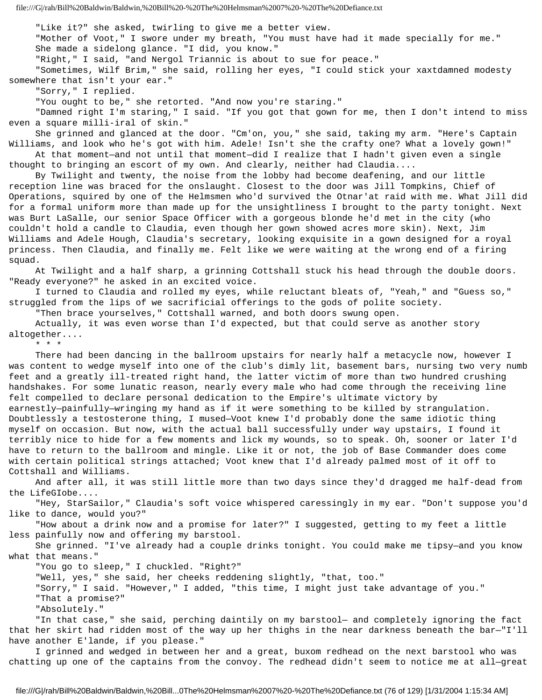"Like it?" she asked, twirling to give me a better view.

"Mother of Voot," I swore under my breath, "You must have had it made specially for me."

She made a sidelong glance. "I did, you know."

"Right," I said, "and Nergol Triannic is about to sue for peace."

 "Sometimes, Wilf Brim," she said, rolling her eyes, "I could stick your xaxtdamned modesty somewhere that isn't your ear."

"Sorry," I replied.

"You ought to be," she retorted. "And now you're staring."

 "Damned right I'm staring," I said. "If you got that gown for me, then I don't intend to miss even a square milli-iral of skin."

 She grinned and glanced at the door. "Cm'on, you," she said, taking my arm. "Here's Captain Williams, and look who he's got with him. Adele! Isn't she the crafty one? What a lovely gown!" At that moment—and not until that moment—did I realize that I hadn't given even a single thought to bringing an escort of my own. And clearly, neither had Claudia....

 By Twilight and twenty, the noise from the lobby had become deafening, and our little reception line was braced for the onslaught. Closest to the door was Jill Tompkins, Chief of Operations, squired by one of the Helmsmen who'd survived the Otnar'at raid with me. What Jill did for a formal uniform more than made up for the unsightliness I brought to the party tonight. Next was Burt LaSalle, our senior Space Officer with a gorgeous blonde he'd met in the city (who couldn't hold a candle to Claudia, even though her gown showed acres more skin). Next, Jim Williams and Adele Hough, Claudia's secretary, looking exquisite in a gown designed for a royal princess. Then Claudia, and finally me. Felt like we were waiting at the wrong end of a firing squad.

 At Twilight and a half sharp, a grinning Cottshall stuck his head through the double doors. "Ready everyone?" he asked in an excited voice.

 I turned to Claudia and rolled my eyes, while reluctant bleats of, "Yeah," and "Guess so," struggled from the lips of we sacrificial offerings to the gods of polite society.

"Then brace yourselves," Cottshall warned, and both doors swung open.

 Actually, it was even worse than I'd expected, but that could serve as another story altogether....

\* \* \*

 There had been dancing in the ballroom upstairs for nearly half a metacycle now, however I was content to wedge myself into one of the club's dimly lit, basement bars, nursing two very numb feet and a greatly ill-treated right hand, the latter victim of more than two hundred crushing handshakes. For some lunatic reason, nearly every male who had come through the receiving line felt compelled to declare personal dedication to the Empire's ultimate victory by earnestly—painfully—wringing my hand as if it were something to be killed by strangulation. Doubtlessly a testosterone thing, I mused—Voot knew I'd probably done the same idiotic thing myself on occasion. But now, with the actual ball successfully under way upstairs, I found it terribly nice to hide for a few moments and lick my wounds, so to speak. Oh, sooner or later I'd have to return to the ballroom and mingle. Like it or not, the job of Base Commander does come with certain political strings attached; Voot knew that I'd already palmed most of it off to Cottshall and Williams.

 And after all, it was still little more than two days since they'd dragged me half-dead from the LifeGIobe....

 "Hey, StarSailor," Claudia's soft voice whispered caressingly in my ear. "Don't suppose you'd like to dance, would you?"

 "How about a drink now and a promise for later?" I suggested, getting to my feet a little less painfully now and offering my barstool.

 She grinned. "I've already had a couple drinks tonight. You could make me tipsy—and you know what that means."

"You go to sleep," I chuckled. "Right?"

"Well, yes," she said, her cheeks reddening slightly, "that, too."

"Sorry," I said. "However," I added, "this time, I might just take advantage of you."

"That a promise?"

"Absolutely."

 "In that case," she said, perching daintily on my barstool— and completely ignoring the fact that her skirt had ridden most of the way up her thighs in the near darkness beneath the bar—"I'll have another E'lande, if you please."

 I grinned and wedged in between her and a great, buxom redhead on the next barstool who was chatting up one of the captains from the convoy. The redhead didn't seem to notice me at all—great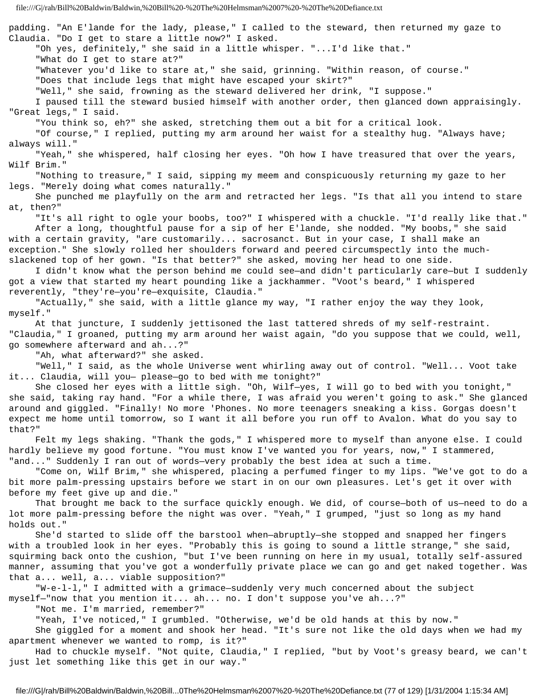padding. "An E'lande for the lady, please," I called to the steward, then returned my gaze to Claudia. "Do I get to stare a little now?" I asked. "Oh yes, definitely," she said in a little whisper. "...I'd like that." "What do I get to stare at?" "Whatever you'd like to stare at," she said, grinning. "Within reason, of course." "Does that include legs that might have escaped your skirt?" "Well," she said, frowning as the steward delivered her drink, "I suppose." I paused till the steward busied himself with another order, then glanced down appraisingly. "Great legs," I said. "You think so, eh?" she asked, stretching them out a bit for a critical look. "Of course," I replied, putting my arm around her waist for a stealthy hug. "Always have; always will." "Yeah," she whispered, half closing her eyes. "Oh how I have treasured that over the years, Wilf Brim." "Nothing to treasure," I said, sipping my meem and conspicuously returning my gaze to her legs. "Merely doing what comes naturally." She punched me playfully on the arm and retracted her legs. "Is that all you intend to stare at, then?" "It's all right to ogle your boobs, too?" I whispered with a chuckle. "I'd really like that." After a long, thoughtful pause for a sip of her E'lande, she nodded. "My boobs," she said with a certain gravity, "are customarily... sacrosanct. But in your case, I shall make an exception." She slowly rolled her shoulders forward and peered circumspectly into the muchslackened top of her gown. "Is that better?" she asked, moving her head to one side. I didn't know what the person behind me could see—and didn't particularly care—but I suddenly got a view that started my heart pounding like a jackhammer. "Voot's beard," I whispered reverently, "they're—you're—exquisite, Claudia." "Actually," she said, with a little glance my way, "I rather enjoy the way they look, myself." At that juncture, I suddenly jettisoned the last tattered shreds of my self-restraint. "Claudia," I groaned, putting my arm around her waist again, "do you suppose that we could, well, go somewhere afterward and ah...?" "Ah, what afterward?" she asked. "Well," I said, as the whole Universe went whirling away out of control. "Well... Voot take it... Claudia, will you— please—go to bed with me tonight?" She closed her eyes with a little sigh. "Oh, Wilf—yes, I will go to bed with you tonight," she said, taking ray hand. "For a while there, I was afraid you weren't going to ask." She glanced around and giggled. "Finally! No more 'Phones. No more teenagers sneaking a kiss. Gorgas doesn't expect me home until tomorrow, so I want it all before you run off to Avalon. What do you say to that?" Felt my legs shaking. "Thank the gods," I whispered more to myself than anyone else. I could hardly believe my good fortune. "You must know I've wanted you for years, now," I stammered, "and..." Suddenly I ran out of words—very probably the best idea at such a time. "Come on, Wilf Brim," she whispered, placing a perfumed finger to my lips. "We've got to do a bit more palm-pressing upstairs before we start in on our own pleasures. Let's get it over with before my feet give up and die." That brought me back to the surface quickly enough. We did, of course—both of us—need to do a lot more palm-pressing before the night was over. "Yeah," I grumped, "just so long as my hand holds out." She'd started to slide off the barstool when—abruptly—she stopped and snapped her fingers with a troubled look in her eyes. "Probably this is going to sound a little strange," she said, squirming back onto the cushion, "but I've been running on here in my usual, totally self-assured manner, assuming that you've got a wonderfully private place we can go and get naked together. Was that a... well, a... viable supposition?" "W-e-l-l," I admitted with a grimace—suddenly very much concerned about the subject myself—"now that you mention it... ah... no. I don't suppose you've ah...?" "Not me. I'm married, remember?"

"Yeah, I've noticed," I grumbled. "Otherwise, we'd be old hands at this by now."

 She giggled for a moment and shook her head. "It's sure not like the old days when we had my apartment whenever we wanted to romp, is it?"

 Had to chuckle myself. "Not quite, Claudia," I replied, "but by Voot's greasy beard, we can't just let something like this get in our way."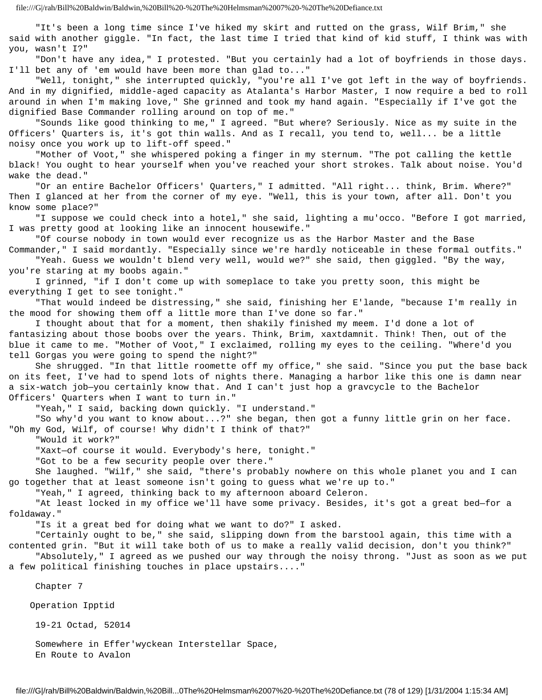"It's been a long time since I've hiked my skirt and rutted on the grass, Wilf Brim," she said with another giggle. "In fact, the last time I tried that kind of kid stuff, I think was with you, wasn't I?"

 "Don't have any idea," I protested. "But you certainly had a lot of boyfriends in those days. I'll bet any of 'em would have been more than glad to..."

 "Well, tonight," she interrupted quickly, "you're all I've got left in the way of boyfriends. And in my dignified, middle-aged capacity as Atalanta's Harbor Master, I now require a bed to roll around in when I'm making love," She grinned and took my hand again. "Especially if I've got the dignified Base Commander rolling around on top of me."

 "Sounds like good thinking to me," I agreed. "But where? Seriously. Nice as my suite in the Officers' Quarters is, it's got thin walls. And as I recall, you tend to, well... be a little noisy once you work up to lift-off speed."

 "Mother of Voot," she whispered poking a finger in my sternum. "The pot calling the kettle black! You ought to hear yourself when you've reached your short strokes. Talk about noise. You'd wake the dead."

 "Or an entire Bachelor Officers' Quarters," I admitted. "All right... think, Brim. Where?" Then I glanced at her from the corner of my eye. "Well, this is your town, after all. Don't you know some place?"

 "I suppose we could check into a hotel," she said, lighting a mu'occo. "Before I got married, I was pretty good at looking like an innocent housewife."

 "Of course nobody in town would ever recognize us as the Harbor Master and the Base Commander," I said mordantly. "Especially since we're hardly noticeable in these formal outfits."

 "Yeah. Guess we wouldn't blend very well, would we?" she said, then giggled. "By the way, you're staring at my boobs again."

 I grinned, "if I don't come up with someplace to take you pretty soon, this might be everything I get to see tonight."

 "That would indeed be distressing," she said, finishing her E'lande, "because I'm really in the mood for showing them off a little more than I've done so far."

 I thought about that for a moment, then shakily finished my meem. I'd done a lot of fantasizing about those boobs over the years. Think, Brim, xaxtdamnit. Think! Then, out of the blue it came to me. "Mother of Voot," I exclaimed, rolling my eyes to the ceiling. "Where'd you tell Gorgas you were going to spend the night?"

 She shrugged. "In that little roomette off my office," she said. "Since you put the base back on its feet, I've had to spend lots of nights there. Managing a harbor like this one is damn near a six-watch job—you certainly know that. And I can't just hop a gravcycle to the Bachelor Officers' Quarters when I want to turn in."

"Yeah," I said, backing down quickly. "I understand."

 "So why'd you want to know about...?" she began, then got a funny little grin on her face. "Oh my God, Wilf, of course! Why didn't I think of that?"

"Would it work?"

"Xaxt—of course it would. Everybody's here, tonight."

"Got to be a few security people over there."

 She laughed. "Wilf," she said, "there's probably nowhere on this whole planet you and I can go together that at least someone isn't going to guess what we're up to."

"Yeah," I agreed, thinking back to my afternoon aboard Celeron.

 "At least locked in my office we'll have some privacy. Besides, it's got a great bed—for a foldaway."

"Is it a great bed for doing what we want to do?" I asked.

 "Certainly ought to be," she said, slipping down from the barstool again, this time with a contented grin. "But it will take both of us to make a really valid decision, don't you think?" "Absolutely," I agreed as we pushed our way through the noisy throng. "Just as soon as we put a few political finishing touches in place upstairs...."

Chapter 7

Operation Ipptid

19-21 Octad, 52014

 Somewhere in Effer'wyckean Interstellar Space, En Route to Avalon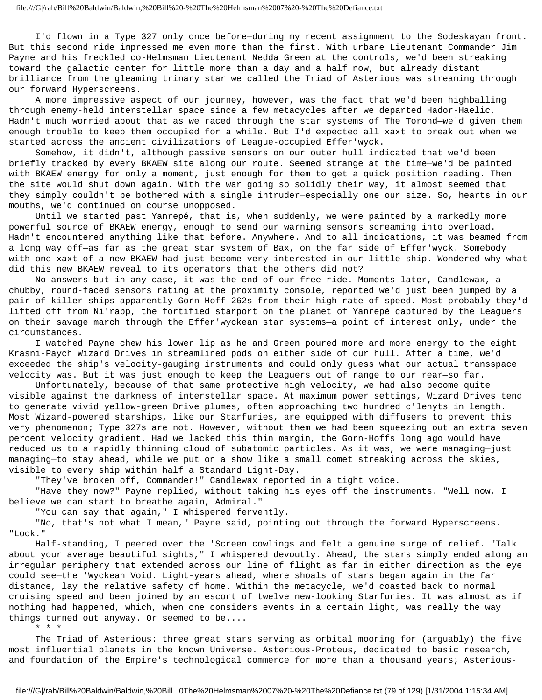I'd flown in a Type 327 only once before—during my recent assignment to the Sodeskayan front. But this second ride impressed me even more than the first. With urbane Lieutenant Commander Jim Payne and his freckled co-Helmsman Lieutenant Nedda Green at the controls, we'd been streaking toward the galactic center for little more than a day and a half now, but already distant brilliance from the gleaming trinary star we called the Triad of Asterious was streaming through our forward Hyperscreens.

 A more impressive aspect of our journey, however, was the fact that we'd been highballing through enemy-held interstellar space since a few metacycles after we departed Hador-Haelic, Hadn't much worried about that as we raced through the star systems of The Torond—we'd given them enough trouble to keep them occupied for a while. But I'd expected all xaxt to break out when we started across the ancient civilizations of League-occupied Effer'wyck.

 Somehow, it didn't, although passive sensors on our outer hull indicated that we'd been briefly tracked by every BKAEW site along our route. Seemed strange at the time—we'd be painted with BKAEW energy for only a moment, just enough for them to get a quick position reading. Then the site would shut down again. With the war going so solidly their way, it almost seemed that they simply couldn't be bothered with a single intruder—especially one our size. So, hearts in our mouths, we'd continued on course unopposed.

 Until we started past Yanrepé, that is, when suddenly, we were painted by a markedly more powerful source of BKAEW energy, enough to send our warning sensors screaming into overload. Hadn't encountered anything like that before. Anywhere. And to all indications, it was beamed from a long way off—as far as the great star system of Bax, on the far side of Effer'wyck. Somebody with one xaxt of a new BKAEW had just become very interested in our little ship. Wondered why—what did this new BKAEW reveal to its operators that the others did not?

 No answers—but in any case, it was the end of our free ride. Moments later, Candlewax, a chubby, round-faced sensors rating at the proximity console, reported we'd just been jumped by a pair of killer ships—apparently Gorn-Hoff 262s from their high rate of speed. Most probably they'd lifted off from Ni'rapp, the fortified starport on the planet of Yanrepé captured by the Leaguers on their savage march through the Effer'wyckean star systems—a point of interest only, under the circumstances.

 I watched Payne chew his lower lip as he and Green poured more and more energy to the eight Krasni-Paych Wizard Drives in streamlined pods on either side of our hull. After a time, we'd exceeded the ship's velocity-gauging instruments and could only guess what our actual transspace velocity was. But it was just enough to keep the Leaguers out of range to our rear—so far.

 Unfortunately, because of that same protective high velocity, we had also become quite visible against the darkness of interstellar space. At maximum power settings, Wizard Drives tend to generate vivid yellow-green Drive plumes, often approaching two hundred c'lenyts in length. Most Wizard-powered starships, like our Starfuries, are equipped with diffusers to prevent this very phenomenon; Type 327s are not. However, without them we had been squeezing out an extra seven percent velocity gradient. Had we lacked this thin margin, the Gorn-Hoffs long ago would have reduced us to a rapidly thinning cloud of subatomic particles. As it was, we were managing—just managing—to stay ahead, while we put on a show like a small comet streaking across the skies, visible to every ship within half a Standard Light-Day.

"They've broken off, Commander!" Candlewax reported in a tight voice.

 "Have they now?" Payne replied, without taking his eyes off the instruments. "Well now, I believe we can start to breathe again, Admiral."

"You can say that again," I whispered fervently.

 "No, that's not what I mean," Payne said, pointing out through the forward Hyperscreens. "Look."

 Half-standing, I peered over the 'Screen cowlings and felt a genuine surge of relief. "Talk about your average beautiful sights," I whispered devoutly. Ahead, the stars simply ended along an irregular periphery that extended across our line of flight as far in either direction as the eye could see—the 'Wyckean Void. Light-years ahead, where shoals of stars began again in the far distance, lay the relative safety of home. Within the metacycle, we'd coasted back to normal cruising speed and been joined by an escort of twelve new-looking Starfuries. It was almost as if nothing had happened, which, when one considers events in a certain light, was really the way things turned out anyway. Or seemed to be....

\* \* \*

 The Triad of Asterious: three great stars serving as orbital mooring for (arguably) the five most influential planets in the known Universe. Asterious-Proteus, dedicated to basic research, and foundation of the Empire's technological commerce for more than a thousand years; Asterious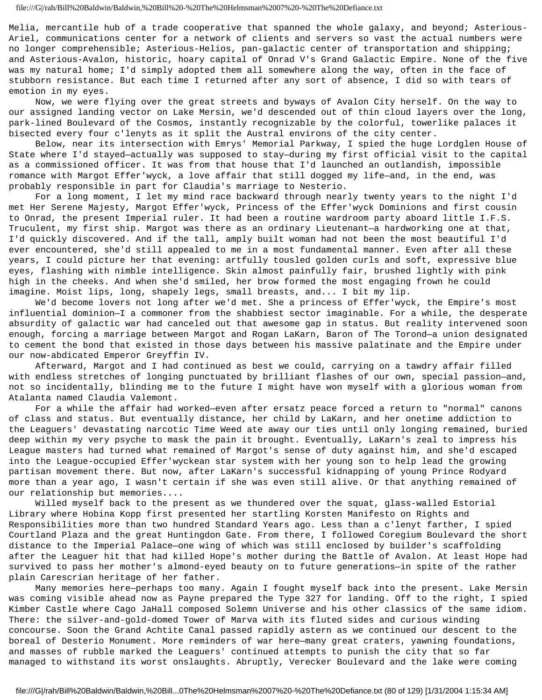Melia, mercantile hub of a trade cooperative that spanned the whole galaxy, and beyond; Asterious-Ariel, communications center for a network of clients and servers so vast the actual numbers were no longer comprehensible; Asterious-Helios, pan-galactic center of transportation and shipping; and Asterious-Avalon, historic, hoary capital of Onrad V's Grand Galactic Empire. None of the five was my natural home; I'd simply adopted them all somewhere along the way, often in the face of stubborn resistance. But each time I returned after any sort of absence, I did so with tears of emotion in my eyes.

 Now, we were flying over the great streets and byways of Avalon City herself. On the way to our assigned landing vector on Lake Mersin, we'd descended out of thin cloud layers over the long, park-lined Boulevard of the Cosmos, instantly recognizable by the colorful, towerlike palaces it bisected every four c'lenyts as it split the Austral environs of the city center.

 Below, near its intersection with Emrys' Memorial Parkway, I spied the huge Lordglen House of State where I'd stayed—actually was supposed to stay—during my first official visit to the capital as a commissioned officer. It was from that house that I'd launched an outlandish, impossible romance with Margot Effer'wyck, a love affair that still dogged my life—and, in the end, was probably responsible in part for Claudia's marriage to Nesterio.

 For a long moment, I let my mind race backward through nearly twenty years to the night I'd met Her Serene Majesty, Margot Effer'wyck, Princess of the Effer'wyck Dominions and first cousin to Onrad, the present Imperial ruler. It had been a routine wardroom party aboard little I.F.S. Truculent, my first ship. Margot was there as an ordinary Lieutenant—a hardworking one at that, I'd quickly discovered. And if the tall, amply built woman had not been the most beautiful I'd ever encountered, she'd still appealed to me in a most fundamental manner. Even after all these years, I could picture her that evening: artfully tousled golden curls and soft, expressive blue eyes, flashing with nimble intelligence. Skin almost painfully fair, brushed lightly with pink high in the cheeks. And when she'd smiled, her brow formed the most engaging frown he could imagine. Moist lips, long, shapely legs, small breasts, and... I bit my lip.

 We'd become lovers not long after we'd met. She a princess of Effer'wyck, the Empire's most influential dominion—I a commoner from the shabbiest sector imaginable. For a while, the desperate absurdity of galactic war had canceled out that awesome gap in status. But reality intervened soon enough, forcing a marriage between Margot and Rogan LaKarn, Baron of The Torond—a union designated to cement the bond that existed in those days between his massive palatinate and the Empire under our now-abdicated Emperor Greyffin IV.

 Afterward, Margot and I had continued as best we could, carrying on a tawdry affair filled with endless stretches of longing punctuated by brilliant flashes of our own, special passion—and, not so incidentally, blinding me to the future I might have won myself with a glorious woman from Atalanta named Claudia Valemont.

 For a while the affair had worked—even after ersatz peace forced a return to "normal" canons of class and status. But eventually distance, her child by LaKarn, and her onetime addiction to the Leaguers' devastating narcotic Time Weed ate away our ties until only longing remained, buried deep within my very psyche to mask the pain it brought. Eventually, LaKarn's zeal to impress his League masters had turned what remained of Margot's sense of duty against him, and she'd escaped into the League-occupied Effer'wyckean star system with her young son to help lead the growing partisan movement there. But now, after LaKarn's successful kidnapping of young Prince Rodyard more than a year ago, I wasn't certain if she was even still alive. Or that anything remained of our relationship but memories....

 Willed myself back to the present as we thundered over the squat, glass-walled Estorial Library where Hobina Kopp first presented her startling Korsten Manifesto on Rights and Responsibilities more than two hundred Standard Years ago. Less than a c'lenyt farther, I spied Courtland Plaza and the great Huntingdon Gate. From there, I followed Coregium Boulevard the short distance to the Imperial Palace—one wing of which was still enclosed by builder's scaffolding after the Leaguer hit that had killed Hope's mother during the Battle of Avalon. At least Hope had survived to pass her mother's almond-eyed beauty on to future generations—in spite of the rather plain Carescrian heritage of her father.

 Many memories here—perhaps too many. Again I fought myself back into the present. Lake Mersin was coming visible ahead now as Payne prepared the Type 327 for landing. Off to the right, I spied Kimber Castle where Cago JaHall composed Solemn Universe and his other classics of the same idiom. There: the silver-and-gold-domed Tower of Marva with its fluted sides and curious winding concourse. Soon the Grand Achtite Canal passed rapidly astern as we continued our descent to the boreal of Desterio Monument. More reminders of war here—many great craters, yawning foundations, and masses of rubble marked the Leaguers' continued attempts to punish the city that so far managed to withstand its worst onslaughts. Abruptly, Verecker Boulevard and the lake were coming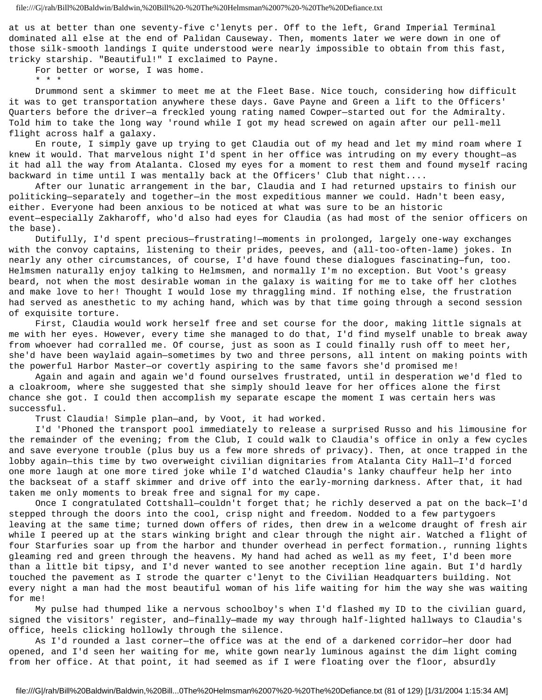at us at better than one seventy-five c'lenyts per. Off to the left, Grand Imperial Terminal dominated all else at the end of Palidan Causeway. Then, moments later we were down in one of those silk-smooth landings I quite understood were nearly impossible to obtain from this fast, tricky starship. "Beautiful!" I exclaimed to Payne.

 For better or worse, I was home. \* \* \*

 Drummond sent a skimmer to meet me at the Fleet Base. Nice touch, considering how difficult it was to get transportation anywhere these days. Gave Payne and Green a lift to the Officers' Quarters before the driver—a freckled young rating named Cowper—started out for the Admiralty. Told him to take the long way 'round while I got my head screwed on again after our pell-mell flight across half a galaxy.

 En route, I simply gave up trying to get Claudia out of my head and let my mind roam where I knew it would. That marvelous night I'd spent in her office was intruding on my every thought—as it had all the way from Atalanta. Closed my eyes for a moment to rest them and found myself racing backward in time until I was mentally back at the Officers' Club that night....

 After our lunatic arrangement in the bar, Claudia and I had returned upstairs to finish our politicking—separately and together—in the most expeditious manner we could. Hadn't been easy, either. Everyone had been anxious to be noticed at what was sure to be an historic event—especially Zakharoff, who'd also had eyes for Claudia (as had most of the senior officers on the base).

 Dutifully, I'd spent precious—frustrating!—moments in prolonged, largely one-way exchanges with the convoy captains, listening to their prides, peeves, and (all-too-often-lame) jokes. In nearly any other circumstances, of course, I'd have found these dialogues fascinating—fun, too. Helmsmen naturally enjoy talking to Helmsmen, and normally I'm no exception. But Voot's greasy beard, not when the most desirable woman in the galaxy is waiting for me to take off her clothes and make love to her! Thought I would lose my thraggling mind. If nothing else, the frustration had served as anesthetic to my aching hand, which was by that time going through a second session of exquisite torture.

 First, Claudia would work herself free and set course for the door, making little signals at me with her eyes. However, every time she managed to do that, I'd find myself unable to break away from whoever had corralled me. Of course, just as soon as I could finally rush off to meet her, she'd have been waylaid again—sometimes by two and three persons, all intent on making points with the powerful Harbor Master—or covertly aspiring to the same favors she'd promised me!

 Again and again and again we'd found ourselves frustrated, until in desperation we'd fled to a cloakroom, where she suggested that she simply should leave for her offices alone the first chance she got. I could then accomplish my separate escape the moment I was certain hers was successful.

Trust Claudia! Simple plan—and, by Voot, it had worked.

 I'd 'Phoned the transport pool immediately to release a surprised Russo and his limousine for the remainder of the evening; from the Club, I could walk to Claudia's office in only a few cycles and save everyone trouble (plus buy us a few more shreds of privacy). Then, at once trapped in the lobby again—this time by two overweight civilian dignitaries from Atalanta City Hall—I'd forced one more laugh at one more tired joke while I'd watched Claudia's lanky chauffeur help her into the backseat of a staff skimmer and drive off into the early-morning darkness. After that, it had taken me only moments to break free and signal for my cape.

 Once I congratulated Cottshall—couldn't forget that; he richly deserved a pat on the back—I'd stepped through the doors into the cool, crisp night and freedom. Nodded to a few partygoers leaving at the same time; turned down offers of rides, then drew in a welcome draught of fresh air while I peered up at the stars winking bright and clear through the night air. Watched a flight of four Starfuries soar up from the harbor and thunder overhead in perfect formation., running lights gleaming red and green through the heavens. My hand had ached as well as my feet, I'd been more than a little bit tipsy, and I'd never wanted to see another reception line again. But I'd hardly touched the pavement as I strode the quarter c'lenyt to the Civilian Headquarters building. Not every night a man had the most beautiful woman of his life waiting for him the way she was waiting for me!

 My pulse had thumped like a nervous schoolboy's when I'd flashed my ID to the civilian guard, signed the visitors' register, and—finally—made my way through half-lighted hallways to Claudia's office, heels clicking hollowly through the silence.

 As I'd rounded a last corner—the office was at the end of a darkened corridor—her door had opened, and I'd seen her waiting for me, white gown nearly luminous against the dim light coming from her office. At that point, it had seemed as if I were floating over the floor, absurdly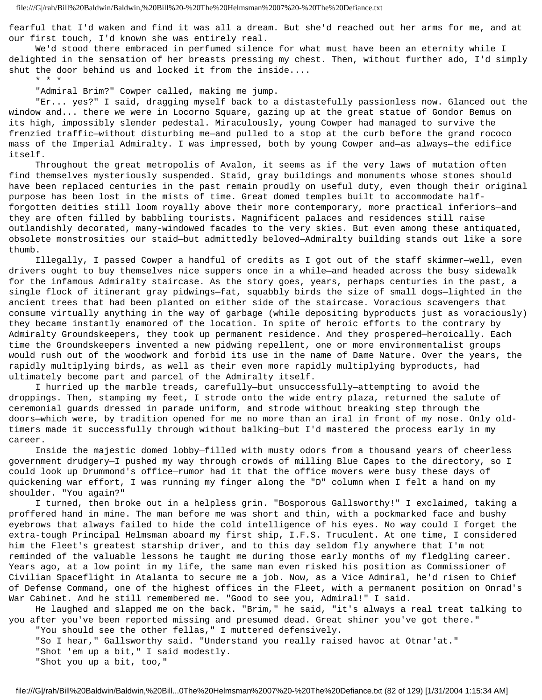fearful that I'd waken and find it was all a dream. But she'd reached out her arms for me, and at our first touch, I'd known she was entirely real.

 We'd stood there embraced in perfumed silence for what must have been an eternity while I delighted in the sensation of her breasts pressing my chest. Then, without further ado, I'd simply shut the door behind us and locked it from the inside....

\* \* \*

"Admiral Brim?" Cowper called, making me jump.

 "Er... yes?" I said, dragging myself back to a distastefully passionless now. Glanced out the window and... there we were in Locorno Square, gazing up at the great statue of Gondor Bemus on its high, impossibly slender pedestal. Miraculously, young Cowper had managed to survive the frenzied traffic—without disturbing me—and pulled to a stop at the curb before the grand rococo mass of the Imperial Admiralty. I was impressed, both by young Cowper and—as always—the edifice itself.

 Throughout the great metropolis of Avalon, it seems as if the very laws of mutation often find themselves mysteriously suspended. Staid, gray buildings and monuments whose stones should have been replaced centuries in the past remain proudly on useful duty, even though their original purpose has been lost in the mists of time. Great domed temples built to accommodate halfforgotten deities still loom royally above their more contemporary, more practical inferiors—and they are often filled by babbling tourists. Magnificent palaces and residences still raise outlandishly decorated, many-windowed facades to the very skies. But even among these antiquated, obsolete monstrosities our staid—but admittedly beloved—Admiralty building stands out like a sore thumb.

 Illegally, I passed Cowper a handful of credits as I got out of the staff skimmer—well, even drivers ought to buy themselves nice suppers once in a while—and headed across the busy sidewalk for the infamous Admiralty staircase. As the story goes, years, perhaps centuries in the past, a single flock of itinerant gray pidwings—fat, squabbly birds the size of small dogs—lighted in the ancient trees that had been planted on either side of the staircase. Voracious scavengers that consume virtually anything in the way of garbage (while depositing byproducts just as voraciously) they became instantly enamored of the location. In spite of heroic efforts to the contrary by Admiralty Groundskeepers, they took up permanent residence. And they prospered—heroically. Each time the Groundskeepers invented a new pidwing repellent, one or more environmentalist groups would rush out of the woodwork and forbid its use in the name of Dame Nature. Over the years, the rapidly multiplying birds, as well as their even more rapidly multiplying byproducts, had ultimately become part and parcel of the Admiralty itself.

 I hurried up the marble treads, carefully—but unsuccessfully—attempting to avoid the droppings. Then, stamping my feet, I strode onto the wide entry plaza, returned the salute of ceremonial guards dressed in parade uniform, and strode without breaking step through the doors—which were, by tradition opened for me no more than an iral in front of my nose. Only oldtimers made it successfully through without balking—but I'd mastered the process early in my career.

 Inside the majestic domed lobby—filled with musty odors from a thousand years of cheerless government drudgery—I pushed my way through crowds of milling Blue Capes to the directory, so I could look up Drummond's office—rumor had it that the office movers were busy these days of quickening war effort, I was running my finger along the "D" column when I felt a hand on my shoulder. "You again?"

 I turned, then broke out in a helpless grin. "Bosporous Gallsworthy!" I exclaimed, taking a proffered hand in mine. The man before me was short and thin, with a pockmarked face and bushy eyebrows that always failed to hide the cold intelligence of his eyes. No way could I forget the extra-tough Principal Helmsman aboard my first ship, I.F.S. Truculent. At one time, I considered him the Fleet's greatest starship driver, and to this day seldom fly anywhere that I'm not reminded of the valuable lessons he taught me during those early months of my fledgling career. Years ago, at a low point in my life, the same man even risked his position as Commissioner of Civilian Spaceflight in Atalanta to secure me a job. Now, as a Vice Admiral, he'd risen to Chief of Defense Command, one of the highest offices in the Fleet, with a permanent position on Onrad's War Cabinet. And he still remembered me. "Good to see you, Admiral!" I said.

 He laughed and slapped me on the back. "Brim," he said, "it's always a real treat talking to you after you've been reported missing and presumed dead. Great shiner you've got there."

"You should see the other fellas," I muttered defensively.

"So I hear," Gallsworthy said. "Understand you really raised havoc at Otnar'at."

"Shot 'em up a bit," I said modestly.

"Shot you up a bit, too,"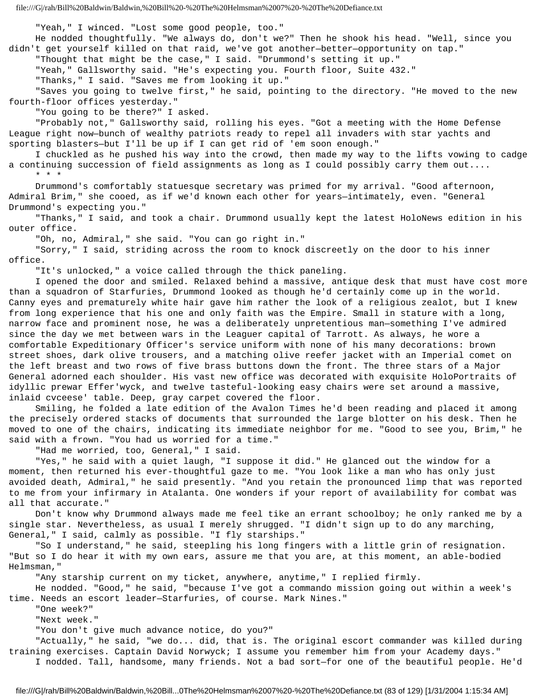"Yeah," I winced. "Lost some good people, too."

 He nodded thoughtfully. "We always do, don't we?" Then he shook his head. "Well, since you didn't get yourself killed on that raid, we've got another—better—opportunity on tap."

"Thought that might be the case," I said. "Drummond's setting it up."

"Yeah," Gallsworthy said. "He's expecting you. Fourth floor, Suite 432."

"Thanks," I said. "Saves me from looking it up."

 "Saves you going to twelve first," he said, pointing to the directory. "He moved to the new fourth-floor offices yesterday."

"You going to be there?" I asked.

 "Probably not," Gallsworthy said, rolling his eyes. "Got a meeting with the Home Defense League right now—bunch of wealthy patriots ready to repel all invaders with star yachts and sporting blasters—but I'll be up if I can get rid of 'em soon enough."

 I chuckled as he pushed his way into the crowd, then made my way to the lifts vowing to cadge a continuing succession of field assignments as long as I could possibly carry them out.... \* \* \*

 Drummond's comfortably statuesque secretary was primed for my arrival. "Good afternoon, Admiral Brim," she cooed, as if we'd known each other for years—intimately, even. "General Drummond's expecting you."

 "Thanks," I said, and took a chair. Drummond usually kept the latest HoloNews edition in his outer office.

"Oh, no, Admiral," she said. "You can go right in."

 "Sorry," I said, striding across the room to knock discreetly on the door to his inner office.

"It's unlocked," a voice called through the thick paneling.

 I opened the door and smiled. Relaxed behind a massive, antique desk that must have cost more than a squadron of Starfuries, Drummond looked as though he'd certainly come up in the world. Canny eyes and prematurely white hair gave him rather the look of a religious zealot, but I knew from long experience that his one and only faith was the Empire. Small in stature with a long, narrow face and prominent nose, he was a deliberately unpretentious man—something I've admired since the day we met between wars in the Leaguer capital of Tarrott. As always, he wore a comfortable Expeditionary Officer's service uniform with none of his many decorations: brown street shoes, dark olive trousers, and a matching olive reefer jacket with an Imperial comet on the left breast and two rows of five brass buttons down the front. The three stars of a Major General adorned each shoulder. His vast new office was decorated with exquisite HoloPortraits of idyllic prewar Effer'wyck, and twelve tasteful-looking easy chairs were set around a massive, inlaid cvceese' table. Deep, gray carpet covered the floor.

 Smiling, he folded a late edition of the Avalon Times he'd been reading and placed it among the precisely ordered stacks of documents that surrounded the large blotter on his desk. Then he moved to one of the chairs, indicating its immediate neighbor for me. "Good to see you, Brim," he said with a frown. "You had us worried for a time."

"Had me worried, too, General," I said.

 "Yes," he said with a quiet laugh, "I suppose it did." He glanced out the window for a moment, then returned his ever-thoughtful gaze to me. "You look like a man who has only just avoided death, Admiral," he said presently. "And you retain the pronounced limp that was reported to me from your infirmary in Atalanta. One wonders if your report of availability for combat was all that accurate."

 Don't know why Drummond always made me feel tike an errant schoolboy; he only ranked me by a single star. Nevertheless, as usual I merely shrugged. "I didn't sign up to do any marching, General," I said, calmly as possible. "I fly starships."

 "So I understand," he said, steepling his long fingers with a little grin of resignation. "But so I do hear it with my own ears, assure me that you are, at this moment, an able-bodied Helmsman,"

"Any starship current on my ticket, anywhere, anytime," I replied firmly.

 He nodded. "Good," he said, "because I've got a commando mission going out within a week's time. Needs an escort leader—Starfuries, of course. Mark Nines."

"One week?"

"Next week."

"You don't give much advance notice, do you?"

 "Actually," he said, "we do... did, that is. The original escort commander was killed during training exercises. Captain David Norwyck; I assume you remember him from your Academy days." I nodded. Tall, handsome, many friends. Not a bad sort—for one of the beautiful people. He'd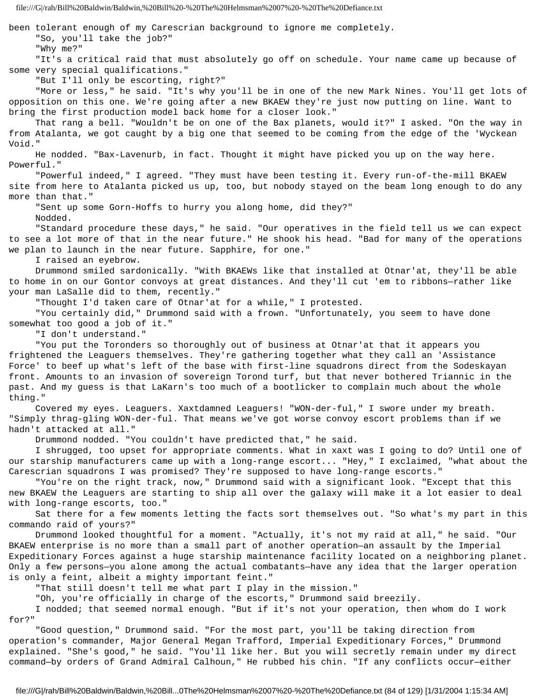been tolerant enough of my Carescrian background to ignore me completely.

"So, you'll take the job?"

"Why me?"

 "It's a critical raid that must absolutely go off on schedule. Your name came up because of some very special qualifications."

"But I'll only be escorting, right?"

 "More or less," he said. "It's why you'll be in one of the new Mark Nines. You'll get lots of opposition on this one. We're going after a new BKAEW they're just now putting on line. Want to bring the first production model back home for a closer look."

 That rang a bell. "Wouldn't be on one of the Bax planets, would it?" I asked. "On the way in from Atalanta, we got caught by a big one that seemed to be coming from the edge of the 'Wyckean Void."

 He nodded. "Bax-Lavenurb, in fact. Thought it might have picked you up on the way here. Powerful."

 "Powerful indeed," I agreed. "They must have been testing it. Every run-of-the-mill BKAEW site from here to Atalanta picked us up, too, but nobody stayed on the beam long enough to do any more than that."

 "Sent up some Gorn-Hoffs to hurry you along home, did they?" Nodded.

 "Standard procedure these days," he said. "Our operatives in the field tell us we can expect to see a lot more of that in the near future." He shook his head. "Bad for many of the operations we plan to launch in the near future. Sapphire, for one."

I raised an eyebrow.

 Drummond smiled sardonically. "With BKAEWs like that installed at Otnar'at, they'll be able to home in on our Gontor convoys at great distances. And they'll cut 'em to ribbons—rather like your man LaSalle did to them, recently."

"Thought I'd taken care of Otnar'at for a while," I protested.

 "You certainly did," Drummond said with a frown. "Unfortunately, you seem to have done somewhat too good a job of it."

"I don't understand."

 "You put the Toronders so thoroughly out of business at Otnar'at that it appears you frightened the Leaguers themselves. They're gathering together what they call an 'Assistance Force' to beef up what's left of the base with first-line squadrons direct from the Sodeskayan front. Amounts to an invasion of sovereign Torond turf, but that never bothered Triannic in the past. And my guess is that LaKarn's too much of a bootlicker to complain much about the whole thing."

 Covered my eyes. Leaguers. Xaxtdamned Leaguers! "WON-der-ful," I swore under my breath. "Simply thrag-gling WON-der-ful. That means we've got worse convoy escort problems than if we hadn't attacked at all."

Drummond nodded. "You couldn't have predicted that," he said.

 I shrugged, too upset for appropriate comments. What in xaxt was I going to do? Until one of our starship manufacturers came up with a long-range escort... "Hey," I exclaimed, "what about the Carescrian squadrons I was promised? They're supposed to have long-range escorts."

 "You're on the right track, now," Drummond said with a significant look. "Except that this new BKAEW the Leaguers are starting to ship all over the galaxy will make it a lot easier to deal with long-range escorts, too."

 Sat there for a few moments letting the facts sort themselves out. "So what's my part in this commando raid of yours?"

 Drummond looked thoughtful for a moment. "Actually, it's not my raid at all," he said. "Our BKAEW enterprise is no more than a small part of another operation—an assault by the Imperial Expeditionary Forces against a huge starship maintenance facility located on a neighboring planet. Only a few persons—you alone among the actual combatants—have any idea that the larger operation is only a feint, albeit a mighty important feint."

"That still doesn't tell me what part I play in the mission."

"Oh, you're officially in charge of the escorts," Drummond said breezily.

 I nodded; that seemed normal enough. "But if it's not your operation, then whom do I work for?"

 "Good question," Drummond said. "For the most part, you'll be taking direction from operation's commander, Major General Megan Trafford, Imperial Expeditionary Forces," Drummond explained. "She's good," he said. "You'll like her. But you will secretly remain under my direct command—by orders of Grand Admiral Calhoun," He rubbed his chin. "If any conflicts occur—either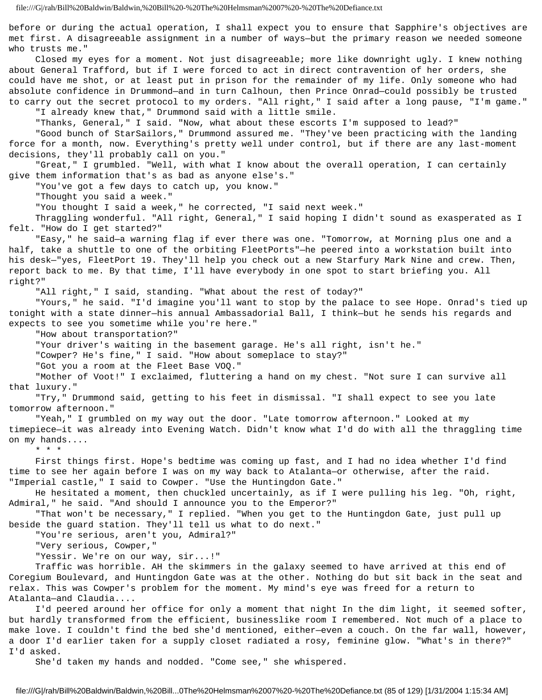before or during the actual operation, I shall expect you to ensure that Sapphire's objectives are met first. A disagreeable assignment in a number of ways—but the primary reason we needed someone who trusts me."

 Closed my eyes for a moment. Not just disagreeable; more like downright ugly. I knew nothing about General Trafford, but if I were forced to act in direct contravention of her orders, she could have me shot, or at least put in prison for the remainder of my life. Only someone who had absolute confidence in Drummond—and in turn Calhoun, then Prince Onrad—could possibly be trusted to carry out the secret protocol to my orders. "All right," I said after a long pause, "I'm game."

"I already knew that," Drummond said with a little smile.

"Thanks, General," I said. "Now, what about these escorts I'm supposed to lead?"

 "Good bunch of StarSailors," Drummond assured me. "They've been practicing with the landing force for a month, now. Everything's pretty well under control, but if there are any last-moment decisions, they'll probably call on you."

 "Great," I grumbled. "Well, with what I know about the overall operation, I can certainly give them information that's as bad as anyone else's."

"You've got a few days to catch up, you know."

"Thought you said a week."

"You thought I said a week," he corrected, "I said next week."

 Thraggling wonderful. "All right, General," I said hoping I didn't sound as exasperated as I felt. "How do I get started?"

 "Easy," he said—a warning flag if ever there was one. "Tomorrow, at Morning plus one and a half, take a shuttle to one of the orbiting FleetPorts"—he peered into a workstation built into his desk—"yes, FleetPort 19. They'll help you check out a new Starfury Mark Nine and crew. Then, report back to me. By that time, I'll have everybody in one spot to start briefing you. All right?"

"All right," I said, standing. "What about the rest of today?"

 "Yours," he said. "I'd imagine you'll want to stop by the palace to see Hope. Onrad's tied up tonight with a state dinner—his annual Ambassadorial Ball, I think—but he sends his regards and expects to see you sometime while you're here."

"How about transportation?"

"Your driver's waiting in the basement garage. He's all right, isn't he."

"Cowper? He's fine," I said. "How about someplace to stay?"

"Got you a room at the Fleet Base VOQ."

 "Mother of Voot!" I exclaimed, fluttering a hand on my chest. "Not sure I can survive all that luxury."

 "Try," Drummond said, getting to his feet in dismissal. "I shall expect to see you late tomorrow afternoon."

 "Yeah," I grumbled on my way out the door. "Late tomorrow afternoon." Looked at my timepiece—it was already into Evening Watch. Didn't know what I'd do with all the thraggling time on my hands....

\* \* \*

 First things first. Hope's bedtime was coming up fast, and I had no idea whether I'd find time to see her again before I was on my way back to Atalanta—or otherwise, after the raid. "Imperial castle," I said to Cowper. "Use the Huntingdon Gate."

 He hesitated a moment, then chuckled uncertainly, as if I were pulling his leg. "Oh, right, Admiral," he said. "And should I announce you to the Emperor?"

 "That won't be necessary," I replied. "When you get to the Huntingdon Gate, just pull up beside the guard station. They'll tell us what to do next."

"You're serious, aren't you, Admiral?"

"Very serious, Cowper,"

"Yessir. We're on our way, sir...!"

 Traffic was horrible. AH the skimmers in the galaxy seemed to have arrived at this end of Coregium Boulevard, and Huntingdon Gate was at the other. Nothing do but sit back in the seat and relax. This was Cowper's problem for the moment. My mind's eye was freed for a return to Atalanta—and Claudia....

 I'd peered around her office for only a moment that night In the dim light, it seemed softer, but hardly transformed from the efficient, businesslike room I remembered. Not much of a place to make love. I couldn't find the bed she'd mentioned, either—even a couch. On the far wall, however, a door I'd earlier taken for a supply closet radiated a rosy, feminine glow. "What's in there?" I'd asked.

She'd taken my hands and nodded. "Come see," she whispered.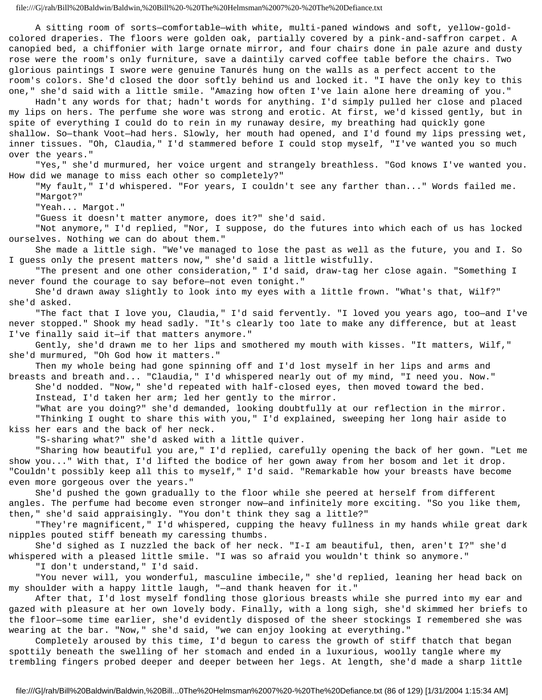A sitting room of sorts—comfortable—with white, multi-paned windows and soft, yellow-goldcolored draperies. The floors were golden oak, partially covered by a pink-and-saffron carpet. A canopied bed, a chiffonier with large ornate mirror, and four chairs done in pale azure and dusty rose were the room's only furniture, save a daintily carved coffee table before the chairs. Two glorious paintings I swore were genuine Tanurés hung on the walls as a perfect accent to the room's colors. She'd closed the door softly behind us and locked it. "I have the only key to this one," she'd said with a little smile. "Amazing how often I've lain alone here dreaming of you."

 Hadn't any words for that; hadn't words for anything. I'd simply pulled her close and placed my lips on hers. The perfume she wore was strong and erotic. At first, we'd kissed gently, but in spite of everything I could do to rein in my runaway desire, my breathing had quickly gone shallow. So—thank Voot—had hers. Slowly, her mouth had opened, and I'd found my lips pressing wet, inner tissues. "Oh, Claudia," I'd stammered before I could stop myself, "I've wanted you so much over the years."

 "Yes," she'd murmured, her voice urgent and strangely breathless. "God knows I've wanted you. How did we manage to miss each other so completely?"

 "My fault," I'd whispered. "For years, I couldn't see any farther than..." Words failed me. "Margot?"

"Yeah... Margot."

"Guess it doesn't matter anymore, does it?" she'd said.

 "Not anymore," I'd replied, "Nor, I suppose, do the futures into which each of us has locked ourselves. Nothing we can do about them."

 She made a little sigh. "We've managed to lose the past as well as the future, you and I. So I guess only the present matters now," she'd said a little wistfully.

 "The present and one other consideration," I'd said, draw-tag her close again. "Something I never found the courage to say before—not even tonight."

 She'd drawn away slightly to look into my eyes with a little frown. "What's that, Wilf?" she'd asked.

 "The fact that I love you, Claudia," I'd said fervently. "I loved you years ago, too—and I've never stopped." Shook my head sadly. "It's clearly too late to make any difference, but at least I've finally said it—if that matters anymore."

 Gently, she'd drawn me to her lips and smothered my mouth with kisses. "It matters, Wilf," she'd murmured, "Oh God how it matters."

 Then my whole being had gone spinning off and I'd lost myself in her lips and arms and breasts and breath and... "Claudia," I'd whispered nearly out of my mind, "I need you. Now."

 She'd nodded. "Now," she'd repeated with half-closed eyes, then moved toward the bed. Instead, I'd taken her arm; led her gently to the mirror.

 "What are you doing?" she'd demanded, looking doubtfully at our reflection in the mirror. "Thinking I ought to share this with you," I'd explained, sweeping her long hair aside to kiss her ears and the back of her neck.

"S-sharing what?" she'd asked with a little quiver.

 "Sharing how beautiful you are," I'd replied, carefully opening the back of her gown. "Let me show you..." With that, I'd lifted the bodice of her gown away from her bosom and let it drop. "Couldn't possibly keep all this to myself," I'd said. "Remarkable how your breasts have become even more gorgeous over the years."

 She'd pushed the gown gradually to the floor while she peered at herself from different angles. The perfume had become even stronger now—and infinitely more exciting. "So you like them, then," she'd said appraisingly. "You don't think they sag a little?"

 "They're magnificent," I'd whispered, cupping the heavy fullness in my hands while great dark nipples pouted stiff beneath my caressing thumbs.

 She'd sighed as I nuzzled the back of her neck. "I-I am beautiful, then, aren't I?" she'd whispered with a pleased little smile. "I was so afraid you wouldn't think so anymore."

"I don't understand," I'd said.

 "You never will, you wonderful, masculine imbecile," she'd replied, leaning her head back on my shoulder with a happy little laugh, "—and thank heaven for it."

 After that, I'd lost myself fondling those glorious breasts while she purred into my ear and gazed with pleasure at her own lovely body. Finally, with a long sigh, she'd skimmed her briefs to the floor—some time earlier, she'd evidently disposed of the sheer stockings I remembered she was wearing at the bar. "Now," she'd said, "we can enjoy looking at everything."

 Completely aroused by this time, I'd begun to caress the growth of stiff thatch that began spottily beneath the swelling of her stomach and ended in a luxurious, woolly tangle where my trembling fingers probed deeper and deeper between her legs. At length, she'd made a sharp little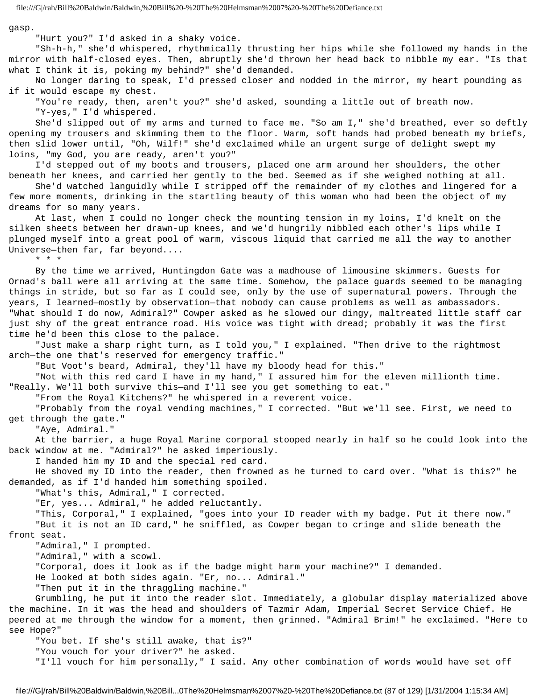gasp.

"Hurt you?" I'd asked in a shaky voice.

 "Sh-h-h," she'd whispered, rhythmically thrusting her hips while she followed my hands in the mirror with half-closed eyes. Then, abruptly she'd thrown her head back to nibble my ear. "Is that what I think it is, poking my behind?" she'd demanded.

 No longer daring to speak, I'd pressed closer and nodded in the mirror, my heart pounding as if it would escape my chest.

"You're ready, then, aren't you?" she'd asked, sounding a little out of breath now.

"Y-yes," I'd whispered.

 She'd slipped out of my arms and turned to face me. "So am I," she'd breathed, ever so deftly opening my trousers and skimming them to the floor. Warm, soft hands had probed beneath my briefs, then slid lower until, "Oh, Wilf!" she'd exclaimed while an urgent surge of delight swept my loins, "my God, you are ready, aren't you?"

 I'd stepped out of my boots and trousers, placed one arm around her shoulders, the other beneath her knees, and carried her gently to the bed. Seemed as if she weighed nothing at all.

 She'd watched languidly while I stripped off the remainder of my clothes and lingered for a few more moments, drinking in the startling beauty of this woman who had been the object of my dreams for so many years.

 At last, when I could no longer check the mounting tension in my loins, I'd knelt on the silken sheets between her drawn-up knees, and we'd hungrily nibbled each other's lips while I plunged myself into a great pool of warm, viscous liquid that carried me all the way to another Universe—then far, far beyond....

\* \* \*

 By the time we arrived, Huntingdon Gate was a madhouse of limousine skimmers. Guests for Ornad's ball were all arriving at the same time. Somehow, the palace guards seemed to be managing things in stride, but so far as I could see, only by the use of supernatural powers. Through the years, I learned—mostly by observation—that nobody can cause problems as well as ambassadors. "What should I do now, Admiral?" Cowper asked as he slowed our dingy, maltreated little staff car just shy of the great entrance road. His voice was tight with dread; probably it was the first time he'd been this close to the palace.

 "Just make a sharp right turn, as I told you," I explained. "Then drive to the rightmost arch—the one that's reserved for emergency traffic."

"But Voot's beard, Admiral, they'll have my bloody head for this."

 "Not with this red card I have in my hand," I assured him for the eleven millionth time. "Really. We'll both survive this—and I'll see you get something to eat."

"From the Royal Kitchens?" he whispered in a reverent voice.

 "Probably from the royal vending machines," I corrected. "But we'll see. First, we need to get through the gate."

"Aye, Admiral."

 At the barrier, a huge Royal Marine corporal stooped nearly in half so he could look into the back window at me. "Admiral?" he asked imperiously.

I handed him my ID and the special red card.

 He shoved my ID into the reader, then frowned as he turned to card over. "What is this?" he demanded, as if I'd handed him something spoiled.

"What's this, Admiral," I corrected.

"Er, yes... Admiral," he added reluctantly.

 "This, Corporal," I explained, "goes into your ID reader with my badge. Put it there now." "But it is not an ID card," he sniffled, as Cowper began to cringe and slide beneath the

front seat.

"Admiral," I prompted.

"Admiral," with a scowl.

"Corporal, does it look as if the badge might harm your machine?" I demanded.

He looked at both sides again. "Er, no... Admiral."

"Then put it in the thraggling machine."

 Grumbling, he put it into the reader slot. Immediately, a globular display materialized above the machine. In it was the head and shoulders of Tazmir Adam, Imperial Secret Service Chief. He peered at me through the window for a moment, then grinned. "Admiral Brim!" he exclaimed. "Here to see Hope?"

"You bet. If she's still awake, that is?"

"You vouch for your driver?" he asked.

"I'll vouch for him personally," I said. Any other combination of words would have set off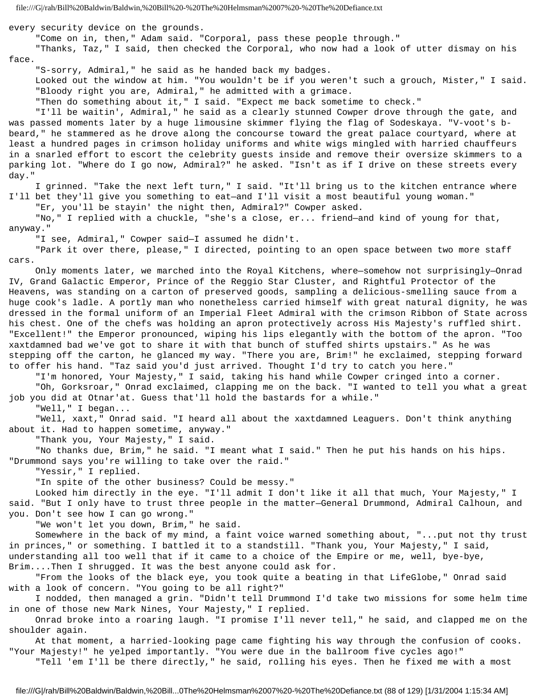every security device on the grounds.

"Come on in, then," Adam said. "Corporal, pass these people through."

 "Thanks, Taz," I said, then checked the Corporal, who now had a look of utter dismay on his face.

"S-sorry, Admiral," he said as he handed back my badges.

 Looked out the window at him. "You wouldn't be if you weren't such a grouch, Mister," I said. "Bloody right you are, Admiral," he admitted with a grimace.

"Then do something about it," I said. "Expect me back sometime to check."

 "I'll be waitin', Admiral," he said as a clearly stunned Cowper drove through the gate, and was passed moments later by a huge limousine skimmer flying the flag of Sodeskaya. "V-voot's bbeard," he stammered as he drove along the concourse toward the great palace courtyard, where at least a hundred pages in crimson holiday uniforms and white wigs mingled with harried chauffeurs in a snarled effort to escort the celebrity guests inside and remove their oversize skimmers to a parking lot. "Where do I go now, Admiral?" he asked. "Isn't as if I drive on these streets every day."

 I grinned. "Take the next left turn," I said. "It'll bring us to the kitchen entrance where I'll bet they'll give you something to eat—and I'll visit a most beautiful young woman."

"Er, you'll be stayin' the night then, Admiral?" Cowper asked.

 "No," I replied with a chuckle, "she's a close, er... friend—and kind of young for that, anyway."

"I see, Admiral," Cowper said—I assumed he didn't.

 "Park it over there, please," I directed, pointing to an open space between two more staff cars.

 Only moments later, we marched into the Royal Kitchens, where—somehow not surprisingly—Onrad IV, Grand Galactic Emperor, Prince of the Reggio Star Cluster, and Rightful Protector of the Heavens, was standing on a carton of preserved goods, sampling a delicious-smelling sauce from a huge cook's ladle. A portly man who nonetheless carried himself with great natural dignity, he was dressed in the formal uniform of an Imperial Fleet Admiral with the crimson Ribbon of State across his chest. One of the chefs was holding an apron protectively across His Majesty's ruffled shirt. "Excellent!" the Emperor pronounced, wiping his lips elegantly with the bottom of the apron. "Too xaxtdamned bad we've got to share it with that bunch of stuffed shirts upstairs." As he was stepping off the carton, he glanced my way. "There you are, Brim!" he exclaimed, stepping forward to offer his hand. "Taz said you'd just arrived. Thought I'd try to catch you here."

"I'm honored, Your Majesty," I said, taking his hand while Cowper cringed into a corner.

 "Oh, Gorksroar," Onrad exclaimed, clapping me on the back. "I wanted to tell you what a great job you did at Otnar'at. Guess that'll hold the bastards for a while."

"Well," I began...

 "Well, xaxt," Onrad said. "I heard all about the xaxtdamned Leaguers. Don't think anything about it. Had to happen sometime, anyway."

"Thank you, Your Majesty," I said.

 "No thanks due, Brim," he said. "I meant what I said." Then he put his hands on his hips. "Drummond says you're willing to take over the raid."

"Yessir," I replied.

"In spite of the other business? Could be messy."

 Looked him directly in the eye. "I'll admit I don't like it all that much, Your Majesty," I said. "But I only have to trust three people in the matter—General Drummond, Admiral Calhoun, and you. Don't see how I can go wrong."

"We won't let you down, Brim," he said.

 Somewhere in the back of my mind, a faint voice warned something about, "...put not thy trust in princes," or something. I battled it to a standstill. "Thank you, Your Majesty," I said, understanding all too well that if it came to a choice of the Empire or me, well, bye-bye, Brim....Then I shrugged. It was the best anyone could ask for.

 "From the looks of the black eye, you took quite a beating in that LifeGlobe," Onrad said with a look of concern. "You going to be all right?"

 I nodded, then managed a grin. "Didn't tell Drummond I'd take two missions for some helm time in one of those new Mark Nines, Your Majesty," I replied.

 Onrad broke into a roaring laugh. "I promise I'll never tell," he said, and clapped me on the shoulder again.

 At that moment, a harried-looking page came fighting his way through the confusion of cooks. "Your Majesty!" he yelped importantly. "You were due in the ballroom five cycles ago!"

"Tell 'em I'll be there directly," he said, rolling his eyes. Then he fixed me with a most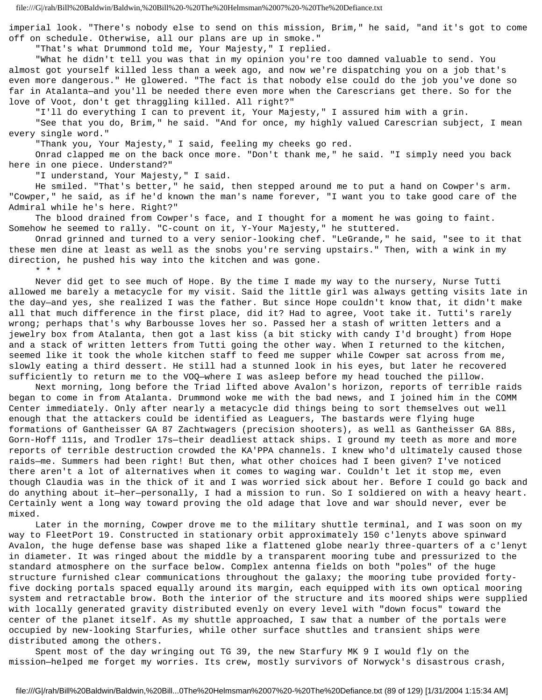imperial look. "There's nobody else to send on this mission, Brim," he said, "and it's got to come off on schedule. Otherwise, all our plans are up in smoke."

"That's what Drummond told me, Your Majesty," I replied.

 "What he didn't tell you was that in my opinion you're too damned valuable to send. You almost got yourself killed less than a week ago, and now we're dispatching you on a job that's even more dangerous." He glowered. "The fact is that nobody else could do the job you've done so far in Atalanta—and you'll be needed there even more when the Carescrians get there. So for the love of Voot, don't get thraggling killed. All right?"

"I'll do everything I can to prevent it, Your Majesty," I assured him with a grin.

 "See that you do, Brim," he said. "And for once, my highly valued Carescrian subject, I mean every single word."

"Thank you, Your Majesty," I said, feeling my cheeks go red.

 Onrad clapped me on the back once more. "Don't thank me," he said. "I simply need you back here in one piece. Understand?"

"I understand, Your Majesty," I said.

 He smiled. "That's better," he said, then stepped around me to put a hand on Cowper's arm. "Cowper," he said, as if he'd known the man's name forever, "I want you to take good care of the Admiral while he's here. Right?"

 The blood drained from Cowper's face, and I thought for a moment he was going to faint. Somehow he seemed to rally. "C-count on it, Y-Your Majesty," he stuttered.

 Onrad grinned and turned to a very senior-looking chef. "LeGrande," he said, "see to it that these men dine at least as well as the snobs you're serving upstairs." Then, with a wink in my direction, he pushed his way into the kitchen and was gone.

\* \* \*

 Never did get to see much of Hope. By the time I made my way to the nursery, Nurse Tutti allowed me barely a metacycle for my visit. Said the little girl was always getting visits late in the day—and yes, she realized I was the father. But since Hope couldn't know that, it didn't make all that much difference in the first place, did it? Had to agree, Voot take it. Tutti's rarely wrong; perhaps that's why Barbousse loves her so. Passed her a stash of written letters and a jewelry box from Atalanta, then got a last kiss (a bit sticky with candy I'd brought) from Hope and a stack of written letters from Tutti going the other way. When I returned to the kitchen, seemed like it took the whole kitchen staff to feed me supper while Cowper sat across from me, slowly eating a third dessert. He still had a stunned look in his eyes, but later he recovered sufficiently to return me to the VOQ-where I was asleep before my head touched the pillow.

 Next morning, long before the Triad lifted above Avalon's horizon, reports of terrible raids began to come in from Atalanta. Drummond woke me with the bad news, and I joined him in the COMM Center immediately. Only after nearly a metacycle did things being to sort themselves out well enough that the attackers could be identified as Leaguers, The bastards were flying huge formations of Gantheisser GA 87 Zachtwagers (precision shooters), as well as Gantheisser GA 88s, Gorn-Hoff 111s, and Trodler 17s—their deadliest attack ships. I ground my teeth as more and more reports of terrible destruction crowded the KA'PPA channels. I knew who'd ultimately caused those raids—me. Summers had been right! But then, what other choices had I been given? I've noticed there aren't a lot of alternatives when it comes to waging war. Couldn't let it stop me, even though Claudia was in the thick of it and I was worried sick about her. Before I could go back and do anything about it—her—personally, I had a mission to run. So I soldiered on with a heavy heart. Certainly went a long way toward proving the old adage that love and war should never, ever be mixed.

 Later in the morning, Cowper drove me to the military shuttle terminal, and I was soon on my way to FleetPort 19. Constructed in stationary orbit approximately 150 c'lenyts above spinward Avalon, the huge defense base was shaped like a flattened globe nearly three-quarters of a c'lenyt in diameter. It was ringed about the middle by a transparent mooring tube and pressurized to the standard atmosphere on the surface below. Complex antenna fields on both "poles" of the huge structure furnished clear communications throughout the galaxy; the mooring tube provided fortyfive docking portals spaced equally around its margin, each equipped with its own optical mooring system and retractable brow. Both the interior of the structure and its moored ships were supplied with locally generated gravity distributed evenly on every level with "down focus" toward the center of the planet itself. As my shuttle approached, I saw that a number of the portals were occupied by new-looking Starfuries, while other surface shuttles and transient ships were distributed among the others.

 Spent most of the day wringing out TG 39, the new Starfury MK 9 I would fly on the mission—helped me forget my worries. Its crew, mostly survivors of Norwyck's disastrous crash,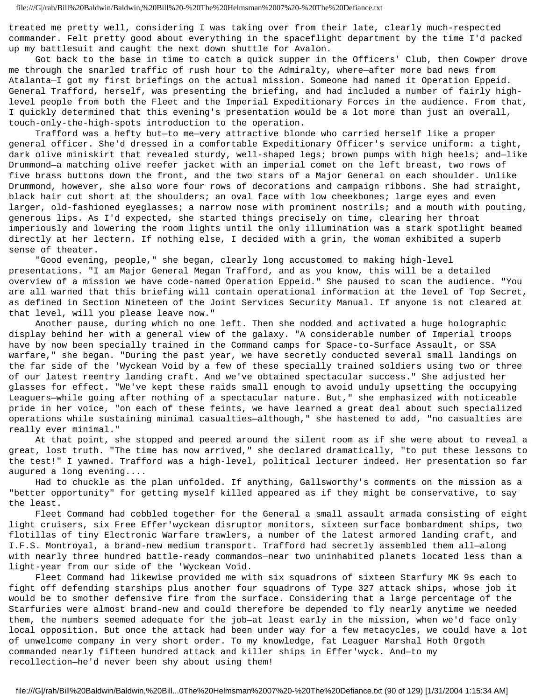treated me pretty well, considering I was taking over from their late, clearly much-respected commander. Felt pretty good about everything in the spaceflight department by the time I'd packed up my battlesuit and caught the next down shuttle for Avalon.

 Got back to the base in time to catch a quick supper in the Officers' Club, then Cowper drove me through the snarled traffic of rush hour to the Admiralty, where—after more bad news from Atalanta—I got my first briefings on the actual mission. Someone had named it Operation Eppeid. General Trafford, herself, was presenting the briefing, and had included a number of fairly highlevel people from both the Fleet and the Imperial Expeditionary Forces in the audience. From that, I quickly determined that this evening's presentation would be a lot more than just an overall, touch-only-the-high-spots introduction to the operation.

 Trafford was a hefty but—to me—very attractive blonde who carried herself like a proper general officer. She'd dressed in a comfortable Expeditionary Officer's service uniform: a tight, dark olive miniskirt that revealed sturdy, well-shaped legs; brown pumps with high heels; and—like Drummond—a matching olive reefer jacket with an imperial comet on the left breast, two rows of five brass buttons down the front, and the two stars of a Major General on each shoulder. Unlike Drummond, however, she also wore four rows of decorations and campaign ribbons. She had straight, black hair cut short at the shoulders; an oval face with low cheekbones; large eyes and even larger, old-fashioned eyeglasses; a narrow nose with prominent nostrils; and a mouth with pouting, generous lips. As I'd expected, she started things precisely on time, clearing her throat imperiously and lowering the room lights until the only illumination was a stark spotlight beamed directly at her lectern. If nothing else, I decided with a grin, the woman exhibited a superb sense of theater.

 "Good evening, people," she began, clearly long accustomed to making high-level presentations. "I am Major General Megan Trafford, and as you know, this will be a detailed overview of a mission we have code-named Operation Eppeid." She paused to scan the audience. "You are all warned that this briefing will contain operational information at the level of Top Secret, as defined in Section Nineteen of the Joint Services Security Manual. If anyone is not cleared at that level, will you please leave now."

 Another pause, during which no one left. Then she nodded and activated a huge holographic display behind her with a general view of the galaxy. "A considerable number of Imperial troops have by now been specially trained in the Command camps for Space-to-Surface Assault, or SSA warfare," she began. "During the past year, we have secretly conducted several small landings on the far side of the 'Wyckean Void by a few of these specially trained soldiers using two or three of our latest reentry landing craft. And we've obtained spectacular success." She adjusted her glasses for effect. "We've kept these raids small enough to avoid unduly upsetting the occupying Leaguers—while going after nothing of a spectacular nature. But," she emphasized with noticeable pride in her voice, "on each of these feints, we have learned a great deal about such specialized operations while sustaining minimal casualties—although," she hastened to add, "no casualties are really ever minimal."

 At that point, she stopped and peered around the silent room as if she were about to reveal a great, lost truth. "The time has now arrived," she declared dramatically, "to put these lessons to the test!" I yawned. Trafford was a high-level, political lecturer indeed. Her presentation so far augured a long evening....

 Had to chuckle as the plan unfolded. If anything, Gallsworthy's comments on the mission as a "better opportunity" for getting myself killed appeared as if they might be conservative, to say the least.

 Fleet Command had cobbled together for the General a small assault armada consisting of eight light cruisers, six Free Effer'wyckean disruptor monitors, sixteen surface bombardment ships, two flotillas of tiny Electronic Warfare trawlers, a number of the latest armored landing craft, and I.F.S. Montroyal, a brand-new medium transport. Trafford had secretly assembled them all—along with nearly three hundred battle-ready commandos—near two uninhabited planets located less than a light-year from our side of the 'Wyckean Void.

 Fleet Command had likewise provided me with six squadrons of sixteen Starfury MK 9s each to fight off defending starships plus another four squadrons of Type 327 attack ships, whose job it would be to smother defensive fire from the surface. Considering that a large percentage of the Starfuries were almost brand-new and could therefore be depended to fly nearly anytime we needed them, the numbers seemed adequate for the job—at least early in the mission, when we'd face only local opposition. But once the attack had been under way for a few metacycles, we could have a lot of unwelcome company in very short order. To my knowledge, fat Leaguer Marshal Hoth Orgoth commanded nearly fifteen hundred attack and killer ships in Effer'wyck. And—to my recollection—he'd never been shy about using them!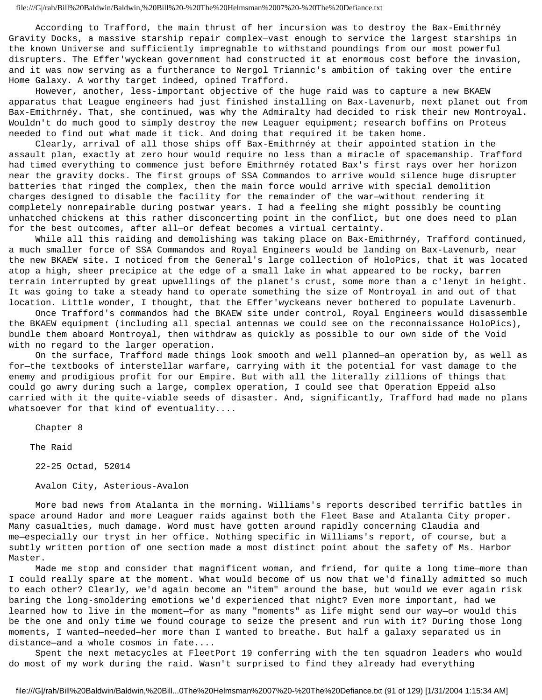According to Trafford, the main thrust of her incursion was to destroy the Bax-Emithrnéy Gravity Docks, a massive starship repair complex—vast enough to service the largest starships in the known Universe and sufficiently impregnable to withstand poundings from our most powerful disrupters. The Effer'wyckean government had constructed it at enormous cost before the invasion, and it was now serving as a furtherance to Nergol Triannic's ambition of taking over the entire Home Galaxy. A worthy target indeed, opined Trafford.

 However, another, less-important objective of the huge raid was to capture a new BKAEW apparatus that League engineers had just finished installing on Bax-Lavenurb, next planet out from Bax-Emithrnéy. That, she continued, was why the Admiralty had decided to risk their new Montroyal. Wouldn't do much good to simply destroy the new Leaguer equipment; research boffins on Proteus needed to find out what made it tick. And doing that required it be taken home.

 Clearly, arrival of all those ships off Bax-Emithrnéy at their appointed station in the assault plan, exactly at zero hour would require no less than a miracle of spacemanship. Trafford had timed everything to commence just before Emithrnéy rotated Bax's first rays over her horizon near the gravity docks. The first groups of SSA Commandos to arrive would silence huge disrupter batteries that ringed the complex, then the main force would arrive with special demolition charges designed to disable the facility for the remainder of the war—without rendering it completely nonrepairable during postwar years. I had a feeling she might possibly be counting unhatched chickens at this rather disconcerting point in the conflict, but one does need to plan for the best outcomes, after all—or defeat becomes a virtual certainty.

 While all this raiding and demolishing was taking place on Bax-Emithrnéy, Trafford continued, a much smaller force of SSA Commandos and Royal Engineers would be landing on Bax-Lavenurb, near the new BKAEW site. I noticed from the General's large collection of HoloPics, that it was located atop a high, sheer precipice at the edge of a small lake in what appeared to be rocky, barren terrain interrupted by great upwellings of the planet's crust, some more than a c'lenyt in height. It was going to take a steady hand to operate something the size of Montroyal in and out of that location. Little wonder, I thought, that the Effer'wyckeans never bothered to populate Lavenurb.

 Once Trafford's commandos had the BKAEW site under control, Royal Engineers would disassemble the BKAEW equipment (including all special antennas we could see on the reconnaissance HoloPics), bundle them aboard Montroyal, then withdraw as quickly as possible to our own side of the Void with no regard to the larger operation.

 On the surface, Trafford made things look smooth and well planned—an operation by, as well as for—the textbooks of interstellar warfare, carrying with it the potential for vast damage to the enemy and prodigious profit for our Empire. But with all the literally zillions of things that could go awry during such a large, complex operation, I could see that Operation Eppeid also carried with it the quite-viable seeds of disaster. And, significantly, Trafford had made no plans whatsoever for that kind of eventuality....

Chapter 8

The Raid

22-25 Octad, 52014

Avalon City, Asterious-Avalon

 More bad news from Atalanta in the morning. Williams's reports described terrific battles in space around Hador and more Leaguer raids against both the Fleet Base and Atalanta City proper. Many casualties, much damage. Word must have gotten around rapidly concerning Claudia and me—especially our tryst in her office. Nothing specific in Williams's report, of course, but a subtly written portion of one section made a most distinct point about the safety of Ms. Harbor Master.

 Made me stop and consider that magnificent woman, and friend, for quite a long time—more than I could really spare at the moment. What would become of us now that we'd finally admitted so much to each other? Clearly, we'd again become an "item" around the base, but would we ever again risk baring the long-smoldering emotions we'd experienced that night? Even more important, had we learned how to live in the moment—for as many "moments" as life might send our way—or would this be the one and only time we found courage to seize the present and run with it? During those long moments, I wanted—needed—her more than I wanted to breathe. But half a galaxy separated us in distance—and a whole cosmos in fate....

 Spent the next metacycles at FleetPort 19 conferring with the ten squadron leaders who would do most of my work during the raid. Wasn't surprised to find they already had everything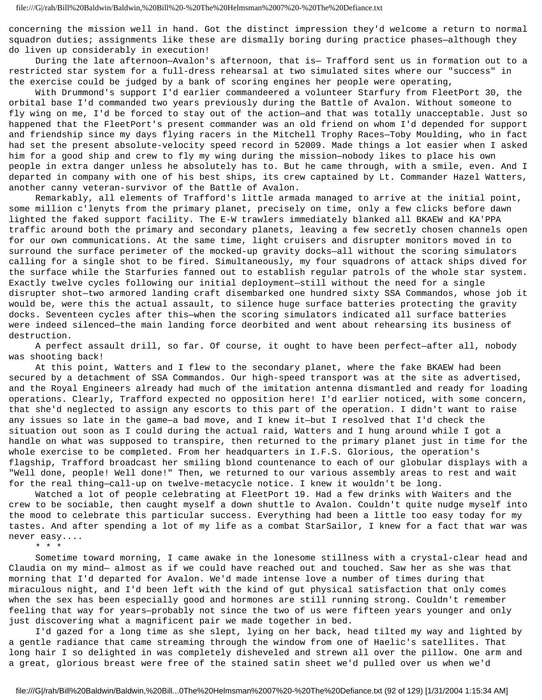concerning the mission well in hand. Got the distinct impression they'd welcome a return to normal squadron duties; assignments like these are dismally boring during practice phases-although they do liven up considerably in execution!

 During the late afternoon—Avalon's afternoon, that is— Trafford sent us in formation out to a restricted star system for a full-dress rehearsal at two simulated sites where our "success" in the exercise could be judged by a bank of scoring engines her people were operating,

 With Drummond's support I'd earlier commandeered a volunteer Starfury from FleetPort 30, the orbital base I'd commanded two years previously during the Battle of Avalon. Without someone to fly wing on me, I'd be forced to stay out of the action—and that was totally unacceptable. Just so happened that the FleetPort's present commander was an old friend on whom I'd depended for support and friendship since my days flying racers in the Mitchell Trophy Races—Toby Moulding, who in fact had set the present absolute-velocity speed record in 52009. Made things a lot easier when I asked him for a good ship and crew to fly my wing during the mission—nobody likes to place his own people in extra danger unless he absolutely has to. But he came through, with a smile, even. And I departed in company with one of his best ships, its crew captained by Lt. Commander Hazel Watters, another canny veteran-survivor of the Battle of Avalon.

 Remarkably, all elements of Trafford's little armada managed to arrive at the initial point, some million c'lenyts from the primary planet, precisely on time, only a few clicks before dawn lighted the faked support facility. The E-W trawlers immediately blanked all BKAEW and KA'PPA traffic around both the primary and secondary planets, leaving a few secretly chosen channels open for our own communications. At the same time, light cruisers and disrupter monitors moved in to surround the surface perimeter of the mocked-up gravity docks—all without the scoring simulators calling for a single shot to be fired. Simultaneously, my four squadrons of attack ships dived for the surface while the Starfuries fanned out to establish regular patrols of the whole star system. Exactly twelve cycles following our initial deployment—still without the need for a single disrupter shot—two armored landing craft disembarked one hundred sixty SSA Commandos, whose job it would be, were this the actual assault, to silence huge surface batteries protecting the gravity docks. Seventeen cycles after this—when the scoring simulators indicated all surface batteries were indeed silenced—the main landing force deorbited and went about rehearsing its business of destruction.

 A perfect assault drill, so far. Of course, it ought to have been perfect—after all, nobody was shooting back!

 At this point, Watters and I flew to the secondary planet, where the fake BKAEW had been secured by a detachment of SSA Commandos. Our high-speed transport was at the site as advertised, and the Royal Engineers already had much of the imitation antenna dismantled and ready for loading operations. Clearly, Trafford expected no opposition here! I'd earlier noticed, with some concern, that she'd neglected to assign any escorts to this part of the operation. I didn't want to raise any issues so late in the game—a bad move, and I knew it—but I resolved that I'd check the situation out soon as I could during the actual raid, Watters and I hung around while I got a handle on what was supposed to transpire, then returned to the primary planet just in time for the whole exercise to be completed. From her headquarters in I.F.S. Glorious, the operation's flagship, Trafford broadcast her smiling blond countenance to each of our globular displays with a "Well done, people! Well done!" Then, we returned to our various assembly areas to rest and wait for the real thing—call-up on twelve-metacycle notice. I knew it wouldn't be long.

 Watched a lot of people celebrating at FleetPort 19. Had a few drinks with Waiters and the crew to be sociable, then caught myself a down shuttle to Avalon. Couldn't quite nudge myself into the mood to celebrate this particular success. Everything had been a little too easy today for my tastes. And after spending a lot of my life as a combat StarSailor, I knew for a fact that war was never easy....

\* \* \*

 Sometime toward morning, I came awake in the lonesome stillness with a crystal-clear head and Claudia on my mind— almost as if we could have reached out and touched. Saw her as she was that morning that I'd departed for Avalon. We'd made intense love a number of times during that miraculous night, and I'd been left with the kind of gut physical satisfaction that only comes when the sex has been especially good and hormones are still running strong. Couldn't remember feeling that way for years—probably not since the two of us were fifteen years younger and only just discovering what a magnificent pair we made together in bed.

 I'd gazed for a long time as she slept, lying on her back, head tilted my way and lighted by a gentle radiance that came streaming through the window from one of Haelic's satellites. That long hair I so delighted in was completely disheveled and strewn all over the pillow. One arm and a great, glorious breast were free of the stained satin sheet we'd pulled over us when we'd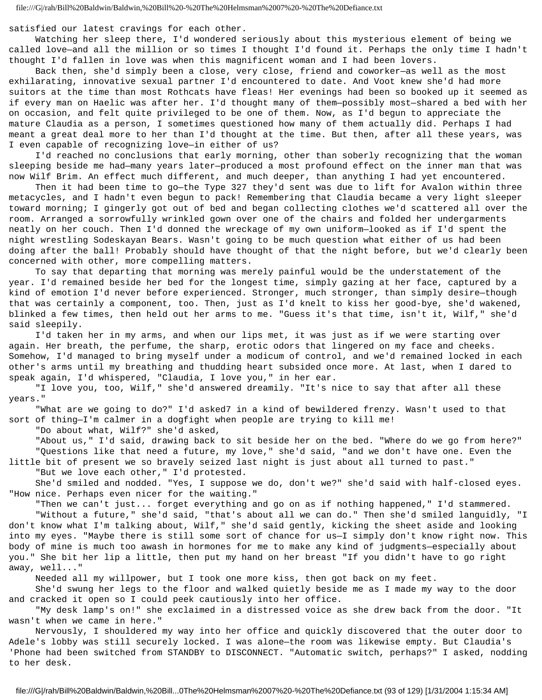satisfied our latest cravings for each other.

 Watching her sleep there, I'd wondered seriously about this mysterious element of being we called love—and all the million or so times I thought I'd found it. Perhaps the only time I hadn't thought I'd fallen in love was when this magnificent woman and I had been lovers.

 Back then, she'd simply been a close, very close, friend and coworker—as well as the most exhilarating, innovative sexual partner I'd encountered to date. And Voot knew she'd had more suitors at the time than most Rothcats have fleas! Her evenings had been so booked up it seemed as if every man on Haelic was after her. I'd thought many of them—possibly most—shared a bed with her on occasion, and felt quite privileged to be one of them. Now, as I'd begun to appreciate the mature Claudia as a person, I sometimes questioned how many of them actually did. Perhaps I had meant a great deal more to her than I'd thought at the time. But then, after all these years, was I even capable of recognizing love—in either of us?

 I'd reached no conclusions that early morning, other than soberly recognizing that the woman sleeping beside me had—many years later—produced a most profound effect on the inner man that was now Wilf Brim. An effect much different, and much deeper, than anything I had yet encountered.

Then it had been time to go-the Type 327 they'd sent was due to lift for Avalon within three metacycles, and I hadn't even begun to pack! Remembering that Claudia became a very light sleeper toward morning; I gingerly got out of bed and began collecting clothes we'd scattered all over the room. Arranged a sorrowfully wrinkled gown over one of the chairs and folded her undergarments neatly on her couch. Then I'd donned the wreckage of my own uniform—looked as if I'd spent the night wrestling Sodeskayan Bears. Wasn't going to be much question what either of us had been doing after the ball! Probably should have thought of that the night before, but we'd clearly been concerned with other, more compelling matters.

 To say that departing that morning was merely painful would be the understatement of the year. I'd remained beside her bed for the longest time, simply gazing at her face, captured by a kind of emotion I'd never before experienced. Stronger, much stronger, than simply desire—though that was certainly a component, too. Then, just as I'd knelt to kiss her good-bye, she'd wakened, blinked a few times, then held out her arms to me. "Guess it's that time, isn't it, Wilf," she'd said sleepily.

 I'd taken her in my arms, and when our lips met, it was just as if we were starting over again. Her breath, the perfume, the sharp, erotic odors that lingered on my face and cheeks. Somehow, I'd managed to bring myself under a modicum of control, and we'd remained locked in each other's arms until my breathing and thudding heart subsided once more. At last, when I dared to speak again, I'd whispered, "Claudia, I love you," in her ear.

 "I love you, too, Wilf," she'd answered dreamily. "It's nice to say that after all these years."

 "What are we going to do?" I'd asked7 in a kind of bewildered frenzy. Wasn't used to that sort of thing—I'm calmer in a dogfight when people are trying to kill me!

"Do about what, Wilf?" she'd asked,

 "About us," I'd said, drawing back to sit beside her on the bed. "Where do we go from here?" "Questions like that need a future, my love," she'd said, "and we don't have one. Even the

little bit of present we so bravely seized last night is just about all turned to past."

"But we love each other," I'd protested.

 She'd smiled and nodded. "Yes, I suppose we do, don't we?" she'd said with half-closed eyes. "How nice. Perhaps even nicer for the waiting."

"Then we can't just... forget everything and go on as if nothing happened," I'd stammered.

 "Without a future," she'd said, "that's about all we can do." Then she'd smiled languidly, "I don't know what I'm talking about, Wilf," she'd said gently, kicking the sheet aside and looking into my eyes. "Maybe there is still some sort of chance for us—I simply don't know right now. This body of mine is much too awash in hormones for me to make any kind of judgments—especially about you." She bit her lip a little, then put my hand on her breast "If you didn't have to go right away, well..."

Needed all my willpower, but I took one more kiss, then got back on my feet.

 She'd swung her legs to the floor and walked quietly beside me as I made my way to the door and cracked it open so I could peek cautiously into her office.

 "My desk lamp's on!" she exclaimed in a distressed voice as she drew back from the door. "It wasn't when we came in here."

 Nervously, I shouldered my way into her office and quickly discovered that the outer door to Adele's lobby was still securely locked. I was alone—the room was likewise empty. But Claudia's 'Phone had been switched from STANDBY to DISCONNECT. "Automatic switch, perhaps?" I asked, nodding to her desk.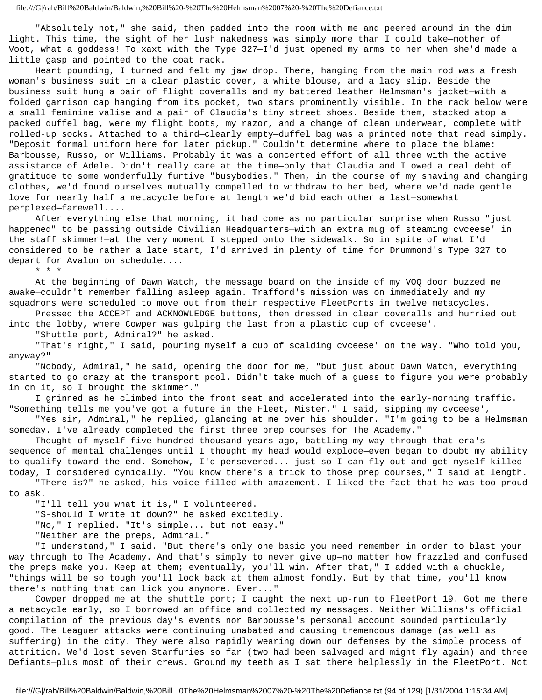"Absolutely not," she said, then padded into the room with me and peered around in the dim light. This time, the sight of her lush nakedness was simply more than I could take—mother of Voot, what a goddess! To xaxt with the Type 327—I'd just opened my arms to her when she'd made a little gasp and pointed to the coat rack.

 Heart pounding, I turned and felt my jaw drop. There, hanging from the main rod was a fresh woman's business suit in a clear plastic cover, a white blouse, and a lacy slip. Beside the business suit hung a pair of flight coveralls and my battered leather Helmsman's jacket—with a folded garrison cap hanging from its pocket, two stars prominently visible. In the rack below were a small feminine valise and a pair of Claudia's tiny street shoes. Beside them, stacked atop a packed duffel bag, were my flight boots, my razor, and a change of clean underwear, complete with rolled-up socks. Attached to a third—clearly empty—duffel bag was a printed note that read simply. "Deposit formal uniform here for later pickup." Couldn't determine where to place the blame: Barbousse, Russo, or Williams. Probably it was a concerted effort of all three with the active assistance of Adele. Didn't really care at the time—only that Claudia and I owed a real debt of gratitude to some wonderfully furtive "busybodies." Then, in the course of my shaving and changing clothes, we'd found ourselves mutually compelled to withdraw to her bed, where we'd made gentle love for nearly half a metacycle before at length we'd bid each other a last—somewhat perplexed—farewell....

 After everything else that morning, it had come as no particular surprise when Russo "just happened" to be passing outside Civilian Headquarters—with an extra mug of steaming cvceese' in the staff skimmer!—at the very moment I stepped onto the sidewalk. So in spite of what I'd considered to be rather a late start, I'd arrived in plenty of time for Drummond's Type 327 to depart for Avalon on schedule....

\* \* \*

 At the beginning of Dawn Watch, the message board on the inside of my VOQ door buzzed me awake—couldn't remember falling asleep again. Trafford's mission was on immediately and my squadrons were scheduled to move out from their respective FleetPorts in twelve metacycles. Pressed the ACCEPT and ACKNOWLEDGE buttons, then dressed in clean coveralls and hurried out

into the lobby, where Cowper was gulping the last from a plastic cup of cvceese'.

"Shuttle port, Admiral?" he asked.

 "That's right," I said, pouring myself a cup of scalding cvceese' on the way. "Who told you, anyway?"

 "Nobody, Admiral," he said, opening the door for me, "but just about Dawn Watch, everything started to go crazy at the transport pool. Didn't take much of a guess to figure you were probably in on it, so I brought the skimmer."

 I grinned as he climbed into the front seat and accelerated into the early-morning traffic. "Something tells me you've got a future in the Fleet, Mister," I said, sipping my cvceese',

 "Yes sir, Admiral," he replied, glancing at me over his shoulder. "I'm going to be a Helmsman someday. I've already completed the first three prep courses for The Academy."

 Thought of myself five hundred thousand years ago, battling my way through that era's sequence of mental challenges until I thought my head would explode—even began to doubt my ability to qualify toward the end. Somehow, I'd persevered... just so I can fly out and get myself killed today, I considered cynically. "You know there's a trick to those prep courses," I said at length.

 "There is?" he asked, his voice filled with amazement. I liked the fact that he was too proud to ask.

"I'll tell you what it is," I volunteered.

"S-should I write it down?" he asked excitedly.

"No," I replied. "It's simple... but not easy."

"Neither are the preps, Admiral."

 "I understand," I said. "But there's only one basic you need remember in order to blast your way through to The Academy. And that's simply to never give up—no matter how frazzled and confused the preps make you. Keep at them; eventually, you'll win. After that," I added with a chuckle, "things will be so tough you'll look back at them almost fondly. But by that time, you'll know there's nothing that can lick you anymore. Ever..."

 Cowper dropped me at the shuttle port; I caught the next up-run to FleetPort 19. Got me there a metacycle early, so I borrowed an office and collected my messages. Neither Williams's official compilation of the previous day's events nor Barbousse's personal account sounded particularly good. The Leaguer attacks were continuing unabated and causing tremendous damage (as well as suffering) in the city. They were also rapidly wearing down our defenses by the simple process of attrition. We'd lost seven Starfuries so far (two had been salvaged and might fly again) and three Defiants—plus most of their crews. Ground my teeth as I sat there helplessly in the FleetPort. Not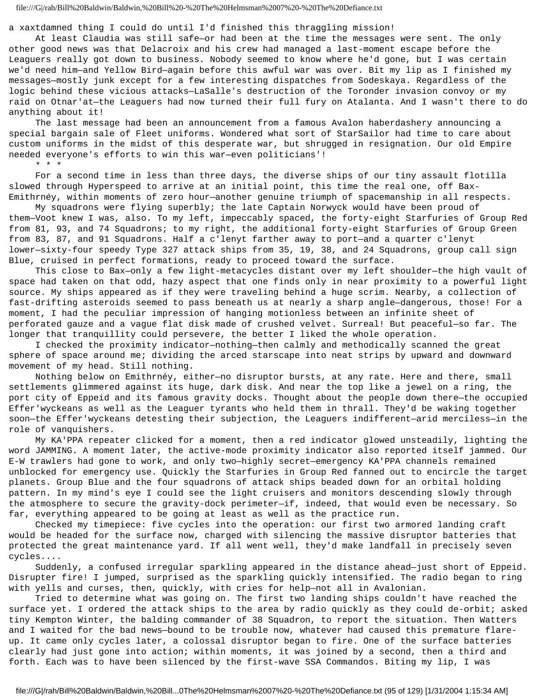a xaxtdamned thing I could do until I'd finished this thraggling mission!

 At least Claudia was still safe—or had been at the time the messages were sent. The only other good news was that Delacroix and his crew had managed a last-moment escape before the Leaguers really got down to business. Nobody seemed to know where he'd gone, but I was certain we'd need him—and Yellow Bird—again before this awful war was over. Bit my lip as I finished my messages—mostly junk except for a few interesting dispatches from Sodeskaya. Regardless of the logic behind these vicious attacks—LaSalle's destruction of the Toronder invasion convoy or my raid on Otnar'at—the Leaguers had now turned their full fury on Atalanta. And I wasn't there to do anything about it!

 The last message had been an announcement from a famous Avalon haberdashery announcing a special bargain sale of Fleet uniforms. Wondered what sort of StarSailor had time to care about custom uniforms in the midst of this desperate war, but shrugged in resignation. Our old Empire needed everyone's efforts to win this war—even politicians'!

\* \* \*

 For a second time in less than three days, the diverse ships of our tiny assault flotilla slowed through Hyperspeed to arrive at an initial point, this time the real one, off Bax-Emithrnéy, within moments of zero hour—another genuine triumph of spacemanship in all respects.

 My squadrons were flying superbly; the late Captain Norwyck would have been proud of them—Voot knew I was, also. To my left, impeccably spaced, the forty-eight Starfuries of Group Red from 81, 93, and 74 Squadrons; to my right, the additional forty-eight Starfuries of Group Green from 83, 87, and 91 Squadrons. Half a c'lenyt farther away to port—and a quarter c'lenyt lower—sixty-four speedy Type 327 attack ships from 35, 19, 38, and 24 Squadrons, group call sign Blue, cruised in perfect formations, ready to proceed toward the surface.

This close to Bax-only a few light-metacycles distant over my left shoulder-the high vault of space had taken on that odd, hazy aspect that one finds only in near proximity to a powerful light source. My ships appeared as if they were traveling behind a huge scrim. Nearby, a collection of fast-drifting asteroids seemed to pass beneath us at nearly a sharp angle—dangerous, those! For a moment, I had the peculiar impression of hanging motionless between an infinite sheet of perforated gauze and a vague flat disk made of crushed velvet. Surreal! But peaceful—so far. The longer that tranquillity could persevere, the better I liked the whole operation.

 I checked the proximity indicator—nothing—then calmly and methodically scanned the great sphere of space around me; dividing the arced starscape into neat strips by upward and downward movement of my head. Still nothing.

 Nothing below on Emithrnéy, either—no disruptor bursts, at any rate. Here and there, small settlements glimmered against its huge, dark disk. And near the top like a jewel on a ring, the port city of Eppeid and its famous gravity docks. Thought about the people down there—the occupied Effer'wyckeans as well as the Leaguer tyrants who held them in thrall. They'd be waking together soon—the Effer'wyckeans detesting their subjection, the Leaguers indifferent—arid merciless—in the role of vanquishers.

 My KA'PPA repeater clicked for a moment, then a red indicator glowed unsteadily, lighting the word JAMMING. A moment later, the active-mode proximity indicator also reported itself jammed. Our E-W trawlers had gone to work, and only two—highly secret—emergency KA'PPA channels remained unblocked for emergency use. Quickly the Starfuries in Group Red fanned out to encircle the target planets. Group Blue and the four squadrons of attack ships beaded down for an orbital holding pattern. In my mind's eye I could see the light cruisers and monitors descending slowly through the atmosphere to secure the gravity-dock perimeter—if, indeed, that would even be necessary. So far, everything appeared to be going at least as well as the practice run.

 Checked my timepiece: five cycles into the operation: our first two armored landing craft would be headed for the surface now, charged with silencing the massive disruptor batteries that protected the great maintenance yard. If all went well, they'd make landfall in precisely seven cycles....

 Suddenly, a confused irregular sparkling appeared in the distance ahead—just short of Eppeid. Disrupter fire! I jumped, surprised as the sparkling quickly intensified. The radio began to ring with yells and curses, then, quickly, with cries for help—not all in Avalonian.

 Tried to determine what was going on. The first two landing ships couldn't have reached the surface yet. I ordered the attack ships to the area by radio quickly as they could de-orbit; asked tiny Kempton Winter, the balding commander of 38 Squadron, to report the situation. Then Watters and I waited for the bad news—bound to be trouble now, whatever had caused this premature flareup. It came only cycles later, a colossal disruptor began to fire. One of the surface batteries clearly had just gone into action; within moments, it was joined by a second, then a third and forth. Each was to have been silenced by the first-wave SSA Commandos. Biting my lip, I was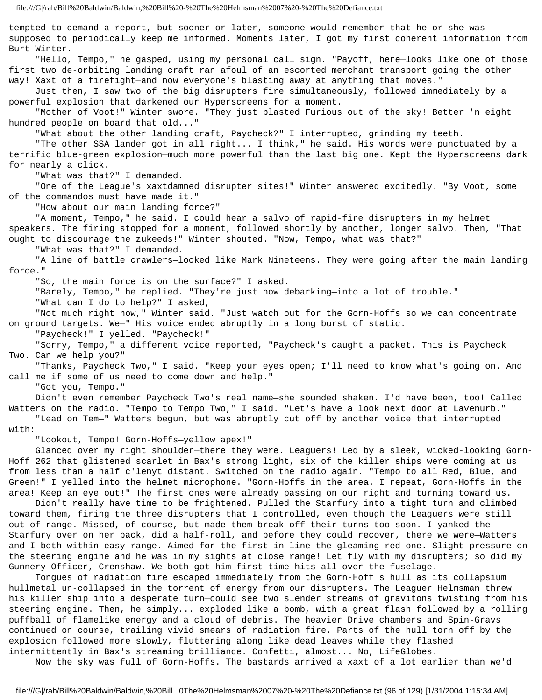tempted to demand a report, but sooner or later, someone would remember that he or she was supposed to periodically keep me informed. Moments later, I got my first coherent information from Burt Winter.

 "Hello, Tempo," he gasped, using my personal call sign. "Payoff, here—looks like one of those first two de-orbiting landing craft ran afoul of an escorted merchant transport going the other way! Xaxt of a firefight-and now everyone's blasting away at anything that moves."

 Just then, I saw two of the big disrupters fire simultaneously, followed immediately by a powerful explosion that darkened our Hyperscreens for a moment.

 "Mother of Voot!" Winter swore. "They just blasted Furious out of the sky! Better 'n eight hundred people on board that old..."

"What about the other landing craft, Paycheck?" I interrupted, grinding my teeth.

 "The other SSA lander got in all right... I think," he said. His words were punctuated by a terrific blue-green explosion—much more powerful than the last big one. Kept the Hyperscreens dark for nearly a click.

"What was that?" I demanded.

 "One of the League's xaxtdamned disrupter sites!" Winter answered excitedly. "By Voot, some of the commandos must have made it."

"How about our main landing force?"

 "A moment, Tempo," he said. I could hear a salvo of rapid-fire disrupters in my helmet speakers. The firing stopped for a moment, followed shortly by another, longer salvo. Then, "That ought to discourage the zukeeds!" Winter shouted. "Now, Tempo, what was that?"

"What was that?" I demanded.

 "A line of battle crawlers—looked like Mark Nineteens. They were going after the main landing force."

"So, the main force is on the surface?" I asked.

"Barely, Tempo," he replied. "They're just now debarking—into a lot of trouble."

"What can I do to help?" I asked,

 "Not much right now," Winter said. "Just watch out for the Gorn-Hoffs so we can concentrate on ground targets. We—" His voice ended abruptly in a long burst of static.

"Paycheck!" I yelled. "Paycheck!"

 "Sorry, Tempo," a different voice reported, "Paycheck's caught a packet. This is Paycheck Two. Can we help you?"

 "Thanks, Paycheck Two," I said. "Keep your eyes open; I'll need to know what's going on. And call me if some of us need to come down and help."

"Got you, Tempo."

 Didn't even remember Paycheck Two's real name—she sounded shaken. I'd have been, too! Called Watters on the radio. "Tempo to Tempo Two," I said. "Let's have a look next door at Lavenurb." "Lead on Tem—" Watters begun, but was abruptly cut off by another voice that interrupted

with:

"Lookout, Tempo! Gorn-Hoffs—yellow apex!"

 Glanced over my right shoulder—there they were. Leaguers! Led by a sleek, wicked-looking Gorn-Hoff 262 that glistened scarlet in Bax's strong light, six of the killer ships were coming at us from less than a half c'lenyt distant. Switched on the radio again. "Tempo to all Red, Blue, and Green!" I yelled into the helmet microphone. "Gorn-Hoffs in the area. I repeat, Gorn-Hoffs in the area! Keep an eye out!" The first ones were already passing on our right and turning toward us.

 Didn't really have time to be frightened. Pulled the Starfury into a tight turn and climbed toward them, firing the three disrupters that I controlled, even though the Leaguers were still out of range. Missed, of course, but made them break off their turns—too soon. I yanked the Starfury over on her back, did a half-roll, and before they could recover, there we were—Watters and I both—within easy range. Aimed for the first in line—the gleaming red one. Slight pressure on the steering engine and he was in my sights at close range! Let fly with my disrupters; so did my Gunnery Officer, Crenshaw. We both got him first time—hits all over the fuselage.

 Tongues of radiation fire escaped immediately from the Gorn-Hoff s hull as its collapsium hullmetal un-collapsed in the torrent of energy from our disrupters. The Leaguer Helmsman threw his killer ship into a desperate turn—could see two slender streams of gravitons twisting from his steering engine. Then, he simply... exploded like a bomb, with a great flash followed by a rolling puffball of flamelike energy and a cloud of debris. The heavier Drive chambers and Spin-Gravs continued on course, trailing vivid smears of radiation fire. Parts of the hull torn off by the explosion followed more slowly, fluttering along like dead leaves while they flashed intermittently in Bax's streaming brilliance. Confetti, almost... No, LifeGlobes.

Now the sky was full of Gorn-Hoffs. The bastards arrived a xaxt of a lot earlier than we'd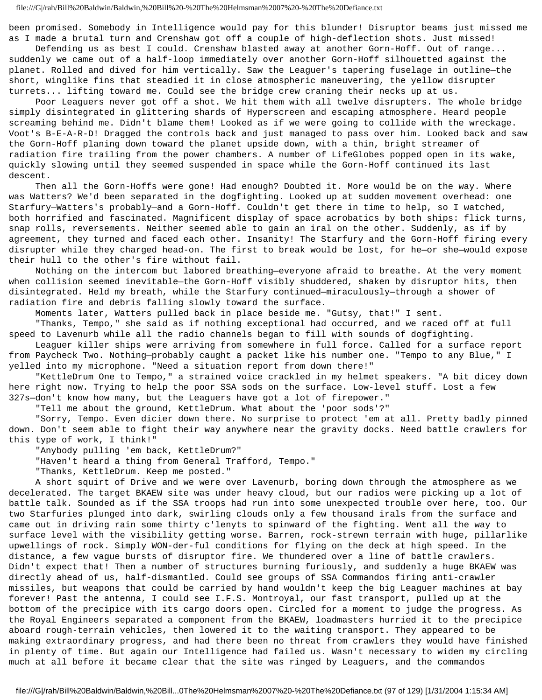been promised. Somebody in Intelligence would pay for this blunder! Disruptor beams just missed me as I made a brutal turn and Crenshaw got off a couple of high-deflection shots. Just missed!

 Defending us as best I could. Crenshaw blasted away at another Gorn-Hoff. Out of range... suddenly we came out of a half-loop immediately over another Gorn-Hoff silhouetted against the planet. Rolled and dived for him vertically. Saw the Leaguer's tapering fuselage in outline—the short, winglike fins that steadied it in close atmospheric maneuvering, the yellow disrupter turrets... lifting toward me. Could see the bridge crew craning their necks up at us.

 Poor Leaguers never got off a shot. We hit them with all twelve disrupters. The whole bridge simply disintegrated in glittering shards of Hyperscreen and escaping atmosphere. Heard people screaming behind me. Didn't blame them! Looked as if we were going to collide with the wreckage. Voot's B-E-A-R-D! Dragged the controls back and just managed to pass over him. Looked back and saw the Gorn-Hoff planing down toward the planet upside down, with a thin, bright streamer of radiation fire trailing from the power chambers. A number of LifeGlobes popped open in its wake, quickly slowing until they seemed suspended in space while the Gorn-Hoff continued its last descent.

 Then all the Gorn-Hoffs were gone! Had enough? Doubted it. More would be on the way. Where was Watters? We'd been separated in the dogfighting. Looked up at sudden movement overhead: one Starfury—Watters's probably—and a Gorn-Hoff. Couldn't get there in time to help, so I watched, both horrified and fascinated. Magnificent display of space acrobatics by both ships: flick turns, snap rolls, reversements. Neither seemed able to gain an iral on the other. Suddenly, as if by agreement, they turned and faced each other. Insanity! The Starfury and the Gorn-Hoff firing every disrupter while they charged head-on. The first to break would be lost, for he—or she—would expose their hull to the other's fire without fail.

 Nothing on the intercom but labored breathing—everyone afraid to breathe. At the very moment when collision seemed inevitable—the Gorn-Hoff visibly shuddered, shaken by disruptor hits, then disintegrated. Held my breath, while the Starfury continued—miraculously—through a shower of radiation fire and debris falling slowly toward the surface.

Moments later, Watters pulled back in place beside me. "Gutsy, that!" I sent.

 "Thanks, Tempo," she said as if nothing exceptional had occurred, and we raced off at full speed to Lavenurb while all the radio channels began to fill with sounds of dogfighting.

 Leaguer killer ships were arriving from somewhere in full force. Called for a surface report from Paycheck Two. Nothing—probably caught a packet like his number one. "Tempo to any Blue," I yelled into my microphone. "Need a situation report from down there!"

 "KettleDrum One to Tempo," a strained voice crackled in my helmet speakers. "A bit dicey down here right now. Trying to help the poor SSA sods on the surface. Low-level stuff. Lost a few 327s—don't know how many, but the Leaguers have got a lot of firepower."

"Tell me about the ground, KettleDrum. What about the 'poor sods'?"

 "Sorry, Tempo. Even dicier down there. No surprise to protect 'em at all. Pretty badly pinned down. Don't seem able to fight their way anywhere near the gravity docks. Need battle crawlers for this type of work, I think!"

"Anybody pulling 'em back, KettleDrum?"

"Haven't heard a thing from General Trafford, Tempo."

"Thanks, KettleDrum. Keep me posted."

 A short squirt of Drive and we were over Lavenurb, boring down through the atmosphere as we decelerated. The target BKAEW site was under heavy cloud, but our radios were picking up a lot of battle talk. Sounded as if the SSA troops had run into some unexpected trouble over here, too. Our two Starfuries plunged into dark, swirling clouds only a few thousand irals from the surface and came out in driving rain some thirty c'lenyts to spinward of the fighting. Went all the way to surface level with the visibility getting worse. Barren, rock-strewn terrain with huge, pillarlike upwellings of rock. Simply WON-der-ful conditions for flying on the deck at high speed. In the distance, a few vague bursts of disruptor fire. We thundered over a line of battle crawlers. Didn't expect that! Then a number of structures burning furiously, and suddenly a huge BKAEW was directly ahead of us, half-dismantled. Could see groups of SSA Commandos firing anti-crawler missiles, but weapons that could be carried by hand wouldn't keep the big Leaguer machines at bay forever! Past the antenna, I could see I.F.S. Montroyal, our fast transport, pulled up at the bottom of the precipice with its cargo doors open. Circled for a moment to judge the progress. As the Royal Engineers separated a component from the BKAEW, loadmasters hurried it to the precipice aboard rough-terrain vehicles, then lowered it to the waiting transport. They appeared to be making extraordinary progress, and had there been no threat from crawlers they would have finished in plenty of time. But again our Intelligence had failed us. Wasn't necessary to widen my circling much at all before it became clear that the site was ringed by Leaguers, and the commandos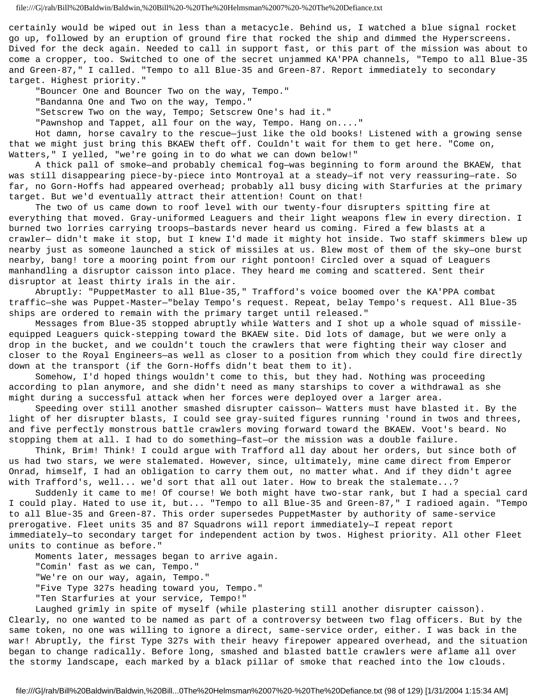certainly would be wiped out in less than a metacycle. Behind us, I watched a blue signal rocket go up, followed by an eruption of ground fire that rocked the ship and dimmed the Hyperscreens. Dived for the deck again. Needed to call in support fast, or this part of the mission was about to come a cropper, too. Switched to one of the secret unjammed KA'PPA channels, "Tempo to all Blue-35 and Green-87," I called. "Tempo to all Blue-35 and Green-87. Report immediately to secondary target. Highest priority."

"Bouncer One and Bouncer Two on the way, Tempo."

"Bandanna One and Two on the way, Tempo."

"Setscrew Two on the way, Tempo; Setscrew One's had it."

"Pawnshop and Tappet, all four on the way, Tempo. Hang on...."

 Hot damn, horse cavalry to the rescue—just like the old books! Listened with a growing sense that we might just bring this BKAEW theft off. Couldn't wait for them to get here. "Come on, Watters," I yelled, "we're going in to do what we can down below!"

 A thick pall of smoke—and probably chemical fog—was beginning to form around the BKAEW, that was still disappearing piece-by-piece into Montroyal at a steady—if not very reassuring—rate. So far, no Gorn-Hoffs had appeared overhead; probably all busy dicing with Starfuries at the primary target. But we'd eventually attract their attention! Count on that!

 The two of us came down to roof level with our twenty-four disrupters spitting fire at everything that moved. Gray-uniformed Leaguers and their light weapons flew in every direction. I burned two lorries carrying troops—bastards never heard us coming. Fired a few blasts at a crawler— didn't make it stop, but I knew I'd made it mighty hot inside. Two staff skimmers blew up nearby just as someone launched a stick of missiles at us. Blew most of them of the sky—one burst nearby, bang! tore a mooring point from our right pontoon! Circled over a squad of Leaguers manhandling a disruptor caisson into place. They heard me coming and scattered. Sent their disruptor at least thirty irals in the air.

 Abruptly: "PuppetMaster to all Blue-35," Trafford's voice boomed over the KA'PPA combat traffic—she was Puppet-Master—"belay Tempo's request. Repeat, belay Tempo's request. All Blue-35 ships are ordered to remain with the primary target until released."

 Messages from Blue-35 stopped abruptly while Watters and I shot up a whole squad of missileequipped Leaguers quick-stepping toward the BKAEW site. Did lots of damage, but we were only a drop in the bucket, and we couldn't touch the crawlers that were fighting their way closer and closer to the Royal Engineers—as well as closer to a position from which they could fire directly down at the transport (if the Gorn-Hoffs didn't beat them to it).

 Somehow, I'd hoped things wouldn't come to this, but they had. Nothing was proceeding according to plan anymore, and she didn't need as many starships to cover a withdrawal as she might during a successful attack when her forces were deployed over a larger area.

 Speeding over still another smashed disrupter caisson— Watters must have blasted it. By the light of her disrupter blasts, I could see gray-suited figures running 'round in twos and threes, and five perfectly monstrous battle crawlers moving forward toward the BKAEW. Voot's beard. No stopping them at all. I had to do something—fast—or the mission was a double failure.

 Think, Brim! Think! I could argue with Trafford all day about her orders, but since both of us had two stars, we were stalemated. However, since, ultimately, mine came direct from Emperor Onrad, himself, I had an obligation to carry them out, no matter what. And if they didn't agree with Trafford's, well... we'd sort that all out later. How to break the stalemate...?

 Suddenly it came to me! Of course! We both might have two-star rank, but I had a special card I could play. Hated to use it, but... "Tempo to all Blue-35 and Green-87," I radioed again. "Tempo to all Blue-35 and Green-87. This order supersedes PuppetMaster by authority of same-service prerogative. Fleet units 35 and 87 Squadrons will report immediately—I repeat report immediately—to secondary target for independent action by twos. Highest priority. All other Fleet units to continue as before."

Moments later, messages began to arrive again.

"Comin' fast as we can, Tempo."

"We're on our way, again, Tempo."

"Five Type 327s heading toward you, Tempo."

"Ten Starfuries at your service, Tempo!"

 Laughed grimly in spite of myself (while plastering still another disrupter caisson). Clearly, no one wanted to be named as part of a controversy between two flag officers. But by the same token, no one was willing to ignore a direct, same-service order, either. I was back in the war! Abruptly, the first Type 327s with their heavy firepower appeared overhead, and the situation began to change radically. Before long, smashed and blasted battle crawlers were aflame all over the stormy landscape, each marked by a black pillar of smoke that reached into the low clouds.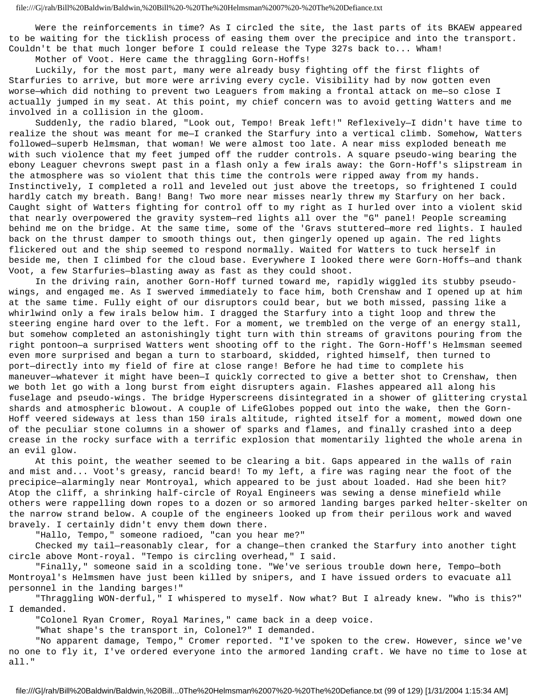Were the reinforcements in time? As I circled the site, the last parts of its BKAEW appeared to be waiting for the ticklish process of easing them over the precipice and into the transport. Couldn't be that much longer before I could release the Type 327s back to... Wham!

Mother of Voot. Here came the thraggling Gorn-Hoffs!

 Luckily, for the most part, many were already busy fighting off the first flights of Starfuries to arrive, but more were arriving every cycle. Visibility had by now gotten even worse—which did nothing to prevent two Leaguers from making a frontal attack on me—so close I actually jumped in my seat. At this point, my chief concern was to avoid getting Watters and me involved in a collision in the gloom.

 Suddenly, the radio blared, "Look out, Tempo! Break left!" Reflexively—I didn't have time to realize the shout was meant for me—I cranked the Starfury into a vertical climb. Somehow, Watters followed—superb Helmsman, that woman! We were almost too late. A near miss exploded beneath me with such violence that my feet jumped off the rudder controls. A square pseudo-wing bearing the ebony Leaguer chevrons swept past in a flash only a few irals away: the Gorn-Hoff's slipstream in the atmosphere was so violent that this time the controls were ripped away from my hands. Instinctively, I completed a roll and leveled out just above the treetops, so frightened I could hardly catch my breath. Bang! Bang! Two more near misses nearly threw my Starfury on her back. Caught sight of Watters fighting for control off to my right as I hurled over into a violent skid that nearly overpowered the gravity system—red lights all over the "G" panel! People screaming behind me on the bridge. At the same time, some of the 'Gravs stuttered—more red lights. I hauled back on the thrust damper to smooth things out, then gingerly opened up again. The red lights flickered out and the ship seemed to respond normally. Waited for Watters to tuck herself in beside me, then I climbed for the cloud base. Everywhere I looked there were Gorn-Hoffs—and thank Voot, a few Starfuries—blasting away as fast as they could shoot.

 In the driving rain, another Gorn-Hoff turned toward me, rapidly wiggled its stubby pseudowings, and engaged me. As I swerved immediately to face him, both Crenshaw and I opened up at him at the same time. Fully eight of our disruptors could bear, but we both missed, passing like a whirlwind only a few irals below him. I dragged the Starfury into a tight loop and threw the steering engine hard over to the left. For a moment, we trembled on the verge of an energy stall, but somehow completed an astonishingly tight turn with thin streams of gravitons pouring from the right pontoon—a surprised Watters went shooting off to the right. The Gorn-Hoff's Helmsman seemed even more surprised and began a turn to starboard, skidded, righted himself, then turned to port—directly into my field of fire at close range! Before he had time to complete his maneuver—whatever it might have been—I quickly corrected to give a better shot to Crenshaw, then we both let go with a long burst from eight disrupters again. Flashes appeared all along his fuselage and pseudo-wings. The bridge Hyperscreens disintegrated in a shower of glittering crystal shards and atmospheric blowout. A couple of LifeGlobes popped out into the wake, then the Gorn-Hoff veered sideways at less than 150 irals altitude, righted itself for a moment, mowed down one of the peculiar stone columns in a shower of sparks and flames, and finally crashed into a deep crease in the rocky surface with a terrific explosion that momentarily lighted the whole arena in an evil glow.

 At this point, the weather seemed to be clearing a bit. Gaps appeared in the walls of rain and mist and... Voot's greasy, rancid beard! To my left, a fire was raging near the foot of the precipice—alarmingly near Montroyal, which appeared to be just about loaded. Had she been hit? Atop the cliff, a shrinking half-circle of Royal Engineers was sewing a dense minefield while others were rappelling down ropes to a dozen or so armored landing barges parked helter-skelter on the narrow strand below. A couple of the engineers looked up from their perilous work and waved bravely. I certainly didn't envy them down there.

"Hallo, Tempo," someone radioed, "can you hear me?"

 Checked my tail—reasonably clear, for a change—then cranked the Starfury into another tight circle above Mont-royal. "Tempo is circling overhead," I said.

 "Finally," someone said in a scolding tone. "We've serious trouble down here, Tempo—both Montroyal's Helmsmen have just been killed by snipers, and I have issued orders to evacuate all personnel in the landing barges!"

 "Thraggling WON-derful," I whispered to myself. Now what? But I already knew. "Who is this?" I demanded.

"Colonel Ryan Cromer, Royal Marines," came back in a deep voice.

"What shape's the transport in, Colonel?" I demanded.

 "No apparent damage, Tempo," Cromer reported. "I've spoken to the crew. However, since we've no one to fly it, I've ordered everyone into the armored landing craft. We have no time to lose at all."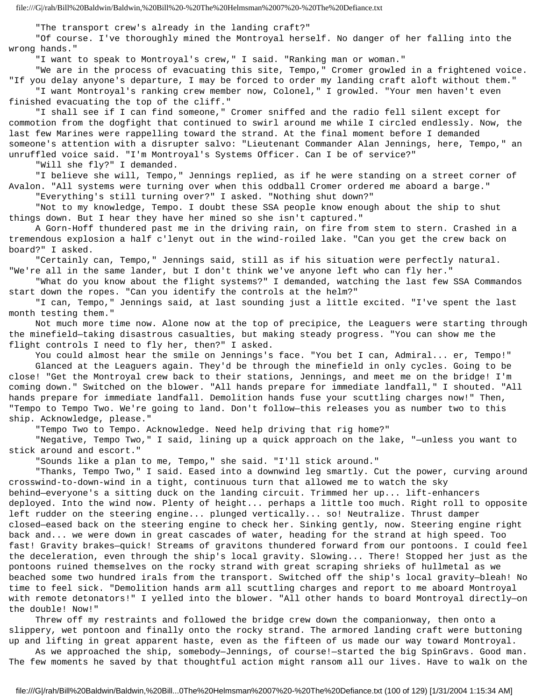"The transport crew's already in the landing craft?"

 "Of course. I've thoroughly mined the Montroyal herself. No danger of her falling into the wrong hands."

"I want to speak to Montroyal's crew," I said. "Ranking man or woman."

 "We are in the process of evacuating this site, Tempo," Cromer growled in a frightened voice. "If you delay anyone's departure, I may be forced to order my landing craft aloft without them."

 "I want Montroyal's ranking crew member now, Colonel," I growled. "Your men haven't even finished evacuating the top of the cliff."

 "I shall see if I can find someone," Cromer sniffed and the radio fell silent except for commotion from the dogfight that continued to swirl around me while I circled endlessly. Now, the last few Marines were rappelling toward the strand. At the final moment before I demanded someone's attention with a disrupter salvo: "Lieutenant Commander Alan Jennings, here, Tempo," an unruffled voice said. "I'm Montroyal's Systems Officer. Can I be of service?"

"Will she fly?" I demanded.

 "I believe she will, Tempo," Jennings replied, as if he were standing on a street corner of Avalon. "All systems were turning over when this oddball Cromer ordered me aboard a barge." "Everything's still turning over?" I asked. "Nothing shut down?"

 "Not to my knowledge, Tempo. I doubt these SSA people know enough about the ship to shut things down. But I hear they have her mined so she isn't captured."

 A Gorn-Hoff thundered past me in the driving rain, on fire from stem to stern. Crashed in a tremendous explosion a half c'lenyt out in the wind-roiled lake. "Can you get the crew back on board?" I asked.

 "Certainly can, Tempo," Jennings said, still as if his situation were perfectly natural. "We're all in the same lander, but I don't think we've anyone left who can fly her."

 "What do you know about the flight systems?" I demanded, watching the last few SSA Commandos start down the ropes. "Can you identify the controls at the helm?"

 "I can, Tempo," Jennings said, at last sounding just a little excited. "I've spent the last month testing them."

 Not much more time now. Alone now at the top of precipice, the Leaguers were starting through the minefield—taking disastrous casualties, but making steady progress. "You can show me the flight controls I need to fly her, then?" I asked.

You could almost hear the smile on Jennings's face. "You bet I can, Admiral... er, Tempo!"

 Glanced at the Leaguers again. They'd be through the minefield in only cycles. Going to be close! "Get the Montroyal crew back to their stations, Jennings, and meet me on the bridge! I'm coming down." Switched on the blower. "All hands prepare for immediate landfall," I shouted. "All hands prepare for immediate landfall. Demolition hands fuse your scuttling charges now!" Then, "Tempo to Tempo Two. We're going to land. Don't follow—this releases you as number two to this ship. Acknowledge, please."

"Tempo Two to Tempo. Acknowledge. Need help driving that rig home?"

 "Negative, Tempo Two," I said, lining up a quick approach on the lake, "—unless you want to stick around and escort."

"Sounds like a plan to me, Tempo," she said. "I'll stick around."

 "Thanks, Tempo Two," I said. Eased into a downwind leg smartly. Cut the power, curving around crosswind-to-down-wind in a tight, continuous turn that allowed me to watch the sky behind—everyone's a sitting duck on the landing circuit. Trimmed her up... lift-enhancers deployed. Into the wind now. Plenty of height... perhaps a little too much. Right roll to opposite left rudder on the steering engine... plunged vertically... so! Neutralize. Thrust damper closed—eased back on the steering engine to check her. Sinking gently, now. Steering engine right back and... we were down in great cascades of water, heading for the strand at high speed. Too fast! Gravity brakes—quick! Streams of gravitons thundered forward from our pontoons. I could feel the deceleration, even through the ship's local gravity. Slowing... There! Stopped her just as the pontoons ruined themselves on the rocky strand with great scraping shrieks of hullmetal as we beached some two hundred irals from the transport. Switched off the ship's local gravity—bleah! No time to feel sick. "Demolition hands arm all scuttling charges and report to me aboard Montroyal with remote detonators!" I yelled into the blower. "All other hands to board Montroyal directly—on the double! Now!"

 Threw off my restraints and followed the bridge crew down the companionway, then onto a slippery, wet pontoon and finally onto the rocky strand. The armored landing craft were buttoning up and lifting in great apparent haste, even as the fifteen of us made our way toward Montroyal.

As we approached the ship, somebody-Jennings, of course!-started the big SpinGravs. Good man. The few moments he saved by that thoughtful action might ransom all our lives. Have to walk on the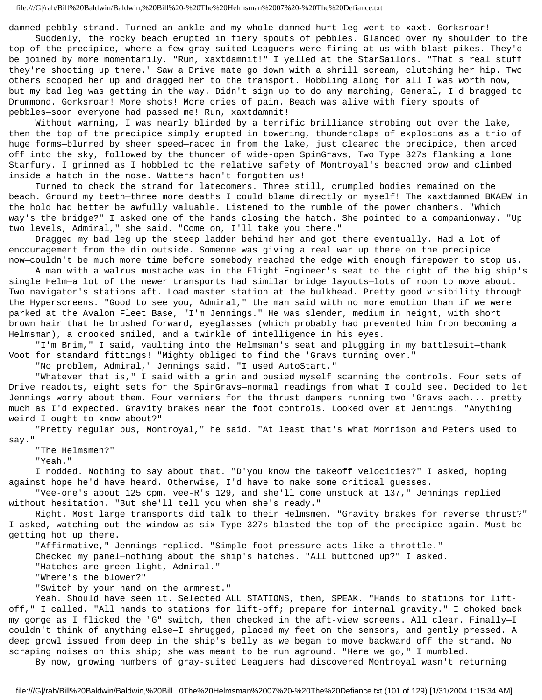damned pebbly strand. Turned an ankle and my whole damned hurt leg went to xaxt. Gorksroar! Suddenly, the rocky beach erupted in fiery spouts of pebbles. Glanced over my shoulder to the top of the precipice, where a few gray-suited Leaguers were firing at us with blast pikes. They'd be joined by more momentarily. "Run, xaxtdamnit!" I yelled at the StarSailors. "That's real stuff they're shooting up there." Saw a Drive mate go down with a shrill scream, clutching her hip. Two others scooped her up and dragged her to the transport. Hobbling along for all I was worth now, but my bad leg was getting in the way. Didn't sign up to do any marching, General, I'd bragged to Drummond. Gorksroar! More shots! More cries of pain. Beach was alive with fiery spouts of pebbles—soon everyone had passed me! Run, xaxtdamnit!

 Without warning, I was nearly blinded by a terrific brilliance strobing out over the lake, then the top of the precipice simply erupted in towering, thunderclaps of explosions as a trio of huge forms—blurred by sheer speed—raced in from the lake, just cleared the precipice, then arced off into the sky, followed by the thunder of wide-open SpinGravs, Two Type 327s flanking a lone Starfury. I grinned as I hobbled to the relative safety of Montroyal's beached prow and climbed inside a hatch in the nose. Watters hadn't forgotten us!

 Turned to check the strand for latecomers. Three still, crumpled bodies remained on the beach. Ground my teeth—three more deaths I could blame directly on myself! The xaxtdamned BKAEW in the hold had better be awfully valuable. Listened to the rumble of the power chambers. "Which way's the bridge?" I asked one of the hands closing the hatch. She pointed to a companionway. "Up two levels, Admiral," she said. "Come on, I'll take you there."

 Dragged my bad leg up the steep ladder behind her and got there eventually. Had a lot of encouragement from the din outside. Someone was giving a real war up there on the precipice now—couldn't be much more time before somebody reached the edge with enough firepower to stop us.

 A man with a walrus mustache was in the Flight Engineer's seat to the right of the big ship's single Helm—a lot of the newer transports had similar bridge layouts—lots of room to move about. Two navigator's stations aft. Load master station at the bulkhead. Pretty good visibility through the Hyperscreens. "Good to see you, Admiral," the man said with no more emotion than if we were parked at the Avalon Fleet Base, "I'm Jennings." He was slender, medium in height, with short brown hair that he brushed forward, eyeglasses (which probably had prevented him from becoming a Helmsman), a crooked smiled, and a twinkle of intelligence in his eyes.

 "I'm Brim," I said, vaulting into the Helmsman's seat and plugging in my battlesuit—thank Voot for standard fittings! "Mighty obliged to find the 'Gravs turning over."

"No problem, Admiral," Jennings said. "I used AutoStart."

 "Whatever that is," I said with a grin and busied myself scanning the controls. Four sets of Drive readouts, eight sets for the SpinGravs—normal readings from what I could see. Decided to let Jennings worry about them. Four verniers for the thrust dampers running two 'Gravs each... pretty much as I'd expected. Gravity brakes near the foot controls. Looked over at Jennings. "Anything weird I ought to know about?"

 "Pretty regular bus, Montroyal," he said. "At least that's what Morrison and Peters used to say."

"The Helmsmen?"

"Yeah."

 I nodded. Nothing to say about that. "D'you know the takeoff velocities?" I asked, hoping against hope he'd have heard. Otherwise, I'd have to make some critical guesses.

 "Vee-one's about 125 cpm, vee-R's 129, and she'll come unstuck at 137," Jennings replied without hesitation. "But she'll tell you when she's ready."

 Right. Most large transports did talk to their Helmsmen. "Gravity brakes for reverse thrust?" I asked, watching out the window as six Type 327s blasted the top of the precipice again. Must be getting hot up there.

 "Affirmative," Jennings replied. "Simple foot pressure acts like a throttle." Checked my panel—nothing about the ship's hatches. "All buttoned up?" I asked. "Hatches are green light, Admiral."

"Where's the blower?"

"Switch by your hand on the armrest."

 Yeah. Should have seen it. Selected ALL STATIONS, then, SPEAK. "Hands to stations for liftoff," I called. "All hands to stations for lift-off; prepare for internal gravity." I choked back my gorge as I flicked the "G" switch, then checked in the aft-view screens. All clear. Finally—I couldn't think of anything else—I shrugged, placed my feet on the sensors, and gently pressed. A deep growl issued from deep in the ship's belly as we began to move backward off the strand. No scraping noises on this ship; she was meant to be run aground. "Here we go," I mumbled.

By now, growing numbers of gray-suited Leaguers had discovered Montroyal wasn't returning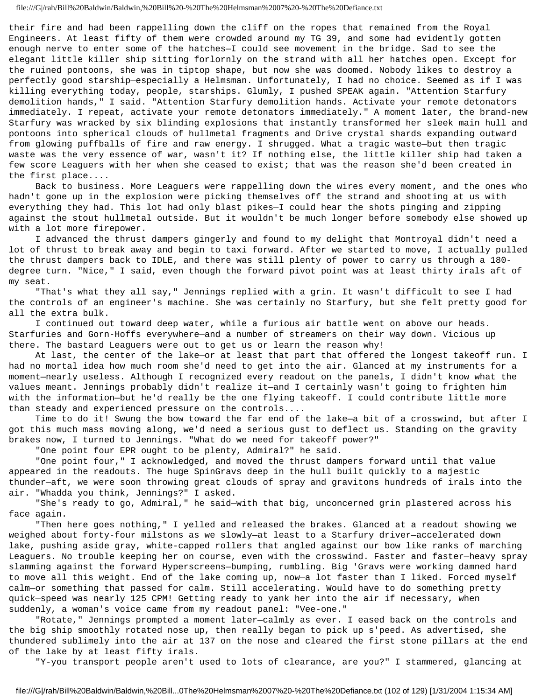their fire and had been rappelling down the cliff on the ropes that remained from the Royal Engineers. At least fifty of them were crowded around my TG 39, and some had evidently gotten enough nerve to enter some of the hatches—I could see movement in the bridge. Sad to see the elegant little killer ship sitting forlornly on the strand with all her hatches open. Except for the ruined pontoons, she was in tiptop shape, but now she was doomed. Nobody likes to destroy a perfectly good starship—especially a Helmsman. Unfortunately, I had no choice. Seemed as if I was killing everything today, people, starships. Glumly, I pushed SPEAK again. "Attention Starfury demolition hands," I said. "Attention Starfury demolition hands. Activate your remote detonators immediately. I repeat, activate your remote detonators immediately." A moment later, the brand-new Starfury was wracked by six blinding explosions that instantly transformed her sleek main hull and pontoons into spherical clouds of hullmetal fragments and Drive crystal shards expanding outward from glowing puffballs of fire and raw energy. I shrugged. What a tragic waste—but then tragic waste was the very essence of war, wasn't it? If nothing else, the little killer ship had taken a few score Leaguers with her when she ceased to exist; that was the reason she'd been created in the first place....

 Back to business. More Leaguers were rappelling down the wires every moment, and the ones who hadn't gone up in the explosion were picking themselves off the strand and shooting at us with everything they had. This lot had only blast pikes—I could hear the shots pinging and zipping against the stout hullmetal outside. But it wouldn't be much longer before somebody else showed up with a lot more firepower.

 I advanced the thrust dampers gingerly and found to my delight that Montroyal didn't need a lot of thrust to break away and begin to taxi forward. After we started to move, I actually pulled the thrust dampers back to IDLE, and there was still plenty of power to carry us through a 180 degree turn. "Nice," I said, even though the forward pivot point was at least thirty irals aft of my seat.

 "That's what they all say," Jennings replied with a grin. It wasn't difficult to see I had the controls of an engineer's machine. She was certainly no Starfury, but she felt pretty good for all the extra bulk.

 I continued out toward deep water, while a furious air battle went on above our heads. Starfuries and Gorn-Hoffs everywhere—and a number of streamers on their way down. Vicious up there. The bastard Leaguers were out to get us or learn the reason why!

 At last, the center of the lake—or at least that part that offered the longest takeoff run. I had no mortal idea how much room she'd need to get into the air. Glanced at my instruments for a moment—nearly useless. Although I recognized every readout on the panels, I didn't know what the values meant. Jennings probably didn't realize it—and I certainly wasn't going to frighten him with the information—but he'd really be the one flying takeoff. I could contribute little more than steady and experienced pressure on the controls....

 Time to do it! Swung the bow toward the far end of the lake—a bit of a crosswind, but after I got this much mass moving along, we'd need a serious gust to deflect us. Standing on the gravity brakes now, I turned to Jennings. "What do we need for takeoff power?"

"One point four EPR ought to be plenty, Admiral?" he said.

 "One point four," I acknowledged, and moved the thrust dampers forward until that value appeared in the readouts. The huge SpinGravs deep in the hull built quickly to a majestic thunder—aft, we were soon throwing great clouds of spray and gravitons hundreds of irals into the air. "Whadda you think, Jennings?" I asked.

 "She's ready to go, Admiral," he said—with that big, unconcerned grin plastered across his face again.

 "Then here goes nothing," I yelled and released the brakes. Glanced at a readout showing we weighed about forty-four milstons as we slowly—at least to a Starfury driver—accelerated down lake, pushing aside gray, white-capped rollers that angled against our bow like ranks of marching Leaguers. No trouble keeping her on course, even with the crosswind. Faster and faster—heavy spray slamming against the forward Hyperscreens—bumping, rumbling. Big 'Gravs were working damned hard to move all this weight. End of the lake coming up, now—a lot faster than I liked. Forced myself calm—or something that passed for calm. Still accelerating. Would have to do something pretty quick—speed was nearly 125 CPM! Getting ready to yank her into the air if necessary, when suddenly, a woman's voice came from my readout panel: "Vee-one."

 "Rotate," Jennings prompted a moment later—calmly as ever. I eased back on the controls and the big ship smoothly rotated nose up, then really began to pick up s'peed. As advertised, she thundered sublimely into the air at 137 on the nose and cleared the first stone pillars at the end of the lake by at least fifty irals.

"Y-you transport people aren't used to lots of clearance, are you?" I stammered, glancing at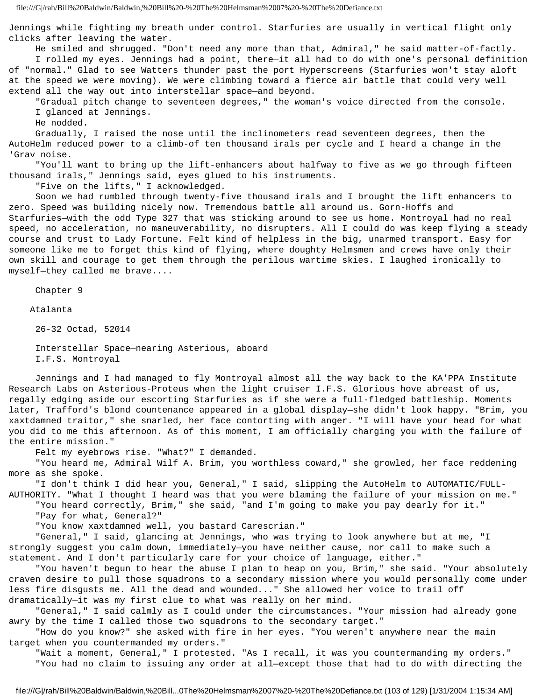Jennings while fighting my breath under control. Starfuries are usually in vertical flight only clicks after leaving the water.

 He smiled and shrugged. "Don't need any more than that, Admiral," he said matter-of-factly. I rolled my eyes. Jennings had a point, there—it all had to do with one's personal definition of "normal." Glad to see Watters thunder past the port Hyperscreens (Starfuries won't stay aloft at the speed we were moving). We were climbing toward a fierce air battle that could very well extend all the way out into interstellar space—and beyond.

 "Gradual pitch change to seventeen degrees," the woman's voice directed from the console. I glanced at Jennings.

He nodded.

 Gradually, I raised the nose until the inclinometers read seventeen degrees, then the AutoHelm reduced power to a climb-of ten thousand irals per cycle and I heard a change in the 'Grav noise.

 "You'll want to bring up the lift-enhancers about halfway to five as we go through fifteen thousand irals," Jennings said, eyes glued to his instruments.

"Five on the lifts," I acknowledged.

 Soon we had rumbled through twenty-five thousand irals and I brought the lift enhancers to zero. Speed was building nicely now. Tremendous battle all around us. Gorn-Hoffs and Starfuries—with the odd Type 327 that was sticking around to see us home. Montroyal had no real speed, no acceleration, no maneuverability, no disrupters. All I could do was keep flying a steady course and trust to Lady Fortune. Felt kind of helpless in the big, unarmed transport. Easy for someone like me to forget this kind of flying, where doughty Helmsmen and crews have only their own skill and courage to get them through the perilous wartime skies. I laughed ironically to myself—they called me brave....

Chapter 9

Atalanta

26-32 Octad, 52014

 Interstellar Space—nearing Asterious, aboard I.F.S. Montroyal

 Jennings and I had managed to fly Montroyal almost all the way back to the KA'PPA Institute Research Labs on Asterious-Proteus when the light cruiser I.F.S. Glorious hove abreast of us, regally edging aside our escorting Starfuries as if she were a full-fledged battleship. Moments later, Trafford's blond countenance appeared in a global display—she didn't look happy. "Brim, you xaxtdamned traitor," she snarled, her face contorting with anger. "I will have your head for what you did to me this afternoon. As of this moment, I am officially charging you with the failure of the entire mission."

Felt my eyebrows rise. "What?" I demanded.

 "You heard me, Admiral Wilf A. Brim, you worthless coward," she growled, her face reddening more as she spoke.

"I don't think I did hear you, General," I said, slipping the AutoHelm to AUTOMATIC/FULL-AUTHORITY. "What I thought I heard was that you were blaming the failure of your mission on me."

"You heard correctly, Brim," she said, "and I'm going to make you pay dearly for it."

"Pay for what, General?"

"You know xaxtdamned well, you bastard Carescrian."

 "General," I said, glancing at Jennings, who was trying to look anywhere but at me, "I strongly suggest you calm down, immediately—you have neither cause, nor call to make such a statement. And I don't particularly care for your choice of language, either."

 "You haven't begun to hear the abuse I plan to heap on you, Brim," she said. "Your absolutely craven desire to pull those squadrons to a secondary mission where you would personally come under less fire disgusts me. All the dead and wounded..." She allowed her voice to trail off dramatically—it was my first clue to what was really on her mind.

 "General," I said calmly as I could under the circumstances. "Your mission had already gone awry by the time I called those two squadrons to the secondary target."

 "How do you know?" she asked with fire in her eyes. "You weren't anywhere near the main target when you countermanded my orders."

 "Wait a moment, General," I protested. "As I recall, it was you countermanding my orders." "You had no claim to issuing any order at all—except those that had to do with directing the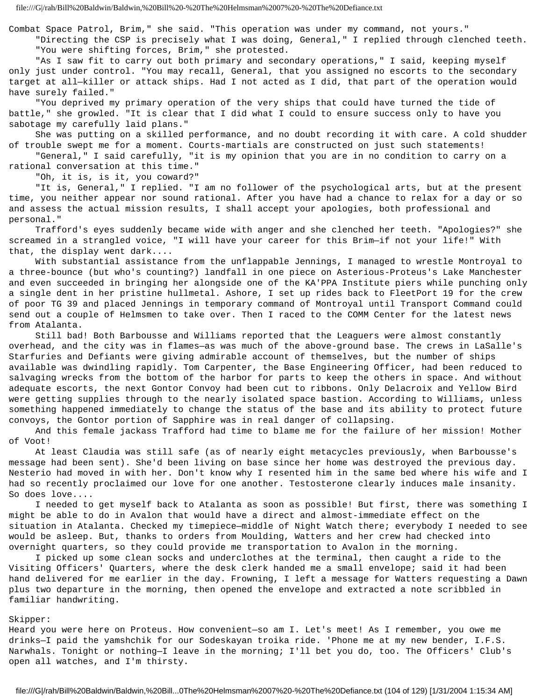Combat Space Patrol, Brim," she said. "This operation was under my command, not yours."

 "Directing the CSP is precisely what I was doing, General," I replied through clenched teeth. "You were shifting forces, Brim," she protested.

 "As I saw fit to carry out both primary and secondary operations," I said, keeping myself only just under control. "You may recall, General, that you assigned no escorts to the secondary target at all—killer or attack ships. Had I not acted as I did, that part of the operation would have surely failed."

 "You deprived my primary operation of the very ships that could have turned the tide of battle," she growled. "It is clear that I did what I could to ensure success only to have you sabotage my carefully laid plans."

 She was putting on a skilled performance, and no doubt recording it with care. A cold shudder of trouble swept me for a moment. Courts-martials are constructed on just such statements!

 "General," I said carefully, "it is my opinion that you are in no condition to carry on a rational conversation at this time."

"Oh, it is, is it, you coward?"

 "It is, General," I replied. "I am no follower of the psychological arts, but at the present time, you neither appear nor sound rational. After you have had a chance to relax for a day or so and assess the actual mission results, I shall accept your apologies, both professional and personal."

 Trafford's eyes suddenly became wide with anger and she clenched her teeth. "Apologies?" she screamed in a strangled voice, "I will have your career for this Brim—if not your life!" With that, the display went dark....

 With substantial assistance from the unflappable Jennings, I managed to wrestle Montroyal to a three-bounce (but who's counting?) landfall in one piece on Asterious-Proteus's Lake Manchester and even succeeded in bringing her alongside one of the KA'PPA Institute piers while punching only a single dent in her pristine hullmetal. Ashore, I set up rides back to FleetPort 19 for the crew of poor TG 39 and placed Jennings in temporary command of Montroyal until Transport Command could send out a couple of Helmsmen to take over. Then I raced to the COMM Center for the latest news from Atalanta.

 Still bad! Both Barbousse and Williams reported that the Leaguers were almost constantly overhead, and the city was in flames—as was much of the above-ground base. The crews in LaSalle's Starfuries and Defiants were giving admirable account of themselves, but the number of ships available was dwindling rapidly. Tom Carpenter, the Base Engineering Officer, had been reduced to salvaging wrecks from the bottom of the harbor for parts to keep the others in space. And without adequate escorts, the next Gontor Convoy had been cut to ribbons. Only Delacroix and Yellow Bird were getting supplies through to the nearly isolated space bastion. According to Williams, unless something happened immediately to change the status of the base and its ability to protect future convoys, the Gontor portion of Sapphire was in real danger of collapsing.

 And this female jackass Trafford had time to blame me for the failure of her mission! Mother of Voot!

 At least Claudia was still safe (as of nearly eight metacycles previously, when Barbousse's message had been sent). She'd been living on base since her home was destroyed the previous day. Nesterio had moved in with her. Don't know why I resented him in the same bed where his wife and I had so recently proclaimed our love for one another. Testosterone clearly induces male insanity. So does love....

 I needed to get myself back to Atalanta as soon as possible! But first, there was something I might be able to do in Avalon that would have a direct and almost-immediate effect on the situation in Atalanta. Checked my timepiece—middle of Night Watch there; everybody I needed to see would be asleep. But, thanks to orders from Moulding, Watters and her crew had checked into overnight quarters, so they could provide me transportation to Avalon in the morning.

 I picked up some clean socks and underclothes at the terminal, then caught a ride to the Visiting Officers' Quarters, where the desk clerk handed me a small envelope; said it had been hand delivered for me earlier in the day. Frowning, I left a message for Watters requesting a Dawn plus two departure in the morning, then opened the envelope and extracted a note scribbled in familiar handwriting.

## Skipper:

Heard you were here on Proteus. How convenient—so am I. Let's meet! As I remember, you owe me drinks—I paid the yamshchik for our Sodeskayan troika ride. 'Phone me at my new bender, I.F.S. Narwhals. Tonight or nothing—I leave in the morning; I'll bet you do, too. The Officers' Club's open all watches, and I'm thirsty.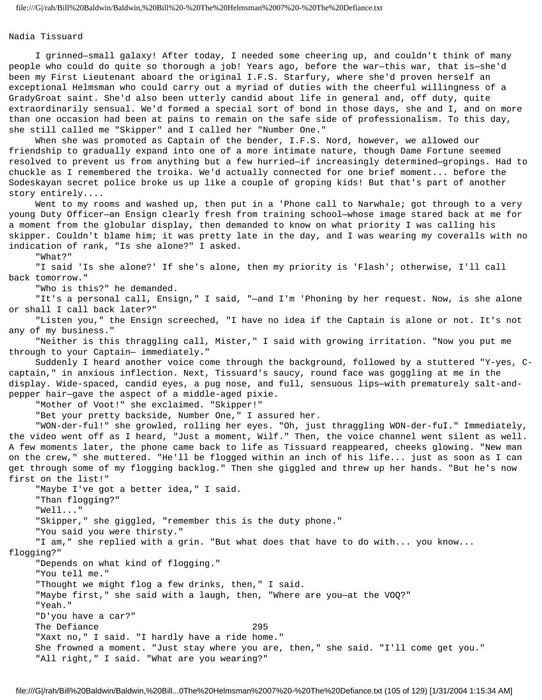Nadia Tissuard

 I grinned—small galaxy! After today, I needed some cheering up, and couldn't think of many people who could do quite so thorough a job! Years ago, before the war—this war, that is—she'd been my First Lieutenant aboard the original I.F.S. Starfury, where she'd proven herself an exceptional Helmsman who could carry out a myriad of duties with the cheerful willingness of a GradyGroat saint. She'd also been utterly candid about life in general and, off duty, quite extraordinarily sensual. We'd formed a special sort of bond in those days, she and I, and on more than one occasion had been at pains to remain on the safe side of professionalism. To this day, she still called me "Skipper" and I called her "Number One."

 When she was promoted as Captain of the bender, I.F.S. Nord, however, we allowed our friendship to gradually expand into one of a more intimate nature, though Dame Fortune seemed resolved to prevent us from anything but a few hurried—if increasingly determined—gropings. Had to chuckle as I remembered the troika. We'd actually connected for one brief moment... before the Sodeskayan secret police broke us up like a couple of groping kids! But that's part of another story entirely....

Went to my rooms and washed up, then put in a 'Phone call to Narwhale; got through to a very young Duty Officer—an Ensign clearly fresh from training school—whose image stared back at me for a moment from the globular display, then demanded to know on what priority I was calling his skipper. Couldn't blame him; it was pretty late in the day, and I was wearing my coveralls with no indication of rank, "Is she alone?" I asked.

"What?"

 "I said 'Is she alone?' If she's alone, then my priority is 'Flash'; otherwise, I'll call back tomorrow."

"Who is this?" he demanded.

 "It's a personal call, Ensign," I said, "—and I'm 'Phoning by her request. Now, is she alone or shall I call back later?"

 "Listen you," the Ensign screeched, "I have no idea if the Captain is alone or not. It's not any of my business."

 "Neither is this thraggling call, Mister," I said with growing irritation. "Now you put me through to your Captain— immediately."

 Suddenly I heard another voice come through the background, followed by a stuttered "Y-yes, Ccaptain," in anxious inflection. Next, Tissuard's saucy, round face was goggling at me in the display. Wide-spaced, candid eyes, a pug nose, and full, sensuous lips—with prematurely salt-andpepper hair—gave the aspect of a middle-aged pixie.

"Mother of Voot!" she exclaimed. "Skipper!"

"Bet your pretty backside, Number One," I assured her.

 "WON-der-ful!" she growled, rolling her eyes. "Oh, just thraggling WON-der-fuI." Immediately, the video went off as I heard, "Just a moment, Wilf." Then, the voice channel went silent as well. A few moments later, the phone came back to life as Tissuard reappeared, cheeks glowing. "New man on the crew," she muttered. "He'll be flogged within an inch of his life... just as soon as I can get through some of my flogging backlog." Then she giggled and threw up her hands. "But he's now first on the list!"

"Maybe I've got a better idea," I said.

"Than flogging?"

"Well..."

"Skipper," she giggled, "remember this is the duty phone."

"You said you were thirsty."

 "I am," she replied with a grin. "But what does that have to do with... you know... flogging?"

"Depends on what kind of flogging."

"You tell me."

"Thought we might flog a few drinks, then," I said.

"Maybe first," she said with a laugh, then, "Where are you—at the VOQ?"

"Yeah."

 "D'you have a car?" The Defiance 295 "Xaxt no," I said. "I hardly have a ride home." She frowned a moment. "Just stay where you are, then," she said. "I'll come get you." "All right," I said. "What are you wearing?"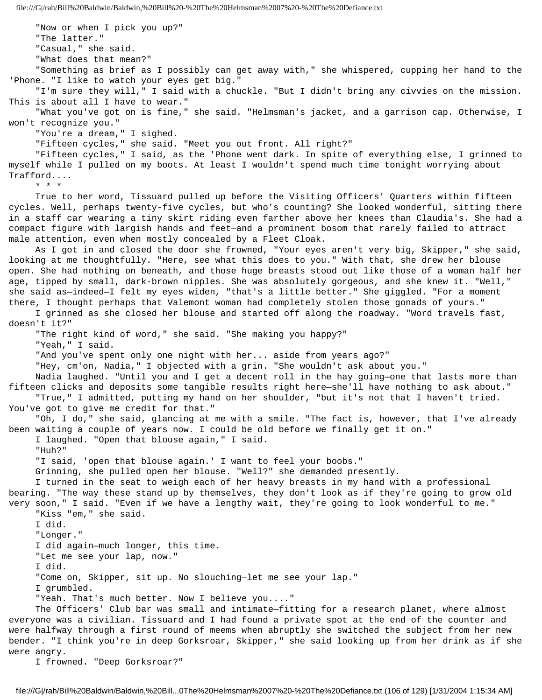"Now or when I pick you up?" "The latter." "Casual," she said. "What does that mean?" "Something as brief as I possibly can get away with," she whispered, cupping her hand to the 'Phone. "I like to watch your eyes get big." "I'm sure they will," I said with a chuckle. "But I didn't bring any civvies on the mission. This is about all I have to wear." "What you've got on is fine," she said. "Helmsman's jacket, and a garrison cap. Otherwise, I won't recognize you." "You're a dream," I sighed. "Fifteen cycles," she said. "Meet you out front. All right?" "Fifteen cycles," I said, as the 'Phone went dark. In spite of everything else, I grinned to myself while I pulled on my boots. At least I wouldn't spend much time tonight worrying about Trafford.... \* \* \* True to her word, Tissuard pulled up before the Visiting Officers' Quarters within fifteen cycles. Well, perhaps twenty-five cycles, but who's counting? She looked wonderful, sitting there in a staff car wearing a tiny skirt riding even farther above her knees than Claudia's. She had a compact figure with largish hands and feet—and a prominent bosom that rarely failed to attract male attention, even when mostly concealed by a Fleet Cloak. As I got in and closed the door she frowned, "Your eyes aren't very big, Skipper," she said, looking at me thoughtfully. "Here, see what this does to you." With that, she drew her blouse open. She had nothing on beneath, and those huge breasts stood out like those of a woman half her age, tipped by small, dark-brown nipples. She was absolutely gorgeous, and she knew it. "Well," she said as—indeed—I felt my eyes widen, "that's a little better." She giggled. "For a moment there, I thought perhaps that Valemont woman had completely stolen those gonads of yours." I grinned as she closed her blouse and started off along the roadway. "Word travels fast, doesn't it?" "The right kind of word," she said. "She making you happy?" "Yeah," I said. "And you've spent only one night with her... aside from years ago?" "Hey, cm'on, Nadia," I objected with a grin. "She wouldn't ask about you." Nadia laughed. "Until you and I get a decent roll in the hay going—one that lasts more than fifteen clicks and deposits some tangible results right here—she'll have nothing to ask about." "True," I admitted, putting my hand on her shoulder, "but it's not that I haven't tried. You've got to give me credit for that." "Oh, I do," she said, glancing at me with a smile. "The fact is, however, that I've already been waiting a couple of years now. I could be old before we finally get it on." I laughed. "Open that blouse again," I said. "Huh?" "I said, 'open that blouse again.' I want to feel your boobs." Grinning, she pulled open her blouse. "Well?" she demanded presently. I turned in the seat to weigh each of her heavy breasts in my hand with a professional bearing. "The way these stand up by themselves, they don't look as if they're going to grow old very soon," I said. "Even if we have a lengthy wait, they're going to look wonderful to me." "Kiss "em," she said. I did. "Longer." I did again—much longer, this time. "Let me see your lap, now." I did. "Come on, Skipper, sit up. No slouching—let me see your lap." I grumbled. "Yeah. That's much better. Now I believe you...." The Officers' Club bar was small and intimate—fitting for a research planet, where almost everyone was a civilian. Tissuard and I had found a private spot at the end of the counter and were halfway through a first round of meems when abruptly she switched the subject from her new bender. "I think you're in deep Gorksroar, Skipper," she said looking up from her drink as if she were angry.

I frowned. "Deep Gorksroar?"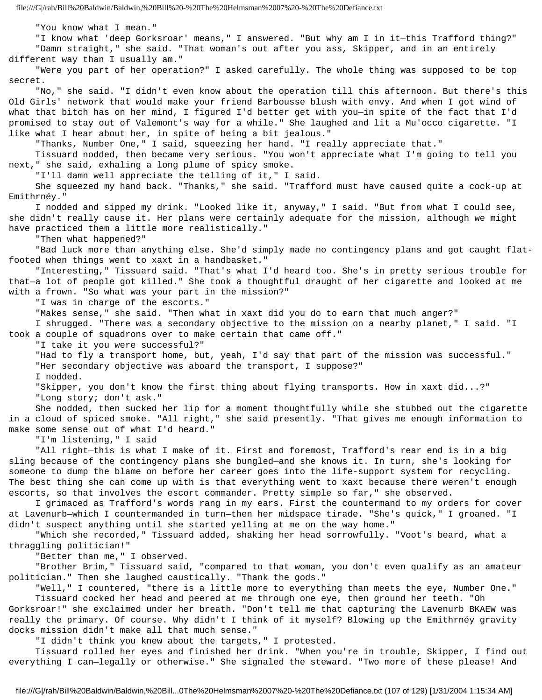"You know what I mean."

 "I know what 'deep Gorksroar' means," I answered. "But why am I in it—this Trafford thing?" "Damn straight," she said. "That woman's out after you ass, Skipper, and in an entirely different way than I usually am."

 "Were you part of her operation?" I asked carefully. The whole thing was supposed to be top secret.

 "No," she said. "I didn't even know about the operation till this afternoon. But there's this Old Girls' network that would make your friend Barbousse blush with envy. And when I got wind of what that bitch has on her mind, I figured I'd better get with you—in spite of the fact that I'd promised to stay out of Valemont's way for a while." She laughed and lit a Mu'occo cigarette. "I like what I hear about her, in spite of being a bit jealous."

"Thanks, Number One," I said, squeezing her hand. "I really appreciate that."

 Tissuard nodded, then became very serious. "You won't appreciate what I'm going to tell you next," she said, exhaling a long plume of spicy smoke.

"I'll damn well appreciate the telling of it," I said.

 She squeezed my hand back. "Thanks," she said. "Trafford must have caused quite a cock-up at Emithrnéy."

 I nodded and sipped my drink. "Looked like it, anyway," I said. "But from what I could see, she didn't really cause it. Her plans were certainly adequate for the mission, although we might have practiced them a little more realistically."

"Then what happened?"

 "Bad luck more than anything else. She'd simply made no contingency plans and got caught flatfooted when things went to xaxt in a handbasket."

 "Interesting," Tissuard said. "That's what I'd heard too. She's in pretty serious trouble for that—a lot of people got killed." She took a thoughtful draught of her cigarette and looked at me with a frown. "So what was your part in the mission?"

"I was in charge of the escorts."

"Makes sense," she said. "Then what in xaxt did you do to earn that much anger?"

I shrugged. "There was a secondary objective to the mission on a nearby planet," I said. "I

took a couple of squadrons over to make certain that came off."

"I take it you were successful?"

"Had to fly a transport home, but, yeah, I'd say that part of the mission was successful." "Her secondary objective was aboard the transport, I suppose?"

I nodded.

 "Skipper, you don't know the first thing about flying transports. How in xaxt did...?" "Long story; don't ask."

 She nodded, then sucked her lip for a moment thoughtfully while she stubbed out the cigarette in a cloud of spiced smoke. "All right," she said presently. "That gives me enough information to make some sense out of what I'd heard."

"I'm listening," I said

 "All right—this is what I make of it. First and foremost, Trafford's rear end is in a big sling because of the contingency plans she bungled—and she knows it. In turn, she's looking for someone to dump the blame on before her career goes into the life-support system for recycling. The best thing she can come up with is that everything went to xaxt because there weren't enough escorts, so that involves the escort commander. Pretty simple so far," she observed.

 I grimaced as Trafford's words rang in my ears. First the countermand to my orders for cover at Lavenurb—which I countermanded in turn—then her midspace tirade. "She's quick," I groaned. "I didn't suspect anything until she started yelling at me on the way home."

 "Which she recorded," Tissuard added, shaking her head sorrowfully. "Voot's beard, what a thraggling politician!"

"Better than me," I observed.

 "Brother Brim," Tissuard said, "compared to that woman, you don't even qualify as an amateur politician." Then she laughed caustically. "Thank the gods."

 "Well," I countered, "there is a little more to everything than meets the eye, Number One." Tissuard cocked her head and peered at me through one eye, then ground her teeth. "Oh

Gorksroar!" she exclaimed under her breath. "Don't tell me that capturing the Lavenurb BKAEW was really the primary. Of course. Why didn't I think of it myself? Blowing up the Emithrnéy gravity docks mission didn't make all that much sense."

"I didn't think you knew about the targets," I protested.

 Tissuard rolled her eyes and finished her drink. "When you're in trouble, Skipper, I find out everything I can—legally or otherwise." She signaled the steward. "Two more of these please! And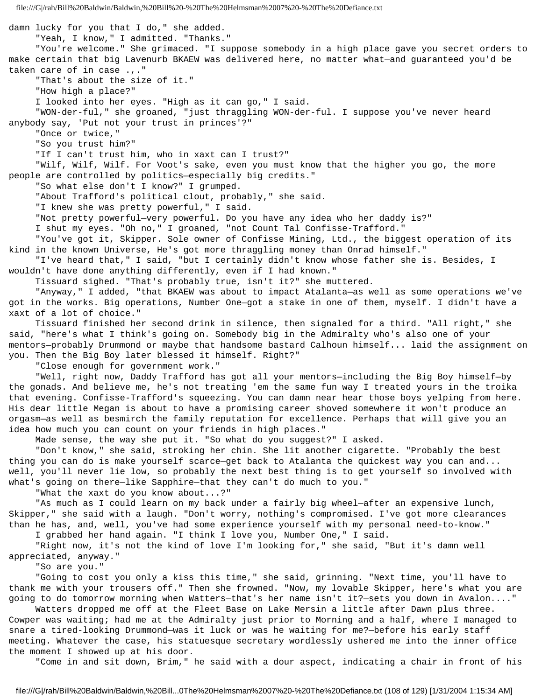damn lucky for you that I do," she added. "Yeah, I know," I admitted. "Thanks." "You're welcome." She grimaced. "I suppose somebody in a high place gave you secret orders to make certain that big Lavenurb BKAEW was delivered here, no matter what—and guaranteed you'd be taken care of in case .,." "That's about the size of it." "How high a place?" I looked into her eyes. "High as it can go," I said. "WON-der-ful," she groaned, "just thraggling WON-der-ful. I suppose you've never heard anybody say, 'Put not your trust in princes'?" "Once or twice," "So you trust him?" "If I can't trust him, who in xaxt can I trust?" "Wilf, Wilf, Wilf. For Voot's sake, even you must know that the higher you go, the more people are controlled by politics—especially big credits." "So what else don't I know?" I grumped. "About Trafford's political clout, probably," she said. "I knew she was pretty powerful," I said. "Not pretty powerful—very powerful. Do you have any idea who her daddy is?" I shut my eyes. "Oh no," I groaned, "not Count Tal Confisse-Trafford." "You've got it, Skipper. Sole owner of Confisse Mining, Ltd., the biggest operation of its kind in the known Universe, He's got more thraggling money than Onrad himself." "I've heard that," I said, "but I certainly didn't know whose father she is. Besides, I wouldn't have done anything differently, even if I had known." Tissuard sighed. "That's probably true, isn't it?" she muttered. "Anyway," I added, "that BKAEW was about to impact Atalanta—as well as some operations we've got in the works. Big operations, Number One—got a stake in one of them, myself. I didn't have a xaxt of a lot of choice." Tissuard finished her second drink in silence, then signaled for a third. "All right," she said, "here's what I think's going on. Somebody big in the Admiralty who's also one of your mentors—probably Drummond or maybe that handsome bastard Calhoun himself... laid the assignment on you. Then the Big Boy later blessed it himself. Right?" "Close enough for government work." "Well, right now, Daddy Trafford has got all your mentors—including the Big Boy himself—by the gonads. And believe me, he's not treating 'em the same fun way I treated yours in the troika that evening. Confisse-Trafford's squeezing. You can damn near hear those boys yelping from here. His dear little Megan is about to have a promising career shoved somewhere it won't produce an orgasm—as well as besmirch the family reputation for excellence. Perhaps that will give you an idea how much you can count on your friends in high places." Made sense, the way she put it. "So what do you suggest?" I asked. "Don't know," she said, stroking her chin. She lit another cigarette. "Probably the best thing you can do is make yourself scarce-get back to Atalanta the quickest way you can and... well, you'll never lie low, so probably the next best thing is to get yourself so involved with what's going on there—like Sapphire—that they can't do much to you."

"What the xaxt do you know about...?"

 "As much as I could learn on my back under a fairly big wheel—after an expensive lunch, Skipper," she said with a laugh. "Don't worry, nothing's compromised. I've got more clearances than he has, and, well, you've had some experience yourself with my personal need-to-know."

I grabbed her hand again. "I think I love you, Number One," I said.

 "Right now, it's not the kind of love I'm looking for," she said, "But it's damn well appreciated, anyway."

"So are you."

 "Going to cost you only a kiss this time," she said, grinning. "Next time, you'll have to thank me with your trousers off." Then she frowned. "Now, my lovable Skipper, here's what you are going to do tomorrow morning when Watters—that's her name isn't it?—sets you down in Avalon...."

 Watters dropped me off at the Fleet Base on Lake Mersin a little after Dawn plus three. Cowper was waiting; had me at the Admiralty just prior to Morning and a half, where I managed to snare a tired-looking Drummond—was it luck or was he waiting for me?—before his early staff meeting. Whatever the case, his statuesque secretary wordlessly ushered me into the inner office the moment I showed up at his door.

"Come in and sit down, Brim," he said with a dour aspect, indicating a chair in front of his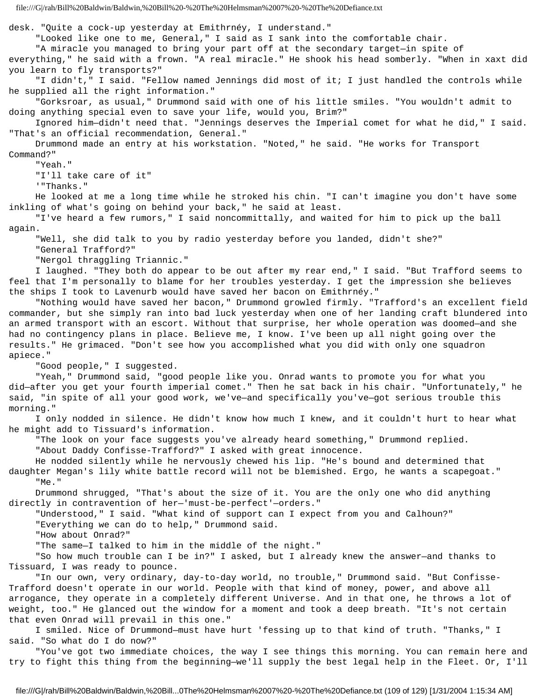desk. "Quite a cock-up yesterday at Emithrnéy, I understand."

"Looked like one to me, General," I said as I sank into the comfortable chair.

"A miracle you managed to bring your part off at the secondary target—in spite of

everything," he said with a frown. "A real miracle." He shook his head somberly. "When in xaxt did you learn to fly transports?"

 "I didn't," I said. "Fellow named Jennings did most of it; I just handled the controls while he supplied all the right information."

 "Gorksroar, as usual," Drummond said with one of his little smiles. "You wouldn't admit to doing anything special even to save your life, would you, Brim?"

 Ignored him—didn't need that. "Jennings deserves the Imperial comet for what he did," I said. "That's an official recommendation, General."

 Drummond made an entry at his workstation. "Noted," he said. "He works for Transport Command?"

"Yeah."

"I'll take care of it"

'"Thanks."

 He looked at me a long time while he stroked his chin. "I can't imagine you don't have some inkling of what's going on behind your back," he said at least.

 "I've heard a few rumors," I said noncommittally, and waited for him to pick up the ball again.

"Well, she did talk to you by radio yesterday before you landed, didn't she?"

"General Trafford?"

"Nergol thraggling Triannic."

 I laughed. "They both do appear to be out after my rear end," I said. "But Trafford seems to feel that I'm personally to blame for her troubles yesterday. I get the impression she believes the ships I took to Lavenurb would have saved her bacon on Emithrnéy."

 "Nothing would have saved her bacon," Drummond growled firmly. "Trafford's an excellent field commander, but she simply ran into bad luck yesterday when one of her landing craft blundered into an armed transport with an escort. Without that surprise, her whole operation was doomed—and she had no contingency plans in place. Believe me, I know. I've been up all night going over the results." He grimaced. "Don't see how you accomplished what you did with only one squadron apiece."

"Good people," I suggested.

 "Yeah," Drummond said, "good people like you. Onrad wants to promote you for what you did—after you get your fourth imperial comet." Then he sat back in his chair. "Unfortunately," he said, "in spite of all your good work, we've—and specifically you've—got serious trouble this morning."

 I only nodded in silence. He didn't know how much I knew, and it couldn't hurt to hear what he might add to Tissuard's information.

"The look on your face suggests you've already heard something," Drummond replied.

"About Daddy Confisse-Trafford?" I asked with great innocence.

 He nodded silently while he nervously chewed his lip. "He's bound and determined that daughter Megan's lily white battle record will not be blemished. Ergo, he wants a scapegoat." "Me."

 Drummond shrugged, "That's about the size of it. You are the only one who did anything directly in contravention of her—'must-be-perfect'—orders."

"Understood," I said. "What kind of support can I expect from you and Calhoun?"

"Everything we can do to help," Drummond said.

"How about Onrad?"

"The same—I talked to him in the middle of the night."

 "So how much trouble can I be in?" I asked, but I already knew the answer—and thanks to Tissuard, I was ready to pounce.

 "In our own, very ordinary, day-to-day world, no trouble," Drummond said. "But Confisse-Trafford doesn't operate in our world. People with that kind of money, power, and above all arrogance, they operate in a completely different Universe. And in that one, he throws a lot of weight, too." He glanced out the window for a moment and took a deep breath. "It's not certain that even Onrad will prevail in this one."

 I smiled. Nice of Drummond—must have hurt 'fessing up to that kind of truth. "Thanks," I said. "So what do I do now?"

 "You've got two immediate choices, the way I see things this morning. You can remain here and try to fight this thing from the beginning—we'll supply the best legal help in the Fleet. Or, I'll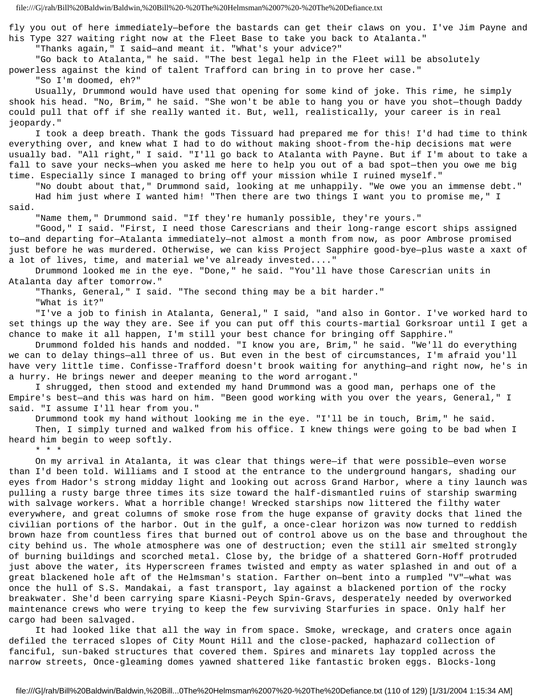fly you out of here immediately—before the bastards can get their claws on you. I've Jim Payne and his Type 327 waiting right now at the Fleet Base to take you back to Atalanta."

"Thanks again," I said—and meant it. "What's your advice?"

 "Go back to Atalanta," he said. "The best legal help in the Fleet will be absolutely powerless against the kind of talent Trafford can bring in to prove her case."

"So I'm doomed, eh?"

 Usually, Drummond would have used that opening for some kind of joke. This rime, he simply shook his head. "No, Brim," he said. "She won't be able to hang you or have you shot—though Daddy could pull that off if she really wanted it. But, well, realistically, your career is in real jeopardy."

 I took a deep breath. Thank the gods Tissuard had prepared me for this! I'd had time to think everything over, and knew what I had to do without making shoot-from the-hip decisions mat were usually bad. "All right," I said. "I'll go back to Atalanta with Payne. But if I'm about to take a fall to save your necks—when you asked me here to help you out of a bad spot—then you owe me big time. Especially since I managed to bring off your mission while I ruined myself."

 "No doubt about that," Drummond said, looking at me unhappily. "We owe you an immense debt." Had him just where I wanted him! "Then there are two things I want you to promise me," I

said.

"Name them," Drummond said. "If they're humanly possible, they're yours."

 "Good," I said. "First, I need those Carescrians and their long-range escort ships assigned to—and departing for—Atalanta immediately—not almost a month from now, as poor Ambrose promised just before he was murdered. Otherwise, we can kiss Project Sapphire good-bye—plus waste a xaxt of a lot of lives, time, and material we've already invested...."

 Drummond looked me in the eye. "Done," he said. "You'll have those Carescrian units in Atalanta day after tomorrow."

"Thanks, General," I said. "The second thing may be a bit harder."

"What is it?"

 "I've a job to finish in Atalanta, General," I said, "and also in Gontor. I've worked hard to set things up the way they are. See if you can put off this courts-martial Gorksroar until I get a chance to make it all happen, I'm still your best chance for bringing off Sapphire."

 Drummond folded his hands and nodded. "I know you are, Brim," he said. "We'll do everything we can to delay things—all three of us. But even in the best of circumstances, I'm afraid you'll have very little time. Confisse-Trafford doesn't brook waiting for anything—and right now, he's in a hurry. He brings newer and deeper meaning to the word arrogant."

 I shrugged, then stood and extended my hand Drummond was a good man, perhaps one of the Empire's best—and this was hard on him. "Been good working with you over the years, General," I said. "I assume I'll hear from you."

Drummond took my hand without looking me in the eye. "I'll be in touch, Brim," he said.

 Then, I simply turned and walked from his office. I knew things were going to be bad when I heard him begin to weep softly.

\* \* \*

 On my arrival in Atalanta, it was clear that things were—if that were possible—even worse than I'd been told. Williams and I stood at the entrance to the underground hangars, shading our eyes from Hador's strong midday light and looking out across Grand Harbor, where a tiny launch was pulling a rusty barge three times its size toward the half-dismantled ruins of starship swarming with salvage workers. What a horrible change! Wrecked starships now littered the filthy water everywhere, and great columns of smoke rose from the huge expanse of gravity docks that lined the civilian portions of the harbor. Out in the gulf, a once-clear horizon was now turned to reddish brown haze from countless fires that burned out of control above us on the base and throughout the city behind us. The whole atmosphere was one of destruction; even the still air smelted strongly of burning buildings and scorched metal. Close by, the bridge of a shattered Gorn-Hoff protruded just above the water, its Hyperscreen frames twisted and empty as water splashed in and out of a great blackened hole aft of the Helmsman's station. Farther on—bent into a rumpled "V"—what was once the hull of S.S. Mandakai, a fast transport, lay against a blackened portion of the rocky breakwater. She'd been carrying spare Kiasni-Peych Spin-Gravs, desperately needed by overworked maintenance crews who were trying to keep the few surviving Starfuries in space. Only half her cargo had been salvaged.

 It had looked like that all the way in from space. Smoke, wreckage, and craters once again defiled the terraced slopes of City Mount Hill and the close-packed, haphazard collection of fanciful, sun-baked structures that covered them. Spires and minarets lay toppled across the narrow streets, Once-gleaming domes yawned shattered like fantastic broken eggs. Blocks-long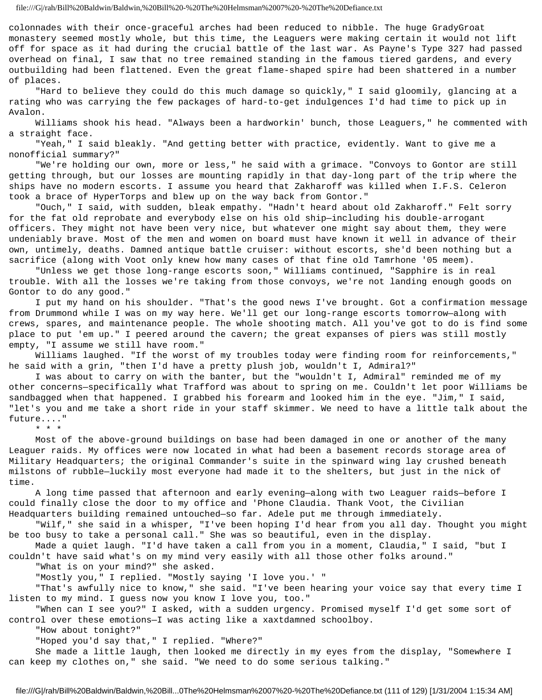colonnades with their once-graceful arches had been reduced to nibble. The huge GradyGroat monastery seemed mostly whole, but this time, the Leaguers were making certain it would not lift off for space as it had during the crucial battle of the last war. As Payne's Type 327 had passed overhead on final, I saw that no tree remained standing in the famous tiered gardens, and every outbuilding had been flattened. Even the great flame-shaped spire had been shattered in a number of places.

 "Hard to believe they could do this much damage so quickly," I said gloomily, glancing at a rating who was carrying the few packages of hard-to-get indulgences I'd had time to pick up in Avalon.

 Williams shook his head. "Always been a hardworkin' bunch, those Leaguers," he commented with a straight face.

 "Yeah," I said bleakly. "And getting better with practice, evidently. Want to give me a nonofficial summary?"

 "We're holding our own, more or less," he said with a grimace. "Convoys to Gontor are still getting through, but our losses are mounting rapidly in that day-long part of the trip where the ships have no modern escorts. I assume you heard that Zakharoff was killed when I.F.S. Celeron took a brace of HyperTorps and blew up on the way back from Gontor."

 "Ouch," I said, with sudden, bleak empathy. "Hadn't heard about old Zakharoff." Felt sorry for the fat old reprobate and everybody else on his old ship—including his double-arrogant officers. They might not have been very nice, but whatever one might say about them, they were undeniably brave. Most of the men and women on board must have known it well in advance of their own, untimely, deaths. Damned antique battle cruiser: without escorts, she'd been nothing but a sacrifice (along with Voot only knew how many cases of that fine old Tamrhone '05 meem).

 "Unless we get those long-range escorts soon," Williams continued, "Sapphire is in real trouble. With all the losses we're taking from those convoys, we're not landing enough goods on Gontor to do any good."

 I put my hand on his shoulder. "That's the good news I've brought. Got a confirmation message from Drummond while I was on my way here. We'll get our long-range escorts tomorrow—along with crews, spares, and maintenance people. The whole shooting match. All you've got to do is find some place to put 'em up." I peered around the cavern; the great expanses of piers was still mostly empty, "I assume we still have room."

Williams laughed. "If the worst of my troubles today were finding room for reinforcements," he said with a grin, "then I'd have a pretty plush job, wouldn't I, Admiral?"

 I was about to carry on with the banter, but the "wouldn't I, Admiral" reminded me of my other concerns—specifically what Trafford was about to spring on me. Couldn't let poor Williams be sandbagged when that happened. I grabbed his forearm and looked him in the eye. "Jim," I said, "let's you and me take a short ride in your staff skimmer. We need to have a little talk about the future...."

\* \* \*

 Most of the above-ground buildings on base had been damaged in one or another of the many Leaguer raids. My offices were now located in what had been a basement records storage area of Military Headquarters; the original Commander's suite in the spinward wing lay crushed beneath milstons of rubble—luckily most everyone had made it to the shelters, but just in the nick of time.

 A long time passed that afternoon and early evening—along with two Leaguer raids—before I could finally close the door to my office and 'Phone Claudia. Thank Voot, the Civilian Headquarters building remained untouched—so far. Adele put me through immediately.

 "Wilf," she said in a whisper, "I've been hoping I'd hear from you all day. Thought you might be too busy to take a personal call." She was so beautiful, even in the display.

 Made a quiet laugh. "I'd have taken a call from you in a moment, Claudia," I said, "but I couldn't have said what's on my mind very easily with all those other folks around."

"What is on your mind?" she asked.

"Mostly you," I replied. "Mostly saying 'I love you.' "

 "That's awfully nice to know," she said. "I've been hearing your voice say that every time I listen to my mind. I guess now you know I love you, too."

 "When can I see you?" I asked, with a sudden urgency. Promised myself I'd get some sort of control over these emotions—I was acting like a xaxtdamned schoolboy.

"How about tonight?"

"Hoped you'd say that," I replied. "Where?"

 She made a little laugh, then looked me directly in my eyes from the display, "Somewhere I can keep my clothes on," she said. "We need to do some serious talking."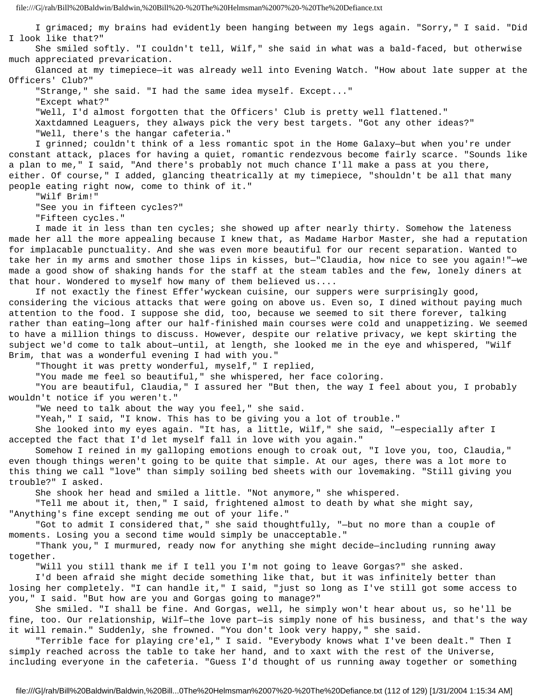I grimaced; my brains had evidently been hanging between my legs again. "Sorry," I said. "Did I look like that?"

 She smiled softly. "I couldn't tell, Wilf," she said in what was a bald-faced, but otherwise much appreciated prevarication.

 Glanced at my timepiece—it was already well into Evening Watch. "How about late supper at the Officers' Club?"

"Strange," she said. "I had the same idea myself. Except..."

"Except what?"

"Well, I'd almost forgotten that the Officers' Club is pretty well flattened."

 Xaxtdamned Leaguers, they always pick the very best targets. "Got any other ideas?" "Well, there's the hangar cafeteria."

 I grinned; couldn't think of a less romantic spot in the Home Galaxy—but when you're under constant attack, places for having a quiet, romantic rendezvous become fairly scarce. "Sounds like a plan to me," I said, "And there's probably not much chance I'll make a pass at you there, either. Of course," I added, glancing theatrically at my timepiece, "shouldn't be all that many people eating right now, come to think of it."

"Wilf Brim!"

"See you in fifteen cycles?"

"Fifteen cycles."

 I made it in less than ten cycles; she showed up after nearly thirty. Somehow the lateness made her all the more appealing because I knew that, as Madame Harbor Master, she had a reputation for implacable punctuality. And she was even more beautiful for our recent separation. Wanted to take her in my arms and smother those lips in kisses, but—"Claudia, how nice to see you again!"—we made a good show of shaking hands for the staff at the steam tables and the few, lonely diners at that hour. Wondered to myself how many of them believed us....

 If not exactly the finest Effer'wyckean cuisine, our suppers were surprisingly good, considering the vicious attacks that were going on above us. Even so, I dined without paying much attention to the food. I suppose she did, too, because we seemed to sit there forever, talking rather than eating—long after our half-finished main courses were cold and unappetizing. We seemed to have a million things to discuss. However, despite our relative privacy, we kept skirting the subject we'd come to talk about—until, at length, she looked me in the eye and whispered, "Wilf Brim, that was a wonderful evening I had with you."

"Thought it was pretty wonderful, myself," I replied,

"You made me feel so beautiful," she whispered, her face coloring.

 "You are beautiful, Claudia," I assured her "But then, the way I feel about you, I probably wouldn't notice if you weren't."

"We need to talk about the way you feel," she said.

"Yeah," I said, "I know. This has to be giving you a lot of trouble."

 She looked into my eyes again. "It has, a little, Wilf," she said, "—especially after I accepted the fact that I'd let myself fall in love with you again."

 Somehow I reined in my galloping emotions enough to croak out, "I love you, too, Claudia," even though things weren't going to be quite that simple. At our ages, there was a lot more to this thing we call "love" than simply soiling bed sheets with our lovemaking. "Still giving you trouble?" I asked.

She shook her head and smiled a little. "Not anymore," she whispered.

 "Tell me about it, then," I said, frightened almost to death by what she might say, "Anything's fine except sending me out of your life."

 "Got to admit I considered that," she said thoughtfully, "—but no more than a couple of moments. Losing you a second time would simply be unacceptable."

 "Thank you," I murmured, ready now for anything she might decide—including running away together.

"Will you still thank me if I tell you I'm not going to leave Gorgas?" she asked.

 I'd been afraid she might decide something like that, but it was infinitely better than losing her completely. "I can handle it," I said, "just so long as I've still got some access to you," I said. "But how are you and Gorgas going to manage?"

 She smiled. "I shall be fine. And Gorgas, well, he simply won't hear about us, so he'll be fine, too. Our relationship, Wilf-the love part-is simply none of his business, and that's the way it will remain." Suddenly, she frowned. "You don't look very happy," she said.

 "Terrible face for playing cre'el," I said. "Everybody knows what I've been dealt." Then I simply reached across the table to take her hand, and to xaxt with the rest of the Universe, including everyone in the cafeteria. "Guess I'd thought of us running away together or something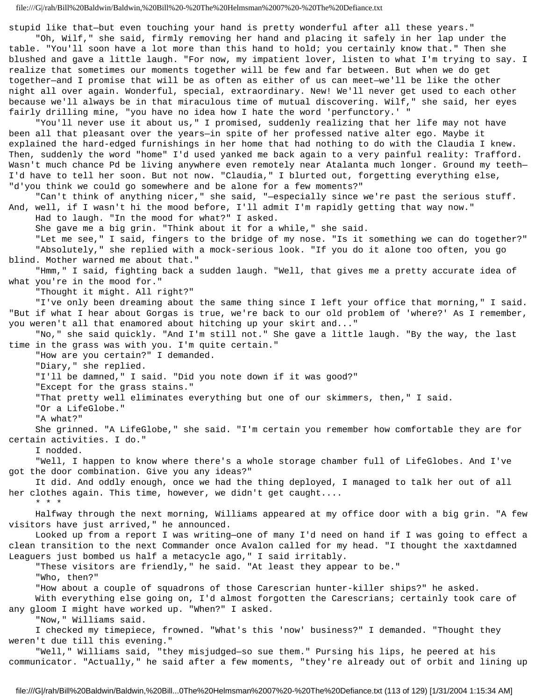stupid like that—but even touching your hand is pretty wonderful after all these years."

 "Oh, Wilf," she said, firmly removing her hand and placing it safely in her lap under the table. "You'll soon have a lot more than this hand to hold; you certainly know that." Then she blushed and gave a little laugh. "For now, my impatient lover, listen to what I'm trying to say. I realize that sometimes our moments together will be few and far between. But when we do get together—and I promise that will be as often as either of us can meet—we'll be like the other night all over again. Wonderful, special, extraordinary. New! We'll never get used to each other because we'll always be in that miraculous time of mutual discovering. Wilf," she said, her eyes fairly drilling mine, "you have no idea how I hate the word 'perfunctory.' "

 "You'll never use it about us," I promised, suddenly realizing that her life may not have been all that pleasant over the years—in spite of her professed native alter ego. Maybe it explained the hard-edged furnishings in her home that had nothing to do with the Claudia I knew. Then, suddenly the word "home" I'd used yanked me back again to a very painful reality: Trafford. Wasn't much chance Pd be living anywhere even remotely near Atalanta much longer. Ground my teeth-I'd have to tell her soon. But not now. "Claudia," I blurted out, forgetting everything else, "d'you think we could go somewhere and be alone for a few moments?"

 "Can't think of anything nicer," she said, "—especially since we're past the serious stuff. And, well, if I wasn't hi the mood before, I'll admit I'm rapidly getting that way now."

Had to laugh. "In the mood for what?" I asked.

She gave me a big grin. "Think about it for a while," she said.

 "Let me see," I said, fingers to the bridge of my nose. "Is it something we can do together?" "Absolutely," she replied with a mock-serious look. "If you do it alone too often, you go blind. Mother warned me about that."

 "Hmm," I said, fighting back a sudden laugh. "Well, that gives me a pretty accurate idea of what you're in the mood for."

"Thought it might. All right?"

 "I've only been dreaming about the same thing since I left your office that morning," I said. "But if what I hear about Gorgas is true, we're back to our old problem of 'where?' As I remember, you weren't all that enamored about hitching up your skirt and..."

 "No," she said quickly. "And I'm still not." She gave a little laugh. "By the way, the last time in the grass was with you. I'm quite certain."

"How are you certain?" I demanded.

"Diary," she replied.

"I'll be damned," I said. "Did you note down if it was good?"

"Except for the grass stains."

"That pretty well eliminates everything but one of our skimmers, then," I said.

"Or a LifeGlobe."

"A what?"

 She grinned. "A LifeGlobe," she said. "I'm certain you remember how comfortable they are for certain activities. I do."

I nodded.

 "Well, I happen to know where there's a whole storage chamber full of LifeGlobes. And I've got the door combination. Give you any ideas?"

 It did. And oddly enough, once we had the thing deployed, I managed to talk her out of all her clothes again. This time, however, we didn't get caught....

\* \* \*

 Halfway through the next morning, Williams appeared at my office door with a big grin. "A few visitors have just arrived," he announced.

 Looked up from a report I was writing—one of many I'd need on hand if I was going to effect a clean transition to the next Commander once Avalon called for my head. "I thought the xaxtdamned Leaguers just bombed us half a metacycle ago," I said irritably.

"These visitors are friendly," he said. "At least they appear to be."

"Who, then?"

"How about a couple of squadrons of those Carescrian hunter-killer ships?" he asked.

With everything else going on, I'd almost forgotten the Carescrians; certainly took care of any gloom I might have worked up. "When?" I asked.

"Now," Williams said.

 I checked my timepiece, frowned. "What's this 'now' business?" I demanded. "Thought they weren't due till this evening."

 "Well," Williams said, "they misjudged—so sue them." Pursing his lips, he peered at his communicator. "Actually," he said after a few moments, "they're already out of orbit and lining up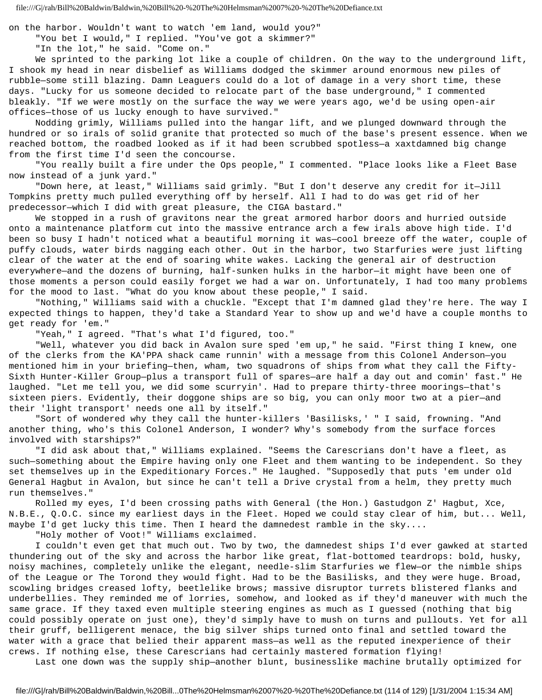on the harbor. Wouldn't want to watch 'em land, would you?" "You bet I would," I replied. "You've got a skimmer?"

"In the lot," he said. "Come on."

 We sprinted to the parking lot like a couple of children. On the way to the underground lift, I shook my head in near disbelief as Williams dodged the skimmer around enormous new piles of rubble—some still blazing. Damn Leaguers could do a lot of damage in a very short time, these days. "Lucky for us someone decided to relocate part of the base underground," I commented bleakly. "If we were mostly on the surface the way we were years ago, we'd be using open-air offices—those of us lucky enough to have survived."

 Nodding grimly, Williams pulled into the hangar lift, and we plunged downward through the hundred or so irals of solid granite that protected so much of the base's present essence. When we reached bottom, the roadbed looked as if it had been scrubbed spotless—a xaxtdamned big change from the first time I'd seen the concourse.

 "You really built a fire under the Ops people," I commented. "Place looks like a Fleet Base now instead of a junk yard."

 "Down here, at least," Williams said grimly. "But I don't deserve any credit for it—Jill Tompkins pretty much pulled everything off by herself. All I had to do was get rid of her predecessor—which I did with great pleasure, the CIGA bastard."

 We stopped in a rush of gravitons near the great armored harbor doors and hurried outside onto a maintenance platform cut into the massive entrance arch a few irals above high tide. I'd been so busy I hadn't noticed what a beautiful morning it was—cool breeze off the water, couple of puffy clouds, water birds nagging each other. Out in the harbor, two Starfuries were just lifting clear of the water at the end of soaring white wakes. Lacking the general air of destruction everywhere—and the dozens of burning, half-sunken hulks in the harbor—it might have been one of those moments a person could easily forget we had a war on. Unfortunately, I had too many problems for the mood to last. "What do you know about these people," I said.

 "Nothing," Williams said with a chuckle. "Except that I'm damned glad they're here. The way I expected things to happen, they'd take a Standard Year to show up and we'd have a couple months to get ready for 'em."

"Yeah," I agreed. "That's what I'd figured, too."

 "Well, whatever you did back in Avalon sure sped 'em up," he said. "First thing I knew, one of the clerks from the KA'PPA shack came runnin' with a message from this Colonel Anderson—you mentioned him in your briefing—then, wham, two squadrons of ships from what they call the Fifty-Sixth Hunter-Killer Group—plus a transport full of spares—are half a day out and comin' fast." He laughed. "Let me tell you, we did some scurryin'. Had to prepare thirty-three moorings—that's sixteen piers. Evidently, their doggone ships are so big, you can only moor two at a pier—and their 'light transport' needs one all by itself."

 "Sort of wondered why they call the hunter-killers 'Basilisks,' " I said, frowning. "And another thing, who's this Colonel Anderson, I wonder? Why's somebody from the surface forces involved with starships?"

 "I did ask about that," Williams explained. "Seems the Carescrians don't have a fleet, as such—something about the Empire having only one Fleet and them wanting to be independent. So they set themselves up in the Expeditionary Forces." He laughed. "Supposedly that puts 'em under old General Hagbut in Avalon, but since he can't tell a Drive crystal from a helm, they pretty much run themselves."

 Rolled my eyes, I'd been crossing paths with General (the Hon.) Gastudgon Z' Hagbut, Xce, N.B.E., Q.O.C. since my earliest days in the Fleet. Hoped we could stay clear of him, but... Well, maybe I'd get lucky this time. Then I heard the damnedest ramble in the sky....

"Holy mother of Voot!" Williams exclaimed.

 I couldn't even get that much out. Two by two, the damnedest ships I'd ever gawked at started thundering out of the sky and across the harbor like great, flat-bottomed teardrops: bold, husky, noisy machines, completely unlike the elegant, needle-slim Starfuries we flew—or the nimble ships of the League or The Torond they would fight. Had to be the Basilisks, and they were huge. Broad, scowling bridges creased lofty, beetlelike brows; massive disruptor turrets blistered flanks and underbellies. They reminded me of lorries, somehow, and looked as if they'd maneuver with much the same grace. If they taxed even multiple steering engines as much as I guessed (nothing that big could possibly operate on just one), they'd simply have to mush on turns and pullouts. Yet for all their gruff, belligerent menace, the big silver ships turned onto final and settled toward the water with a grace that belied their apparent mass—as well as the reputed inexperience of their crews. If nothing else, these Carescrians had certainly mastered formation flying!

Last one down was the supply ship—another blunt, businesslike machine brutally optimized for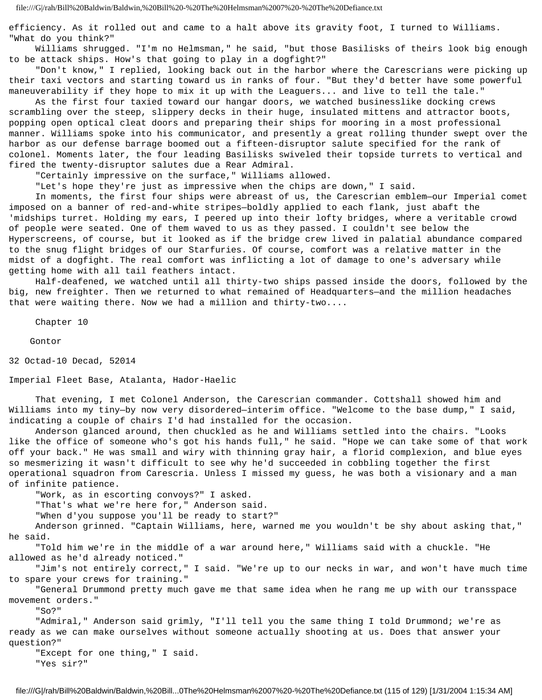efficiency. As it rolled out and came to a halt above its gravity foot, I turned to Williams. "What do you think?"

 Williams shrugged. "I'm no Helmsman," he said, "but those Basilisks of theirs look big enough to be attack ships. How's that going to play in a dogfight?"

 "Don't know," I replied, looking back out in the harbor where the Carescrians were picking up their taxi vectors and starting toward us in ranks of four. "But they'd better have some powerful maneuverability if they hope to mix it up with the Leaguers... and live to tell the tale."

 As the first four taxied toward our hangar doors, we watched businesslike docking crews scrambling over the steep, slippery decks in their huge, insulated mittens and attractor boots, popping open optical cleat doors and preparing their ships for mooring in a most professional manner. Williams spoke into his communicator, and presently a great rolling thunder swept over the harbor as our defense barrage boomed out a fifteen-disruptor salute specified for the rank of colonel. Moments later, the four leading Basilisks swiveled their topside turrets to vertical and fired the twenty-disruptor salutes due a Rear Admiral.

"Certainly impressive on the surface," Williams allowed.

"Let's hope they're just as impressive when the chips are down," I said.

 In moments, the first four ships were abreast of us, the Carescrian emblem—our Imperial comet imposed on a banner of red-and-white stripes—boldly applied to each flank, just abaft the 'midships turret. Holding my ears, I peered up into their lofty bridges, where a veritable crowd of people were seated. One of them waved to us as they passed. I couldn't see below the Hyperscreens, of course, but it looked as if the bridge crew lived in palatial abundance compared to the snug flight bridges of our Starfuries. Of course, comfort was a relative matter in the midst of a dogfight. The real comfort was inflicting a lot of damage to one's adversary while getting home with all tail feathers intact.

 Half-deafened, we watched until all thirty-two ships passed inside the doors, followed by the big, new freighter. Then we returned to what remained of Headquarters—and the million headaches that were waiting there. Now we had a million and thirty-two....

Chapter 10

Gontor

32 Octad-10 Decad, 52014

Imperial Fleet Base, Atalanta, Hador-Haelic

 That evening, I met Colonel Anderson, the Carescrian commander. Cottshall showed him and Williams into my tiny—by now very disordered—interim office. "Welcome to the base dump," I said, indicating a couple of chairs I'd had installed for the occasion.

 Anderson glanced around, then chuckled as he and Williams settled into the chairs. "Looks like the office of someone who's got his hands full," he said. "Hope we can take some of that work off your back." He was small and wiry with thinning gray hair, a florid complexion, and blue eyes so mesmerizing it wasn't difficult to see why he'd succeeded in cobbling together the first operational squadron from Carescria. Unless I missed my guess, he was both a visionary and a man of infinite patience.

"Work, as in escorting convoys?" I asked.

"That's what we're here for," Anderson said.

"When d'you suppose you'll be ready to start?"

 Anderson grinned. "Captain Williams, here, warned me you wouldn't be shy about asking that," he said.

 "Told him we're in the middle of a war around here," Williams said with a chuckle. "He allowed as he'd already noticed."

 "Jim's not entirely correct," I said. "We're up to our necks in war, and won't have much time to spare your crews for training."

 "General Drummond pretty much gave me that same idea when he rang me up with our transspace movement orders."

"So?"

 "Admiral," Anderson said grimly, "I'll tell you the same thing I told Drummond; we're as ready as we can make ourselves without someone actually shooting at us. Does that answer your question?"

"Except for one thing," I said.

"Yes sir?"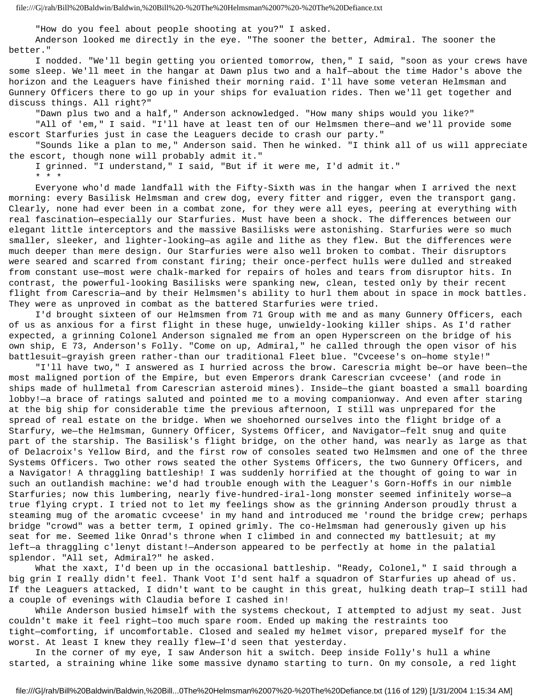"How do you feel about people shooting at you?" I asked.

 Anderson looked me directly in the eye. "The sooner the better, Admiral. The sooner the better."

 I nodded. "We'll begin getting you oriented tomorrow, then," I said, "soon as your crews have some sleep. We'll meet in the hangar at Dawn plus two and a half—about the time Hador's above the horizon and the Leaguers have finished their morning raid. I'll have some veteran Helmsman and Gunnery Officers there to go up in your ships for evaluation rides. Then we'll get together and discuss things. All right?"

"Dawn plus two and a half," Anderson acknowledged. "How many ships would you like?"

 "All of 'em," I said. "I'll have at least ten of our Helmsmen there—and we'll provide some escort Starfuries just in case the Leaguers decide to crash our party."

 "Sounds like a plan to me," Anderson said. Then he winked. "I think all of us will appreciate the escort, though none will probably admit it."

I grinned. "I understand," I said, "But if it were me, I'd admit it."

\* \* \*

 Everyone who'd made landfall with the Fifty-Sixth was in the hangar when I arrived the next morning: every Basilisk Helmsman and crew dog, every fitter and rigger, even the transport gang. Clearly, none had ever been in a combat zone, for they were all eyes, peering at everything with real fascination—especially our Starfuries. Must have been a shock. The differences between our elegant little interceptors and the massive Basilisks were astonishing. Starfuries were so much smaller, sleeker, and lighter-looking—as agile and lithe as they flew. But the differences were much deeper than mere design. Our Starfuries were also well broken to combat. Their disruptors were seared and scarred from constant firing; their once-perfect hulls were dulled and streaked from constant use—most were chalk-marked for repairs of holes and tears from disruptor hits. In contrast, the powerful-looking Basilisks were spanking new, clean, tested only by their recent flight from Carescria—and by their Helmsmen's ability to hurl them about in space in mock battles. They were as unproved in combat as the battered Starfuries were tried.

 I'd brought sixteen of our Helmsmen from 71 Group with me and as many Gunnery Officers, each of us as anxious for a first flight in these huge, unwieldy-looking killer ships. As I'd rather expected, a grinning Colonel Anderson signaled me from an open Hyperscreen on the bridge of his own ship, E 73, Anderson's Folly. "Come on up, Admiral," he called through the open visor of his battlesuit—grayish green rather-than our traditional Fleet blue. "Cvceese's on—home style!"

 "I'll have two," I answered as I hurried across the brow. Carescria might be—or have been—the most maligned portion of the Empire, but even Emperors drank Carescrian cvceese' (and rode in ships made of hullmetal from Carescrian asteroid mines). Inside—the giant boasted a small boarding lobby!—a brace of ratings saluted and pointed me to a moving companionway. And even after staring at the big ship for considerable time the previous afternoon, I still was unprepared for the spread of real estate on the bridge. When we shoehorned ourselves into the flight bridge of a Starfury, we—the Helmsman, Gunnery Officer, Systems Officer, and Navigator—felt snug and quite part of the starship. The Basilisk's flight bridge, on the other hand, was nearly as large as that of Delacroix's Yellow Bird, and the first row of consoles seated two Helmsmen and one of the three Systems Officers. Two other rows seated the other Systems Officers, the two Gunnery Officers, and a Navigator! A thraggling battleship! I was suddenly horrified at the thought of going to war in such an outlandish machine: we'd had trouble enough with the Leaguer's Gorn-Hoffs in our nimble Starfuries; now this lumbering, nearly five-hundred-iral-long monster seemed infinitely worse—a true flying crypt. I tried not to let my feelings show as the grinning Anderson proudly thrust a steaming mug of the aromatic cvceese' in my hand and introduced me 'round the bridge crew; perhaps bridge "crowd" was a better term, I opined grimly. The co-Helmsman had generously given up his seat for me. Seemed like Onrad's throne when I climbed in and connected my battlesuit; at my left—a thraggling c'lenyt distant!—Anderson appeared to be perfectly at home in the palatial splendor. "All set, Admiral?" he asked.

 What the xaxt, I'd been up in the occasional battleship. "Ready, Colonel," I said through a big grin I really didn't feel. Thank Voot I'd sent half a squadron of Starfuries up ahead of us. If the Leaguers attacked, I didn't want to be caught in this great, hulking death trap—I still had a couple of evenings with Claudia before I cashed in!

 While Anderson busied himself with the systems checkout, I attempted to adjust my seat. Just couldn't make it feel right—too much spare room. Ended up making the restraints too tight—comforting, if uncomfortable. Closed and sealed my helmet visor, prepared myself for the worst. At least I knew they really flew—I'd seen that yesterday.

 In the corner of my eye, I saw Anderson hit a switch. Deep inside Folly's hull a whine started, a straining whine like some massive dynamo starting to turn. On my console, a red light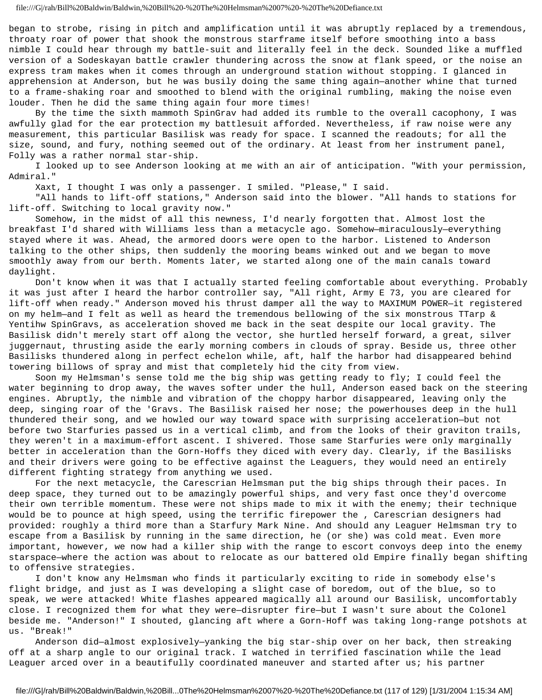began to strobe, rising in pitch and amplification until it was abruptly replaced by a tremendous, throaty roar of power that shook the monstrous starframe itself before smoothing into a bass nimble I could hear through my battle-suit and literally feel in the deck. Sounded like a muffled version of a Sodeskayan battle crawler thundering across the snow at flank speed, or the noise an express tram makes when it comes through an underground station without stopping. I glanced in apprehension at Anderson, but he was busily doing the same thing again—another whine that turned to a frame-shaking roar and smoothed to blend with the original rumbling, making the noise even louder. Then he did the same thing again four more times!

 By the time the sixth mammoth SpinGrav had added its rumble to the overall cacophony, I was awfully glad for the ear protection my battlesuit afforded. Nevertheless, if raw noise were any measurement, this particular Basilisk was ready for space. I scanned the readouts; for all the size, sound, and fury, nothing seemed out of the ordinary. At least from her instrument panel, Folly was a rather normal star-ship.

 I looked up to see Anderson looking at me with an air of anticipation. "With your permission, Admiral."

Xaxt, I thought I was only a passenger. I smiled. "Please," I said.

 "All hands to lift-off stations," Anderson said into the blower. "All hands to stations for lift-off. Switching to local gravity now."

 Somehow, in the midst of all this newness, I'd nearly forgotten that. Almost lost the breakfast I'd shared with Williams less than a metacycle ago. Somehow—miraculously—everything stayed where it was. Ahead, the armored doors were open to the harbor. Listened to Anderson talking to the other ships, then suddenly the mooring beams winked out and we began to move smoothly away from our berth. Moments later, we started along one of the main canals toward daylight.

 Don't know when it was that I actually started feeling comfortable about everything. Probably it was just after I heard the harbor controller say, "All right, Army E 73, you are cleared for lift-off when ready." Anderson moved his thrust damper all the way to MAXIMUM POWER—it registered on my helm—and I felt as well as heard the tremendous bellowing of the six monstrous TTarp & Yentihw SpinGravs, as acceleration shoved me back in the seat despite our local gravity. The Basilisk didn't merely start off along the vector, she hurtled herself forward, a great, silver juggernaut, thrusting aside the early morning combers in clouds of spray. Beside us, three other Basilisks thundered along in perfect echelon while, aft, half the harbor had disappeared behind towering billows of spray and mist that completely hid the city from view.

 Soon my Helmsman's sense told me the big ship was getting ready to fly; I could feel the water beginning to drop away, the waves softer under the hull, Anderson eased back on the steering engines. Abruptly, the nimble and vibration of the choppy harbor disappeared, leaving only the deep, singing roar of the 'Gravs. The Basilisk raised her nose; the powerhouses deep in the hull thundered their song, and we howled our way toward space with surprising acceleration—but not before two Starfuries passed us in a vertical climb, and from the looks of their graviton trails, they weren't in a maximum-effort ascent. I shivered. Those same Starfuries were only marginally better in acceleration than the Gorn-Hoffs they diced with every day. Clearly, if the Basilisks and their drivers were going to be effective against the Leaguers, they would need an entirely different fighting strategy from anything we used.

 For the next metacycle, the Carescrian Helmsman put the big ships through their paces. In deep space, they turned out to be amazingly powerful ships, and very fast once they'd overcome their own terrible momentum. These were not ships made to mix it with the enemy; their technique would be to pounce at high speed, using the terrific firepower the , Carescrian designers had provided: roughly a third more than a Starfury Mark Nine. And should any Leaguer Helmsman try to escape from a Basilisk by running in the same direction, he (or she) was cold meat. Even more important, however, we now had a killer ship with the range to escort convoys deep into the enemy starspace—where the action was about to relocate as our battered old Empire finally began shifting to offensive strategies.

 I don't know any Helmsman who finds it particularly exciting to ride in somebody else's flight bridge, and just as I was developing a slight case of boredom, out of the blue, so to speak, we were attacked! White flashes appeared magically all around our Basilisk, uncomfortably close. I recognized them for what they were—disrupter fire—but I wasn't sure about the Colonel beside me. "Anderson!" I shouted, glancing aft where a Gorn-Hoff was taking long-range potshots at us. "Break!"

 Anderson did—almost explosively—yanking the big star-ship over on her back, then streaking off at a sharp angle to our original track. I watched in terrified fascination while the lead Leaguer arced over in a beautifully coordinated maneuver and started after us; his partner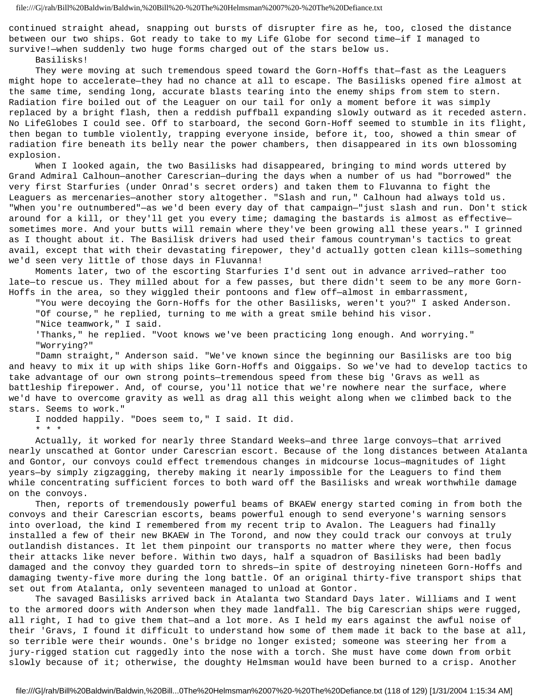continued straight ahead, snapping out bursts of disrupter fire as he, too, closed the distance between our two ships. Got ready to take to my Life Globe for second time—if I managed to survive!—when suddenly two huge forms charged out of the stars below us.

Basilisks!

 They were moving at such tremendous speed toward the Gorn-Hoffs that—fast as the Leaguers might hope to accelerate—they had no chance at all to escape. The Basilisks opened fire almost at the same time, sending long, accurate blasts tearing into the enemy ships from stem to stern. Radiation fire boiled out of the Leaguer on our tail for only a moment before it was simply replaced by a bright flash, then a reddish puffball expanding slowly outward as it receded astern. No LifeGlobes I could see. Off to starboard, the second Gorn-Hoff seemed to stumble in its flight, then began to tumble violently, trapping everyone inside, before it, too, showed a thin smear of radiation fire beneath its belly near the power chambers, then disappeared in its own blossoming explosion.

 When I looked again, the two Basilisks had disappeared, bringing to mind words uttered by Grand Admiral Calhoun—another Carescrian—during the days when a number of us had "borrowed" the very first Starfuries (under Onrad's secret orders) and taken them to Fluvanna to fight the Leaguers as mercenaries—another story altogether. "Slash and run," Calhoun had always told us. "When you're outnumbered"—as we'd been every day of that campaign—"just slash and run. Don't stick around for a kill, or they'll get you every time; damaging the bastards is almost as effective sometimes more. And your butts will remain where they've been growing all these years." I grinned as I thought about it. The Basilisk drivers had used their famous countryman's tactics to great avail, except that with their devastating firepower, they'd actually gotten clean kills—something we'd seen very little of those days in Fluvanna!

 Moments later, two of the escorting Starfuries I'd sent out in advance arrived—rather too late—to rescue us. They milled about for a few passes, but there didn't seem to be any more Gorn-Hoffs in the area, so they wiggled their pontoons and flew off—almost in embarrassment,

 "You were decoying the Gorn-Hoffs for the other Basilisks, weren't you?" I asked Anderson. "Of course," he replied, turning to me with a great smile behind his visor.

"Nice teamwork," I said.

 'Thanks," he replied. "Voot knows we've been practicing long enough. And worrying." "Worrying?"

 "Damn straight," Anderson said. "We've known since the beginning our Basilisks are too big and heavy to mix it up with ships like Gorn-Hoffs and Oiggaips. So we've had to develop tactics to take advantage of our own strong points—tremendous speed from these big 'Gravs as well as battleship firepower. And, of course, you'll notice that we're nowhere near the surface, where we'd have to overcome gravity as well as drag all this weight along when we climbed back to the stars. Seems to work."

I nodded happily. "Does seem to," I said. It did.

\* \* \*

 Actually, it worked for nearly three Standard Weeks—and three large convoys—that arrived nearly unscathed at Gontor under Carescrian escort. Because of the long distances between Atalanta and Gontor, our convoys could effect tremendous changes in midcourse locus—magnitudes of light years—by simply zigzagging, thereby making it nearly impossible for the Leaguers to find them while concentrating sufficient forces to both ward off the Basilisks and wreak worthwhile damage on the convoys.

 Then, reports of tremendously powerful beams of BKAEW energy started coming in from both the convoys and their Carescrian escorts, beams powerful enough to send everyone's warning sensors into overload, the kind I remembered from my recent trip to Avalon. The Leaguers had finally installed a few of their new BKAEW in The Torond, and now they could track our convoys at truly outlandish distances. It let them pinpoint our transports no matter where they were, then focus their attacks like never before. Within two days, half a squadron of Basilisks had been badly damaged and the convoy they guarded torn to shreds—in spite of destroying nineteen Gorn-Hoffs and damaging twenty-five more during the long battle. Of an original thirty-five transport ships that set out from Atalanta, only seventeen managed to unload at Gontor.

 The savaged Basilisks arrived back in Atalanta two Standard Days later. Williams and I went to the armored doors with Anderson when they made landfall. The big Carescrian ships were rugged, all right, I had to give them that—and a lot more. As I held my ears against the awful noise of their 'Gravs, I found it difficult to understand how some of them made it back to the base at all, so terrible were their wounds. One's bridge no longer existed; someone was steering her from a jury-rigged station cut raggedly into the nose with a torch. She must have come down from orbit slowly because of it; otherwise, the doughty Helmsman would have been burned to a crisp. Another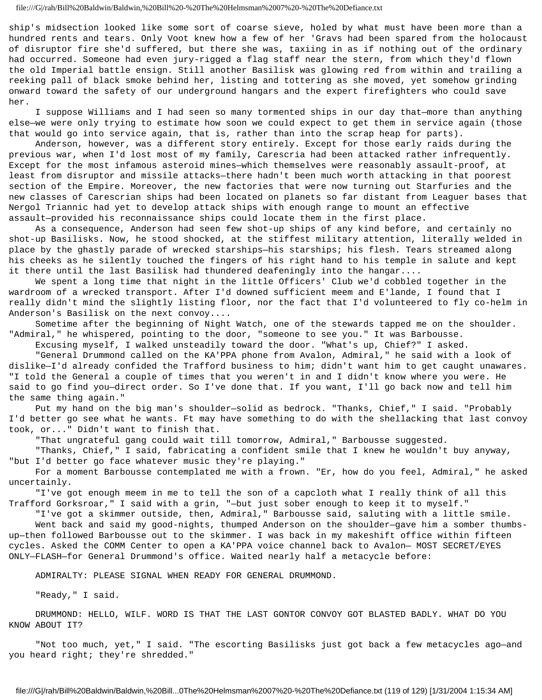ship's midsection looked like some sort of coarse sieve, holed by what must have been more than a hundred rents and tears. Only Voot knew how a few of her 'Gravs had been spared from the holocaust of disruptor fire she'd suffered, but there she was, taxiing in as if nothing out of the ordinary had occurred. Someone had even jury-rigged a flag staff near the stern, from which they'd flown the old Imperial battle ensign. Still another Basilisk was glowing red from within and trailing a reeking pall of black smoke behind her, listing and tottering as she moved, yet somehow grinding onward toward the safety of our underground hangars and the expert firefighters who could save her.

 I suppose Williams and I had seen so many tormented ships in our day that—more than anything else—we were only trying to estimate how soon we could expect to get them in service again (those that would go into service again, that is, rather than into the scrap heap for parts).

 Anderson, however, was a different story entirely. Except for those early raids during the previous war, when I'd lost most of my family, Carescria had been attacked rather infrequently. Except for the most infamous asteroid mines—which themselves were reasonably assault-proof, at least from disruptor and missile attacks—there hadn't been much worth attacking in that poorest section of the Empire. Moreover, the new factories that were now turning out Starfuries and the new classes of Carescrian ships had been located on planets so far distant from Leaguer bases that Nergol Triannic had yet to develop attack ships with enough range to mount an effective assault—provided his reconnaissance ships could locate them in the first place.

 As a consequence, Anderson had seen few shot-up ships of any kind before, and certainly no shot-up Basilisks. Now, he stood shocked, at the stiffest military attention, literally welded in place by the ghastly parade of wrecked starships—his starships; his flesh. Tears streamed along his cheeks as he silently touched the fingers of his right hand to his temple in salute and kept it there until the last Basilisk had thundered deafeningly into the hangar....

 We spent a long time that night in the little Officers' Club we'd cobbled together in the wardroom of a wrecked transport. After I'd downed sufficient meem and E'lande, I found that I really didn't mind the slightly listing floor, nor the fact that I'd volunteered to fly co-helm in Anderson's Basilisk on the next convoy....

 Sometime after the beginning of Night Watch, one of the stewards tapped me on the shoulder. "Admiral," he whispered, pointing to the door, "someone to see you." It was Barbousse.

Excusing myself, I walked unsteadily toward the door. "What's up, Chief?" I asked.

 "General Drummond called on the KA'PPA phone from Avalon, Admiral," he said with a look of dislike—I'd already confided the Trafford business to him; didn't want him to get caught unawares. "I told the General a couple of times that you weren't in and I didn't know where you were. He said to go find you-direct order. So I've done that. If you want, I'll go back now and tell him the same thing again."

 Put my hand on the big man's shoulder—solid as bedrock. "Thanks, Chief," I said. "Probably I'd better go see what he wants. Ft may have something to do with the shellacking that last convoy took, or..." Didn't want to finish that.

"That ungrateful gang could wait till tomorrow, Admiral," Barbousse suggested.

 "Thanks, Chief," I said, fabricating a confident smile that I knew he wouldn't buy anyway, "but I'd better go face whatever music they're playing."

 For a moment Barbousse contemplated me with a frown. "Er, how do you feel, Admiral," he asked uncertainly.

 "I've got enough meem in me to tell the son of a capcloth what I really think of all this Trafford Gorksroar," I said with a grin, "—but just sober enough to keep it to myself."

"I've got a skimmer outside, then, Admiral," Barbousse said, saluting with a little smile.

Went back and said my good-nights, thumped Anderson on the shoulder-gave him a somber thumbsup—then followed Barbousse out to the skimmer. I was back in my makeshift office within fifteen cycles. Asked the COMM Center to open a KA'PPA voice channel back to Avalon— MOST SECRET/EYES ONLY—FLASH—for General Drummond's office. Waited nearly half a metacycle before:

ADMIRALTY: PLEASE SIGNAL WHEN READY FOR GENERAL DRUMMOND.

"Ready," I said.

 DRUMMOND: HELLO, WILF. WORD IS THAT THE LAST GONTOR CONVOY GOT BLASTED BADLY. WHAT DO YOU KNOW ABOUT IT?

 "Not too much, yet," I said. "The escorting Basilisks just got back a few metacycles ago—and you heard right; they're shredded."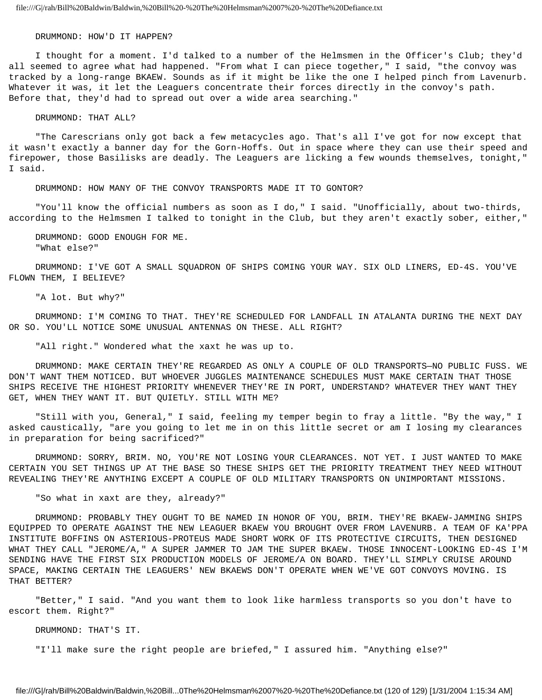## DRUMMOND: HOW'D IT HAPPEN?

 I thought for a moment. I'd talked to a number of the Helmsmen in the Officer's Club; they'd all seemed to agree what had happened. "From what I can piece together," I said, "the convoy was tracked by a long-range BKAEW. Sounds as if it might be like the one I helped pinch from Lavenurb. Whatever it was, it let the Leaguers concentrate their forces directly in the convoy's path. Before that, they'd had to spread out over a wide area searching."

DRUMMOND: THAT ALL?

 "The Carescrians only got back a few metacycles ago. That's all I've got for now except that it wasn't exactly a banner day for the Gorn-Hoffs. Out in space where they can use their speed and firepower, those Basilisks are deadly. The Leaguers are licking a few wounds themselves, tonight," I said.

DRUMMOND: HOW MANY OF THE CONVOY TRANSPORTS MADE IT TO GONTOR?

 "You'll know the official numbers as soon as I do," I said. "Unofficially, about two-thirds, according to the Helmsmen I talked to tonight in the Club, but they aren't exactly sober, either,"

 DRUMMOND: GOOD ENOUGH FOR ME. "What else?"

 DRUMMOND: I'VE GOT A SMALL SQUADRON OF SHIPS COMING YOUR WAY. SIX OLD LINERS, ED-4S. YOU'VE FLOWN THEM, I BELIEVE?

"A lot. But why?"

 DRUMMOND: I'M COMING TO THAT. THEY'RE SCHEDULED FOR LANDFALL IN ATALANTA DURING THE NEXT DAY OR SO. YOU'LL NOTICE SOME UNUSUAL ANTENNAS ON THESE. ALL RIGHT?

"All right." Wondered what the xaxt he was up to.

 DRUMMOND: MAKE CERTAIN THEY'RE REGARDED AS ONLY A COUPLE OF OLD TRANSPORTS—NO PUBLIC FUSS. WE DON'T WANT THEM NOTICED. BUT WHOEVER JUGGLES MAINTENANCE SCHEDULES MUST MAKE CERTAIN THAT THOSE SHIPS RECEIVE THE HIGHEST PRIORITY WHENEVER THEY'RE IN PORT, UNDERSTAND? WHATEVER THEY WANT THEY GET, WHEN THEY WANT IT. BUT QUIETLY. STILL WITH ME?

 "Still with you, General," I said, feeling my temper begin to fray a little. "By the way," I asked caustically, "are you going to let me in on this little secret or am I losing my clearances in preparation for being sacrificed?"

 DRUMMOND: SORRY, BRIM. NO, YOU'RE NOT LOSING YOUR CLEARANCES. NOT YET. I JUST WANTED TO MAKE CERTAIN YOU SET THINGS UP AT THE BASE SO THESE SHIPS GET THE PRIORITY TREATMENT THEY NEED WITHOUT REVEALING THEY'RE ANYTHING EXCEPT A COUPLE OF OLD MILITARY TRANSPORTS ON UNIMPORTANT MISSIONS.

"So what in xaxt are they, already?"

 DRUMMOND: PROBABLY THEY OUGHT TO BE NAMED IN HONOR OF YOU, BRIM. THEY'RE BKAEW-JAMMING SHIPS EQUIPPED TO OPERATE AGAINST THE NEW LEAGUER BKAEW YOU BROUGHT OVER FROM LAVENURB. A TEAM OF KA'PPA INSTITUTE BOFFINS ON ASTERIOUS-PROTEUS MADE SHORT WORK OF ITS PROTECTIVE CIRCUITS, THEN DESIGNED WHAT THEY CALL "JEROME/A," A SUPER JAMMER TO JAM THE SUPER BKAEW. THOSE INNOCENT-LOOKING ED-4S I'M SENDING HAVE THE FIRST SIX PRODUCTION MODELS OF JEROME/A ON BOARD. THEY'LL SIMPLY CRUISE AROUND SPACE, MAKING CERTAIN THE LEAGUERS' NEW BKAEWS DON'T OPERATE WHEN WE'VE GOT CONVOYS MOVING. IS THAT BETTER?

 "Better," I said. "And you want them to look like harmless transports so you don't have to escort them. Right?"

DRUMMOND: THAT'S IT.

"I'll make sure the right people are briefed," I assured him. "Anything else?"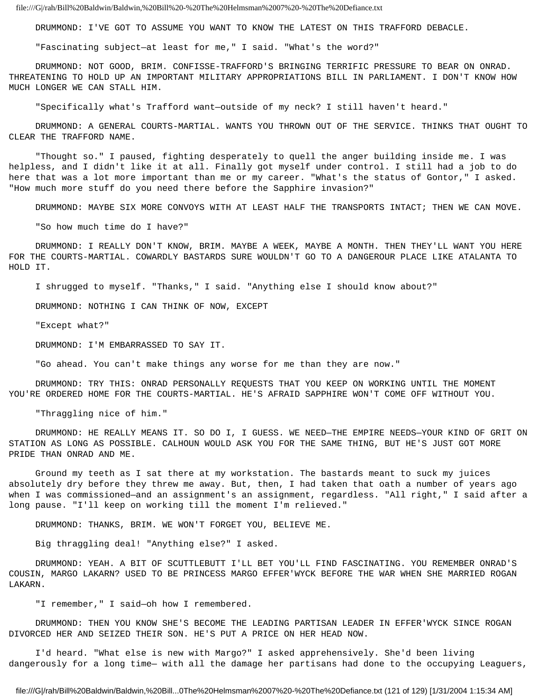DRUMMOND: I'VE GOT TO ASSUME YOU WANT TO KNOW THE LATEST ON THIS TRAFFORD DEBACLE.

"Fascinating subject—at least for me," I said. "What's the word?"

 DRUMMOND: NOT GOOD, BRIM. CONFISSE-TRAFFORD'S BRINGING TERRIFIC PRESSURE TO BEAR ON ONRAD. THREATENING TO HOLD UP AN IMPORTANT MILITARY APPROPRIATIONS BILL IN PARLIAMENT. I DON'T KNOW HOW MUCH LONGER WE CAN STALL HIM.

"Specifically what's Trafford want—outside of my neck? I still haven't heard."

 DRUMMOND: A GENERAL COURTS-MARTIAL. WANTS YOU THROWN OUT OF THE SERVICE. THINKS THAT OUGHT TO CLEAR THE TRAFFORD NAME.

 "Thought so." I paused, fighting desperately to quell the anger building inside me. I was helpless, and I didn't like it at all. Finally got myself under control. I still had a job to do here that was a lot more important than me or my career. "What's the status of Gontor," I asked. "How much more stuff do you need there before the Sapphire invasion?"

DRUMMOND: MAYBE SIX MORE CONVOYS WITH AT LEAST HALF THE TRANSPORTS INTACT; THEN WE CAN MOVE.

"So how much time do I have?"

 DRUMMOND: I REALLY DON'T KNOW, BRIM. MAYBE A WEEK, MAYBE A MONTH. THEN THEY'LL WANT YOU HERE FOR THE COURTS-MARTIAL. COWARDLY BASTARDS SURE WOULDN'T GO TO A DANGEROUR PLACE LIKE ATALANTA TO HOLD IT.

I shrugged to myself. "Thanks," I said. "Anything else I should know about?"

DRUMMOND: NOTHING I CAN THINK OF NOW, EXCEPT

"Except what?"

DRUMMOND: I'M EMBARRASSED TO SAY IT.

"Go ahead. You can't make things any worse for me than they are now."

 DRUMMOND: TRY THIS: ONRAD PERSONALLY REQUESTS THAT YOU KEEP ON WORKING UNTIL THE MOMENT YOU'RE ORDERED HOME FOR THE COURTS-MARTIAL. HE'S AFRAID SAPPHIRE WON'T COME OFF WITHOUT YOU.

"Thraggling nice of him."

 DRUMMOND: HE REALLY MEANS IT. SO DO I, I GUESS. WE NEED—THE EMPIRE NEEDS—YOUR KIND OF GRIT ON STATION AS LONG AS POSSIBLE. CALHOUN WOULD ASK YOU FOR THE SAME THING, BUT HE'S JUST GOT MORE PRIDE THAN ONRAD AND ME.

 Ground my teeth as I sat there at my workstation. The bastards meant to suck my juices absolutely dry before they threw me away. But, then, I had taken that oath a number of years ago when I was commissioned—and an assignment's an assignment, regardless. "All right," I said after a long pause. "I'll keep on working till the moment I'm relieved."

DRUMMOND: THANKS, BRIM. WE WON'T FORGET YOU, BELIEVE ME.

Big thraggling deal! "Anything else?" I asked.

 DRUMMOND: YEAH. A BIT OF SCUTTLEBUTT I'LL BET YOU'LL FIND FASCINATING. YOU REMEMBER ONRAD'S COUSIN, MARGO LAKARN? USED TO BE PRINCESS MARGO EFFER'WYCK BEFORE THE WAR WHEN SHE MARRIED ROGAN LAKARN.

"I remember," I said—oh how I remembered.

 DRUMMOND: THEN YOU KNOW SHE'S BECOME THE LEADING PARTISAN LEADER IN EFFER'WYCK SINCE ROGAN DIVORCED HER AND SEIZED THEIR SON. HE'S PUT A PRICE ON HER HEAD NOW.

 I'd heard. "What else is new with Margo?" I asked apprehensively. She'd been living dangerously for a long time— with all the damage her partisans had done to the occupying Leaguers,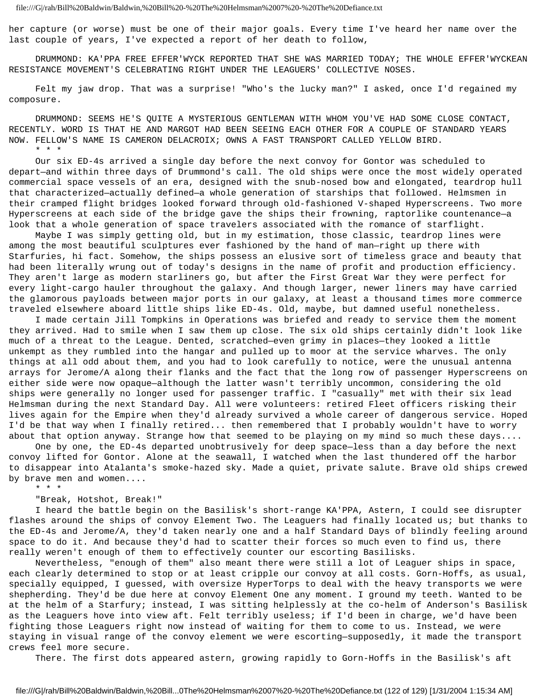her capture (or worse) must be one of their major goals. Every time I've heard her name over the last couple of years, I've expected a report of her death to follow,

 DRUMMOND: KA'PPA FREE EFFER'WYCK REPORTED THAT SHE WAS MARRIED TODAY; THE WHOLE EFFER'WYCKEAN RESISTANCE MOVEMENT'S CELEBRATING RIGHT UNDER THE LEAGUERS' COLLECTIVE NOSES.

 Felt my jaw drop. That was a surprise! "Who's the lucky man?" I asked, once I'd regained my composure.

 DRUMMOND: SEEMS HE'S QUITE A MYSTERIOUS GENTLEMAN WITH WHOM YOU'VE HAD SOME CLOSE CONTACT, RECENTLY. WORD IS THAT HE AND MARGOT HAD BEEN SEEING EACH OTHER FOR A COUPLE OF STANDARD YEARS NOW. FELLOW'S NAME IS CAMERON DELACROIX; OWNS A FAST TRANSPORT CALLED YELLOW BIRD.

\* \* \*

 Our six ED-4s arrived a single day before the next convoy for Gontor was scheduled to depart—and within three days of Drummond's call. The old ships were once the most widely operated commercial space vessels of an era, designed with the snub-nosed bow and elongated, teardrop hull that characterized—actually defined—a whole generation of starships that followed. Helmsmen in their cramped flight bridges looked forward through old-fashioned V-shaped Hyperscreens. Two more Hyperscreens at each side of the bridge gave the ships their frowning, raptorlike countenance—a look that a whole generation of space travelers associated with the romance of starflight.

 Maybe I was simply getting old, but in my estimation, those classic, teardrop lines were among the most beautiful sculptures ever fashioned by the hand of man—right up there with Starfuries, hi fact. Somehow, the ships possess an elusive sort of timeless grace and beauty that had been literally wrung out of today's designs in the name of profit and production efficiency. They aren't large as modern starliners go, but after the First Great War they were perfect for every light-cargo hauler throughout the galaxy. And though larger, newer liners may have carried the glamorous payloads between major ports in our galaxy, at least a thousand times more commerce traveled elsewhere aboard little ships like ED-4s. Old, maybe, but damned useful nonetheless.

 I made certain Jill Tompkins in Operations was briefed and ready to service them the moment they arrived. Had to smile when I saw them up close. The six old ships certainly didn't look like much of a threat to the League. Dented, scratched—even grimy in places—they looked a little unkempt as they rumbled into the hangar and pulled up to moor at the service wharves. The only things at all odd about them, and you had to look carefully to notice, were the unusual antenna arrays for Jerome/A along their flanks and the fact that the long row of passenger Hyperscreens on either side were now opaque—although the latter wasn't terribly uncommon, considering the old ships were generally no longer used for passenger traffic. I "casually" met with their six lead Helmsman during the next Standard Day. All were volunteers: retired Fleet officers risking their lives again for the Empire when they'd already survived a whole career of dangerous service. Hoped I'd be that way when I finally retired... then remembered that I probably wouldn't have to worry about that option anyway. Strange how that seemed to be playing on my mind so much these days....

 One by one, the ED-4s departed unobtrusively for deep space—less than a day before the next convoy lifted for Gontor. Alone at the seawall, I watched when the last thundered off the harbor to disappear into Atalanta's smoke-hazed sky. Made a quiet, private salute. Brave old ships crewed by brave men and women....

\* \* \*

"Break, Hotshot, Break!"

 I heard the battle begin on the Basilisk's short-range KA'PPA, Astern, I could see disrupter flashes around the ships of convoy Element Two. The Leaguers had finally located us; but thanks to the ED-4s and Jerome/A, they'd taken nearly one and a half Standard Days of blindly feeling around space to do it. And because they'd had to scatter their forces so much even to find us, there really weren't enough of them to effectively counter our escorting Basilisks.

 Nevertheless, "enough of them" also meant there were still a lot of Leaguer ships in space, each clearly determined to stop or at least cripple our convoy at all costs. Gorn-Hoffs, as usual, specially equipped, I guessed, with oversize HyperTorps to deal with the heavy transports we were shepherding. They'd be due here at convoy Element One any moment. I ground my teeth. Wanted to be at the helm of a Starfury; instead, I was sitting helplessly at the co-helm of Anderson's Basilisk as the Leaguers hove into view aft. Felt terribly useless; if I'd been in charge, we'd have been fighting those Leaguers right now instead of waiting for them to come to us. Instead, we were staying in visual range of the convoy element we were escorting—supposedly, it made the transport crews feel more secure.

There. The first dots appeared astern, growing rapidly to Gorn-Hoffs in the Basilisk's aft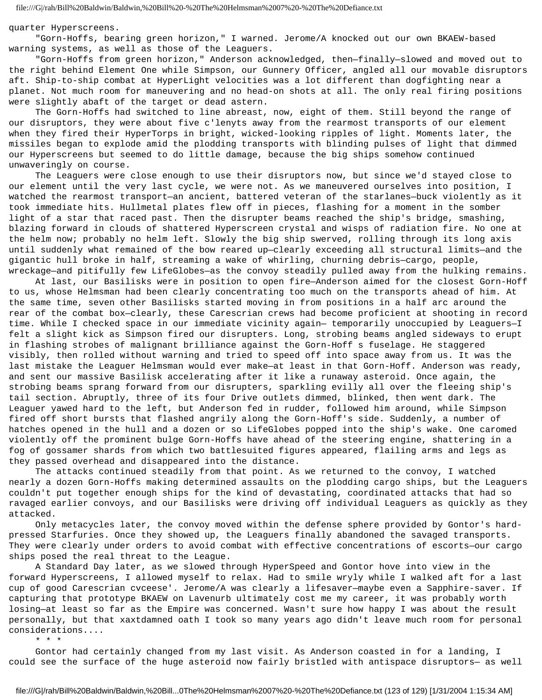## quarter Hyperscreens.

 "Gorn-Hoffs, bearing green horizon," I warned. Jerome/A knocked out our own BKAEW-based warning systems, as well as those of the Leaguers.

 "Gorn-Hoffs from green horizon," Anderson acknowledged, then—finally—slowed and moved out to the right behind Element One while Simpson, our Gunnery Officer, angled all our movable disruptors aft. Ship-to-ship combat at HyperLight velocities was a lot different than dogfighting near a planet. Not much room for maneuvering and no head-on shots at all. The only real firing positions were slightly abaft of the target or dead astern.

 The Gorn-Hoffs had switched to line abreast, now, eight of them. Still beyond the range of our disruptors, they were about five c'lenyts away from the rearmost transports of our element when they fired their HyperTorps in bright, wicked-looking ripples of light. Moments later, the missiles began to explode amid the plodding transports with blinding pulses of light that dimmed our Hyperscreens but seemed to do little damage, because the big ships somehow continued unwaveringly on course.

 The Leaguers were close enough to use their disruptors now, but since we'd stayed close to our element until the very last cycle, we were not. As we maneuvered ourselves into position, I watched the rearmost transport—an ancient, battered veteran of the starlanes—buck violently as it took immediate hits. Hullmetal plates flew off in pieces, flashing for a moment in the somber light of a star that raced past. Then the disrupter beams reached the ship's bridge, smashing, blazing forward in clouds of shattered Hyperscreen crystal and wisps of radiation fire. No one at the helm now; probably no helm left. Slowly the big ship swerved, rolling through its long axis until suddenly what remained of the bow reared up—clearly exceeding all structural limits—and the gigantic hull broke in half, streaming a wake of whirling, churning debris—cargo, people, wreckage—and pitifully few LifeGlobes—as the convoy steadily pulled away from the hulking remains.

 At last, our Basilisks were in position to open fire—Anderson aimed for the closest Gorn-Hoff to us, whose Helmsman had been clearly concentrating too much on the transports ahead of him. At the same time, seven other Basilisks started moving in from positions in a half arc around the rear of the combat box—clearly, these Carescrian crews had become proficient at shooting in record time. While I checked space in our immediate vicinity again— temporarily unoccupied by Leaguers—I felt a slight kick as Simpson fired our disrupters. Long, strobing beams angled sideways to erupt in flashing strobes of malignant brilliance against the Gorn-Hoff s fuselage. He staggered visibly, then rolled without warning and tried to speed off into space away from us. It was the last mistake the Leaguer Helmsman would ever make—at least in that Gorn-Hoff. Anderson was ready, and sent our massive Basilisk accelerating after it like a runaway asteroid. Once again, the strobing beams sprang forward from our disrupters, sparkling evilly all over the fleeing ship's tail section. Abruptly, three of its four Drive outlets dimmed, blinked, then went dark. The Leaguer yawed hard to the left, but Anderson fed in rudder, followed him around, while Simpson fired off short bursts that flashed angrily along the Gorn-Hoff's side. Suddenly, a number of hatches opened in the hull and a dozen or so LifeGlobes popped into the ship's wake. One caromed violently off the prominent bulge Gorn-Hoffs have ahead of the steering engine, shattering in a fog of gossamer shards from which two battlesuited figures appeared, flailing arms and legs as they passed overhead and disappeared into the distance.

 The attacks continued steadily from that point. As we returned to the convoy, I watched nearly a dozen Gorn-Hoffs making determined assaults on the plodding cargo ships, but the Leaguers couldn't put together enough ships for the kind of devastating, coordinated attacks that had so ravaged earlier convoys, and our Basilisks were driving off individual Leaguers as quickly as they attacked.

 Only metacycles later, the convoy moved within the defense sphere provided by Gontor's hardpressed Starfuries. Once they showed up, the Leaguers finally abandoned the savaged transports. They were clearly under orders to avoid combat with effective concentrations of escorts—our cargo ships posed the real threat to the League.

 A Standard Day later, as we slowed through HyperSpeed and Gontor hove into view in the forward Hyperscreens, I allowed myself to relax. Had to smile wryly while I walked aft for a last cup of good Carescrian cvceese'. Jerome/A was clearly a lifesaver—maybe even a Sapphire-saver. If capturing that prototype BKAEW on Lavenurb ultimately cost me my career, it was probably worth losing—at least so far as the Empire was concerned. Wasn't sure how happy I was about the result personally, but that xaxtdamned oath I took so many years ago didn't leave much room for personal considerations....

\* \* \*

 Gontor had certainly changed from my last visit. As Anderson coasted in for a landing, I could see the surface of the huge asteroid now fairly bristled with antispace disruptors— as well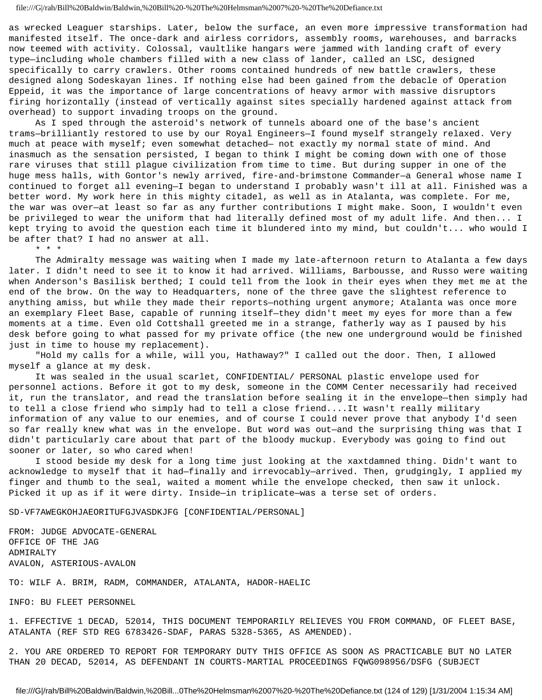as wrecked Leaguer starships. Later, below the surface, an even more impressive transformation had manifested itself. The once-dark and airless corridors, assembly rooms, warehouses, and barracks now teemed with activity. Colossal, vaultlike hangars were jammed with landing craft of every type—including whole chambers filled with a new class of lander, called an LSC, designed specifically to carry crawlers. Other rooms contained hundreds of new battle crawlers, these designed along Sodeskayan lines. If nothing else had been gained from the debacle of Operation Eppeid, it was the importance of large concentrations of heavy armor with massive disruptors firing horizontally (instead of vertically against sites specially hardened against attack from overhead) to support invading troops on the ground.

 As I sped through the asteroid's network of tunnels aboard one of the base's ancient trams—brilliantly restored to use by our Royal Engineers—I found myself strangely relaxed. Very much at peace with myself; even somewhat detached— not exactly my normal state of mind. And inasmuch as the sensation persisted, I began to think I might be coming down with one of those rare viruses that still plague civilization from time to time. But during supper in one of the huge mess halls, with Gontor's newly arrived, fire-and-brimstone Commander—a General whose name I continued to forget all evening—I began to understand I probably wasn't ill at all. Finished was a better word. My work here in this mighty citadel, as well as in Atalanta, was complete. For me, the war was over—at least so far as any further contributions I might make. Soon, I wouldn't even be privileged to wear the uniform that had literally defined most of my adult life. And then... I kept trying to avoid the question each time it blundered into my mind, but couldn't... who would I be after that? I had no answer at all.

\* \* \*

 The Admiralty message was waiting when I made my late-afternoon return to Atalanta a few days later. I didn't need to see it to know it had arrived. Williams, Barbousse, and Russo were waiting when Anderson's Basilisk berthed; I could tell from the look in their eyes when they met me at the end of the brow. On the way to Headquarters, none of the three gave the slightest reference to anything amiss, but while they made their reports—nothing urgent anymore; Atalanta was once more an exemplary Fleet Base, capable of running itself—they didn't meet my eyes for more than a few moments at a time. Even old Cottshall greeted me in a strange, fatherly way as I paused by his desk before going to what passed for my private office (the new one underground would be finished just in time to house my replacement).

 "Hold my calls for a while, will you, Hathaway?" I called out the door. Then, I allowed myself a glance at my desk.

 It was sealed in the usual scarlet, CONFIDENTIAL/ PERSONAL plastic envelope used for personnel actions. Before it got to my desk, someone in the COMM Center necessarily had received it, run the translator, and read the translation before sealing it in the envelope—then simply had to tell a close friend who simply had to tell a close friend....It wasn't really military information of any value to our enemies, and of course I could never prove that anybody I'd seen so far really knew what was in the envelope. But word was out—and the surprising thing was that I didn't particularly care about that part of the bloody muckup. Everybody was going to find out sooner or later, so who cared when!

 I stood beside my desk for a long time just looking at the xaxtdamned thing. Didn't want to acknowledge to myself that it had-finally and irrevocably-arrived. Then, grudgingly, I applied my finger and thumb to the seal, waited a moment while the envelope checked, then saw it unlock. Picked it up as if it were dirty. Inside—in triplicate—was a terse set of orders.

SD-VF7AWEGKOHJAEORITUFGJVASDKJFG [CONFIDENTIAL/PERSONAL]

FROM: JUDGE ADVOCATE-GENERAL OFFICE OF THE JAG ADMIRALTY AVALON, ASTERIOUS-AVALON

TO: WILF A. BRIM, RADM, COMMANDER, ATALANTA, HADOR-HAELIC

INFO: BU FLEET PERSONNEL

1. EFFECTIVE 1 DECAD, 52014, THIS DOCUMENT TEMPORARILY RELIEVES YOU FROM COMMAND, OF FLEET BASE, ATALANTA (REF STD REG 6783426-SDAF, PARAS 5328-5365, AS AMENDED).

2. YOU ARE ORDERED TO REPORT FOR TEMPORARY DUTY THIS OFFICE AS SOON AS PRACTICABLE BUT NO LATER THAN 20 DECAD, 52014, AS DEFENDANT IN COURTS-MARTIAL PROCEEDINGS FQWG098956/DSFG (SUBJECT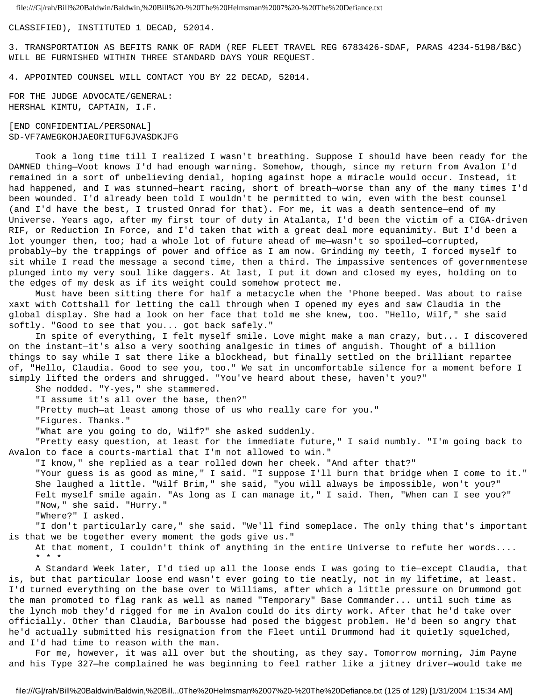CLASSIFIED), INSTITUTED 1 DECAD, 52014.

3. TRANSPORTATION AS BEFITS RANK OF RADM (REF FLEET TRAVEL REG 6783426-SDAF, PARAS 4234-5198/B&C) WILL BE FURNISHED WITHIN THREE STANDARD DAYS YOUR REQUEST.

4. APPOINTED COUNSEL WILL CONTACT YOU BY 22 DECAD, 52014.

FOR THE JUDGE ADVOCATE/GENERAL: HERSHAL KIMTU, CAPTAIN, I.F.

[END CONFIDENTIAL/PERSONAL] SD-VF7AWEGKOHJAEORITUFGJVASDKJFG

 Took a long time till I realized I wasn't breathing. Suppose I should have been ready for the DAMNED thing—Voot knows I'd had enough warning. Somehow, though, since my return from Avalon I'd remained in a sort of unbelieving denial, hoping against hope a miracle would occur. Instead, it had happened, and I was stunned—heart racing, short of breath—worse than any of the many times I'd been wounded. I'd already been told I wouldn't be permitted to win, even with the best counsel (and I'd have the best, I trusted Onrad for that). For me, it was a death sentence—end of my Universe. Years ago, after my first tour of duty in Atalanta, I'd been the victim of a CIGA-driven RIF, or Reduction In Force, and I'd taken that with a great deal more equanimity. But I'd been a lot younger then, too; had a whole lot of future ahead of me—wasn't so spoiled—corrupted, probably—by the trappings of power and office as I am now. Grinding my teeth, I forced myself to sit while I read the message a second time, then a third. The impassive sentences of governmentese plunged into my very soul like daggers. At last, I put it down and closed my eyes, holding on to the edges of my desk as if its weight could somehow protect me.

 Must have been sitting there for half a metacycle when the 'Phone beeped. Was about to raise xaxt with Cottshall for letting the call through when I opened my eyes and saw Claudia in the global display. She had a look on her face that told me she knew, too. "Hello, Wilf," she said softly. "Good to see that you... got back safely."

 In spite of everything, I felt myself smile. Love might make a man crazy, but... I discovered on the instant—it's also a very soothing analgesic in times of anguish. Thought of a billion things to say while I sat there like a blockhead, but finally settled on the brilliant repartee of, "Hello, Claudia. Good to see you, too." We sat in uncomfortable silence for a moment before I simply lifted the orders and shrugged. "You've heard about these, haven't you?"

She nodded. "Y-yes," she stammered.

"I assume it's all over the base, then?"

"Pretty much—at least among those of us who really care for you."

"Figures. Thanks."

"What are you going to do, Wilf?" she asked suddenly.

 "Pretty easy question, at least for the immediate future," I said numbly. "I'm going back to Avalon to face a courts-martial that I'm not allowed to win."

"I know," she replied as a tear rolled down her cheek. "And after that?"

 "Your guess is as good as mine," I said. "I suppose I'll burn that bridge when I come to it." She laughed a little. "Wilf Brim," she said, "you will always be impossible, won't you?" Felt myself smile again. "As long as I can manage it," I said. Then, "When can I see you?" "Now," she said. "Hurry."

"Where?" I asked.

 "I don't particularly care," she said. "We'll find someplace. The only thing that's important is that we be together every moment the gods give us."

 At that moment, I couldn't think of anything in the entire Universe to refute her words.... \* \* \*

 A Standard Week later, I'd tied up all the loose ends I was going to tie—except Claudia, that is, but that particular loose end wasn't ever going to tie neatly, not in my lifetime, at least. I'd turned everything on the base over to Williams, after which a little pressure on Drummond got the man promoted to flag rank as well as named "Temporary" Base Commander... until such time as the lynch mob they'd rigged for me in Avalon could do its dirty work. After that he'd take over officially. Other than Claudia, Barbousse had posed the biggest problem. He'd been so angry that he'd actually submitted his resignation from the Fleet until Drummond had it quietly squelched, and I'd had time to reason with the man.

 For me, however, it was all over but the shouting, as they say. Tomorrow morning, Jim Payne and his Type 327—he complained he was beginning to feel rather like a jitney driver—would take me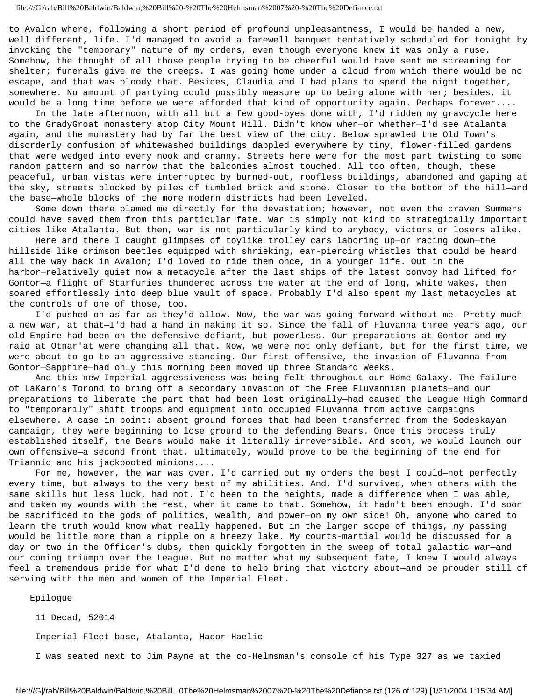to Avalon where, following a short period of profound unpleasantness, I would be handed a new, well different, life. I'd managed to avoid a farewell banquet tentatively scheduled for tonight by invoking the "temporary" nature of my orders, even though everyone knew it was only a ruse. Somehow, the thought of all those people trying to be cheerful would have sent me screaming for shelter; funerals give me the creeps. I was going home under a cloud from which there would be no escape, and that was bloody that. Besides, Claudia and I had plans to spend the night together, somewhere. No amount of partying could possibly measure up to being alone with her; besides, it would be a long time before we were afforded that kind of opportunity again. Perhaps forever....

 In the late afternoon, with all but a few good-byes done with, I'd ridden my gravcycle here to the GradyGroat monastery atop City Mount Hill. Didn't know when—or whether—I'd see Atalanta again, and the monastery had by far the best view of the city. Below sprawled the Old Town's disorderly confusion of whitewashed buildings dappled everywhere by tiny, flower-filled gardens that were wedged into every nook and cranny. Streets here were for the most part twisting to some random pattern and so narrow that the balconies almost touched. All too often, though, these peaceful, urban vistas were interrupted by burned-out, roofless buildings, abandoned and gaping at the sky, streets blocked by piles of tumbled brick and stone. Closer to the bottom of the hill—and the base—whole blocks of the more modern districts had been leveled.

 Some down there blamed me directly for the devastation; however, not even the craven Summers could have saved them from this particular fate. War is simply not kind to strategically important cities like Atalanta. But then, war is not particularly kind to anybody, victors or losers alike.

 Here and there I caught glimpses of toylike trolley cars laboring up—or racing down—the hillside like crimson beetles equipped with shrieking, ear-piercing whistles that could be heard all the way back in Avalon; I'd loved to ride them once, in a younger life. Out in the harbor—relatively quiet now a metacycle after the last ships of the latest convoy had lifted for Gontor—a flight of Starfuries thundered across the water at the end of long, white wakes, then soared effortlessly into deep blue vault of space. Probably I'd also spent my last metacycles at the controls of one of those, too.

 I'd pushed on as far as they'd allow. Now, the war was going forward without me. Pretty much a new war, at that—I'd had a hand in making it so. Since the fall of Fluvanna three years ago, our old Empire had been on the defensive—defiant, but powerless. Our preparations at Gontor and my raid at Otnar'at were changing all that. Now, we were not only defiant, but for the first time, we were about to go to an aggressive standing. Our first offensive, the invasion of Fluvanna from Gontor—Sapphire—had only this morning been moved up three Standard Weeks.

 And this new Imperial aggressiveness was being felt throughout our Home Galaxy. The failure of LaKarn's Torond to bring off a secondary invasion of the Free Fluvannian planets—and our preparations to liberate the part that had been lost originally—had caused the League High Command to "temporarily" shift troops and equipment into occupied Fluvanna from active campaigns elsewhere. A case in point: absent ground forces that had been transferred from the Sodeskayan campaign, they were beginning to lose ground to the defending Bears. Once this process truly established itself, the Bears would make it literally irreversible. And soon, we would launch our own offensive—a second front that, ultimately, would prove to be the beginning of the end for Triannic and his jackbooted minions....

 For me, however, the war was over. I'd carried out my orders the best I could—not perfectly every time, but always to the very best of my abilities. And, I'd survived, when others with the same skills but less luck, had not. I'd been to the heights, made a difference when I was able, and taken my wounds with the rest, when it came to that. Somehow, it hadn't been enough. I'd soon be sacrificed to the gods of politics, wealth, and power—on my own side! Oh, anyone who cared to learn the truth would know what really happened. But in the larger scope of things, my passing would be little more than a ripple on a breezy lake. My courts-martial would be discussed for a day or two in the Officer's dubs, then quickly forgotten in the sweep of total galactic war—and our coming triumph over the League. But no matter what my subsequent fate, I knew I would always feel a tremendous pride for what I'd done to help bring that victory about—and be prouder still of serving with the men and women of the Imperial Fleet.

Epilogue

11 Decad, 52014

Imperial Fleet base, Atalanta, Hador-Haelic

I was seated next to Jim Payne at the co-Helmsman's console of his Type 327 as we taxied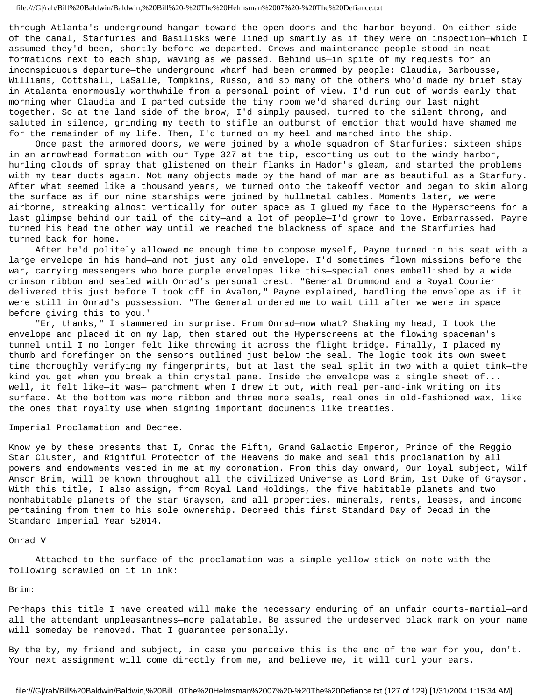through Atlanta's underground hangar toward the open doors and the harbor beyond. On either side of the canal, Starfuries and Basilisks were lined up smartly as if they were on inspection—which I assumed they'd been, shortly before we departed. Crews and maintenance people stood in neat formations next to each ship, waving as we passed. Behind us—in spite of my requests for an inconspicuous departure—the underground wharf had been crammed by people: Claudia, Barbousse, Williams, Cottshall, LaSalle, Tompkins, Russo, and so many of the others who'd made my brief stay in Atalanta enormously worthwhile from a personal point of view. I'd run out of words early that morning when Claudia and I parted outside the tiny room we'd shared during our last night together. So at the land side of the brow, I'd simply paused, turned to the silent throng, and saluted in silence, grinding my teeth to stifle an outburst of emotion that would have shamed me for the remainder of my life. Then, I'd turned on my heel and marched into the ship.

 Once past the armored doors, we were joined by a whole squadron of Starfuries: sixteen ships in an arrowhead formation with our Type 327 at the tip, escorting us out to the windy harbor, hurling clouds of spray that glistened on their flanks in Hador's gleam, and started the problems with my tear ducts again. Not many objects made by the hand of man are as beautiful as a Starfury. After what seemed like a thousand years, we turned onto the takeoff vector and began to skim along the surface as if our nine starships were joined by hullmetal cables. Moments later, we were airborne, streaking almost vertically for outer space as I glued my face to the Hyperscreens for a last glimpse behind our tail of the city-and a lot of people-I'd grown to love. Embarrassed, Payne turned his head the other way until we reached the blackness of space and the Starfuries had turned back for home.

 After he'd politely allowed me enough time to compose myself, Payne turned in his seat with a large envelope in his hand—and not just any old envelope. I'd sometimes flown missions before the war, carrying messengers who bore purple envelopes like this—special ones embellished by a wide crimson ribbon and sealed with Onrad's personal crest. "General Drummond and a Royal Courier delivered this just before I took off in Avalon," Payne explained, handling the envelope as if it were still in Onrad's possession. "The General ordered me to wait till after we were in space before giving this to you."

 "Er, thanks," I stammered in surprise. From Onrad—now what? Shaking my head, I took the envelope and placed it on my lap, then stared out the Hyperscreens at the flowing spaceman's tunnel until I no longer felt like throwing it across the flight bridge. Finally, I placed my thumb and forefinger on the sensors outlined just below the seal. The logic took its own sweet time thoroughly verifying my fingerprints, but at last the seal split in two with a quiet tink—the kind you get when you break a thin crystal pane. Inside the envelope was a single sheet of... well, it felt like—it was— parchment when I drew it out, with real pen-and-ink writing on its surface. At the bottom was more ribbon and three more seals, real ones in old-fashioned wax, like the ones that royalty use when signing important documents like treaties.

Imperial Proclamation and Decree.

Know ye by these presents that I, Onrad the Fifth, Grand Galactic Emperor, Prince of the Reggio Star Cluster, and Rightful Protector of the Heavens do make and seal this proclamation by all powers and endowments vested in me at my coronation. From this day onward, Our loyal subject, Wilf Ansor Brim, will be known throughout all the civilized Universe as Lord Brim, 1st Duke of Grayson. With this title, I also assign, from Royal Land Holdings, the five habitable planets and two nonhabitable planets of the star Grayson, and all properties, minerals, rents, leases, and income pertaining from them to his sole ownership. Decreed this first Standard Day of Decad in the Standard Imperial Year 52014.

## Onrad V

 Attached to the surface of the proclamation was a simple yellow stick-on note with the following scrawled on it in ink:

## Brim:

Perhaps this title I have created will make the necessary enduring of an unfair courts-martial—and all the attendant unpleasantness—more palatable. Be assured the undeserved black mark on your name will someday be removed. That I guarantee personally.

By the by, my friend and subject, in case you perceive this is the end of the war for you, don't. Your next assignment will come directly from me, and believe me, it will curl your ears.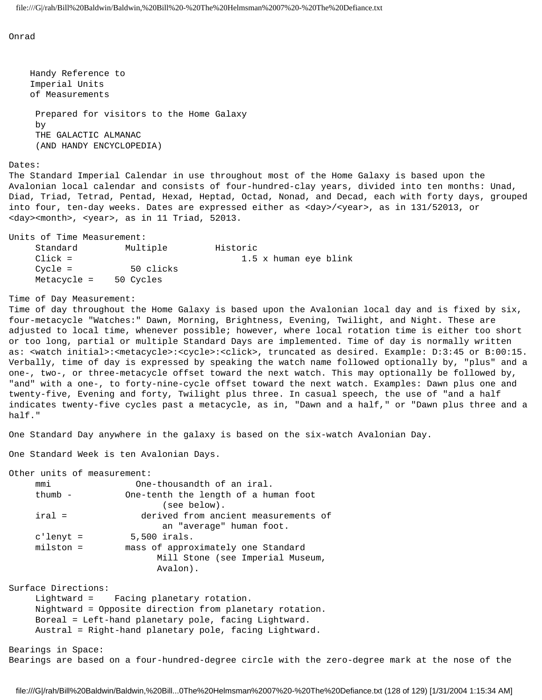Onrad

 Handy Reference to Imperial Units of Measurements Prepared for visitors to the Home Galaxy by THE GALACTIC ALMANAC (AND HANDY ENCYCLOPEDIA) Dates: The Standard Imperial Calendar in use throughout most of the Home Galaxy is based upon the Avalonian local calendar and consists of four-hundred-clay years, divided into ten months: Unad, Diad, Triad, Tetrad, Pentad, Hexad, Heptad, Octad, Nonad, and Decad, each with forty days, grouped into four, ten-day weeks. Dates are expressed either as <day>/<year>, as in 131/52013, or <day><month>, <year>, as in 11 Triad, 52013. Units of Time Measurement: Standard Multiple Historic Click = 1.5 x human eye blink Cycle = 50 clicks Metacycle = 50 Cycles Time of Day Measurement: Time of day throughout the Home Galaxy is based upon the Avalonian local day and is fixed by six, four-metacycle "Watches:" Dawn, Morning, Brightness, Evening, Twilight, and Night. These are adjusted to local time, whenever possible; however, where local rotation time is either too short or too long, partial or multiple Standard Days are implemented. Time of day is normally written as: <watch initial>:<metacycle>:<cycle>:<click>, truncated as desired. Example: D:3:45 or B:00:15. Verbally, time of day is expressed by speaking the watch name followed optionally by, "plus" and a one-, two-, or three-metacycle offset toward the next watch. This may optionally be followed by, "and" with a one-, to forty-nine-cycle offset toward the next watch. Examples: Dawn plus one and twenty-five, Evening and forty, Twilight plus three. In casual speech, the use of "and a half indicates twenty-five cycles past a metacycle, as in, "Dawn and a half," or "Dawn plus three and a half." One Standard Day anywhere in the galaxy is based on the six-watch Avalonian Day. One Standard Week is ten Avalonian Days. Other units of measurement: mmi One-thousandth of an iral. thumb - One-tenth the length of a human foot (see below). iral = derived from ancient measurements of an "average" human foot.  $c'$ lenyt =  $5,500$  irals. milston = mass of approximately one Standard Mill Stone (see Imperial Museum, Avalon). Surface Directions: Lightward = Facing planetary rotation. Nightward = Opposite direction from planetary rotation. Boreal = Left-hand planetary pole, facing Lightward.

Austral = Right-hand planetary pole, facing Lightward.

```
Bearings in Space:
Bearings are based on a four-hundred-degree circle with the zero-degree mark at the nose of the
```